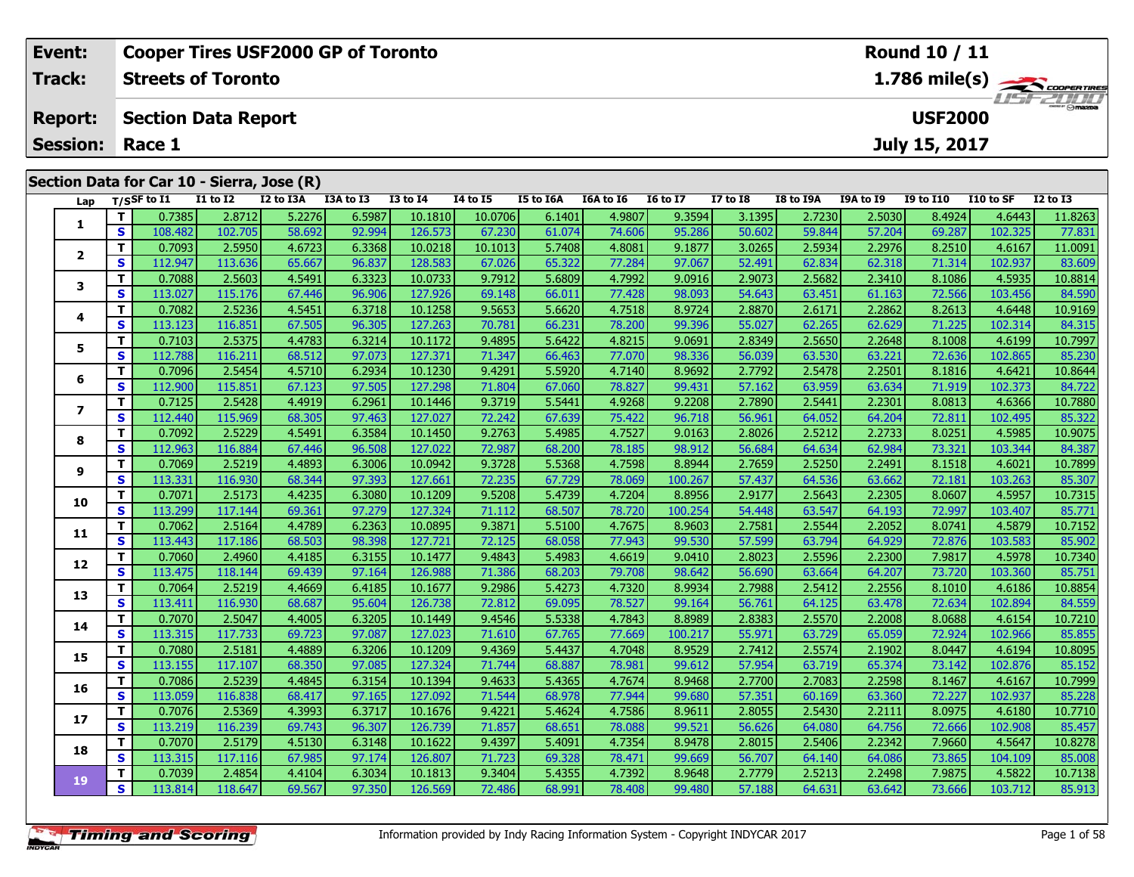|                           | Event:         |    |                            |                 | <b>Cooper Tires USF2000 GP of Toronto</b>  |           |          |          |           |                  |                 |                 |           |           | Round 10 / 11  |           |                                                               |
|---------------------------|----------------|----|----------------------------|-----------------|--------------------------------------------|-----------|----------|----------|-----------|------------------|-----------------|-----------------|-----------|-----------|----------------|-----------|---------------------------------------------------------------|
|                           | Track:         |    | <b>Streets of Toronto</b>  |                 |                                            |           |          |          |           |                  |                 |                 |           |           |                |           | $1.786$ mile(s) $\overbrace{\hspace{2.5cm}}^{3}$ coorer times |
|                           | <b>Report:</b> |    | <b>Section Data Report</b> |                 |                                            |           |          |          |           |                  |                 |                 |           |           | <b>USF2000</b> |           | $H = -H$ $\frac{1}{2}$                                        |
| <b>Session:</b><br>Race 1 |                |    |                            |                 |                                            |           |          |          |           |                  |                 |                 |           |           | July 15, 2017  |           |                                                               |
|                           |                |    |                            |                 | Section Data for Car 10 - Sierra, Jose (R) |           |          |          |           |                  |                 |                 |           |           |                |           |                                                               |
|                           |                |    | Lap T/SSF to I1            | <b>I1 to I2</b> | I2 to I3A                                  | I3A to I3 | I3 to I4 | 14 to 15 | I5 to I6A | <b>I6A to I6</b> | <b>16 to 17</b> | <b>I7 to I8</b> | I8 to I9A | I9A to I9 | I9 to I10      | I10 to SF | $I2$ to $I3$                                                  |
|                           |                |    | 0.7385                     | 2.8712          | 5.2276                                     | 6.5987    | 10.1810  | 10.0706  | 6.1401    | 4.9807           | 9.3594          | 3.1395          | 2.7230    | 2.5030    | 8.4924         | 4.6443    | 11.8263                                                       |
|                           |                | S. | 108.482                    | 102.705         | 58.692                                     | 92.994    | 126.573  | 67.230   | 61.074    | 74.606           | 95.286          | 50.602          | 59.844    | 57.204    | 69.287         | 102.325   | 77.831                                                        |
|                           |                |    | 0.7093                     | 2.5950          | 4.6723                                     | 6.3368    | 10.0218  | 10.1013  | 5.7408    | 4.8081           | 9.1877          | 3.0265          | 2.5934    | 2.2976    | 8.2510         | 4.6167    | 11.0091                                                       |
|                           |                | S. | 112.947                    | 113.636         | 65.667                                     | 96.837    | 128.583  | 67.026   | 65.322    | 77.284           | 97.067          | 52.491          | 62.834    | 62.318    | 71.314         | 102.937   | 83.609                                                        |

3 T 0.7088 2.5603 4.5491 6.3323 10.0733 9.7912 5.6809 4.7992 9.0916 2.9073 2.5682 2.3410 8.1086 4.5935 10.8814<br>S S 113.027 115.176 67.446 96.906 127.926 69.148 66.011 77.428 98.093 54.643 63.451 61.163 72.566 103.456 84.59

**<sup>T</sup>** 0.7082 2.5236 4.5451 6.3718 10.1258 9.5653 5.6620 4.7518 8.9724 2.8870 2.6171 2.2862 8.2613 4.6448 10.9169 **<sup>S</sup>** 113.123 116.851 67.505 96.305 127.263 70.781 66.231 78.200 99.396 55.027 62.265 62.629 71.225 102.314 84.315

**<sup>T</sup>** 0.7103 2.5375 4.4783 6.3214 10.1172 9.4895 5.6422 4.8215 9.0691 2.8349 2.5650 2.2648 8.1008 4.6199 10.7997 **<sup>S</sup>** 112.788 116.211 68.512 97.073 127.371 71.347 66.463 77.070 98.336 56.039 63.530 63.221 72.636 102.865 85.230

**<sup>T</sup>** 0.7096 2.5454 4.5710 6.2934 10.1230 9.4291 5.5920 4.7140 8.9692 2.7792 2.5478 2.2501 8.1816 4.6421 10.8644 **<sup>S</sup>** 112.900 115.851 67.123 97.505 127.298 71.804 67.060 78.827 99.431 57.162 63.959 63.634 71.919 102.373 84.722

7 | T | 0.7125| 2.5428| 4.4919| 6.2961| 10.1446| 9.3719| 5.5441| 4.9268| 9.2208| 2.7890| 2.5441| 2.2301| 8.0813| 4.6366| 10.7880<br>7 | S | 112.440 115.969| 68.305| 97.463| 127.027| 72.242| 67.639| 75.422| 96.718| 56.961| 64.

**<sup>T</sup>** 0.7092 2.5229 4.5491 6.3584 10.1450 9.2763 5.4985 4.7527 9.0163 2.8026 2.5212 2.2733 8.0251 4.5985 10.9075 **<sup>S</sup>** 112.963 116.884 67.446 96.508 127.022 72.987 68.200 78.185 98.912 56.684 64.634 62.984 73.321 103.344 84.387

1 10.7069 110.7069 110.7899 12.5219 10.899 10.0942 9.3728 5.5368 1.7598 8.8944 2.7659 2.5250 2.2491 8.1518 4.6021 10.7899 3.<br>S 113.331 116.930 68.344 97.393 127.661 72.235 67.729 78.069 100.267 57.437 64.536 63.662 72.181

0 | **T** | 0.7071 | 2.5173| 4.4235| 6.3080 10.1209| 9.5208| 5.4739| 4.7204| 8.8956| 2.9177| 2.5643| 2.2305| 8.0607| 4.5957| 10.7315<br>| S | 113.299| 117.144| 69.361 97.279| 127.324| 71.112| 68.507| 78.720| 100.254| 54.448| 63

**<sup>T</sup>** 0.7062 2.5164 4.4789 6.2363 10.0895 9.3871 5.5100 4.7675 8.9603 2.7581 2.5544 2.2052 8.0741 4.5879 10.7152 **<sup>S</sup>** 113.443 117.186 68.503 98.398 127.721 72.125 68.058 77.943 99.530 57.599 63.794 64.929 72.876 103.583 85.902

2 T 0.7060 2.4960 4.4185 6.3155 10.1477 9.4843 5.4983 4.6619 9.0410 2.8023 2.5596 2.2300 7.9817 4.5978 10.7340<br>2 S 113.475 118.144 69.439 97.164 126.988 71.386 68.203 79.708 98.642 56.690 63.664 64.207 73.720 103.360 85.75

3 T 0.7064 2.5219 4.4669 6.4185 10.1677 9.2986 5.4273 4.7320 8.9934 2.7988 2.5412 2.2556 8.1010 4.6186 10.8854<br>S 113.411 116.930 68.687 95.604 126.738 72.812 69.095 78.527 99.164 56.761 64.125 63.478 72.634 102.894 84.559

**<sup>T</sup>** 0.7070 2.5047 4.4005 6.3205 10.1449 9.4546 5.5338 4.7843 8.8989 2.8383 2.5570 2.2008 8.0688 4.6154 10.7210 **<sup>S</sup>** 113.315 117.733 69.723 97.087 127.023 71.610 67.765 77.669 100.217 55.971 63.729 65.059 72.924 102.966 85.855

5 T 0.7080 2.5181 4.4889 6.3206 10.1209 9.4369 5.4437 4.7048 8.9529 2.7412 2.5574 2.1902 8.0447 4.6194 10.8095<br>5 S 113.155 117.107 68.350 97.085 127.324 71.744 68.887 78.981 99.612 57.954 63.719 65.374 73.142 102.876 85.15

6 | T | 0.7086| 2.5239| 4.4845| 6.3154| 10.1394| 9.4633| 5.4365| 4.7674| 8.9468| 2.7700| 2.7083| 2.2598| 8.1467| 4.6167| 10.7999<br>| S | 113.059| 116.838| 68.417| 97.165| 127.092| 71.544| 68.978| 77.944| 99.680| 57.351| 60.1

7 T 0.7076| 2.5369| 4.3993| 6.3717| 10.1676| 9.4221| 5.4624| 4.7586| 8.9611| 2.8055| 2.5430| 2.2111| 8.0975| 4.6180| 10.7710<br>7 S 113.219| 116.239| 69.743| 96.307| 126.739| 71.857| 68.651| 78.088| 99.521| 56.626| 64.080| 64

8 T 0.7070 2.5179 4.5130 6.3148 10.1622 9.4397 5.4091 4.7354 8.9478 2.8015 2.5406 2.2342 7.9660 4.5647 10.8278<br>S 113.315 117.116 67.985 97.174 126.807 71.723 69.328 78.471 99.669 56.707 64.140 64.086 73.865 104.109 85.008

10.7138 10.7138 | 11 0.7039| 2.4854| 4.4104| 6.3034| 10.1813| 9.3404| 5.4355| 4.7392| 8.9648| 2.7779| 2.5213| 2.2498| 7.9875| 4.5822| 10.7138<br>S | 113.814| 118.647| 69.567| 97.350| 126.569| 72.486| 68.991| 78.408| 99.480|

**3**

**4**

**5**

**6**

**7**

**8**

**9**

**10**

**11**

**12**

**13**

**14**

**15**

**16**

**17**

**18**

**19**

84.315

85.322

85.307

84.559

85.855

85.457

85.00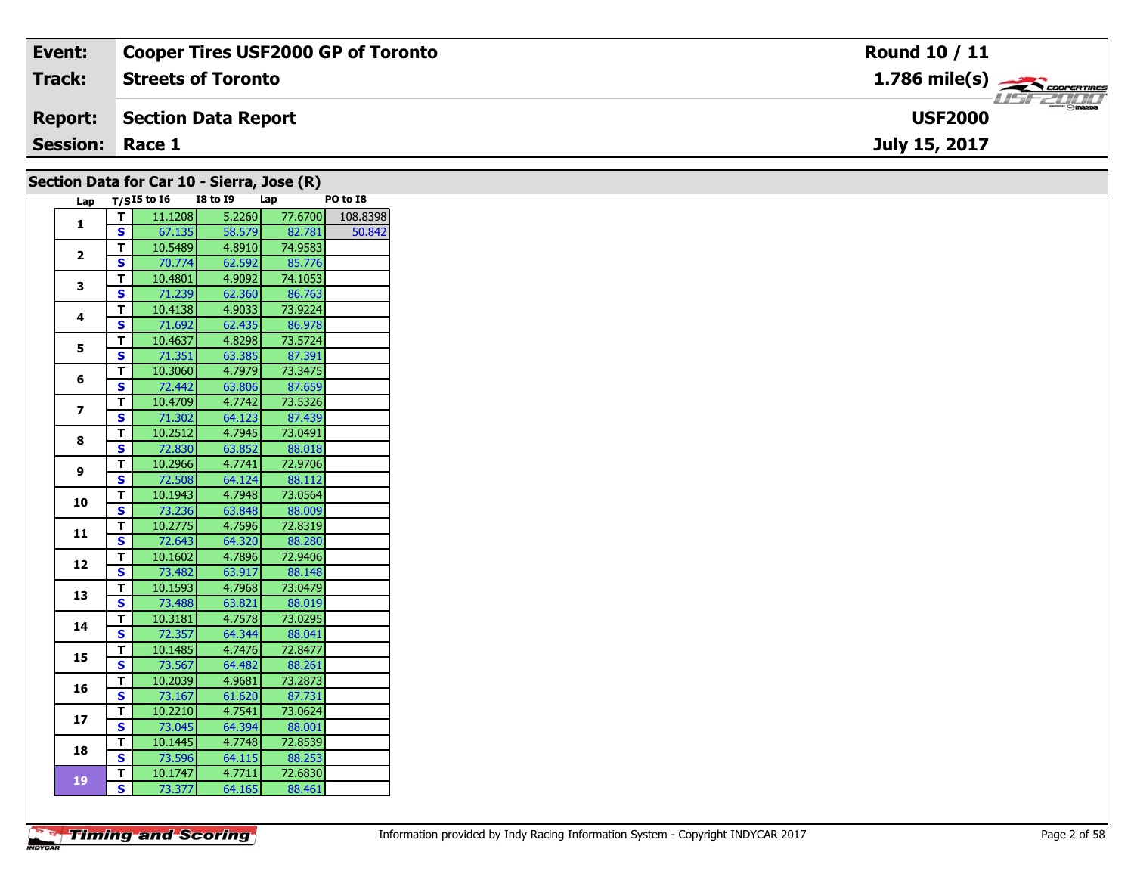| Event:                 | <b>Cooper Tires USF2000 GP of Toronto</b>  | <b>Round 10 / 11</b>                      |
|------------------------|--------------------------------------------|-------------------------------------------|
| <b>Track:</b>          | <b>Streets of Toronto</b>                  | $1.786$ mile(s) $\rightarrow$ COOPERTIRES |
| <b>Report:</b>         | Section Data Report                        | <b>LISF 2000</b><br><b>USF2000</b>        |
| <b>Session: Race 1</b> |                                            | July 15, 2017                             |
|                        | Section Data for Car 10 - Sierra, Jose (R) |                                           |

| Lap                     |              | $T/SI5$ to 16 | <b>I8 to 19</b> | Lap     | PO to I8 |
|-------------------------|--------------|---------------|-----------------|---------|----------|
|                         | T.           | 11.1208       | 5.2260          | 77.6700 | 108.8398 |
| 1                       | $\mathbf{s}$ | 67.135        | 58.579          | 82.781  | 50.842   |
|                         | Т            | 10.5489       | 4.8910          | 74.9583 |          |
| $\mathbf{2}$            | S            | 70.774        | 62.592          | 85.776  |          |
|                         | T            | 10.4801       | 4.9092          | 74.1053 |          |
| 3                       | $\mathbf{s}$ | 71.239        | 62.360          | 86.763  |          |
|                         | T            | 10.4138       | 4.9033          | 73.9224 |          |
| 4                       | $\mathbf{s}$ | 71.692        | 62.435          | 86.978  |          |
|                         | T            | 10.4637       | 4.8298          | 73.5724 |          |
| 5                       | $\mathbf{s}$ | 71.351        | 63.385          | 87.391  |          |
|                         | T            | 10.3060       | 4.7979          | 73.3475 |          |
| 6                       | S            | 72.442        | 63.806          | 87.659  |          |
|                         | T            | 10.4709       | 4.7742          | 73.5326 |          |
| $\overline{\mathbf{z}}$ | S            | 71.302        | 64.123          | 87.439  |          |
|                         | T            | 10.2512       | 4.7945          | 73.0491 |          |
| 8                       | $\mathbf{s}$ | 72.830        | 63.852          | 88.018  |          |
|                         | T.           | 10.2966       | 4.7741          | 72.9706 |          |
| 9                       | S            | 72.508        | 64.124          | 88.112  |          |
|                         | T            | 10.1943       | 4.7948          | 73.0564 |          |
| 10                      | S            | 73.236        | 63.848          | 88.009  |          |
|                         | T            | 10.2775       | 4.7596          | 72.8319 |          |
| 11                      | $\mathbf{s}$ | 72.643        | 64.320          | 88.280  |          |
|                         | T            | 10.1602       | 4.7896          | 72.9406 |          |
| 12                      | S            | 73.482        | 63.917          | 88.148  |          |
|                         | T            | 10.1593       | 4.7968          | 73.0479 |          |
| 13                      | $\mathbf{s}$ | 73.488        | 63.821          | 88.019  |          |
|                         | Т            | 10.3181       | 4.7578          | 73.0295 |          |
| 14                      | S            | 72.357        | 64.344          | 88.041  |          |
|                         | T            | 10.1485       | 4.7476          | 72.8477 |          |
| 15                      | $\mathbf{s}$ | 73.567        | 64.482          | 88.261  |          |
|                         | T            | 10.2039       | 4.9681          | 73.2873 |          |
| 16                      | S            | 73.167        | 61.620          | 87.731  |          |
|                         | T.           | 10.2210       | 4.7541          | 73.0624 |          |
| 17                      | $\mathbf{s}$ | 73.045        | 64.394          | 88.001  |          |
|                         | T.           | 10.1445       | 4.7748          | 72.8539 |          |
| 18                      | S            | 73.596        | 64.115          | 88.253  |          |
|                         | T            | 10.1747       | 4.7711          | 72.6830 |          |
| 19                      | $\mathbf{s}$ | 73.377        | 64.165          | 88.461  |          |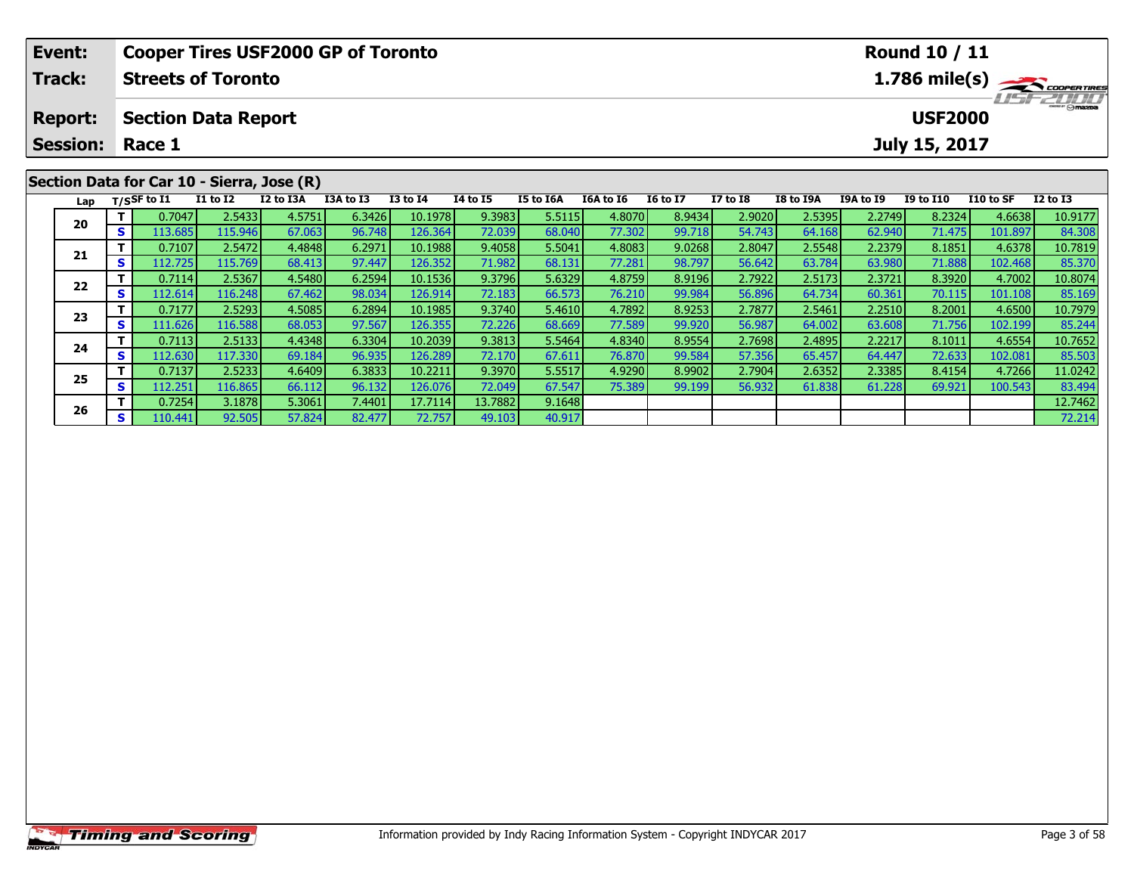|    | Event:          |    |                         |                            | <b>Cooper Tires USF2000 GP of Toronto</b>  |           |                                     |                 |           |           |                 |                 |           |                  | <b>Round 10 / 11</b> |           |                         |
|----|-----------------|----|-------------------------|----------------------------|--------------------------------------------|-----------|-------------------------------------|-----------------|-----------|-----------|-----------------|-----------------|-----------|------------------|----------------------|-----------|-------------------------|
|    | <b>Track:</b>   |    |                         | <b>Streets of Toronto</b>  |                                            |           |                                     |                 |           |           |                 |                 |           |                  |                      |           | $1.786 \text{ mile(s)}$ |
|    | <b>Report:</b>  |    |                         | <b>Section Data Report</b> |                                            |           | <b>LIST ZULLI</b><br><b>USF2000</b> |                 |           |           |                 |                 |           |                  |                      |           |                         |
|    | <b>Session:</b> |    | Race 1<br>July 15, 2017 |                            |                                            |           |                                     |                 |           |           |                 |                 |           |                  |                      |           |                         |
|    |                 |    |                         |                            | Section Data for Car 10 - Sierra, Jose (R) |           |                                     |                 |           |           |                 |                 |           |                  |                      |           |                         |
|    | Lap             |    | $T/S$ SF to I1          | <b>I1 to I2</b>            | I2 to I3A                                  | I3A to I3 | <b>I3 to I4</b>                     | <b>I4 to I5</b> | I5 to I6A | I6A to I6 | <b>16 to 17</b> | <b>I7 to I8</b> | I8 to I9A | <b>I9A to I9</b> | <b>I9 to I10</b>     | I10 to SF | $I2$ to $I3$            |
|    |                 |    | 0.7047                  | 2.5433                     | 4.5751                                     | 6.3426    | 10.1978                             | 9.3983          | 5.5115    | 4.8070    | 8.9434          | 2.9020          | 2.5395    | 2.2749           | 8.2324               | 4.6638    | 10.9177                 |
| 20 |                 | S. | 113.685                 | 115.946                    | 67.063                                     | 96.748    | 126.364                             | 72.039          | 68.040    | 77.302    | 99.718          | 54.743          | 64.168    | 62.940           | 71.475               | 101.897   | 84.308                  |
|    |                 |    | 0.7107                  | 2.5472                     | 4.4848                                     | 6.2971    | 10.1988                             | 9.4058          | 5.5041    | 4.8083    | 9.0268          | 2.8047          | 2.5548    | 2.2379           | 8.1851               | 4.6378    | 10.7819                 |
|    | 21              |    | 112.725                 | 115.769                    | 68.413                                     | 97.447    | 126.3521                            | 71.982          | 68.131    | 77.281    | 98.797          | 56.642          | 63.784    | 63.980           | 71.888               | 102.468   | 85.370                  |

2 T 0.7114 2.5367 4.5480 6.2594 10.1536 9.3796 5.6329 4.8759 8.9196 2.7922 2.5173 2.3721 8.3920 4.7002 10.8074<br>2 S 112.614 116.248 67.462 98.034 126.914 72.183 66.573 76.210 99.984 56.896 64.734 60.361 70.115 101.108 85.16

**<sup>T</sup>** 0.7177 2.5293 4.5085 6.2894 10.1985 9.3740 5.4610 4.7892 8.9253 2.7877 2.5461 2.2510 8.2001 4.6500 10.7979 **<sup>S</sup>** 111.626 116.588 68.053 97.567 126.355 72.226 68.669 77.589 99.920 56.987 64.002 63.608 71.756 102.199 85.244

**<sup>T</sup>** 0.7113 2.5133 4.4348 6.3304 10.2039 9.3813 5.5464 4.8340 8.9554 2.7698 2.4895 2.2217 8.1011 4.6554 10.7652 **<sup>S</sup>** 112.630 117.330 69.184 96.935 126.289 72.170 67.611 76.870 99.584 57.356 65.457 64.447 72.633 102.081 85.503

5 | T | 0.7137| 2.5233| 4.6409| 6.3833| 10.2211| 9.3970| 5.5517| 4.9290| 8.9902| 2.7904| 2.6352| 2.3385| 8.4154| 4.7266| 11.0242<br>| S | 112.251| 116.865| 66.112| 96.132| 126.076| 72.049| 67.547| 75.389| 99.199| 56.932| 61.8

**<sup>T</sup>** 0.7254 3.1878 5.3061 7.4401 17.7114 13.7882 9.1648 12.7462 **<sup>S</sup>** 110.441 92.505 57.824 82.477 72.757 49.103 40.917 72.214

**22**

**23**

**24**

**25**

**26**

85.244

83.494<br>12.7462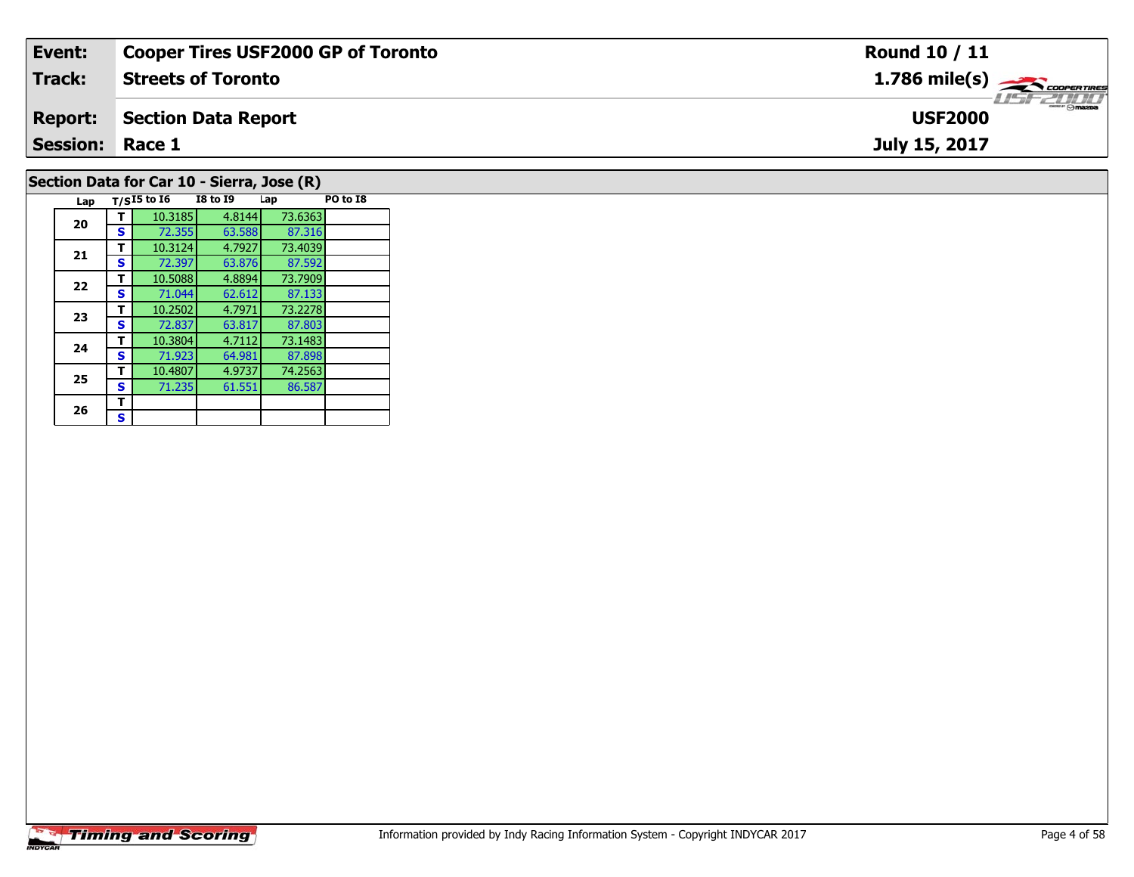| Event:                 | <b>Cooper Tires USF2000 GP of Toronto</b>  | Round 10 / 11                                           |
|------------------------|--------------------------------------------|---------------------------------------------------------|
| Track:                 | <b>Streets of Toronto</b>                  | $1.786$ mile(s) $\overbrace{\hspace{2cm}}$ cooper TIRES |
| <b>Report:</b>         | Section Data Report                        | <b>USF2000</b>                                          |
| <b>Session: Race 1</b> |                                            | July 15, 2017                                           |
|                        | Section Data for Car 10 - Sierra, Jose (R) |                                                         |

# **Timing and Scoring**

**Lap T/SI5 to I6 I8 to I9 Lap PO to I8** 

87.592<br>73.7909

87.133<br>73.2278

87.803

87.898<br>74.2563

**<sup>T</sup>** 10.3185 4.8144 73.6363 **<sup>S</sup>** 72.355 63.588 87.316

**<sup>T</sup>** 10.3124 4.7927 73.4039 **<sup>S</sup>** 72.397 63.876 87.592

**<sup>T</sup>** 10.5088 4.8894 73.7909 **<sup>S</sup>** 71.044 62.612 87.133

**<sup>T</sup>** 10.2502 4.7971 73.2278 **<sup>S</sup>** 72.837 63.817 87.803

**<sup>T</sup>** 10.3804 4.7112 73.1483 **<sup>S</sup>** 71.923 64.981 87.898

**<sup>T</sup>** 10.4807 4.9737 74.2563 **<sup>S</sup>** 71.235 61.551 86.587

**20**

**21**

**22**

**23**

**24**

**25**

26  $\frac{1}{s}$  $\mathbf{s}$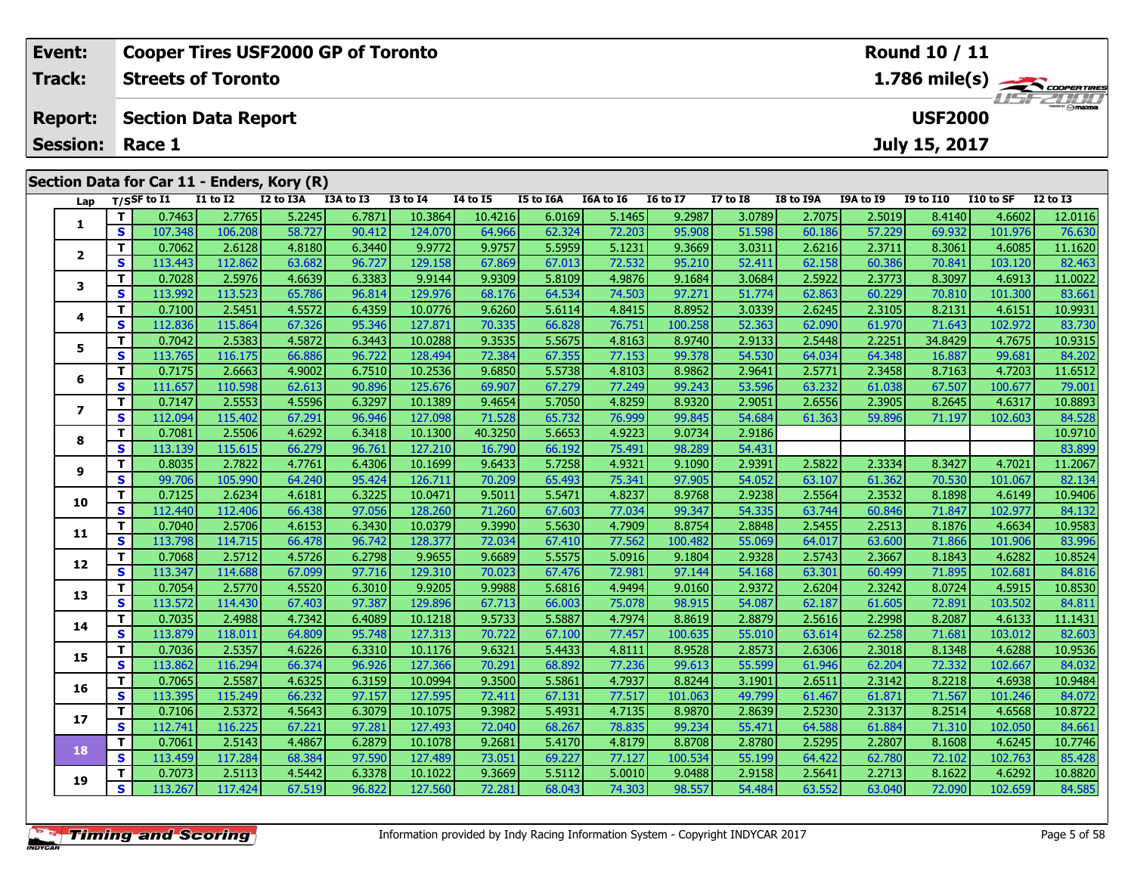| <b>Cooper Tires USF2000 GP of Toronto</b><br>Event:<br><b>Round 10 / 11</b> |                                            |            |                 |                            |              |           |                 |          |           |           |                 |                 |                  |           |                  |           |                                           |
|-----------------------------------------------------------------------------|--------------------------------------------|------------|-----------------|----------------------------|--------------|-----------|-----------------|----------|-----------|-----------|-----------------|-----------------|------------------|-----------|------------------|-----------|-------------------------------------------|
|                                                                             | <b>Track:</b>                              |            |                 | <b>Streets of Toronto</b>  |              |           |                 |          |           |           |                 |                 |                  |           |                  |           | $1.786$ mile(s) $\rightarrow$ Coorerrings |
|                                                                             | <b>Report:</b>                             |            |                 | <b>Section Data Report</b> |              |           |                 |          |           |           |                 |                 |                  |           | <b>USF2000</b>   |           | <b>LISF 2000</b>                          |
|                                                                             | <b>Session:</b>                            |            | Race 1          |                            |              |           |                 |          |           |           |                 |                 |                  |           | July 15, 2017    |           |                                           |
|                                                                             | Section Data for Car 11 - Enders, Kory (R) |            |                 |                            |              |           |                 |          |           |           |                 |                 |                  |           |                  |           |                                           |
|                                                                             |                                            |            | Lap T/SSF to I1 | <b>I1 to I2</b>            | I2 to I3A    | I3A to I3 | <b>I3 to I4</b> | 14 to 15 | I5 to I6A | I6A to I6 | <b>16 to 17</b> | <b>I7 to I8</b> | <b>I8 to I9A</b> | I9A to I9 | <b>I9 to I10</b> | I10 to SF | <b>I2 to I3</b>                           |
|                                                                             |                                            |            | 0.7463          | 2.7765                     | 5.2245       | 6.7871    | 10.3864         | 10.4216  | 6.0169    | 5.1465    | 9.2987          | 3.0789          | 2.7075           | 2.5019    | 8.4140           | 4.6602    | 12.0116                                   |
|                                                                             |                                            | S.         | 107.348         | 106.208                    | 58.727       | 90.412    | 124.070         | 64.966   | 62.324    | 72.203    | 95.908          | 51.598          | 60.186           | 57.229    | 69.932           | 101.976   | 76.630                                    |
|                                                                             |                                            |            | 0.7062          | 2.6128                     | 4.8180       | 6.3440    | 9.9772          | 9.9757   | 5.5959    | 5.1231    | 9.3669          | 3.0311          | 2.6216           | 2.3711    | 8.3061           | 4.6085    | 11.1620                                   |
|                                                                             |                                            | S.         | 113.443         | 112.862                    | 63.682       | 96.727    | 129.158         | 67.869   | 67.013    | 72.532    | 95.210          | 52.411          | 62.158           | 60.386    | 70.841           | 103.120   | 82.463                                    |
|                                                                             |                                            |            | 0.7028          | 2.5976                     | 4.6639       | 6.3383    | 9.9144          | 9.9309   | 5.8109    | 4.9876    | 9.1684          | 3.0684          | 2.5922           | 2.3773    | 8.3097           | 4.6913    | 11.0022                                   |
|                                                                             | 3                                          | $\epsilon$ | 112001          | $112$ כרז                  | $CE$ 70 $C1$ | OCOIA     | 120.074         | $CO$ 176 | CAE2A     | 74501     | 07.271          | E1774           | ca ocal          | co pool   | <b>70.010L</b>   | 101.2001  | 02.661                                    |

| 1                |    | <u>0.7403</u> | <b>2.7705</b> | 3.ZZ45 | 0.7071 | 10.3004 | 10.4210 | 0.010Y | <b>COPT'C</b> | 9.2987  | 3.U/89 | 2.7075 | 2.5019 | 8.4140  | 4.00UZ  | IZ.UIIO |
|------------------|----|---------------|---------------|--------|--------|---------|---------|--------|---------------|---------|--------|--------|--------|---------|---------|---------|
|                  | S  | 107.348       | 106.208       | 58.727 | 90.412 | 124.070 | 64.966  | 62.324 | 72.203        | 95.908  | 51.598 | 60.186 | 57.229 | 69.932  | 101.976 | 76.630  |
|                  | т  | 0.7062        | 2.6128        | 4.8180 | 6.3440 | 9.9772  | 9.9757  | 5.5959 | 5.1231        | 9.3669  | 3.0311 | 2.6216 | 2.3711 | 8.3061  | 4.6085  | 11.1620 |
| $\mathbf{2}$     | S  | 113.443       | 112.862       | 63.682 | 96.727 | 129.158 | 67.869  | 67.013 | 72.532        | 95.210  | 52.411 | 62.158 | 60.386 | 70.841  | 103.120 | 82.463  |
| 3                | т  | 0.7028        | 2.5976        | 4.6639 | 6.3383 | 9.9144  | 9.9309  | 5.8109 | 4.9876        | 9.1684  | 3.0684 | 2.5922 | 2.3773 | 8.3097  | 4.6913  | 11.0022 |
|                  | S  | 113.992       | 113.523       | 65.786 | 96.814 | 129.976 | 68.176  | 64.534 | 74.503        | 97.271  | 51.774 | 62.863 | 60.229 | 70.810  | 101.300 | 83.661  |
| 4                | т  | 0.7100        | 2.5451        | 4.5572 | 6.4359 | 10.0776 | 9.6260  | 5.6114 | 4.8415        | 8.8952  | 3.0339 | 2.6245 | 2.3105 | 8.2131  | 4.6151  | 10.9931 |
|                  | S  | 112.836       | 115.864       | 67.326 | 95.346 | 127.871 | 70.335  | 66.828 | 76.751        | 100.258 | 52.363 | 62.090 | 61.970 | 71.643  | 102.972 | 83.730  |
| 5.               | т  | 0.7042        | 2.5383        | 4.5872 | 6.3443 | 10.0288 | 9.3535  | 5.5675 | 4.8163        | 8.9740  | 2.9133 | 2.5448 | 2.2251 | 34.8429 | 4.7675  | 10.9315 |
|                  | S  | 113.765       | 116.175       | 66.886 | 96.722 | 128.494 | 72.384  | 67.355 | 77.153        | 99.378  | 54.530 | 64.034 | 64.348 | 16.887  | 99.681  | 84.202  |
| 6                | т  | 0.7175        | 2.6663        | 4.9002 | 6.7510 | 10.2536 | 9.6850  | 5.5738 | 4.8103        | 8.9862  | 2.9641 | 2.5771 | 2.3458 | 8.7163  | 4.7203  | 11.6512 |
|                  | S  | 111.657       | 110.598       | 62.613 | 90.896 | 125.676 | 69.907  | 67.279 | 77.249        | 99.243  | 53.596 | 63.232 | 61.038 | 67.507  | 100.677 | 79.001  |
| $\boldsymbol{7}$ | т  | 0.7147        | 2.5553        | 4.5596 | 6.3297 | 10.1389 | 9.4654  | 5.7050 | 4.8259        | 8.9320  | 2.9051 | 2.6556 | 2.3905 | 8.2645  | 4.6317  | 10.8893 |
|                  | S  | 112.094       | 115.402       | 67.291 | 96.946 | 127.098 | 71.528  | 65.732 | 76.999        | 99.845  | 54.684 | 61.363 | 59.896 | 71.197  | 102.603 | 84.528  |
| 8                | т  | 0.7081        | 2.5506        | 4.6292 | 6.3418 | 10.1300 | 40.3250 | 5.6653 | 4.9223        | 9.0734  | 2.9186 |        |        |         |         | 10.9710 |
|                  | S  | 113.139       | 115.615       | 66.279 | 96.761 | 127.210 | 16.790  | 66.192 | 75.491        | 98.289  | 54.431 |        |        |         |         | 83.899  |
| 9                | т  | 0.8035        | 2.7822        | 4.7761 | 6.4306 | 10.1699 | 9.6433  | 5.7258 | 4.9321        | 9.1090  | 2.9391 | 2.5822 | 2.3334 | 8.3427  | 4.7021  | 11.2067 |
|                  | S  | 99.706        | 105.990       | 64.240 | 95.424 | 126.711 | 70.209  | 65.493 | 75.341        | 97.905  | 54.052 | 63.107 | 61.362 | 70.530  | 101.067 | 82.134  |
| 10               | т  | 0.7125        | 2.6234        | 4.6181 | 6.3225 | 10.0471 | 9.5011  | 5.5471 | 4.8237        | 8.9768  | 2.9238 | 2.5564 | 2.3532 | 8.1898  | 4.6149  | 10.9406 |
|                  | S  | 112.440       | 112.406       | 66.438 | 97.056 | 128.260 | 71.260  | 67.603 | 77.034        | 99.347  | 54.335 | 63.744 | 60.846 | 71.847  | 102.977 | 84.132  |
| 11               | т  | 0.7040        | 2.5706        | 4.6153 | 6.3430 | 10.0379 | 9.3990  | 5.5630 | 4.7909        | 8.8754  | 2.8848 | 2.5455 | 2.2513 | 8.1876  | 4.6634  | 10.9583 |
|                  | S  | 113.798       | 114.715       | 66.478 | 96.742 | 128.377 | 72.034  | 67.410 | 77.562        | 100.482 | 55.069 | 64.017 | 63.600 | 71.866  | 101.906 | 83.996  |
|                  | т  | 0.7068        | 2.5712        | 4.5726 | 6.2798 | 9.9655  | 9.6689  | 5.5575 | 5.0916        | 9.1804  | 2.9328 | 2.5743 | 2.3667 | 8.1843  | 4.6282  | 10.8524 |
| 12               | S  | 113.347       | 114.688       | 67.099 | 97.716 | 129.310 | 70.023  | 67.476 | 72.981        | 97.144  | 54.168 | 63.301 | 60.499 | 71.895  | 102.681 | 84.816  |
| 13               | т  | 0.7054        | 2.5770        | 4.5520 | 6.3010 | 9.9205  | 9.9988  | 5.6816 | 4.9494        | 9.0160  | 2.9372 | 2.6204 | 2.3242 | 8.0724  | 4.5915  | 10.8530 |
|                  | S  | 113.572       | 114.430       | 67.403 | 97.387 | 129.896 | 67.713  | 66.003 | 75.078        | 98.915  | 54.087 | 62.187 | 61.605 | 72.891  | 103.502 | 84.811  |
| 14               | т  | 0.7035        | 2.4988        | 4.7342 | 6.4089 | 10.1218 | 9.5733  | 5.5887 | 4.7974        | 8.8619  | 2.8879 | 2.5616 | 2.2998 | 8.2087  | 4.6133  | 11.1431 |
|                  | S  | 113.879       | 118.011       | 64.809 | 95.748 | 127.313 | 70.722  | 67.100 | 77.457        | 100.635 | 55.010 | 63.614 | 62.258 | 71.681  | 103.012 | 82.603  |
| 15               | т  | 0.7036        | 2.5357        | 4.6226 | 6.3310 | 10.1176 | 9.6321  | 5.4433 | 4.8111        | 8.9528  | 2.8573 | 2.6306 | 2.3018 | 8.1348  | 4.6288  | 10.9536 |
|                  | S  | 113.862       | 116.294       | 66.374 | 96.926 | 127.366 | 70.291  | 68.892 | 77.236        | 99.613  | 55.599 | 61.946 | 62.204 | 72.332  | 102.667 | 84.032  |
| 16               | т  | 0.7065        | 2.5587        | 4.6325 | 6.3159 | 10.0994 | 9.3500  | 5.5861 | 4.7937        | 8.8244  | 3.1901 | 2.6511 | 2.3142 | 8.2218  | 4.6938  | 10.9484 |
|                  | S  | 113.395       | 115.249       | 66.232 | 97.157 | 127.595 | 72.411  | 67.131 | 77.517        | 101.063 | 49.799 | 61.467 | 61.871 | 71.567  | 101.246 | 84.072  |
| 17               | т  | 0.7106        | 2.5372        | 4.5643 | 6.3079 | 10.1075 | 9.3982  | 5.4931 | 4.7135        | 8.9870  | 2.8639 | 2.5230 | 2.3137 | 8.2514  | 4.6568  | 10.8722 |
|                  | S  | 112.741       | 116.225       | 67.221 | 97.281 | 127.493 | 72.040  | 68.267 | 78.835        | 99.234  | 55.471 | 64.588 | 61.884 | 71.310  | 102.050 | 84.661  |
| 18               | т  | 0.7061        | 2.5143        | 4.4867 | 6.2879 | 10.1078 | 9.2681  | 5.4170 | 4.8179        | 8.8708  | 2.8780 | 2.5295 | 2.2807 | 8.1608  | 4.6245  | 10.7746 |
|                  | S  | 113.459       | 117.284       | 68.384 | 97.590 | 127.489 | 73.051  | 69.227 | 77.127        | 100.534 | 55.199 | 64.422 | 62.780 | 72.102  | 102.763 | 85.428  |
|                  | т  | 0.7073        | 2.5113        | 4.5442 | 6.3378 | 10.1022 | 9.3669  | 5.5112 | 5.0010        | 9.0488  | 2.9158 | 2.5641 | 2.2713 | 8.1622  | 4.6292  | 10.8820 |
| 19               | S. | 113.267       | 117.424       | 67.519 | 96.822 | 127.560 | 72.281  | 68.043 | 74.303        | 98.557  | 54.484 | 63.552 | 63.040 | 72.090  | 102.659 | 84.585  |

**Timing and Scoring**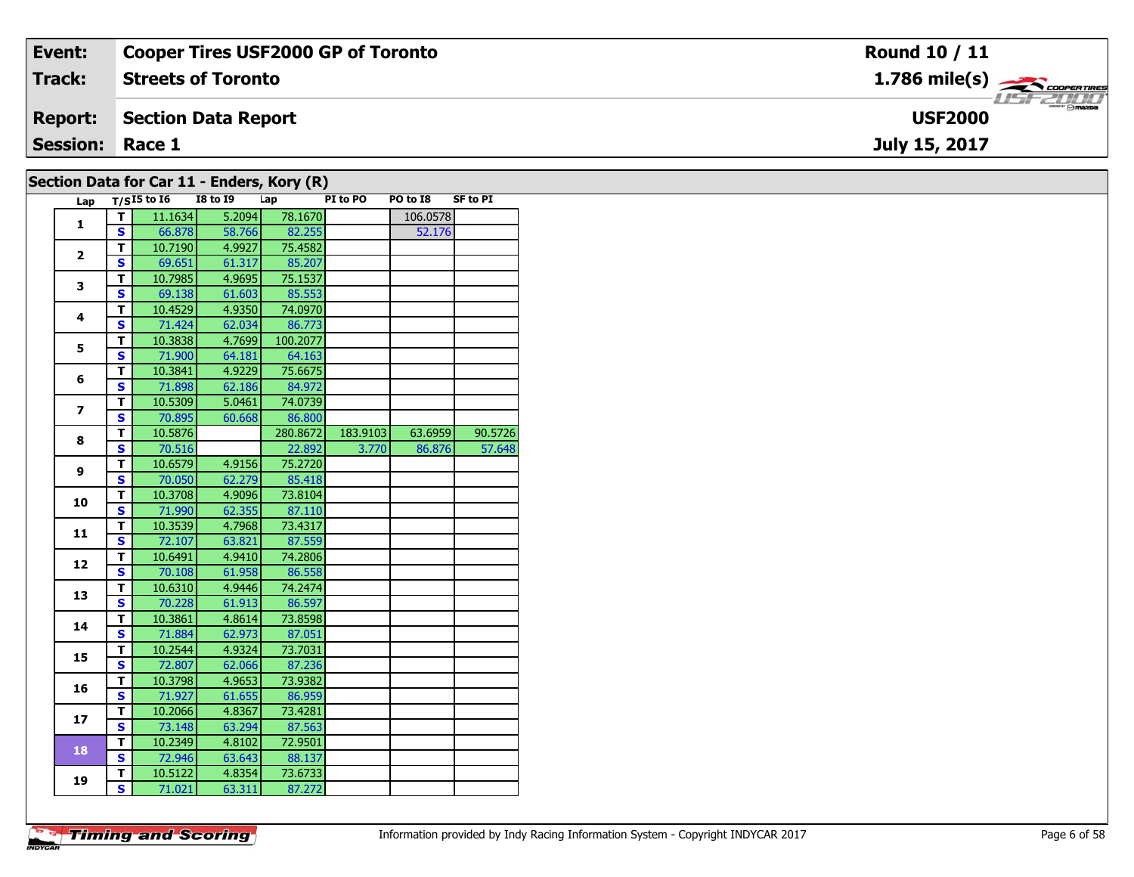| Event:          | <b>Cooper Tires USF2000 GP of Toronto</b>         | Round 10 / 11                                             |
|-----------------|---------------------------------------------------|-----------------------------------------------------------|
| Track:          | <b>Streets of Toronto</b>                         | $1.786$ mile(s) $\overbrace{\hspace{2.5cm}}$ coorer TIRES |
| <b>Report:</b>  | Section Data Report                               | $\frac{2\pi}{\omega}$<br><b>USF2000</b>                   |
| <b>Session:</b> | Race 1                                            | July 15, 2017                                             |
|                 | Section Data for $\text{Car11}$ - Enderg Kery (D) |                                                           |

|                          |                         | Lap $T/SI5$ to 16 | <b>I8 to 19</b> | Lap      | PI to PO | PO to I8 | SF to PI |
|--------------------------|-------------------------|-------------------|-----------------|----------|----------|----------|----------|
| 1                        | $\overline{I}$          | 11.1634           | 5.2094          | 78.1670  |          | 106.0578 |          |
|                          | $\mathbf{s}$            | 66.878            | 58.766          | 82.255   |          | 52.176   |          |
| $\mathbf{2}$             | T                       | 10.7190           | 4.9927          | 75.4582  |          |          |          |
|                          | S                       | 69.651            | 61.317          | 85.207   |          |          |          |
| 3                        | $\mathbf{T}$            | 10.7985           | 4.9695          | 75.1537  |          |          |          |
|                          | <b>S</b>                | 69.138            | 61.603          | 85.553   |          |          |          |
| 4                        | T                       | 10.4529           | 4.9350          | 74.0970  |          |          |          |
|                          | <b>S</b>                | 71.424            | 62.034          | 86.773   |          |          |          |
| 5                        | $\mathbf{T}$            | 10.3838           | 4.7699          | 100.2077 |          |          |          |
|                          | <b>S</b>                | 71.900            | 64.181          | 64.163   |          |          |          |
| 6                        | T.                      | 10.3841           | 4.9229          | 75.6675  |          |          |          |
|                          | S                       | 71.898            | 62.186          | 84.972   |          |          |          |
| $\overline{\phantom{a}}$ | $\mathbf{T}$            | 10.5309           | 5.0461          | 74.0739  |          |          |          |
|                          | <b>S</b>                | 70.895            | 60.668          | 86.800   |          |          |          |
| 8                        | T                       | 10.5876           |                 | 280.8672 | 183.9103 | 63.6959  | 90.5726  |
|                          | <b>S</b>                | 70.516            |                 | 22.892   | 3.770    | 86.876   | 57.648   |
| 9                        | $\mathbf{T}$            | 10.6579           | 4.9156          | 75.2720  |          |          |          |
|                          | <b>S</b>                | 70.050            | 62.279          | 85.418   |          |          |          |
| 10                       | T                       | 10.3708           | 4.9096          | 73.8104  |          |          |          |
|                          | $\overline{\mathbf{s}}$ | 71.990            | 62.355          | 87.110   |          |          |          |
|                          | $\mathbf{T}$            | 10.3539           | 4.7968          | 73.4317  |          |          |          |
| 11                       | <b>S</b>                | 72.107            | 63.821          | 87.559   |          |          |          |
|                          | T                       | 10.6491           | 4.9410          | 74.2806  |          |          |          |
| 12                       | $\overline{\mathbf{s}}$ | 70.108            | 61.958          | 86.558   |          |          |          |
|                          | $\mathbf{T}$            | 10.6310           | 4.9446          | 74.2474  |          |          |          |
| 13                       | S                       | 70.228            | 61.913          | 86.597   |          |          |          |
|                          | T                       | 10.3861           | 4.8614          | 73.8598  |          |          |          |
| 14                       | S                       | 71.884            | 62.973          | 87.051   |          |          |          |
|                          | $\mathbf{T}$            | 10.2544           | 4.9324          | 73.7031  |          |          |          |
| 15                       | S                       | 72.807            | 62.066          | 87.236   |          |          |          |
|                          | T                       | 10.3798           | 4.9653          | 73.9382  |          |          |          |
| 16                       | $\mathbf{s}$            | 71.927            | 61.655          | 86.959   |          |          |          |
|                          | $\mathbf{T}$            | 10.2066           | 4.8367          | 73.4281  |          |          |          |
| 17                       | <b>S</b>                | 73.148            | 63.294          | 87.563   |          |          |          |
|                          | T.                      | 10.2349           | 4.8102          | 72.9501  |          |          |          |
| 18                       | $\mathbf{s}$            | 72.946            | 63.643          | 88.137   |          |          |          |
|                          |                         |                   |                 |          |          |          |          |
| 19                       | T.                      | 10.5122           | 4.8354          | 73.6733  |          |          |          |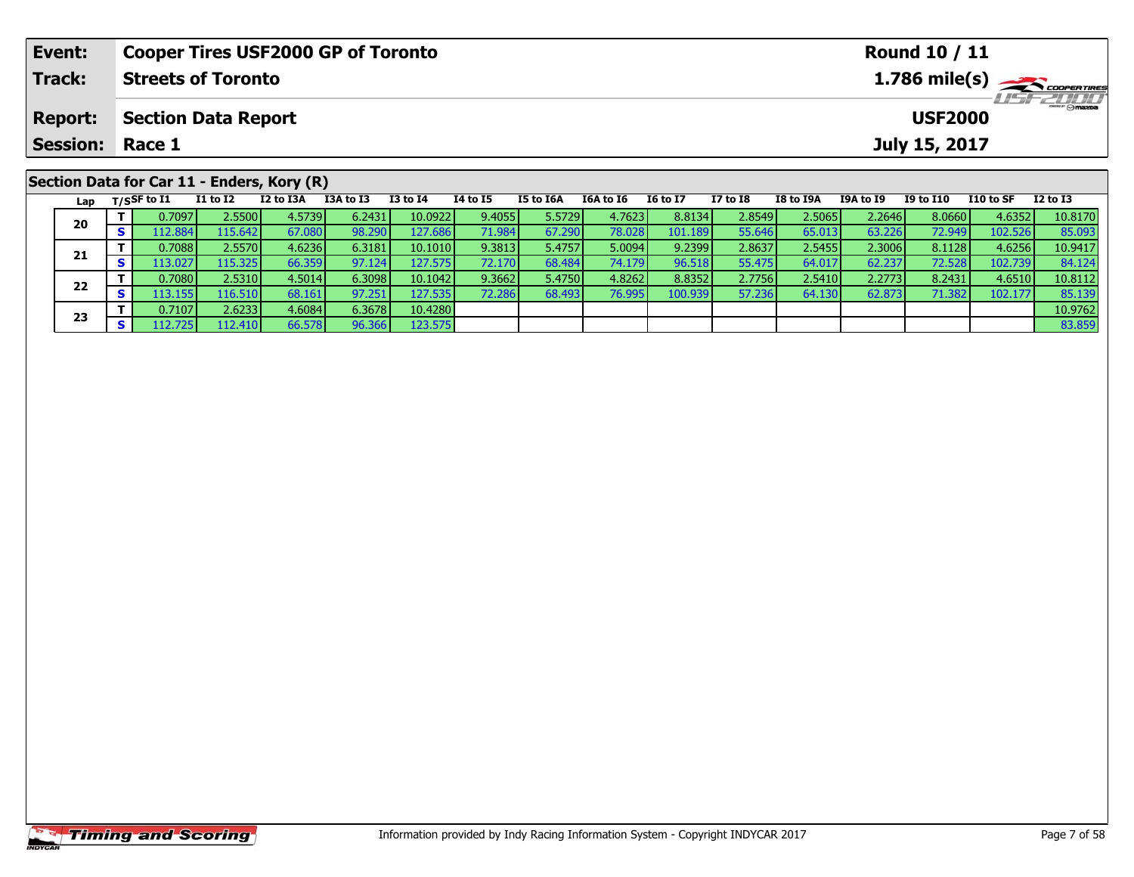| <b>Cooper Tires USF2000 GP of Toronto</b><br>Event: |    |                   |                            |                                            |           |                 |          |                  |           |                 |              | <b>Round 10 / 11</b> |           |                  |           |                               |  |  |
|-----------------------------------------------------|----|-------------------|----------------------------|--------------------------------------------|-----------|-----------------|----------|------------------|-----------|-----------------|--------------|----------------------|-----------|------------------|-----------|-------------------------------|--|--|
| Track:                                              |    |                   | <b>Streets of Toronto</b>  |                                            |           |                 |          |                  |           |                 |              |                      |           |                  |           | $1.786$ mile(s) $\rightarrow$ |  |  |
| <b>Report:</b>                                      |    |                   | <b>Section Data Report</b> |                                            |           |                 |          |                  |           |                 |              |                      |           | <b>USF2000</b>   |           | <b>USF 2000</b>               |  |  |
| <b>Session:</b>                                     |    | Race 1            |                            |                                            |           |                 |          |                  |           |                 |              |                      |           | July 15, 2017    |           |                               |  |  |
|                                                     |    |                   |                            | Section Data for Car 11 - Enders, Kory (R) |           |                 |          |                  |           |                 |              |                      |           |                  |           |                               |  |  |
|                                                     |    | Lap $T/SSF$ to I1 | <b>I1 to I2</b>            | I2 to I3A                                  | I3A to I3 | <b>I3 to I4</b> | 14 to 15 | <b>I5 to I6A</b> | I6A to I6 | <b>16 to 17</b> | $I7$ to $I8$ | I8 to I9A            | I9A to I9 | <b>I9 to I10</b> | I10 to SF | <b>I2 to I3</b>               |  |  |
| 20                                                  |    | 0.7097            | 2.5500                     | 4.5739                                     | 6.2431    | 10.0922         | 9.4055   | 5.5729           | 4.7623    | 8.8134          | 2.8549       | 2.5065               | 2.2646    | 8.0660           | 4.6352    | 10.8170                       |  |  |
|                                                     | S. | 112.884           | 115.6421                   | 67.080                                     | 98.290    | 127.686         | 71.984   | 67.290 <b>1</b>  | 78.028    | 101.189         | 55.646       | 65.013               | 63.2261   | 72.949           | 102.526   | 85.093                        |  |  |

**<sup>T</sup>** 0.7088 2.5570 4.6236 6.3181 10.1010 9.3813 5.4757 5.0094 9.2399 2.8637 2.5455 2.3006 8.1128 4.6256 10.9417 **<sup>S</sup>** 113.027 115.325 66.359 97.124 127.575 72.170 68.484 74.179 96.518 55.475 64.017 62.237 72.528 102.739 84.124

2 T 0.7080 2.5310 4.5014 6.3098 10.1042 9.3662 5.4750 4.8262 8.8352 2.7756 2.5410 2.2773 8.2431 4.6510 10.8112<br>2 S 113.155 116.510 68.161 97.251 127.535 72.286 68.493 76.995 100.939 57.236 64.130 62.873 71.382 102.177 85.1

**<sup>T</sup>** 0.7107 2.6233 4.6084 6.3678 10.4280 10.9762 **<sup>S</sup>** 112.725 112.410 66.578 96.366 123.575 83.859

**21**

**22**

**23**

84.124<br>10.8112

85.139<br>10.9762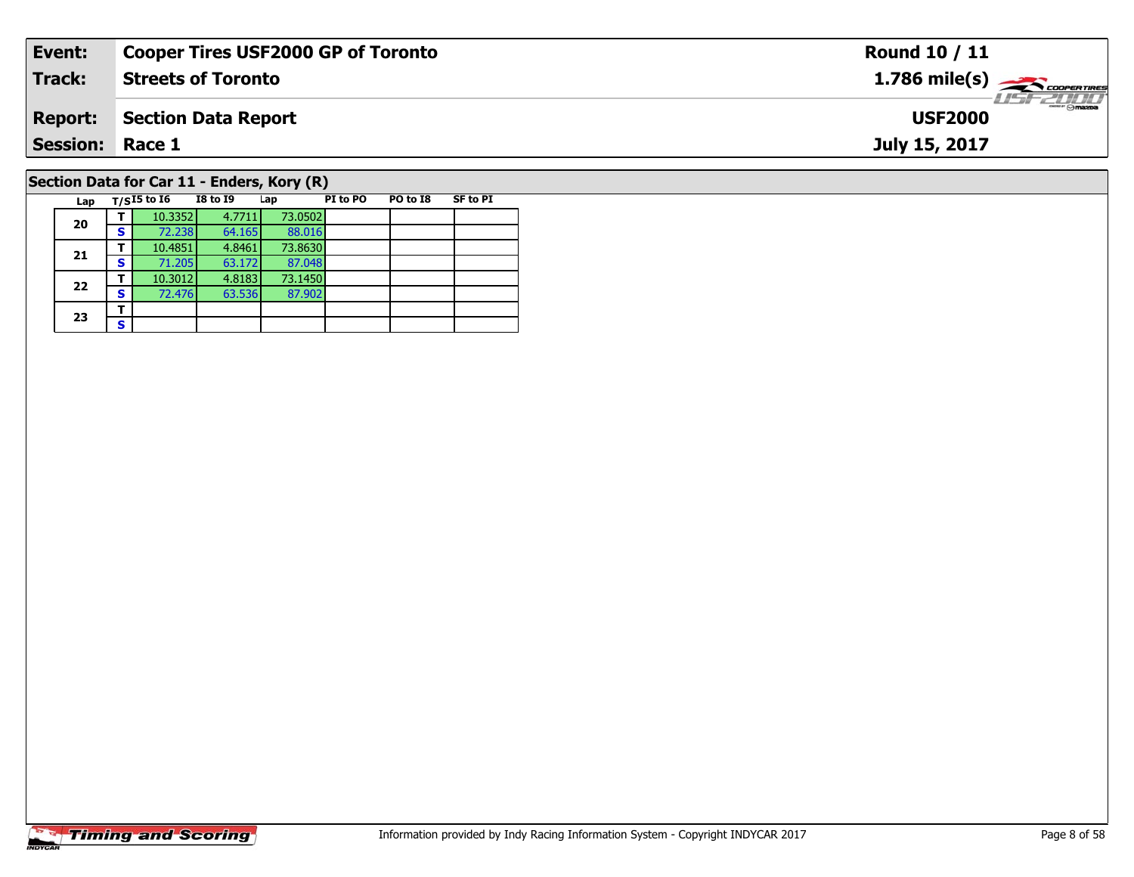| Event:          |                                            | <b>Cooper Tires USF2000 GP of Toronto</b> |                   |          |          |                 | <b>Round 10 / 11</b>                                      |
|-----------------|--------------------------------------------|-------------------------------------------|-------------------|----------|----------|-----------------|-----------------------------------------------------------|
| <b>Track:</b>   |                                            | <b>Streets of Toronto</b>                 |                   |          |          |                 | $1.786$ mile(s) $\overbrace{\hspace{2.5cm}}$ coorer TIRES |
| <b>Report:</b>  |                                            | <b>Section Data Report</b>                |                   |          |          |                 | <b>USF2000</b>                                            |
| <b>Session:</b> | Race 1                                     |                                           |                   |          |          |                 | July 15, 2017                                             |
|                 | Section Data for Car 11 - Enders, Kory (R) |                                           |                   |          |          |                 |                                                           |
|                 | Lap $T/SI5$ to I6                          | I8 to 19                                  | Lap               | PI to PO | PO to I8 | <b>SF to PI</b> |                                                           |
| 20              | 10.3352<br>S.<br>72.238                    | 4.7711<br>64.165                          | 73.0502<br>88.016 |          |          |                 |                                                           |

**21**

**22**

**23**3 <u>F</u> 88.016<br>73.8630

87.048

87.902

**<sup>T</sup>** 10.4851 4.8461 73.8630 **<sup>S</sup>** 71.205 63.172 87.048

**<sup>T</sup>** 10.3012 4.8183 73.1450 **<sup>S</sup>** 72.476 63.536 87.902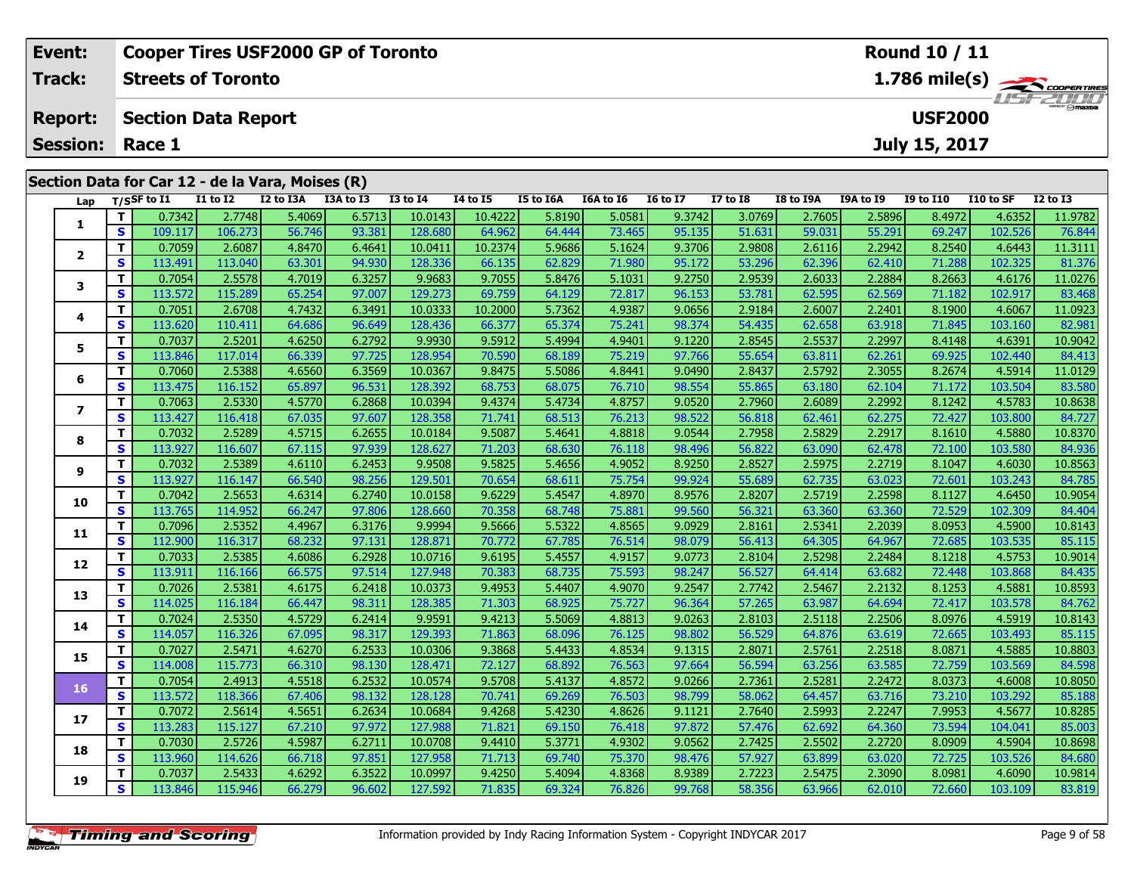| <b>Cooper Tires USF2000 GP of Toronto</b><br>Event: |                                                  |    |                |                            |           |           |                 |                 |           |           |                 |              | <b>Round 10 / 11</b> |           |                  |           |                  |  |
|-----------------------------------------------------|--------------------------------------------------|----|----------------|----------------------------|-----------|-----------|-----------------|-----------------|-----------|-----------|-----------------|--------------|----------------------|-----------|------------------|-----------|------------------|--|
|                                                     | <b>Track:</b>                                    |    |                | <b>Streets of Toronto</b>  |           |           |                 |                 |           |           |                 |              |                      |           |                  |           | 1.786 mile(s)    |  |
|                                                     | <b>Report:</b>                                   |    |                | <b>Section Data Report</b> |           |           |                 |                 |           |           |                 |              |                      |           | <b>USF2000</b>   |           | <b>LISE 2000</b> |  |
|                                                     | <b>Session:</b>                                  |    | Race 1         |                            |           |           |                 |                 |           |           |                 |              |                      |           | July 15, 2017    |           |                  |  |
|                                                     | Section Data for Car 12 - de la Vara, Moises (R) |    |                |                            |           |           |                 |                 |           |           |                 |              |                      |           |                  |           |                  |  |
|                                                     | Lap                                              |    | $T/S$ SF to I1 | <b>I1 to I2</b>            | I2 to I3A | I3A to I3 | <b>I3 to I4</b> | <b>I4 to I5</b> | I5 to I6A | I6A to I6 | <b>16 to 17</b> | $I7$ to $I8$ | <b>I8 to I9A</b>     | I9A to I9 | <b>I9 to I10</b> | I10 to SF | <b>I2 to I3</b>  |  |
|                                                     |                                                  |    | 0.7342         | 2.7748                     | 5.4069    | 6.5713    | 10.0143         | 10.4222         | 5.8190    | 5.0581    | 9.3742          | 3.0769       | 2.7605               | 2.5896    | 8.4972           | 4.6352    | 11.9782          |  |
|                                                     |                                                  | S. | 109.117        | 106.273                    | 56.746    | 93.381    | 128.680         | 64.962          | 64.444    | 73.465    | 95.135          | 51.631       | 59.031               | 55.291    | 69.247           | 102.526   | 76.844           |  |
|                                                     | $\overline{2}$                                   |    | 0.7059         | 2.6087                     | 4.8470    | 6.4641    | 10.0411         | 10.2374         | 5.9686    | 5.1624    | 9.3706          | 2.9808       | 2.6116               | 2.2942    | 8.2540           | 4.6443    | 11.3111          |  |
|                                                     |                                                  | S. | 113.491        | 113.040                    | 63.301    | 94.930    | 128.336         | 66.135          | 62.829    | 71.980    | 95.172          | 53.296       | 62.396               | 62.410    | 71.288           | 102.325   | 81.376           |  |
|                                                     |                                                  |    | 0.7054         | 2.5578                     | 4.7019    | 6.3257    | 9.9683          | 9.7055          | 5.8476    | 5.1031    | 9.2750          | 2.9539       | 2.6033               | 2.2884    | 8.2663           | 4.6176    | 11.0276          |  |
|                                                     |                                                  |    |                |                            |           |           |                 |                 |           |           |                 |              |                      |           |                  |           |                  |  |

| т<br>5.1624<br>2.2942<br>11.3111<br>0.7059<br>2.6087<br>4.8470<br>6.4641<br>10.0411<br>10.2374<br>5.9686<br>9.3706<br>2.9808<br>8.2540<br>4.6443<br>2.6116<br>2<br>S<br>113.491<br>113.040<br>94.930<br>128.336<br>71.980<br>95.172<br>53.296<br>71.288<br>102.325<br>81.376<br>63.301<br>66.135<br>62.829<br>62.396<br>62.410<br>т<br>0.7054<br>2.5578<br>6.3257<br>9.9683<br>9.7055<br>5.1031<br>9.2750<br>2.9539<br>2.2884<br>11.0276<br>4.7019<br>5.8476<br>2.6033<br>8.2663<br>4.6176<br>3<br>62.569<br>S<br>113.572<br>115.289<br>65.254<br>97.007<br>129.273<br>69.759<br>72.817<br>96.153<br>53.781<br>62.595<br>71.182<br>83.468<br>64.129<br>102.917<br>т<br>0.7051<br>6.3491<br>4.9387<br>2.6708<br>4.7432<br>10.0333<br>10.2000<br>5.7362<br>9.0656<br>2.9184<br>2.6007<br>2.2401<br>8.1900<br>4.6067<br>11.0923<br>4<br>S<br>113.620<br>96.649<br>128.436<br>75.241<br>98.374<br>54.435<br>63.918<br>71.845<br>82.981<br>64.686<br>66.377<br>65.374<br>62.658<br>103.160<br>110.411<br>0.7037<br>6.2792<br>4.9401<br>2.2997<br>T.<br>2.5201<br>4.6250<br>9.9930<br>9.5912<br>5.4994<br>2.8545<br>2.5537<br>4.6391<br>10.9042<br>9.1220<br>8.4148<br>5<br>75.219<br>62.261<br>S<br>113.846<br>97.725<br>128.954<br>70.590<br>97.766<br>55.654<br>117.014<br>66.339<br>68.189<br>63.811<br>69.925<br>102.440<br>84.413<br>T.<br>0.7060<br>6.3569<br>2.3055<br>2.5388<br>4.6560<br>10.0367<br>9.8475<br>5.5086<br>4.8441<br>9.0490<br>2.8437<br>2.5792<br>8.2674<br>11.0129<br>4.5914<br>6<br>S<br>96.531<br>76.710<br>128.392<br>68.753<br>98.554<br>55.865<br>62.104<br>83.580<br>113.475<br>116.152<br>65.897<br>68.075<br>63.180<br>71.172<br>103.504<br>T.<br>0.7063<br>6.2868<br>4.8757<br>2.2992<br>10.8638<br>2.5330<br>4.5770<br>10.0394<br>9.4374<br>5.4734<br>9.0520<br>2.7960<br>2.6089<br>8.1242<br>4.5783<br>$\overline{\phantom{a}}$<br>S<br>97.607<br>128.358<br>71.741<br>76.213<br>98.522<br>62.275<br>84.727<br>113.427<br>116.418<br>67.035<br>68.513<br>56.818<br>62.461<br>72.427<br>103.800<br>T.<br>0.7032<br>2.5289<br>4.5715<br>6.2655<br>10.0184<br>9.5087<br>4.8818<br>9.0544<br>2.5829<br>2.2917<br>4.5880<br>10.8370<br>5.4641<br>2.7958<br>8.1610<br>8<br>S<br>113.927<br>97.939<br>128.627<br>68.630<br>76.118<br>98.496<br>56.822<br>63.090<br>62.478<br>103.580<br>84.936<br>116.607<br>67.115<br>71.203<br>72.100<br>т<br>0.7032<br>2.5389<br>6.2453<br>9.9508<br>9.5825<br>4.9052<br>8.9250<br>2.8527<br>2.5975<br>2.2719<br>10.8563<br>4.6110<br>5.4656<br>8.1047<br>4.6030<br>9<br>S.<br>113.927<br>66.540<br>98.256<br>129.501<br>70.654<br>75.754<br>99.924<br>55.689<br>63.023<br>103.243<br>84.785<br>116.147<br>68.611<br>62.735<br>72.601<br>T.<br>0.7042<br>6.2740<br>4.8970<br>8.9576<br>2.2598<br>10.9054<br>2.5653<br>10.0158<br>9.6229<br>5.4547<br>2.8207<br>2.5719<br>8.1127<br>4.6450<br>4.6314<br>10<br>S<br>113.765<br>75.881<br>99.560<br>84.404<br>114.952<br>66.247<br>97.806<br>128.660<br>70.358<br>68.748<br>56.321<br>63.360<br>63.360<br>72.529<br>102.309<br>T.<br>0.7096<br>2.5352<br>6.3176<br>9.9994<br>9.5666<br>5.5322<br>4.8565<br>9.0929<br>2.2039<br>8.0953<br>4.5900<br>10.8143<br>4.4967<br>2.8161<br>2.5341<br>11<br>S<br>97.131<br>128.871<br>64.967<br>72.685<br>112.900<br>116.317<br>70.772<br>67.785<br>76.514<br>98.079<br>56.413<br>103.535<br>85.115<br>68.232<br>64.305<br>6.2928<br>T.<br>0.7033<br>10.0716<br>4.9157<br>9.0773<br>2.5298<br>2.2484<br>10.9014<br>2.5385<br>4.6086<br>9.6195<br>5.4557<br>2.8104<br>8.1218<br>4.5753<br>12<br>75.593<br>S.<br>113.911<br>97.514<br>127.948<br>70.383<br>68.735<br>98.247<br>56.527<br>63.682<br>72.448<br>103.868<br>84.435<br>116.166<br>66.575<br>64.414<br>0.7026<br>6.2418<br>4.9070<br>2.2132<br>10.8593<br>T.<br>2.5381<br>4.6175<br>10.0373<br>9.4953<br>5.4407<br>9.2547<br>2.7742<br>2.5467<br>8.1253<br>4.5881<br>13<br>S<br>98.311<br>75.727<br>96.364<br>57.265<br>64.694<br>128.385<br>71.303<br>68.925<br>63.987<br>72.417<br>84.762<br>114.025<br>116.184<br>66.447<br>103.578<br>T.<br>0.7024<br>6.2414<br>9.9591<br>4.8813<br>9.0263<br>2.2506<br>10.8143<br>2.5350<br>4.5729<br>9.4213<br>5.5069<br>2.8103<br>2.5118<br>8.0976<br>4.5919<br>14<br>S<br>129.393<br>76.125<br>114.057<br>98.317<br>71.863<br>98.802<br>56.529<br>63.619<br>72.665<br>85.115<br>116.326<br>67.095<br>68.096<br>64.876<br>103.493<br>T.<br>0.7027<br>6.2533<br>2.2518<br>10.8803<br>2.5471<br>4.6270<br>10.0306<br>9.3868<br>5.4433<br>4.8534<br>9.1315<br>2.8071<br>2.5761<br>8.0871<br>4.5885<br>15<br>S<br>98.130<br>76.563<br>115.773<br>66.310<br>128.471<br>72.127<br>97.664<br>56.594<br>63.585<br>114.008<br>68.892<br>63.256<br>72.759<br>103.569<br>84.598<br>2.2472<br>т<br>0.7054<br>2.4913<br>4.5518<br>6.2532<br>10.0574<br>9.5708<br>4.8572<br>9.0266<br>2.7361<br>2.5281<br>8.0373<br>4.6008<br>10.8050<br>5.4137<br>16<br>S<br>98.132<br>128.128<br>70.741<br>76.503<br>98.799<br>58.062<br>63.716<br>113.572<br>118.366<br>67.406<br>69.269<br>73.210<br>103.292<br>85.188<br>64.457<br>10.8285<br>T<br>0.7072<br>2.5614<br>6.2634<br>10.0684<br>9.4268<br>5.4230<br>4.8626<br>9.1121<br>2.5993<br>2.2247<br>7.9953<br>4.5677<br>4.5651<br>2.7640<br>17<br>S<br>113.283<br>115.127<br>97.972<br>127.988<br>71.821<br>69.150<br>76.418<br>97.872<br>57.476<br>62.692<br>64.360<br>73.594<br>85.003<br>67.210<br>104.041<br>т<br>0.7030<br>6.2711<br>4.9302<br>2.2720<br>10.8698<br>2.5726<br>4.5987<br>10.0708<br>9.4410<br>5.3771<br>9.0562<br>2.7425<br>2.5502<br>8.0909<br>4.5904<br>18<br>S<br>113.960<br>97.851<br>127.958<br>75.370<br>98.476<br>57.927<br>63.020<br>72.725<br>103.526<br>84.680<br>114.626<br>66.718<br>71.713<br>69.740<br>63.899<br>т<br>0.7037<br>2.5433<br>6.3522<br>9.4250<br>4.8368<br>8.9389<br>2.5475<br>2.3090<br>10.9814<br>4.6292<br>10.0997<br>5.4094<br>2.7223<br>8.0981<br>4.6090<br>19<br>S<br>99.768<br>113.846<br>115.946<br>66.279<br>96.602<br>127.592<br>71.835<br>69.324<br>76.826<br>58.356<br>63.966<br>62.010<br>72.660<br>83.819<br>103.109 | э | 109.IIV | LUD.Z75 | 50.740 | ລວ.ວ໐າ | 120.00U | <b>04.907</b> | 04.444 | 79.409 | <b>21.021</b> | วว.บว1 | <b>29.ZAT</b> | <b>09.247</b> | 102.320 | 70.044 |
|----------------------------------------------------------------------------------------------------------------------------------------------------------------------------------------------------------------------------------------------------------------------------------------------------------------------------------------------------------------------------------------------------------------------------------------------------------------------------------------------------------------------------------------------------------------------------------------------------------------------------------------------------------------------------------------------------------------------------------------------------------------------------------------------------------------------------------------------------------------------------------------------------------------------------------------------------------------------------------------------------------------------------------------------------------------------------------------------------------------------------------------------------------------------------------------------------------------------------------------------------------------------------------------------------------------------------------------------------------------------------------------------------------------------------------------------------------------------------------------------------------------------------------------------------------------------------------------------------------------------------------------------------------------------------------------------------------------------------------------------------------------------------------------------------------------------------------------------------------------------------------------------------------------------------------------------------------------------------------------------------------------------------------------------------------------------------------------------------------------------------------------------------------------------------------------------------------------------------------------------------------------------------------------------------------------------------------------------------------------------------------------------------------------------------------------------------------------------------------------------------------------------------------------------------------------------------------------------------------------------------------------------------------------------------------------------------------------------------------------------------------------------------------------------------------------------------------------------------------------------------------------------------------------------------------------------------------------------------------------------------------------------------------------------------------------------------------------------------------------------------------------------------------------------------------------------------------------------------------------------------------------------------------------------------------------------------------------------------------------------------------------------------------------------------------------------------------------------------------------------------------------------------------------------------------------------------------------------------------------------------------------------------------------------------------------------------------------------------------------------------------------------------------------------------------------------------------------------------------------------------------------------------------------------------------------------------------------------------------------------------------------------------------------------------------------------------------------------------------------------------------------------------------------------------------------------------------------------------------------------------------------------------------------------------------------------------------------------------------------------------------------------------------------------------------------------------------------------------------------------------------------------------------------------------------------------------------------------------------------------------------------------------------------------------------------------------------------------------------------------------------------------------------------------------------------------------------------------------------------------------------------------------------------------------------------------------------------------------------------------------------------------------------------------------------------------------------------------------------------------------------------------------------------------------------------------------------------------------------------------------------------------------------------------------------------------------------------------------------------------------------------------------------------------------------------------------------------------------------------------------------------------------------------------------------------------------------------------------------------------------------------------------------------------------------------------------------------------------------------------------------------------------------------------------------------------------------------------------------------------------------------------------------------------------------------------------------------------------------------------------------------------------------------------------------|---|---------|---------|--------|--------|---------|---------------|--------|--------|---------------|--------|---------------|---------------|---------|--------|
|                                                                                                                                                                                                                                                                                                                                                                                                                                                                                                                                                                                                                                                                                                                                                                                                                                                                                                                                                                                                                                                                                                                                                                                                                                                                                                                                                                                                                                                                                                                                                                                                                                                                                                                                                                                                                                                                                                                                                                                                                                                                                                                                                                                                                                                                                                                                                                                                                                                                                                                                                                                                                                                                                                                                                                                                                                                                                                                                                                                                                                                                                                                                                                                                                                                                                                                                                                                                                                                                                                                                                                                                                                                                                                                                                                                                                                                                                                                                                                                                                                                                                                                                                                                                                                                                                                                                                                                                                                                                                                                                                                                                                                                                                                                                                                                                                                                                                                                                                                                                                                                                                                                                                                                                                                                                                                                                                                                                                                                                                                                                                                                                                                                                                                                                                                                                                                                                                                                                                                                                                                                          |   |         |         |        |        |         |               |        |        |               |        |               |               |         |        |
|                                                                                                                                                                                                                                                                                                                                                                                                                                                                                                                                                                                                                                                                                                                                                                                                                                                                                                                                                                                                                                                                                                                                                                                                                                                                                                                                                                                                                                                                                                                                                                                                                                                                                                                                                                                                                                                                                                                                                                                                                                                                                                                                                                                                                                                                                                                                                                                                                                                                                                                                                                                                                                                                                                                                                                                                                                                                                                                                                                                                                                                                                                                                                                                                                                                                                                                                                                                                                                                                                                                                                                                                                                                                                                                                                                                                                                                                                                                                                                                                                                                                                                                                                                                                                                                                                                                                                                                                                                                                                                                                                                                                                                                                                                                                                                                                                                                                                                                                                                                                                                                                                                                                                                                                                                                                                                                                                                                                                                                                                                                                                                                                                                                                                                                                                                                                                                                                                                                                                                                                                                                          |   |         |         |        |        |         |               |        |        |               |        |               |               |         |        |
|                                                                                                                                                                                                                                                                                                                                                                                                                                                                                                                                                                                                                                                                                                                                                                                                                                                                                                                                                                                                                                                                                                                                                                                                                                                                                                                                                                                                                                                                                                                                                                                                                                                                                                                                                                                                                                                                                                                                                                                                                                                                                                                                                                                                                                                                                                                                                                                                                                                                                                                                                                                                                                                                                                                                                                                                                                                                                                                                                                                                                                                                                                                                                                                                                                                                                                                                                                                                                                                                                                                                                                                                                                                                                                                                                                                                                                                                                                                                                                                                                                                                                                                                                                                                                                                                                                                                                                                                                                                                                                                                                                                                                                                                                                                                                                                                                                                                                                                                                                                                                                                                                                                                                                                                                                                                                                                                                                                                                                                                                                                                                                                                                                                                                                                                                                                                                                                                                                                                                                                                                                                          |   |         |         |        |        |         |               |        |        |               |        |               |               |         |        |
|                                                                                                                                                                                                                                                                                                                                                                                                                                                                                                                                                                                                                                                                                                                                                                                                                                                                                                                                                                                                                                                                                                                                                                                                                                                                                                                                                                                                                                                                                                                                                                                                                                                                                                                                                                                                                                                                                                                                                                                                                                                                                                                                                                                                                                                                                                                                                                                                                                                                                                                                                                                                                                                                                                                                                                                                                                                                                                                                                                                                                                                                                                                                                                                                                                                                                                                                                                                                                                                                                                                                                                                                                                                                                                                                                                                                                                                                                                                                                                                                                                                                                                                                                                                                                                                                                                                                                                                                                                                                                                                                                                                                                                                                                                                                                                                                                                                                                                                                                                                                                                                                                                                                                                                                                                                                                                                                                                                                                                                                                                                                                                                                                                                                                                                                                                                                                                                                                                                                                                                                                                                          |   |         |         |        |        |         |               |        |        |               |        |               |               |         |        |
|                                                                                                                                                                                                                                                                                                                                                                                                                                                                                                                                                                                                                                                                                                                                                                                                                                                                                                                                                                                                                                                                                                                                                                                                                                                                                                                                                                                                                                                                                                                                                                                                                                                                                                                                                                                                                                                                                                                                                                                                                                                                                                                                                                                                                                                                                                                                                                                                                                                                                                                                                                                                                                                                                                                                                                                                                                                                                                                                                                                                                                                                                                                                                                                                                                                                                                                                                                                                                                                                                                                                                                                                                                                                                                                                                                                                                                                                                                                                                                                                                                                                                                                                                                                                                                                                                                                                                                                                                                                                                                                                                                                                                                                                                                                                                                                                                                                                                                                                                                                                                                                                                                                                                                                                                                                                                                                                                                                                                                                                                                                                                                                                                                                                                                                                                                                                                                                                                                                                                                                                                                                          |   |         |         |        |        |         |               |        |        |               |        |               |               |         |        |
|                                                                                                                                                                                                                                                                                                                                                                                                                                                                                                                                                                                                                                                                                                                                                                                                                                                                                                                                                                                                                                                                                                                                                                                                                                                                                                                                                                                                                                                                                                                                                                                                                                                                                                                                                                                                                                                                                                                                                                                                                                                                                                                                                                                                                                                                                                                                                                                                                                                                                                                                                                                                                                                                                                                                                                                                                                                                                                                                                                                                                                                                                                                                                                                                                                                                                                                                                                                                                                                                                                                                                                                                                                                                                                                                                                                                                                                                                                                                                                                                                                                                                                                                                                                                                                                                                                                                                                                                                                                                                                                                                                                                                                                                                                                                                                                                                                                                                                                                                                                                                                                                                                                                                                                                                                                                                                                                                                                                                                                                                                                                                                                                                                                                                                                                                                                                                                                                                                                                                                                                                                                          |   |         |         |        |        |         |               |        |        |               |        |               |               |         |        |
|                                                                                                                                                                                                                                                                                                                                                                                                                                                                                                                                                                                                                                                                                                                                                                                                                                                                                                                                                                                                                                                                                                                                                                                                                                                                                                                                                                                                                                                                                                                                                                                                                                                                                                                                                                                                                                                                                                                                                                                                                                                                                                                                                                                                                                                                                                                                                                                                                                                                                                                                                                                                                                                                                                                                                                                                                                                                                                                                                                                                                                                                                                                                                                                                                                                                                                                                                                                                                                                                                                                                                                                                                                                                                                                                                                                                                                                                                                                                                                                                                                                                                                                                                                                                                                                                                                                                                                                                                                                                                                                                                                                                                                                                                                                                                                                                                                                                                                                                                                                                                                                                                                                                                                                                                                                                                                                                                                                                                                                                                                                                                                                                                                                                                                                                                                                                                                                                                                                                                                                                                                                          |   |         |         |        |        |         |               |        |        |               |        |               |               |         |        |
|                                                                                                                                                                                                                                                                                                                                                                                                                                                                                                                                                                                                                                                                                                                                                                                                                                                                                                                                                                                                                                                                                                                                                                                                                                                                                                                                                                                                                                                                                                                                                                                                                                                                                                                                                                                                                                                                                                                                                                                                                                                                                                                                                                                                                                                                                                                                                                                                                                                                                                                                                                                                                                                                                                                                                                                                                                                                                                                                                                                                                                                                                                                                                                                                                                                                                                                                                                                                                                                                                                                                                                                                                                                                                                                                                                                                                                                                                                                                                                                                                                                                                                                                                                                                                                                                                                                                                                                                                                                                                                                                                                                                                                                                                                                                                                                                                                                                                                                                                                                                                                                                                                                                                                                                                                                                                                                                                                                                                                                                                                                                                                                                                                                                                                                                                                                                                                                                                                                                                                                                                                                          |   |         |         |        |        |         |               |        |        |               |        |               |               |         |        |
|                                                                                                                                                                                                                                                                                                                                                                                                                                                                                                                                                                                                                                                                                                                                                                                                                                                                                                                                                                                                                                                                                                                                                                                                                                                                                                                                                                                                                                                                                                                                                                                                                                                                                                                                                                                                                                                                                                                                                                                                                                                                                                                                                                                                                                                                                                                                                                                                                                                                                                                                                                                                                                                                                                                                                                                                                                                                                                                                                                                                                                                                                                                                                                                                                                                                                                                                                                                                                                                                                                                                                                                                                                                                                                                                                                                                                                                                                                                                                                                                                                                                                                                                                                                                                                                                                                                                                                                                                                                                                                                                                                                                                                                                                                                                                                                                                                                                                                                                                                                                                                                                                                                                                                                                                                                                                                                                                                                                                                                                                                                                                                                                                                                                                                                                                                                                                                                                                                                                                                                                                                                          |   |         |         |        |        |         |               |        |        |               |        |               |               |         |        |
|                                                                                                                                                                                                                                                                                                                                                                                                                                                                                                                                                                                                                                                                                                                                                                                                                                                                                                                                                                                                                                                                                                                                                                                                                                                                                                                                                                                                                                                                                                                                                                                                                                                                                                                                                                                                                                                                                                                                                                                                                                                                                                                                                                                                                                                                                                                                                                                                                                                                                                                                                                                                                                                                                                                                                                                                                                                                                                                                                                                                                                                                                                                                                                                                                                                                                                                                                                                                                                                                                                                                                                                                                                                                                                                                                                                                                                                                                                                                                                                                                                                                                                                                                                                                                                                                                                                                                                                                                                                                                                                                                                                                                                                                                                                                                                                                                                                                                                                                                                                                                                                                                                                                                                                                                                                                                                                                                                                                                                                                                                                                                                                                                                                                                                                                                                                                                                                                                                                                                                                                                                                          |   |         |         |        |        |         |               |        |        |               |        |               |               |         |        |
|                                                                                                                                                                                                                                                                                                                                                                                                                                                                                                                                                                                                                                                                                                                                                                                                                                                                                                                                                                                                                                                                                                                                                                                                                                                                                                                                                                                                                                                                                                                                                                                                                                                                                                                                                                                                                                                                                                                                                                                                                                                                                                                                                                                                                                                                                                                                                                                                                                                                                                                                                                                                                                                                                                                                                                                                                                                                                                                                                                                                                                                                                                                                                                                                                                                                                                                                                                                                                                                                                                                                                                                                                                                                                                                                                                                                                                                                                                                                                                                                                                                                                                                                                                                                                                                                                                                                                                                                                                                                                                                                                                                                                                                                                                                                                                                                                                                                                                                                                                                                                                                                                                                                                                                                                                                                                                                                                                                                                                                                                                                                                                                                                                                                                                                                                                                                                                                                                                                                                                                                                                                          |   |         |         |        |        |         |               |        |        |               |        |               |               |         |        |
|                                                                                                                                                                                                                                                                                                                                                                                                                                                                                                                                                                                                                                                                                                                                                                                                                                                                                                                                                                                                                                                                                                                                                                                                                                                                                                                                                                                                                                                                                                                                                                                                                                                                                                                                                                                                                                                                                                                                                                                                                                                                                                                                                                                                                                                                                                                                                                                                                                                                                                                                                                                                                                                                                                                                                                                                                                                                                                                                                                                                                                                                                                                                                                                                                                                                                                                                                                                                                                                                                                                                                                                                                                                                                                                                                                                                                                                                                                                                                                                                                                                                                                                                                                                                                                                                                                                                                                                                                                                                                                                                                                                                                                                                                                                                                                                                                                                                                                                                                                                                                                                                                                                                                                                                                                                                                                                                                                                                                                                                                                                                                                                                                                                                                                                                                                                                                                                                                                                                                                                                                                                          |   |         |         |        |        |         |               |        |        |               |        |               |               |         |        |
|                                                                                                                                                                                                                                                                                                                                                                                                                                                                                                                                                                                                                                                                                                                                                                                                                                                                                                                                                                                                                                                                                                                                                                                                                                                                                                                                                                                                                                                                                                                                                                                                                                                                                                                                                                                                                                                                                                                                                                                                                                                                                                                                                                                                                                                                                                                                                                                                                                                                                                                                                                                                                                                                                                                                                                                                                                                                                                                                                                                                                                                                                                                                                                                                                                                                                                                                                                                                                                                                                                                                                                                                                                                                                                                                                                                                                                                                                                                                                                                                                                                                                                                                                                                                                                                                                                                                                                                                                                                                                                                                                                                                                                                                                                                                                                                                                                                                                                                                                                                                                                                                                                                                                                                                                                                                                                                                                                                                                                                                                                                                                                                                                                                                                                                                                                                                                                                                                                                                                                                                                                                          |   |         |         |        |        |         |               |        |        |               |        |               |               |         |        |
|                                                                                                                                                                                                                                                                                                                                                                                                                                                                                                                                                                                                                                                                                                                                                                                                                                                                                                                                                                                                                                                                                                                                                                                                                                                                                                                                                                                                                                                                                                                                                                                                                                                                                                                                                                                                                                                                                                                                                                                                                                                                                                                                                                                                                                                                                                                                                                                                                                                                                                                                                                                                                                                                                                                                                                                                                                                                                                                                                                                                                                                                                                                                                                                                                                                                                                                                                                                                                                                                                                                                                                                                                                                                                                                                                                                                                                                                                                                                                                                                                                                                                                                                                                                                                                                                                                                                                                                                                                                                                                                                                                                                                                                                                                                                                                                                                                                                                                                                                                                                                                                                                                                                                                                                                                                                                                                                                                                                                                                                                                                                                                                                                                                                                                                                                                                                                                                                                                                                                                                                                                                          |   |         |         |        |        |         |               |        |        |               |        |               |               |         |        |
|                                                                                                                                                                                                                                                                                                                                                                                                                                                                                                                                                                                                                                                                                                                                                                                                                                                                                                                                                                                                                                                                                                                                                                                                                                                                                                                                                                                                                                                                                                                                                                                                                                                                                                                                                                                                                                                                                                                                                                                                                                                                                                                                                                                                                                                                                                                                                                                                                                                                                                                                                                                                                                                                                                                                                                                                                                                                                                                                                                                                                                                                                                                                                                                                                                                                                                                                                                                                                                                                                                                                                                                                                                                                                                                                                                                                                                                                                                                                                                                                                                                                                                                                                                                                                                                                                                                                                                                                                                                                                                                                                                                                                                                                                                                                                                                                                                                                                                                                                                                                                                                                                                                                                                                                                                                                                                                                                                                                                                                                                                                                                                                                                                                                                                                                                                                                                                                                                                                                                                                                                                                          |   |         |         |        |        |         |               |        |        |               |        |               |               |         |        |
|                                                                                                                                                                                                                                                                                                                                                                                                                                                                                                                                                                                                                                                                                                                                                                                                                                                                                                                                                                                                                                                                                                                                                                                                                                                                                                                                                                                                                                                                                                                                                                                                                                                                                                                                                                                                                                                                                                                                                                                                                                                                                                                                                                                                                                                                                                                                                                                                                                                                                                                                                                                                                                                                                                                                                                                                                                                                                                                                                                                                                                                                                                                                                                                                                                                                                                                                                                                                                                                                                                                                                                                                                                                                                                                                                                                                                                                                                                                                                                                                                                                                                                                                                                                                                                                                                                                                                                                                                                                                                                                                                                                                                                                                                                                                                                                                                                                                                                                                                                                                                                                                                                                                                                                                                                                                                                                                                                                                                                                                                                                                                                                                                                                                                                                                                                                                                                                                                                                                                                                                                                                          |   |         |         |        |        |         |               |        |        |               |        |               |               |         |        |
|                                                                                                                                                                                                                                                                                                                                                                                                                                                                                                                                                                                                                                                                                                                                                                                                                                                                                                                                                                                                                                                                                                                                                                                                                                                                                                                                                                                                                                                                                                                                                                                                                                                                                                                                                                                                                                                                                                                                                                                                                                                                                                                                                                                                                                                                                                                                                                                                                                                                                                                                                                                                                                                                                                                                                                                                                                                                                                                                                                                                                                                                                                                                                                                                                                                                                                                                                                                                                                                                                                                                                                                                                                                                                                                                                                                                                                                                                                                                                                                                                                                                                                                                                                                                                                                                                                                                                                                                                                                                                                                                                                                                                                                                                                                                                                                                                                                                                                                                                                                                                                                                                                                                                                                                                                                                                                                                                                                                                                                                                                                                                                                                                                                                                                                                                                                                                                                                                                                                                                                                                                                          |   |         |         |        |        |         |               |        |        |               |        |               |               |         |        |
|                                                                                                                                                                                                                                                                                                                                                                                                                                                                                                                                                                                                                                                                                                                                                                                                                                                                                                                                                                                                                                                                                                                                                                                                                                                                                                                                                                                                                                                                                                                                                                                                                                                                                                                                                                                                                                                                                                                                                                                                                                                                                                                                                                                                                                                                                                                                                                                                                                                                                                                                                                                                                                                                                                                                                                                                                                                                                                                                                                                                                                                                                                                                                                                                                                                                                                                                                                                                                                                                                                                                                                                                                                                                                                                                                                                                                                                                                                                                                                                                                                                                                                                                                                                                                                                                                                                                                                                                                                                                                                                                                                                                                                                                                                                                                                                                                                                                                                                                                                                                                                                                                                                                                                                                                                                                                                                                                                                                                                                                                                                                                                                                                                                                                                                                                                                                                                                                                                                                                                                                                                                          |   |         |         |        |        |         |               |        |        |               |        |               |               |         |        |
|                                                                                                                                                                                                                                                                                                                                                                                                                                                                                                                                                                                                                                                                                                                                                                                                                                                                                                                                                                                                                                                                                                                                                                                                                                                                                                                                                                                                                                                                                                                                                                                                                                                                                                                                                                                                                                                                                                                                                                                                                                                                                                                                                                                                                                                                                                                                                                                                                                                                                                                                                                                                                                                                                                                                                                                                                                                                                                                                                                                                                                                                                                                                                                                                                                                                                                                                                                                                                                                                                                                                                                                                                                                                                                                                                                                                                                                                                                                                                                                                                                                                                                                                                                                                                                                                                                                                                                                                                                                                                                                                                                                                                                                                                                                                                                                                                                                                                                                                                                                                                                                                                                                                                                                                                                                                                                                                                                                                                                                                                                                                                                                                                                                                                                                                                                                                                                                                                                                                                                                                                                                          |   |         |         |        |        |         |               |        |        |               |        |               |               |         |        |
|                                                                                                                                                                                                                                                                                                                                                                                                                                                                                                                                                                                                                                                                                                                                                                                                                                                                                                                                                                                                                                                                                                                                                                                                                                                                                                                                                                                                                                                                                                                                                                                                                                                                                                                                                                                                                                                                                                                                                                                                                                                                                                                                                                                                                                                                                                                                                                                                                                                                                                                                                                                                                                                                                                                                                                                                                                                                                                                                                                                                                                                                                                                                                                                                                                                                                                                                                                                                                                                                                                                                                                                                                                                                                                                                                                                                                                                                                                                                                                                                                                                                                                                                                                                                                                                                                                                                                                                                                                                                                                                                                                                                                                                                                                                                                                                                                                                                                                                                                                                                                                                                                                                                                                                                                                                                                                                                                                                                                                                                                                                                                                                                                                                                                                                                                                                                                                                                                                                                                                                                                                                          |   |         |         |        |        |         |               |        |        |               |        |               |               |         |        |
|                                                                                                                                                                                                                                                                                                                                                                                                                                                                                                                                                                                                                                                                                                                                                                                                                                                                                                                                                                                                                                                                                                                                                                                                                                                                                                                                                                                                                                                                                                                                                                                                                                                                                                                                                                                                                                                                                                                                                                                                                                                                                                                                                                                                                                                                                                                                                                                                                                                                                                                                                                                                                                                                                                                                                                                                                                                                                                                                                                                                                                                                                                                                                                                                                                                                                                                                                                                                                                                                                                                                                                                                                                                                                                                                                                                                                                                                                                                                                                                                                                                                                                                                                                                                                                                                                                                                                                                                                                                                                                                                                                                                                                                                                                                                                                                                                                                                                                                                                                                                                                                                                                                                                                                                                                                                                                                                                                                                                                                                                                                                                                                                                                                                                                                                                                                                                                                                                                                                                                                                                                                          |   |         |         |        |        |         |               |        |        |               |        |               |               |         |        |
|                                                                                                                                                                                                                                                                                                                                                                                                                                                                                                                                                                                                                                                                                                                                                                                                                                                                                                                                                                                                                                                                                                                                                                                                                                                                                                                                                                                                                                                                                                                                                                                                                                                                                                                                                                                                                                                                                                                                                                                                                                                                                                                                                                                                                                                                                                                                                                                                                                                                                                                                                                                                                                                                                                                                                                                                                                                                                                                                                                                                                                                                                                                                                                                                                                                                                                                                                                                                                                                                                                                                                                                                                                                                                                                                                                                                                                                                                                                                                                                                                                                                                                                                                                                                                                                                                                                                                                                                                                                                                                                                                                                                                                                                                                                                                                                                                                                                                                                                                                                                                                                                                                                                                                                                                                                                                                                                                                                                                                                                                                                                                                                                                                                                                                                                                                                                                                                                                                                                                                                                                                                          |   |         |         |        |        |         |               |        |        |               |        |               |               |         |        |
|                                                                                                                                                                                                                                                                                                                                                                                                                                                                                                                                                                                                                                                                                                                                                                                                                                                                                                                                                                                                                                                                                                                                                                                                                                                                                                                                                                                                                                                                                                                                                                                                                                                                                                                                                                                                                                                                                                                                                                                                                                                                                                                                                                                                                                                                                                                                                                                                                                                                                                                                                                                                                                                                                                                                                                                                                                                                                                                                                                                                                                                                                                                                                                                                                                                                                                                                                                                                                                                                                                                                                                                                                                                                                                                                                                                                                                                                                                                                                                                                                                                                                                                                                                                                                                                                                                                                                                                                                                                                                                                                                                                                                                                                                                                                                                                                                                                                                                                                                                                                                                                                                                                                                                                                                                                                                                                                                                                                                                                                                                                                                                                                                                                                                                                                                                                                                                                                                                                                                                                                                                                          |   |         |         |        |        |         |               |        |        |               |        |               |               |         |        |
|                                                                                                                                                                                                                                                                                                                                                                                                                                                                                                                                                                                                                                                                                                                                                                                                                                                                                                                                                                                                                                                                                                                                                                                                                                                                                                                                                                                                                                                                                                                                                                                                                                                                                                                                                                                                                                                                                                                                                                                                                                                                                                                                                                                                                                                                                                                                                                                                                                                                                                                                                                                                                                                                                                                                                                                                                                                                                                                                                                                                                                                                                                                                                                                                                                                                                                                                                                                                                                                                                                                                                                                                                                                                                                                                                                                                                                                                                                                                                                                                                                                                                                                                                                                                                                                                                                                                                                                                                                                                                                                                                                                                                                                                                                                                                                                                                                                                                                                                                                                                                                                                                                                                                                                                                                                                                                                                                                                                                                                                                                                                                                                                                                                                                                                                                                                                                                                                                                                                                                                                                                                          |   |         |         |        |        |         |               |        |        |               |        |               |               |         |        |
|                                                                                                                                                                                                                                                                                                                                                                                                                                                                                                                                                                                                                                                                                                                                                                                                                                                                                                                                                                                                                                                                                                                                                                                                                                                                                                                                                                                                                                                                                                                                                                                                                                                                                                                                                                                                                                                                                                                                                                                                                                                                                                                                                                                                                                                                                                                                                                                                                                                                                                                                                                                                                                                                                                                                                                                                                                                                                                                                                                                                                                                                                                                                                                                                                                                                                                                                                                                                                                                                                                                                                                                                                                                                                                                                                                                                                                                                                                                                                                                                                                                                                                                                                                                                                                                                                                                                                                                                                                                                                                                                                                                                                                                                                                                                                                                                                                                                                                                                                                                                                                                                                                                                                                                                                                                                                                                                                                                                                                                                                                                                                                                                                                                                                                                                                                                                                                                                                                                                                                                                                                                          |   |         |         |        |        |         |               |        |        |               |        |               |               |         |        |
|                                                                                                                                                                                                                                                                                                                                                                                                                                                                                                                                                                                                                                                                                                                                                                                                                                                                                                                                                                                                                                                                                                                                                                                                                                                                                                                                                                                                                                                                                                                                                                                                                                                                                                                                                                                                                                                                                                                                                                                                                                                                                                                                                                                                                                                                                                                                                                                                                                                                                                                                                                                                                                                                                                                                                                                                                                                                                                                                                                                                                                                                                                                                                                                                                                                                                                                                                                                                                                                                                                                                                                                                                                                                                                                                                                                                                                                                                                                                                                                                                                                                                                                                                                                                                                                                                                                                                                                                                                                                                                                                                                                                                                                                                                                                                                                                                                                                                                                                                                                                                                                                                                                                                                                                                                                                                                                                                                                                                                                                                                                                                                                                                                                                                                                                                                                                                                                                                                                                                                                                                                                          |   |         |         |        |        |         |               |        |        |               |        |               |               |         |        |
|                                                                                                                                                                                                                                                                                                                                                                                                                                                                                                                                                                                                                                                                                                                                                                                                                                                                                                                                                                                                                                                                                                                                                                                                                                                                                                                                                                                                                                                                                                                                                                                                                                                                                                                                                                                                                                                                                                                                                                                                                                                                                                                                                                                                                                                                                                                                                                                                                                                                                                                                                                                                                                                                                                                                                                                                                                                                                                                                                                                                                                                                                                                                                                                                                                                                                                                                                                                                                                                                                                                                                                                                                                                                                                                                                                                                                                                                                                                                                                                                                                                                                                                                                                                                                                                                                                                                                                                                                                                                                                                                                                                                                                                                                                                                                                                                                                                                                                                                                                                                                                                                                                                                                                                                                                                                                                                                                                                                                                                                                                                                                                                                                                                                                                                                                                                                                                                                                                                                                                                                                                                          |   |         |         |        |        |         |               |        |        |               |        |               |               |         |        |
|                                                                                                                                                                                                                                                                                                                                                                                                                                                                                                                                                                                                                                                                                                                                                                                                                                                                                                                                                                                                                                                                                                                                                                                                                                                                                                                                                                                                                                                                                                                                                                                                                                                                                                                                                                                                                                                                                                                                                                                                                                                                                                                                                                                                                                                                                                                                                                                                                                                                                                                                                                                                                                                                                                                                                                                                                                                                                                                                                                                                                                                                                                                                                                                                                                                                                                                                                                                                                                                                                                                                                                                                                                                                                                                                                                                                                                                                                                                                                                                                                                                                                                                                                                                                                                                                                                                                                                                                                                                                                                                                                                                                                                                                                                                                                                                                                                                                                                                                                                                                                                                                                                                                                                                                                                                                                                                                                                                                                                                                                                                                                                                                                                                                                                                                                                                                                                                                                                                                                                                                                                                          |   |         |         |        |        |         |               |        |        |               |        |               |               |         |        |
|                                                                                                                                                                                                                                                                                                                                                                                                                                                                                                                                                                                                                                                                                                                                                                                                                                                                                                                                                                                                                                                                                                                                                                                                                                                                                                                                                                                                                                                                                                                                                                                                                                                                                                                                                                                                                                                                                                                                                                                                                                                                                                                                                                                                                                                                                                                                                                                                                                                                                                                                                                                                                                                                                                                                                                                                                                                                                                                                                                                                                                                                                                                                                                                                                                                                                                                                                                                                                                                                                                                                                                                                                                                                                                                                                                                                                                                                                                                                                                                                                                                                                                                                                                                                                                                                                                                                                                                                                                                                                                                                                                                                                                                                                                                                                                                                                                                                                                                                                                                                                                                                                                                                                                                                                                                                                                                                                                                                                                                                                                                                                                                                                                                                                                                                                                                                                                                                                                                                                                                                                                                          |   |         |         |        |        |         |               |        |        |               |        |               |               |         |        |
|                                                                                                                                                                                                                                                                                                                                                                                                                                                                                                                                                                                                                                                                                                                                                                                                                                                                                                                                                                                                                                                                                                                                                                                                                                                                                                                                                                                                                                                                                                                                                                                                                                                                                                                                                                                                                                                                                                                                                                                                                                                                                                                                                                                                                                                                                                                                                                                                                                                                                                                                                                                                                                                                                                                                                                                                                                                                                                                                                                                                                                                                                                                                                                                                                                                                                                                                                                                                                                                                                                                                                                                                                                                                                                                                                                                                                                                                                                                                                                                                                                                                                                                                                                                                                                                                                                                                                                                                                                                                                                                                                                                                                                                                                                                                                                                                                                                                                                                                                                                                                                                                                                                                                                                                                                                                                                                                                                                                                                                                                                                                                                                                                                                                                                                                                                                                                                                                                                                                                                                                                                                          |   |         |         |        |        |         |               |        |        |               |        |               |               |         |        |
|                                                                                                                                                                                                                                                                                                                                                                                                                                                                                                                                                                                                                                                                                                                                                                                                                                                                                                                                                                                                                                                                                                                                                                                                                                                                                                                                                                                                                                                                                                                                                                                                                                                                                                                                                                                                                                                                                                                                                                                                                                                                                                                                                                                                                                                                                                                                                                                                                                                                                                                                                                                                                                                                                                                                                                                                                                                                                                                                                                                                                                                                                                                                                                                                                                                                                                                                                                                                                                                                                                                                                                                                                                                                                                                                                                                                                                                                                                                                                                                                                                                                                                                                                                                                                                                                                                                                                                                                                                                                                                                                                                                                                                                                                                                                                                                                                                                                                                                                                                                                                                                                                                                                                                                                                                                                                                                                                                                                                                                                                                                                                                                                                                                                                                                                                                                                                                                                                                                                                                                                                                                          |   |         |         |        |        |         |               |        |        |               |        |               |               |         |        |
|                                                                                                                                                                                                                                                                                                                                                                                                                                                                                                                                                                                                                                                                                                                                                                                                                                                                                                                                                                                                                                                                                                                                                                                                                                                                                                                                                                                                                                                                                                                                                                                                                                                                                                                                                                                                                                                                                                                                                                                                                                                                                                                                                                                                                                                                                                                                                                                                                                                                                                                                                                                                                                                                                                                                                                                                                                                                                                                                                                                                                                                                                                                                                                                                                                                                                                                                                                                                                                                                                                                                                                                                                                                                                                                                                                                                                                                                                                                                                                                                                                                                                                                                                                                                                                                                                                                                                                                                                                                                                                                                                                                                                                                                                                                                                                                                                                                                                                                                                                                                                                                                                                                                                                                                                                                                                                                                                                                                                                                                                                                                                                                                                                                                                                                                                                                                                                                                                                                                                                                                                                                          |   |         |         |        |        |         |               |        |        |               |        |               |               |         |        |
|                                                                                                                                                                                                                                                                                                                                                                                                                                                                                                                                                                                                                                                                                                                                                                                                                                                                                                                                                                                                                                                                                                                                                                                                                                                                                                                                                                                                                                                                                                                                                                                                                                                                                                                                                                                                                                                                                                                                                                                                                                                                                                                                                                                                                                                                                                                                                                                                                                                                                                                                                                                                                                                                                                                                                                                                                                                                                                                                                                                                                                                                                                                                                                                                                                                                                                                                                                                                                                                                                                                                                                                                                                                                                                                                                                                                                                                                                                                                                                                                                                                                                                                                                                                                                                                                                                                                                                                                                                                                                                                                                                                                                                                                                                                                                                                                                                                                                                                                                                                                                                                                                                                                                                                                                                                                                                                                                                                                                                                                                                                                                                                                                                                                                                                                                                                                                                                                                                                                                                                                                                                          |   |         |         |        |        |         |               |        |        |               |        |               |               |         |        |
|                                                                                                                                                                                                                                                                                                                                                                                                                                                                                                                                                                                                                                                                                                                                                                                                                                                                                                                                                                                                                                                                                                                                                                                                                                                                                                                                                                                                                                                                                                                                                                                                                                                                                                                                                                                                                                                                                                                                                                                                                                                                                                                                                                                                                                                                                                                                                                                                                                                                                                                                                                                                                                                                                                                                                                                                                                                                                                                                                                                                                                                                                                                                                                                                                                                                                                                                                                                                                                                                                                                                                                                                                                                                                                                                                                                                                                                                                                                                                                                                                                                                                                                                                                                                                                                                                                                                                                                                                                                                                                                                                                                                                                                                                                                                                                                                                                                                                                                                                                                                                                                                                                                                                                                                                                                                                                                                                                                                                                                                                                                                                                                                                                                                                                                                                                                                                                                                                                                                                                                                                                                          |   |         |         |        |        |         |               |        |        |               |        |               |               |         |        |
|                                                                                                                                                                                                                                                                                                                                                                                                                                                                                                                                                                                                                                                                                                                                                                                                                                                                                                                                                                                                                                                                                                                                                                                                                                                                                                                                                                                                                                                                                                                                                                                                                                                                                                                                                                                                                                                                                                                                                                                                                                                                                                                                                                                                                                                                                                                                                                                                                                                                                                                                                                                                                                                                                                                                                                                                                                                                                                                                                                                                                                                                                                                                                                                                                                                                                                                                                                                                                                                                                                                                                                                                                                                                                                                                                                                                                                                                                                                                                                                                                                                                                                                                                                                                                                                                                                                                                                                                                                                                                                                                                                                                                                                                                                                                                                                                                                                                                                                                                                                                                                                                                                                                                                                                                                                                                                                                                                                                                                                                                                                                                                                                                                                                                                                                                                                                                                                                                                                                                                                                                                                          |   |         |         |        |        |         |               |        |        |               |        |               |               |         |        |
|                                                                                                                                                                                                                                                                                                                                                                                                                                                                                                                                                                                                                                                                                                                                                                                                                                                                                                                                                                                                                                                                                                                                                                                                                                                                                                                                                                                                                                                                                                                                                                                                                                                                                                                                                                                                                                                                                                                                                                                                                                                                                                                                                                                                                                                                                                                                                                                                                                                                                                                                                                                                                                                                                                                                                                                                                                                                                                                                                                                                                                                                                                                                                                                                                                                                                                                                                                                                                                                                                                                                                                                                                                                                                                                                                                                                                                                                                                                                                                                                                                                                                                                                                                                                                                                                                                                                                                                                                                                                                                                                                                                                                                                                                                                                                                                                                                                                                                                                                                                                                                                                                                                                                                                                                                                                                                                                                                                                                                                                                                                                                                                                                                                                                                                                                                                                                                                                                                                                                                                                                                                          |   |         |         |        |        |         |               |        |        |               |        |               |               |         |        |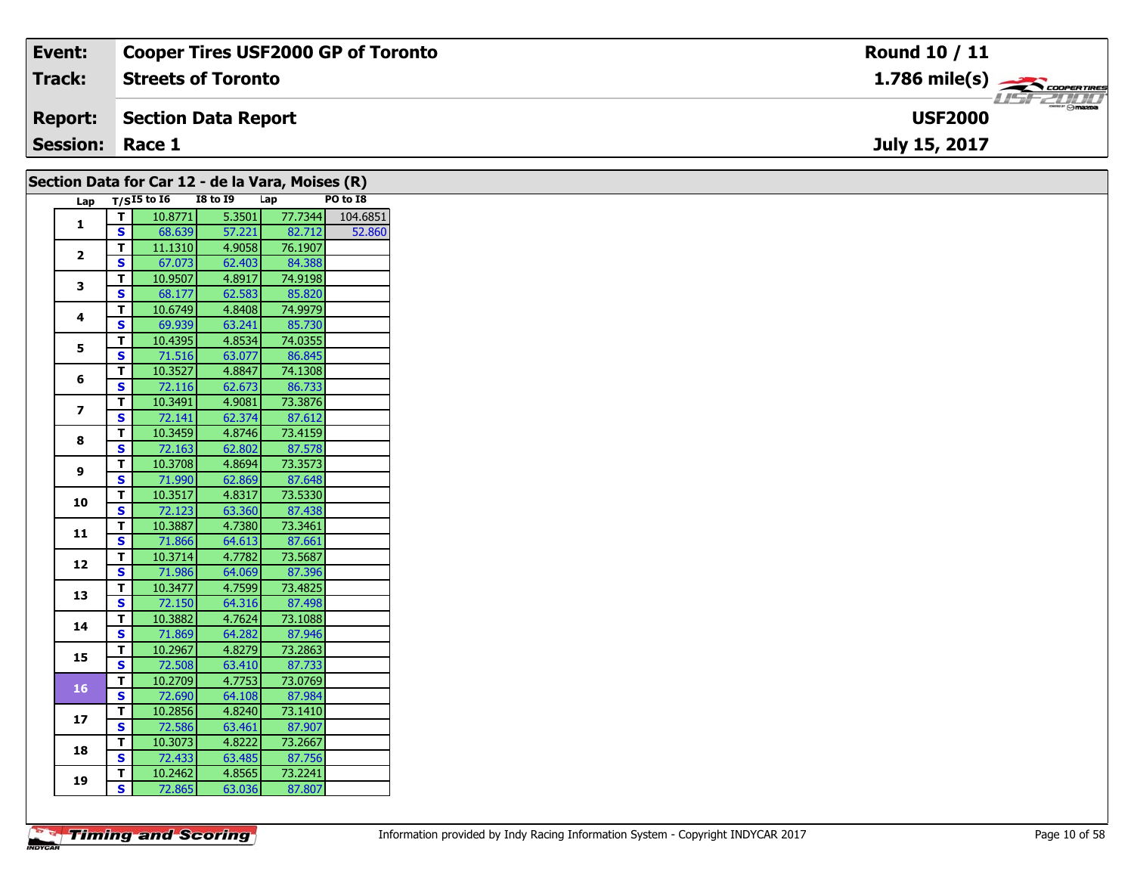| Event:                 | <b>Cooper Tires USF2000 GP of Toronto</b> | Round 10 / 11                             |
|------------------------|-------------------------------------------|-------------------------------------------|
| <b>Track:</b>          | <b>Streets of Toronto</b>                 | $1.786$ mile(s) $\rightarrow$ COOPERTIRES |
| <b>Report:</b>         | Section Data Report                       | <b>USF2000</b>                            |
| <b>Session: Race 1</b> |                                           | July 15, 2017                             |
|                        |                                           |                                           |

| Lap $\overline{T/S15}$ to 16<br><b>I8 to 19</b><br>Lap<br>PO to I8<br>77.7344<br>$\overline{t}$<br>5.3501<br>10.8771<br>$\mathbf{1}$<br>$\overline{\mathbf{s}}$<br>57.221<br>82.712<br>68.639<br>76.1907<br>4.9058<br>$\mathbf{T}$<br>11.1310<br>$\mathbf{2}$<br>84.388<br><b>S</b><br>67.073<br>62.403<br>74.9198<br>$\mathbf T$<br>4.8917<br>10.9507<br>3<br>$\mathbf{s}$<br>85.820<br>62.583<br>68.177<br>74.9979<br>$\mathbf T$<br>10.6749<br>4.8408<br>4<br>$\mathbf{s}$<br>69.939<br>63.241<br>85.730<br>T.<br>74.0355<br>10.4395<br>4.8534<br>5<br>86.845<br>$\overline{\mathbf{s}}$<br>63.077<br>71.516<br>4.8847<br>74.1308<br>$\mathbf{T}$<br>10.3527<br>6<br><b>S</b><br>86.733<br>62.673<br>72.116<br>73.3876<br>$\mathbf{T}$<br>10.3491<br>4.9081<br>$\overline{z}$<br>$\overline{\mathbf{s}}$<br>87.612<br>62.374<br>72.141<br>T<br>10.3459<br>4.8746<br>73.4159<br>8<br>$\mathbf{s}$<br>87.578<br>72.163<br>62.802<br>4.8694<br>73.3573<br>$\mathbf{T}$<br>10.3708<br>9<br>S<br>62.869<br>87.648<br>71.990<br>73.5330<br>10.3517<br>4.8317<br>T<br>10<br>$\mathbf{s}$<br>87.438<br>72.123<br>63.360<br>73.3461<br>T<br>10.3887<br>4.7380<br>11<br>$\mathbf{s}$<br>87.661<br>64.613<br>71.866<br>73.5687<br>T.<br>10.3714<br>4.7782<br>12<br>$\mathbf{s}$<br>87.396<br>71.986<br>64.069<br>73.4825<br>T.<br>10.3477<br>4.7599<br>13<br>$\mathbf{s}$<br>87.498<br>72.150<br>64.316<br>73.1088<br>$\mathbf{T}$<br>10.3882<br>4.7624<br>14<br><b>S</b><br>87.946<br>71.869<br>64.282<br>73.2863<br>10.2967<br>4.8279<br>$\mathbf T$<br>15<br>$\overline{\mathbf{s}}$<br>87.733<br>72.508<br>63.410<br>10.2709<br>4.7753<br>73.0769<br>T<br><b>16</b><br>S<br>87.984<br>72.690<br>64.108<br>4.8240<br>73.1410<br>$\mathbf T$<br>10.2856<br>17<br>$\mathbf{s}$<br>72.586<br>87.907<br>63.461<br>73.2667<br>$\mathbf{T}$<br>10.3073<br>4.8222<br>18<br>$\mathbf{s}$<br>87.756<br>72.433<br>63.485<br>73.2241<br>10.2462<br>4.8565<br>T.<br>19<br>S. |  | Section Data for Car 12 - de la Vara, Moises (R) |        |        |          |
|-------------------------------------------------------------------------------------------------------------------------------------------------------------------------------------------------------------------------------------------------------------------------------------------------------------------------------------------------------------------------------------------------------------------------------------------------------------------------------------------------------------------------------------------------------------------------------------------------------------------------------------------------------------------------------------------------------------------------------------------------------------------------------------------------------------------------------------------------------------------------------------------------------------------------------------------------------------------------------------------------------------------------------------------------------------------------------------------------------------------------------------------------------------------------------------------------------------------------------------------------------------------------------------------------------------------------------------------------------------------------------------------------------------------------------------------------------------------------------------------------------------------------------------------------------------------------------------------------------------------------------------------------------------------------------------------------------------------------------------------------------------------------------------------------------------------------------------------------------------------------------------------------------------------------------------------------------------|--|--------------------------------------------------|--------|--------|----------|
|                                                                                                                                                                                                                                                                                                                                                                                                                                                                                                                                                                                                                                                                                                                                                                                                                                                                                                                                                                                                                                                                                                                                                                                                                                                                                                                                                                                                                                                                                                                                                                                                                                                                                                                                                                                                                                                                                                                                                             |  |                                                  |        |        |          |
|                                                                                                                                                                                                                                                                                                                                                                                                                                                                                                                                                                                                                                                                                                                                                                                                                                                                                                                                                                                                                                                                                                                                                                                                                                                                                                                                                                                                                                                                                                                                                                                                                                                                                                                                                                                                                                                                                                                                                             |  |                                                  |        |        | 104.6851 |
|                                                                                                                                                                                                                                                                                                                                                                                                                                                                                                                                                                                                                                                                                                                                                                                                                                                                                                                                                                                                                                                                                                                                                                                                                                                                                                                                                                                                                                                                                                                                                                                                                                                                                                                                                                                                                                                                                                                                                             |  |                                                  |        |        | 52.860   |
|                                                                                                                                                                                                                                                                                                                                                                                                                                                                                                                                                                                                                                                                                                                                                                                                                                                                                                                                                                                                                                                                                                                                                                                                                                                                                                                                                                                                                                                                                                                                                                                                                                                                                                                                                                                                                                                                                                                                                             |  |                                                  |        |        |          |
|                                                                                                                                                                                                                                                                                                                                                                                                                                                                                                                                                                                                                                                                                                                                                                                                                                                                                                                                                                                                                                                                                                                                                                                                                                                                                                                                                                                                                                                                                                                                                                                                                                                                                                                                                                                                                                                                                                                                                             |  |                                                  |        |        |          |
|                                                                                                                                                                                                                                                                                                                                                                                                                                                                                                                                                                                                                                                                                                                                                                                                                                                                                                                                                                                                                                                                                                                                                                                                                                                                                                                                                                                                                                                                                                                                                                                                                                                                                                                                                                                                                                                                                                                                                             |  |                                                  |        |        |          |
|                                                                                                                                                                                                                                                                                                                                                                                                                                                                                                                                                                                                                                                                                                                                                                                                                                                                                                                                                                                                                                                                                                                                                                                                                                                                                                                                                                                                                                                                                                                                                                                                                                                                                                                                                                                                                                                                                                                                                             |  |                                                  |        |        |          |
|                                                                                                                                                                                                                                                                                                                                                                                                                                                                                                                                                                                                                                                                                                                                                                                                                                                                                                                                                                                                                                                                                                                                                                                                                                                                                                                                                                                                                                                                                                                                                                                                                                                                                                                                                                                                                                                                                                                                                             |  |                                                  |        |        |          |
|                                                                                                                                                                                                                                                                                                                                                                                                                                                                                                                                                                                                                                                                                                                                                                                                                                                                                                                                                                                                                                                                                                                                                                                                                                                                                                                                                                                                                                                                                                                                                                                                                                                                                                                                                                                                                                                                                                                                                             |  |                                                  |        |        |          |
|                                                                                                                                                                                                                                                                                                                                                                                                                                                                                                                                                                                                                                                                                                                                                                                                                                                                                                                                                                                                                                                                                                                                                                                                                                                                                                                                                                                                                                                                                                                                                                                                                                                                                                                                                                                                                                                                                                                                                             |  |                                                  |        |        |          |
|                                                                                                                                                                                                                                                                                                                                                                                                                                                                                                                                                                                                                                                                                                                                                                                                                                                                                                                                                                                                                                                                                                                                                                                                                                                                                                                                                                                                                                                                                                                                                                                                                                                                                                                                                                                                                                                                                                                                                             |  |                                                  |        |        |          |
|                                                                                                                                                                                                                                                                                                                                                                                                                                                                                                                                                                                                                                                                                                                                                                                                                                                                                                                                                                                                                                                                                                                                                                                                                                                                                                                                                                                                                                                                                                                                                                                                                                                                                                                                                                                                                                                                                                                                                             |  |                                                  |        |        |          |
|                                                                                                                                                                                                                                                                                                                                                                                                                                                                                                                                                                                                                                                                                                                                                                                                                                                                                                                                                                                                                                                                                                                                                                                                                                                                                                                                                                                                                                                                                                                                                                                                                                                                                                                                                                                                                                                                                                                                                             |  |                                                  |        |        |          |
|                                                                                                                                                                                                                                                                                                                                                                                                                                                                                                                                                                                                                                                                                                                                                                                                                                                                                                                                                                                                                                                                                                                                                                                                                                                                                                                                                                                                                                                                                                                                                                                                                                                                                                                                                                                                                                                                                                                                                             |  |                                                  |        |        |          |
|                                                                                                                                                                                                                                                                                                                                                                                                                                                                                                                                                                                                                                                                                                                                                                                                                                                                                                                                                                                                                                                                                                                                                                                                                                                                                                                                                                                                                                                                                                                                                                                                                                                                                                                                                                                                                                                                                                                                                             |  |                                                  |        |        |          |
|                                                                                                                                                                                                                                                                                                                                                                                                                                                                                                                                                                                                                                                                                                                                                                                                                                                                                                                                                                                                                                                                                                                                                                                                                                                                                                                                                                                                                                                                                                                                                                                                                                                                                                                                                                                                                                                                                                                                                             |  |                                                  |        |        |          |
|                                                                                                                                                                                                                                                                                                                                                                                                                                                                                                                                                                                                                                                                                                                                                                                                                                                                                                                                                                                                                                                                                                                                                                                                                                                                                                                                                                                                                                                                                                                                                                                                                                                                                                                                                                                                                                                                                                                                                             |  |                                                  |        |        |          |
|                                                                                                                                                                                                                                                                                                                                                                                                                                                                                                                                                                                                                                                                                                                                                                                                                                                                                                                                                                                                                                                                                                                                                                                                                                                                                                                                                                                                                                                                                                                                                                                                                                                                                                                                                                                                                                                                                                                                                             |  |                                                  |        |        |          |
|                                                                                                                                                                                                                                                                                                                                                                                                                                                                                                                                                                                                                                                                                                                                                                                                                                                                                                                                                                                                                                                                                                                                                                                                                                                                                                                                                                                                                                                                                                                                                                                                                                                                                                                                                                                                                                                                                                                                                             |  |                                                  |        |        |          |
|                                                                                                                                                                                                                                                                                                                                                                                                                                                                                                                                                                                                                                                                                                                                                                                                                                                                                                                                                                                                                                                                                                                                                                                                                                                                                                                                                                                                                                                                                                                                                                                                                                                                                                                                                                                                                                                                                                                                                             |  |                                                  |        |        |          |
|                                                                                                                                                                                                                                                                                                                                                                                                                                                                                                                                                                                                                                                                                                                                                                                                                                                                                                                                                                                                                                                                                                                                                                                                                                                                                                                                                                                                                                                                                                                                                                                                                                                                                                                                                                                                                                                                                                                                                             |  |                                                  |        |        |          |
|                                                                                                                                                                                                                                                                                                                                                                                                                                                                                                                                                                                                                                                                                                                                                                                                                                                                                                                                                                                                                                                                                                                                                                                                                                                                                                                                                                                                                                                                                                                                                                                                                                                                                                                                                                                                                                                                                                                                                             |  |                                                  |        |        |          |
|                                                                                                                                                                                                                                                                                                                                                                                                                                                                                                                                                                                                                                                                                                                                                                                                                                                                                                                                                                                                                                                                                                                                                                                                                                                                                                                                                                                                                                                                                                                                                                                                                                                                                                                                                                                                                                                                                                                                                             |  |                                                  |        |        |          |
|                                                                                                                                                                                                                                                                                                                                                                                                                                                                                                                                                                                                                                                                                                                                                                                                                                                                                                                                                                                                                                                                                                                                                                                                                                                                                                                                                                                                                                                                                                                                                                                                                                                                                                                                                                                                                                                                                                                                                             |  |                                                  |        |        |          |
|                                                                                                                                                                                                                                                                                                                                                                                                                                                                                                                                                                                                                                                                                                                                                                                                                                                                                                                                                                                                                                                                                                                                                                                                                                                                                                                                                                                                                                                                                                                                                                                                                                                                                                                                                                                                                                                                                                                                                             |  |                                                  |        |        |          |
|                                                                                                                                                                                                                                                                                                                                                                                                                                                                                                                                                                                                                                                                                                                                                                                                                                                                                                                                                                                                                                                                                                                                                                                                                                                                                                                                                                                                                                                                                                                                                                                                                                                                                                                                                                                                                                                                                                                                                             |  |                                                  |        |        |          |
|                                                                                                                                                                                                                                                                                                                                                                                                                                                                                                                                                                                                                                                                                                                                                                                                                                                                                                                                                                                                                                                                                                                                                                                                                                                                                                                                                                                                                                                                                                                                                                                                                                                                                                                                                                                                                                                                                                                                                             |  |                                                  |        |        |          |
|                                                                                                                                                                                                                                                                                                                                                                                                                                                                                                                                                                                                                                                                                                                                                                                                                                                                                                                                                                                                                                                                                                                                                                                                                                                                                                                                                                                                                                                                                                                                                                                                                                                                                                                                                                                                                                                                                                                                                             |  |                                                  |        |        |          |
|                                                                                                                                                                                                                                                                                                                                                                                                                                                                                                                                                                                                                                                                                                                                                                                                                                                                                                                                                                                                                                                                                                                                                                                                                                                                                                                                                                                                                                                                                                                                                                                                                                                                                                                                                                                                                                                                                                                                                             |  |                                                  |        |        |          |
|                                                                                                                                                                                                                                                                                                                                                                                                                                                                                                                                                                                                                                                                                                                                                                                                                                                                                                                                                                                                                                                                                                                                                                                                                                                                                                                                                                                                                                                                                                                                                                                                                                                                                                                                                                                                                                                                                                                                                             |  |                                                  |        |        |          |
|                                                                                                                                                                                                                                                                                                                                                                                                                                                                                                                                                                                                                                                                                                                                                                                                                                                                                                                                                                                                                                                                                                                                                                                                                                                                                                                                                                                                                                                                                                                                                                                                                                                                                                                                                                                                                                                                                                                                                             |  |                                                  |        |        |          |
|                                                                                                                                                                                                                                                                                                                                                                                                                                                                                                                                                                                                                                                                                                                                                                                                                                                                                                                                                                                                                                                                                                                                                                                                                                                                                                                                                                                                                                                                                                                                                                                                                                                                                                                                                                                                                                                                                                                                                             |  |                                                  |        |        |          |
|                                                                                                                                                                                                                                                                                                                                                                                                                                                                                                                                                                                                                                                                                                                                                                                                                                                                                                                                                                                                                                                                                                                                                                                                                                                                                                                                                                                                                                                                                                                                                                                                                                                                                                                                                                                                                                                                                                                                                             |  |                                                  |        |        |          |
|                                                                                                                                                                                                                                                                                                                                                                                                                                                                                                                                                                                                                                                                                                                                                                                                                                                                                                                                                                                                                                                                                                                                                                                                                                                                                                                                                                                                                                                                                                                                                                                                                                                                                                                                                                                                                                                                                                                                                             |  |                                                  |        |        |          |
|                                                                                                                                                                                                                                                                                                                                                                                                                                                                                                                                                                                                                                                                                                                                                                                                                                                                                                                                                                                                                                                                                                                                                                                                                                                                                                                                                                                                                                                                                                                                                                                                                                                                                                                                                                                                                                                                                                                                                             |  |                                                  |        |        |          |
|                                                                                                                                                                                                                                                                                                                                                                                                                                                                                                                                                                                                                                                                                                                                                                                                                                                                                                                                                                                                                                                                                                                                                                                                                                                                                                                                                                                                                                                                                                                                                                                                                                                                                                                                                                                                                                                                                                                                                             |  |                                                  |        |        |          |
|                                                                                                                                                                                                                                                                                                                                                                                                                                                                                                                                                                                                                                                                                                                                                                                                                                                                                                                                                                                                                                                                                                                                                                                                                                                                                                                                                                                                                                                                                                                                                                                                                                                                                                                                                                                                                                                                                                                                                             |  |                                                  |        |        |          |
|                                                                                                                                                                                                                                                                                                                                                                                                                                                                                                                                                                                                                                                                                                                                                                                                                                                                                                                                                                                                                                                                                                                                                                                                                                                                                                                                                                                                                                                                                                                                                                                                                                                                                                                                                                                                                                                                                                                                                             |  |                                                  |        |        |          |
|                                                                                                                                                                                                                                                                                                                                                                                                                                                                                                                                                                                                                                                                                                                                                                                                                                                                                                                                                                                                                                                                                                                                                                                                                                                                                                                                                                                                                                                                                                                                                                                                                                                                                                                                                                                                                                                                                                                                                             |  | 72.865                                           | 63.036 | 87.807 |          |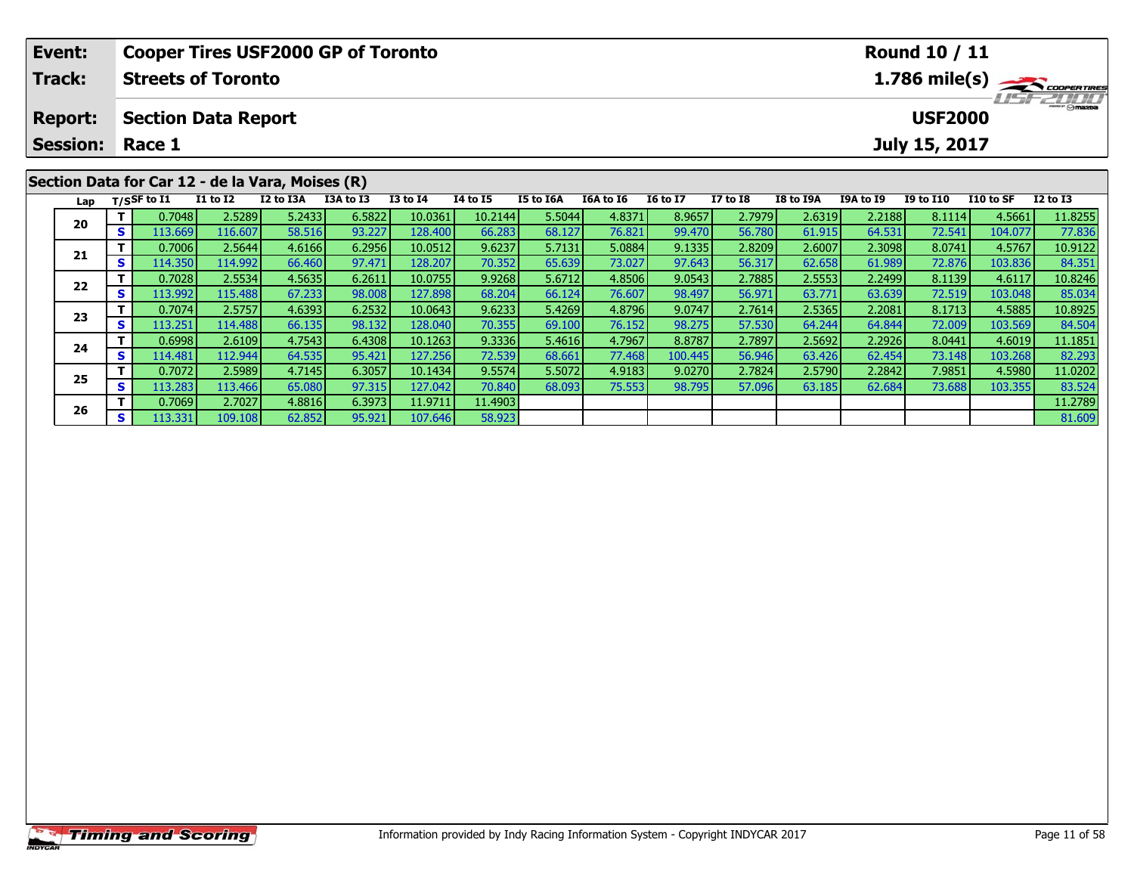| Event:         |    |                            |                 | <b>Cooper Tires USF2000 GP of Toronto</b>        |           |                 |                 |           |           |                 |                 |           |                  | <b>Round 10 / 11</b> |           |                                           |
|----------------|----|----------------------------|-----------------|--------------------------------------------------|-----------|-----------------|-----------------|-----------|-----------|-----------------|-----------------|-----------|------------------|----------------------|-----------|-------------------------------------------|
| Track:         |    | <b>Streets of Toronto</b>  |                 |                                                  |           |                 |                 |           |           |                 |                 |           |                  |                      |           | $1.786$ mile(s) $\rightarrow$ COOPERTIRES |
| <b>Report:</b> |    | <b>Section Data Report</b> |                 |                                                  |           |                 |                 |           |           |                 |                 |           |                  | <b>USF2000</b>       |           | <b>LISF 2000</b>                          |
|                |    | <b>Session: Race 1</b>     |                 |                                                  |           |                 |                 |           |           |                 |                 |           |                  | July 15, 2017        |           |                                           |
|                |    |                            |                 | Section Data for Car 12 - de la Vara, Moises (R) |           |                 |                 |           |           |                 |                 |           |                  |                      |           |                                           |
| Lap            |    | $T/S$ SF to $I1$           | <b>I1 to I2</b> | I2 to I3A                                        | I3A to I3 | <b>I3 to I4</b> | <b>I4 to I5</b> | I5 to I6A | I6A to I6 | <b>16 to 17</b> | <b>I7 to I8</b> | I8 to I9A | <b>I9A to I9</b> | <b>I9 to I10</b>     | I10 to SF | $I2$ to $I3$                              |
| 20             |    | 0.7048                     | 2.5289          | 5.2433                                           | 6.5822    | 10.0361         | 10.2144         | 5.5044    | 4.8371    | 8.9657          | 2.7979          | 2.6319    | 2.2188           | 8.1114               | 4.5661    | 11.8255                                   |
|                | S. | 113.669                    | 116.607         | 58.516                                           | 93.227    | 128.400         | 66.283          | 68.127    | 76.821    | 99.470          | 56.780          | 61.915    | 64.531           | 72.541               | 104.077   | 77.836                                    |
|                |    | 0.7006                     | 2.5644          | 4.6166                                           | 6.2956    | 10.0512         | 9.6237          | 5.7131    | 5.0884    | 9.1335          | 2.8209          | 2.6007    | 2.3098           | 8.0741               | 4.5767    | 10.9122                                   |
| 21             |    | 114.350                    | 114.992         | 66.460                                           | 97.471    | 128.207         | 70.352          | 65.639    | 73.027    | 97.643          | 56.317          | 62.658    | 61.989           | 72.876               | 103.836   | 84.351                                    |

2 T 0.7028 2.5534 4.5635 6.2611 10.0755 9.9268 5.6712 4.8506 9.0543 2.7885 2.5553 2.2499 8.1139 4.6117 10.8246<br>2 S 113.992 115.488 67.233 98.008 127.898 68.204 66.124 76.607 98.497 56.971 63.771 63.639 72.519 103.048 85.03

3 T 0.7074 2.5757 4.6393 6.2532 10.0643 9.6233 5.4269 4.8796 9.0747 2.7614 2.5365 2.2081 8.1713 4.5885 10.8925<br>S 113.251 114.488 66.135 98.132 128.040 70.355 69.100 76.152 98.275 57.530 64.244 64.844 72.009 103.569 84.504

4 T 0.6998 2.6109 4.7543 6.4308 10.1263 9.3336 5.4616 4.7967 8.8787 2.7897 2.5692 2.2926 8.0441 4.6019 11.1851<br>S 114.481 112.944 64.535 95.421 127.256 72.539 68.661 77.468 100.445 56.946 63.426 62.454 73.148 103.268 82.293

5 T 0.7072 2.5989 4.7145 6.3057 10.1434 9.5574 5.5072 4.9183 9.0270 2.7824 2.5790 2.2842 7.9851 4.5980 11.0202<br>5 S 113.283 113.466 65.080 97.315 127.042 70.840 68.093 75.553 98.795 57.096 63.185 62.684 73.688 103.355 83.52

**<sup>T</sup>** 0.7069 2.7027 4.8816 6.3973 11.9711 11.4903 11.2789 **<sup>S</sup>** 113.331 109.108 62.852 95.921 107.646 58.923 81.609

**22**

**23**

**24**

**25**

**26**

84.504

82.293

83.524<br>11.2789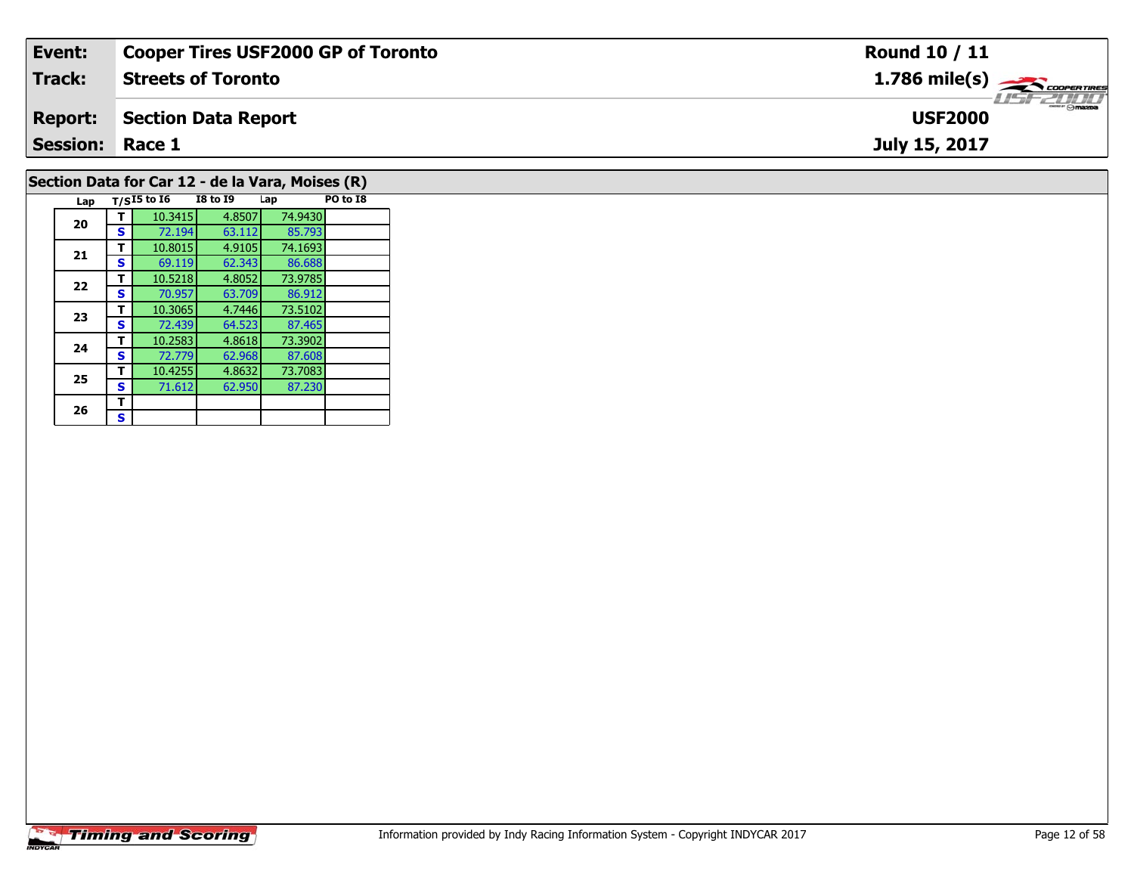| Event:                 | <b>Cooper Tires USF2000 GP of Toronto</b>        | Round 10 / 11                                        |
|------------------------|--------------------------------------------------|------------------------------------------------------|
| <b>Track:</b>          | <b>Streets of Toronto</b>                        | $1.786$ mile(s) $\overbrace{\hspace{2cm}}$ coorering |
| <b>Report:</b>         | Section Data Report                              | <b>LISF 2000</b><br><b>USF2000</b>                   |
| <b>Session: Race 1</b> |                                                  | July 15, 2017                                        |
|                        | Section Data for Car 12 - de la Vara, Moises (R) |                                                      |

| Lap |   | $T/SI5$ to $I6$ | <b>I8 to I9</b> | Lap     | PO to I8 |
|-----|---|-----------------|-----------------|---------|----------|
| 20  |   | 10.3415         | 4.8507          | 74.9430 |          |
|     | s | 72.194          | 63.112          | 85.793  |          |
| 21  | т | 10.8015         | 4.9105          | 74.1693 |          |
|     | S | 69.119          | 62.343          | 86.688  |          |
| 22  | т | 10.5218         | 4.8052          | 73.9785 |          |
|     | s | 70.957          | 63.709          | 86.912  |          |
| 23  | т | 10.3065         | 4.7446          | 73.5102 |          |
|     | s | 72.439          | 64.523          | 87.465  |          |
| 24  | т | 10.2583         | 4.8618          | 73.3902 |          |
|     | s | 72.779          | 62.968          | 87,608  |          |
| 25  | т | 10.4255         | 4.8632          | 73.7083 |          |
|     | s | 71.612          | 62.950          | 87.230  |          |
| 26  | т |                 |                 |         |          |
|     | S |                 |                 |         |          |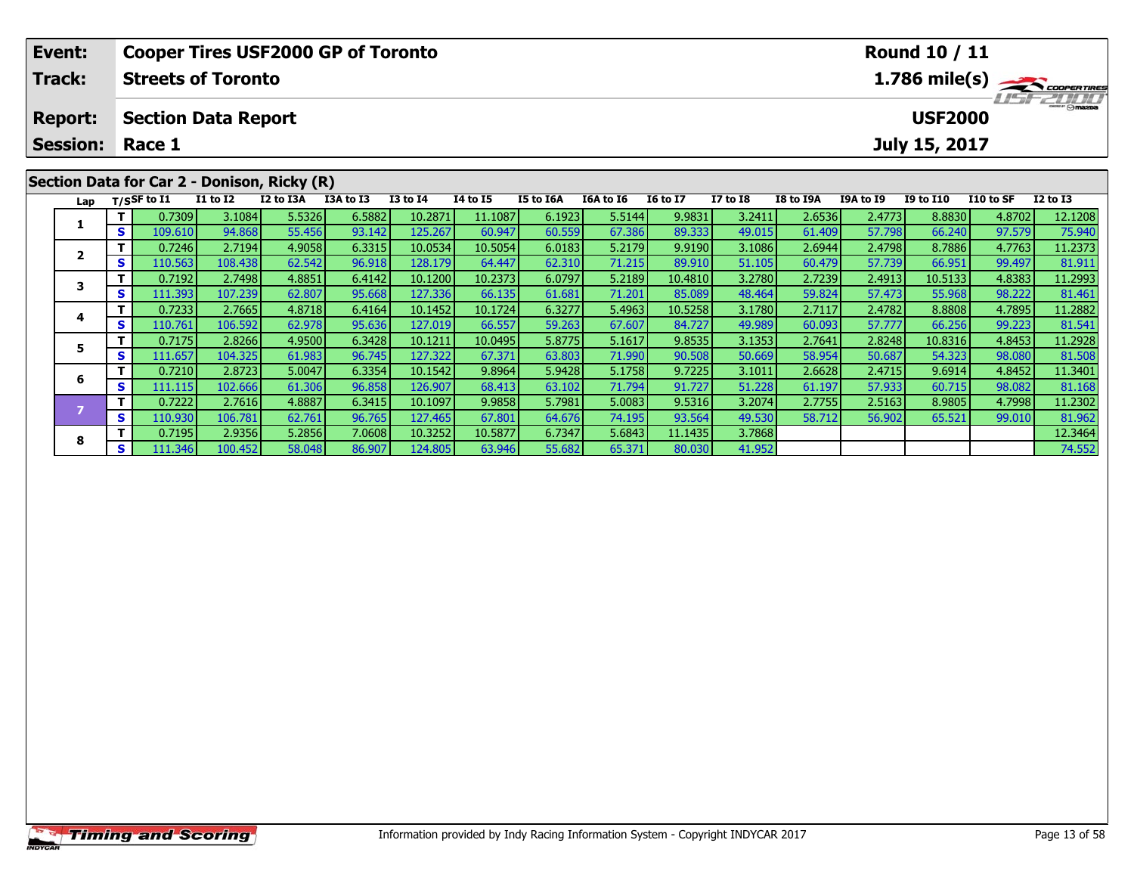| Event:          |    |                |                            | <b>Cooper Tires USF2000 GP of Toronto</b>   |           |              |          |                  |           |                 |                 |           |                  | <b>Round 10 / 11</b> |           |                                          |
|-----------------|----|----------------|----------------------------|---------------------------------------------|-----------|--------------|----------|------------------|-----------|-----------------|-----------------|-----------|------------------|----------------------|-----------|------------------------------------------|
| <b>Track:</b>   |    |                | <b>Streets of Toronto</b>  |                                             |           |              |          |                  |           |                 |                 |           |                  |                      |           | $1.786$ mile(s) $\rightarrow$ coorgannes |
| <b>Report:</b>  |    |                | <b>Section Data Report</b> |                                             |           |              |          |                  |           |                 |                 |           |                  | <b>USF2000</b>       |           | <b>HSFZHIJ</b>                           |
| <b>Session:</b> |    | Race 1         |                            |                                             |           |              |          |                  |           |                 |                 |           |                  | July 15, 2017        |           |                                          |
|                 |    |                |                            | Section Data for Car 2 - Donison, Ricky (R) |           |              |          |                  |           |                 |                 |           |                  |                      |           |                                          |
| Lap             |    | $T/S$ SF to I1 | <b>I1 to I2</b>            | I2 to I3A                                   | I3A to I3 | $I3$ to $I4$ | 14 to 15 | <b>I5 to I6A</b> | I6A to I6 | <b>I6 to I7</b> | <b>I7 to I8</b> | I8 to I9A | <b>I9A to I9</b> | <b>I9 to I10</b>     | I10 to SF | $I2$ to $I3$                             |
|                 |    | 0.7309         | 3.1084                     | 5.5326                                      | 6.5882    | 10.2871      | 11.1087  | 6.1923           | 5.5144    | 9.9831          | 3.2411          | 2.6536    | 2.4773           | 8.8830               | 4.8702    | 12.1208                                  |
|                 | S. | 109.610        | 94.868                     | 55.456                                      | 93.142    | 125.267      | 60.947   | 60.559           | 67.386    | 89.333          | 49.015          | 61.409    | 57.798           | 66.240               | 97.579    | 75.940                                   |
|                 |    | 0.7246         | 2.7194                     | 4.9058                                      | 6.3315    | 10.0534      | 10.5054  | 6.0183           | 5.2179    | 9.9190          | 3.1086          | 2.6944    | 2.4798           | 8.7886               | 4.7763    | 11.2373                                  |
| $\mathbf{2}$    |    | 110.563        | 108.438                    | 62.542                                      | 96.918    | 128.179      | 64.447   | 62.310           | 71.215    | 89.910          | 51.105          | 60.479    | 57.739           | 66.951               | 99.497    | 81.911                                   |

3 T 0.7192 2.7498 4.8851 6.4142 10.1200 10.2373 6.0797 5.2189 10.4810 3.2780 2.7239 2.4913 10.5133 4.8383 11.2993<br>S S 111.393 107.239 62.807 95.668 127.336 66.135 61.681 71.201 85.089 48.464 59.824 57.473 55.968 98.222 81.

4 | **T** | 0.7233| 2.7665| 4.8718| 6.4164| 10.1452| 10.1724| 6.3277| 5.4963| 10.5258| 3.1780| 2.7117| 2.4782| 8.8808| 4.7895| 11.2882<br>- S | 110.761 106.592 62.978 95.636 127.019 66.557 59.263 67.607 84.727 49.989 60.093 57.

5 | T | 0.7175| 2.8266| 4.9500| 6.3428| 10.1211| 10.0495| 5.8775| 5.1617| 9.8535| 3.1353| 2.7641| 2.8248| 10.8316| 4.8453| 11.2928<br>| S | 111.657| 104.325| 61.983| 96.745| 127.322| 67.371| 63.803| 71.990| 90.508| 50.669| 58

6 | T | 0.7210| 2.8723| 5.0047| 6.3354| 10.1542| 9.8964| 5.9428| 5.1758| 9.7225| 3.1011| 2.6628| 2.4715| 9.6914| 4.8452| 11.3401<br>| S | 111.115| 102.666| 61.306| 96.858| 126.907| 68.413| 63.102| 71.794| 91.727| 51.228| 61.1

**<sup>T</sup>** 0.7222 2.7616 4.8887 6.3415 10.1097 9.9858 5.7981 5.0083 9.5316 3.2074 2.7755 2.5163 8.9805 4.7998 11.2302 **<sup>S</sup>** 110.930 106.781 62.761 96.765 127.465 67.801 64.676 74.195 93.564 49.530 58.712 56.902 65.521 99.010 81.962

**<sup>T</sup>** 0.7195 2.9356 5.2856 7.0608 10.3252 10.5877 6.7347 5.6843 11.1435 3.7868 12.3464 **<sup>S</sup>** 111.346 100.452 58.048 86.907 124.805 63.946 55.682 65.371 80.030 41.952 74.552

**3**

**4**

**5**

**6**

**8**

81.541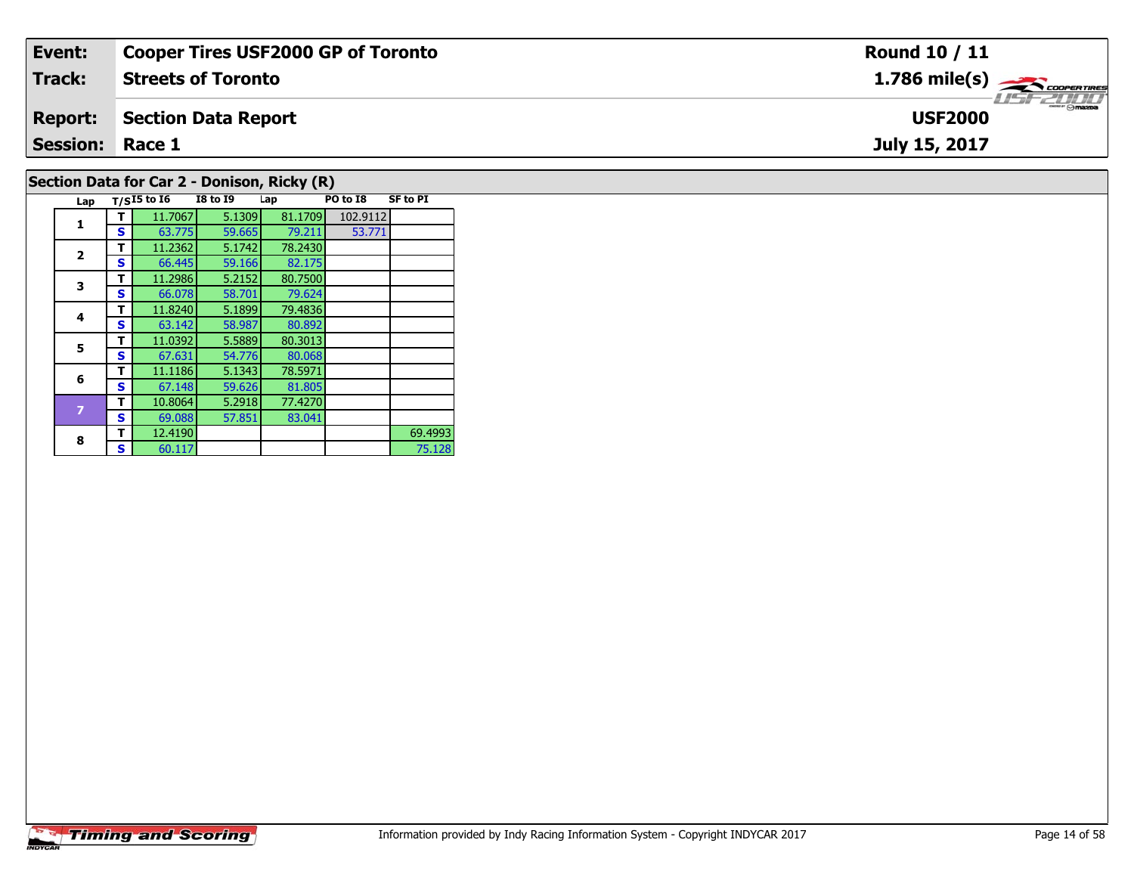| Event:                 | <b>Cooper Tires USF2000 GP of Toronto</b>   | Round 10 / 11                 |
|------------------------|---------------------------------------------|-------------------------------|
| Track:                 | <b>Streets of Toronto</b>                   | $1.786$ mile(s) $\rightarrow$ |
| <b>Report:</b>         | Section Data Report                         | <b>USF2000</b>                |
| <b>Session: Race 1</b> |                                             | July 15, 2017                 |
|                        | Section Data for Car 2 - Donison, Ricky (R) |                               |

## **Timing and Scoring**

**Lap T/SI5 to I6 I8 to I9 Lap PO to I8 SF to PI** 

**<sup>T</sup>** 11.7067 5.1309 81.1709 102.9112 **<sup>S</sup>** 63.775 59.665 79.211 53.771

82.175

79.624<br>79.4836

80.892

80.068<br>78.5971

81.805<br>77.4270

83.041

75.128

**R T** 12.4190 **S** 60.117 **S** 60.117

**T** 11.2362 5.1742 78.2430<br>**S** 66.445 59.166 82.175

**T** 11.2986 5.2152 80.7500<br>**S** 66.078 58.701 79.624

**<sup>T</sup>** 11.8240 5.1899 79.4836 **<sup>S</sup>** 63.142 58.987 80.892

**5 T** 11.0392 5.5889 80.3013<br>**S** 67.631 54.776 80.068

**6 T** 11.1186 5.1343 78.5971<br>**S** 67.148 59.626 81.805

**<sup>T</sup>** 10.8064 5.2918 77.4270 **<sup>S</sup>** 69.088 57.851 83.041

**1**

**2**

**3**

**4**

**5**

**6**

**8**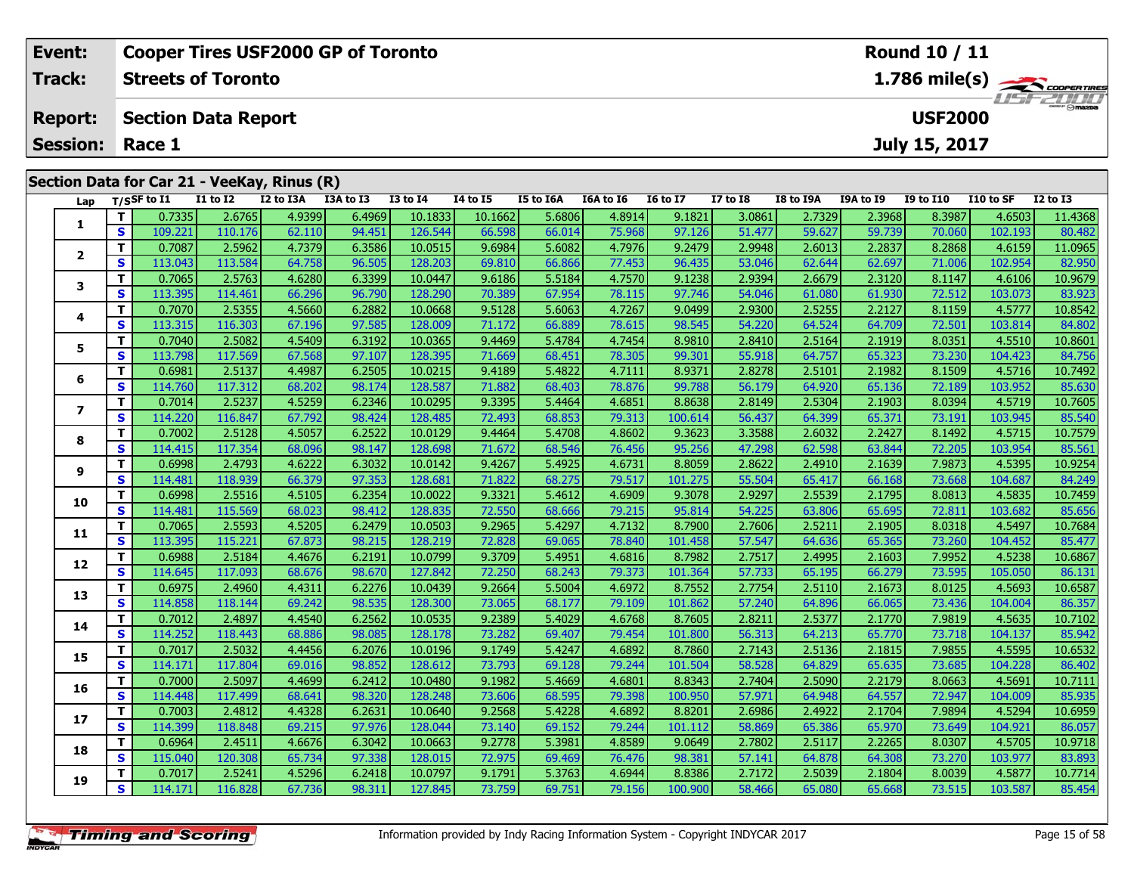| Event:         |          |                        |                            | <b>Cooper Tires USF2000 GP of Toronto</b>   |           |                 |          |           |           |                 |                 |           |                  | <b>Round 10 / 11</b> |           |                         |
|----------------|----------|------------------------|----------------------------|---------------------------------------------|-----------|-----------------|----------|-----------|-----------|-----------------|-----------------|-----------|------------------|----------------------|-----------|-------------------------|
| Track:         |          |                        | <b>Streets of Toronto</b>  |                                             |           |                 |          |           |           |                 |                 |           |                  |                      |           | $1.786 \text{ mile(s)}$ |
| <b>Report:</b> |          |                        | <b>Section Data Report</b> |                                             |           |                 |          |           |           |                 |                 |           |                  | <b>USF2000</b>       |           | LISFE DI LI             |
|                |          | <b>Session: Race 1</b> |                            |                                             |           |                 |          |           |           |                 |                 |           |                  | July 15, 2017        |           |                         |
|                |          |                        |                            | Section Data for Car 21 - VeeKay, Rinus (R) |           |                 |          |           |           |                 |                 |           |                  |                      |           |                         |
|                |          | Lap $T/S$ SF to I1     | <b>I1 to I2</b>            | I2 to I3A                                   | I3A to I3 | <b>I3 to I4</b> | 14 to 15 | I5 to I6A | I6A to I6 | <b>16 to 17</b> | <b>I7 to I8</b> | I8 to I9A | <b>I9A to I9</b> | <b>I9 to I10</b>     | I10 to SF | $I2$ to $I3$            |
|                |          | 0.7335                 | 2.6765                     | 4.9399                                      | 6.4969    | 10.1833         | 10.1662  | 5.6806    | 4.8914    | 9.1821          | 3.0861          | 2.7329    | 2.3968           | 8.3987               | 4.6503    | 11.4368                 |
|                | <b>S</b> | 109.221                | 110.176                    | 62.110                                      | 94.451    | 126.544         | 66.598   | 66.014    | 75.968    | 97.126          | 51.477          | 59.627    | 59.739           | 70.060               | 102.193   | 80.482                  |

2 | T | 0.7087| 2.5962| 4.7379| 6.3586| 10.0515| 9.6984| 5.6082| 4.7976| 9.2479| 2.9948| 2.6013| 2.2837| 8.2868| 4.6159| 11.0965<br>2 | S | 113.043| 113.584| 64.758| 96.505| 128.203| 69.810| 66.866| 77.453| 96.435| 53.046| 62

**<sup>T</sup>** 0.7065 2.5763 4.6280 6.3399 10.0447 9.6186 5.5184 4.7570 9.1238 2.9394 2.6679 2.3120 8.1147 4.6106 10.9679 **<sup>S</sup>** 113.395 114.461 66.296 96.790 128.290 70.389 67.954 78.115 97.746 54.046 61.080 61.930 72.512 103.073 83.923

**<sup>T</sup>** 0.7070 2.5355 4.5660 6.2882 10.0668 9.5128 5.6063 4.7267 9.0499 2.9300 2.5255 2.2127 8.1159 4.5777 10.8542 **<sup>S</sup>** 113.315 116.303 67.196 97.585 128.009 71.172 66.889 78.615 98.545 54.220 64.524 64.709 72.501 103.814 84.802

5 | T | 0.7040| 2.5082| 4.5409| 6.3192| 10.0365| 9.4469| 5.4784| 4.7454| 8.9810| 2.8410| 2.5164| 2.1919| 8.0351| 4.5510| 10.8601<br>| S | 113.798| 117.569| 67.568| 97.107| 128.395| 71.669| 68.451| 78.305| 99.301| 55.918| 64.7

**<sup>T</sup>** 0.6981 2.5137 4.4987 6.2505 10.0215 9.4189 5.4822 4.7111 8.9371 2.8278 2.5101 2.1982 8.1509 4.5716 10.7492 **<sup>S</sup>** 114.760 117.312 68.202 98.174 128.587 71.882 68.403 78.876 99.788 56.179 64.920 65.136 72.189 103.952 85.630

7 | T | 0.7014| 2.5237| 4.5259| 6.2346| 10.0295| 9.3395| 5.4464| 4.6851| 8.8638| 2.8149| 2.5304| 2.1903| 8.0394| 4.5719| 10.7605<br>7 | S | 114.220 116.847| 67.792| 98.424| 128.485| 72.493| 68.853| 79.313| 100.614| 56.437| 64

**<sup>T</sup>** 0.7002 2.5128 4.5057 6.2522 10.0129 9.4464 5.4708 4.8602 9.3623 3.3588 2.6032 2.2427 8.1492 4.5715 10.7579 **<sup>S</sup>** 114.415 117.354 68.096 98.147 128.698 71.672 68.546 76.456 95.256 47.298 62.598 63.844 72.205 103.954 85.561

10.9254 10.9254 10.9254 10.9254 10.0142 10.0142 9.4267 17.822 1.6222 1.6221 1.6222 1.6391 1.6398 1.6395 10.925<br>Start 114.481 118.939 66.379 97.353 128.681 71.822 68.275 79.517 101.275 55.504 65.417 66.168 73.668 104.687 8

0 T 0.6998 2.5516 4.5105 6.2354 10.0022 9.3321 5.4612 4.6909 9.3078 2.9297 2.5539 2.1795 8.0813 4.5835 10.7459<br>S 114.481 115.569 68.023 98.412 128.835 72.550 68.666 79.215 95.814 54.225 63.806 65.695 72.811 103.682 85.656

**<sup>T</sup>** 0.7065 2.5593 4.5205 6.2479 10.0503 9.2965 5.4297 4.7132 8.7900 2.7606 2.5211 2.1905 8.0318 4.5497 10.7684 **<sup>S</sup>** 113.395 115.221 67.873 98.215 128.219 72.828 69.065 78.840 101.458 57.547 64.636 65.365 73.260 104.452 85.477

2 T 0.6988 2.5184 4.4676 6.2191 10.0799 9.3709 5.4951 4.6816 8.7982 2.7517 2.4995 2.1603 7.9952 4.5238 10.6867<br>2 S 114.645 117.093 68.676 98.670 127.842 72.250 68.243 79.373 101.364 57.733 65.195 66.279 73.595 105.050 86.1

3 T 0.6975 2.4960 4.4311 6.2276 10.0439 9.2664 5.5004 4.6972 8.7552 2.7754 2.5110 2.1673 8.0125 4.5693 10.6587<br>S 114.858 118.144 69.242 98.535 128.300 73.065 68.177 79.109 101.862 57.240 64.896 66.065 73.436 104.004 86.357

4 T 0.7012 2.4897 4.4540 6.2562 10.0535 9.2389 5.4029 4.6768 8.7605 2.8211 2.5377 2.1770 7.9819 4.5635 10.7102<br>S 114.252 118.443 68.886 98.085 128.178 73.282 69.407 79.454 101.800 56.313 64.213 65.770 73.718 104.137 85.942

5 T 0.7017 2.5032 4.4456 6.2076 10.0196 9.1749 5.4247 4.6892 8.7860 2.7143 2.5136 2.1815 7.9855 4.5595 10.6532<br>5 S 114.171 117.804 69.016 98.852 128.612 73.793 69.128 79.244 101.504 58.528 64.829 65.635 73.685 104.228 86.4

6 | T | 0.7000| 2.5097| 4.4699| 6.2412| 10.0480| 9.1982| 5.4669| 4.6801| 8.8343| 2.7404| 2.5090| 2.2179| 8.0663| 4.5691| 10.7111<br>- S | 114.448| 117.499| 68.641| 98.320| 128.248| 73.606| 68.595| 79.398| 100.950| 57.971| 64.

7 T 0.7003 2.4812 4.4328 6.2631 10.0640 9.2568 5.4228 4.6892 8.8201 2.6986 2.4922 2.1704 7.9894 4.5294 10.6959<br>7 S 114.399 118.848 69.215 97.976 128.044 73.140 69.152 79.244 101.112 58.869 65.386 65.970 73.649 104.921 86.0

**<sup>T</sup>** 0.6964 2.4511 4.6676 6.3042 10.0663 9.2778 5.3981 4.8589 9.0649 2.7802 2.5117 2.2265 8.0307 4.5705 10.9718 **<sup>S</sup>** 115.040 120.308 65.734 97.338 128.015 72.975 69.469 76.476 98.381 57.141 64.878 64.308 73.270 103.977 83.893

10.7714 0.7017| 2.5241| 4.5296| 6.2418| 10.0797| 9.1791| 5.3763| 4.6944| 8.8386| 2.7172| 2.5039| 2.1804| 8.0039| 4.5877| 10.7714 9<br>S 114.171| 116.828| 67.736| 98.311| 127.845| 73.759| 69.751| 79.156| 100.900| 58.466| 65.0

| <b>Timing and Scoring</b> |  |
|---------------------------|--|
|                           |  |

**2**

**3**

**4**

**5**

**6**

**7**

**8**

**9**

**10**

**11**

**12**

**13**

**14**

**15**

**16**

**17**

**18**

**19**

82.950

84.80

85.540

84.249

85.942

86.057

83.893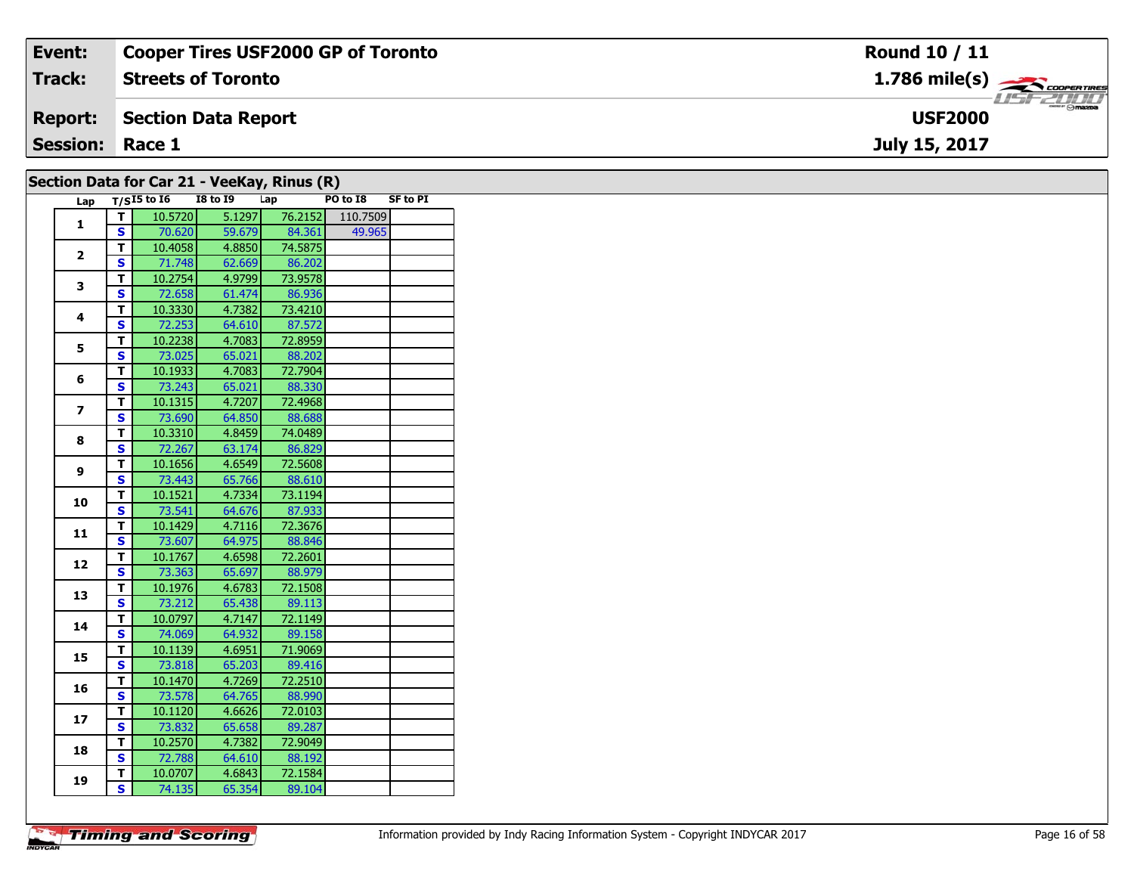| Event:                 | Cooper Tires USF2000 GP of Toronto                | <b>Round 10 / 11</b>                                   |
|------------------------|---------------------------------------------------|--------------------------------------------------------|
| <b>Track:</b>          | <b>Streets of Toronto</b>                         | $1.786$ mile(s) $\overbrace{\hspace{2cm}}$ coorentment |
| <b>Report:</b>         | Section Data Report                               | $H = -H \frac{1}{2} H$<br><b>USF2000</b>               |
| <b>Session: Race 1</b> |                                                   | July 15, 2017                                          |
|                        | <b>Section Data for Car 21 - VeeKay Rinus (R)</b> |                                                        |

|                                                                                     |                         |               | Secuoli Data IVI Cal 21 - Veenay, Killus (K) |         |          |                 |
|-------------------------------------------------------------------------------------|-------------------------|---------------|----------------------------------------------|---------|----------|-----------------|
| Lap                                                                                 |                         | $T/SI5$ to 16 | <b>I8 to I9</b>                              | Lap     | PO to I8 | <b>SF to PI</b> |
|                                                                                     | т                       | 10.5720       | 5.1297                                       | 76.2152 | 110.7509 |                 |
|                                                                                     | S                       | 70.620        | 59.679                                       | 84.361  | 49.965   |                 |
| 1<br>$\mathbf{2}$<br>3<br>4<br>5<br>6<br>$\overline{ }$<br>8<br>9<br>10<br>11<br>12 | T.                      | 10.4058       | 4.8850                                       | 74.5875 |          |                 |
|                                                                                     | S                       | 71.748        | 62.669                                       | 86.202  |          |                 |
|                                                                                     | T                       | 10.2754       | 4.9799                                       | 73.9578 |          |                 |
|                                                                                     | S                       | 72.658        | 61.474                                       | 86.936  |          |                 |
|                                                                                     | T                       | 10.3330       | 4.7382                                       | 73.4210 |          |                 |
|                                                                                     | S                       | 72.253        | 64.610                                       | 87.572  |          |                 |
|                                                                                     | T.                      | 10.2238       | 4.7083                                       | 72.8959 |          |                 |
|                                                                                     | S                       | 73.025        | 65.021                                       | 88.202  |          |                 |
|                                                                                     | $\overline{\mathsf{r}}$ | 10.1933       | 4.7083                                       | 72.7904 |          |                 |
|                                                                                     | S                       | 73.243        | 65.021                                       | 88.330  |          |                 |
|                                                                                     | T.                      | 10.1315       | 4.7207                                       | 72.4968 |          |                 |
|                                                                                     | $\overline{\mathbf{s}}$ | 73.690        | 64.850                                       | 88.688  |          |                 |
|                                                                                     | T                       | 10.3310       | 4.8459                                       | 74.0489 |          |                 |
|                                                                                     | $\overline{\mathbf{s}}$ | 72.267        | 63.174                                       | 86.829  |          |                 |
|                                                                                     | T                       | 10.1656       | 4.6549                                       | 72.5608 |          |                 |
|                                                                                     | S                       | 73.443        | 65.766                                       | 88.610  |          |                 |
|                                                                                     | T                       | 10.1521       | 4.7334                                       | 73.1194 |          |                 |
|                                                                                     | S                       | 73.541        | 64.676                                       | 87.933  |          |                 |
|                                                                                     | $\overline{\mathsf{r}}$ | 10.1429       | 4.7116                                       | 72.3676 |          |                 |
|                                                                                     | S                       | 73.607        | 64.975                                       | 88.846  |          |                 |
|                                                                                     | T                       | 10.1767       | 4.6598                                       | 72.2601 |          |                 |
|                                                                                     | S                       | 73.363        | 65.697                                       | 88.979  |          |                 |
| 13                                                                                  | T                       | 10.1976       | 4.6783                                       | 72.1508 |          |                 |
|                                                                                     | $\overline{\mathbf{s}}$ | 73.212        | 65.438                                       | 89.113  |          |                 |
| 14                                                                                  | т                       | 10.0797       | 4.7147                                       | 72.1149 |          |                 |
|                                                                                     | S                       | 74.069        | 64.932                                       | 89.158  |          |                 |
| 15                                                                                  | т                       | 10.1139       | 4.6951                                       | 71.9069 |          |                 |
|                                                                                     | S                       | 73.818        | 65.203                                       | 89.416  |          |                 |
|                                                                                     | T                       | 10.1470       | 4.7269                                       | 72.2510 |          |                 |
| 16                                                                                  | $\overline{\mathbf{s}}$ | 73.578        | 64.765                                       | 88.990  |          |                 |
|                                                                                     | T                       | 10.1120       | 4.6626                                       | 72.0103 |          |                 |
| 17                                                                                  | $\overline{\mathbf{s}}$ | 73.832        | 65.658                                       | 89.287  |          |                 |
| 18                                                                                  | T                       | 10.2570       | 4.7382                                       | 72.9049 |          |                 |
|                                                                                     | S                       | 72.788        | 64.610                                       | 88.192  |          |                 |
| 19                                                                                  | т                       | 10.0707       | 4.6843                                       | 72.1584 |          |                 |
|                                                                                     | S                       | 74.135        | 65.354                                       | 89.104  |          |                 |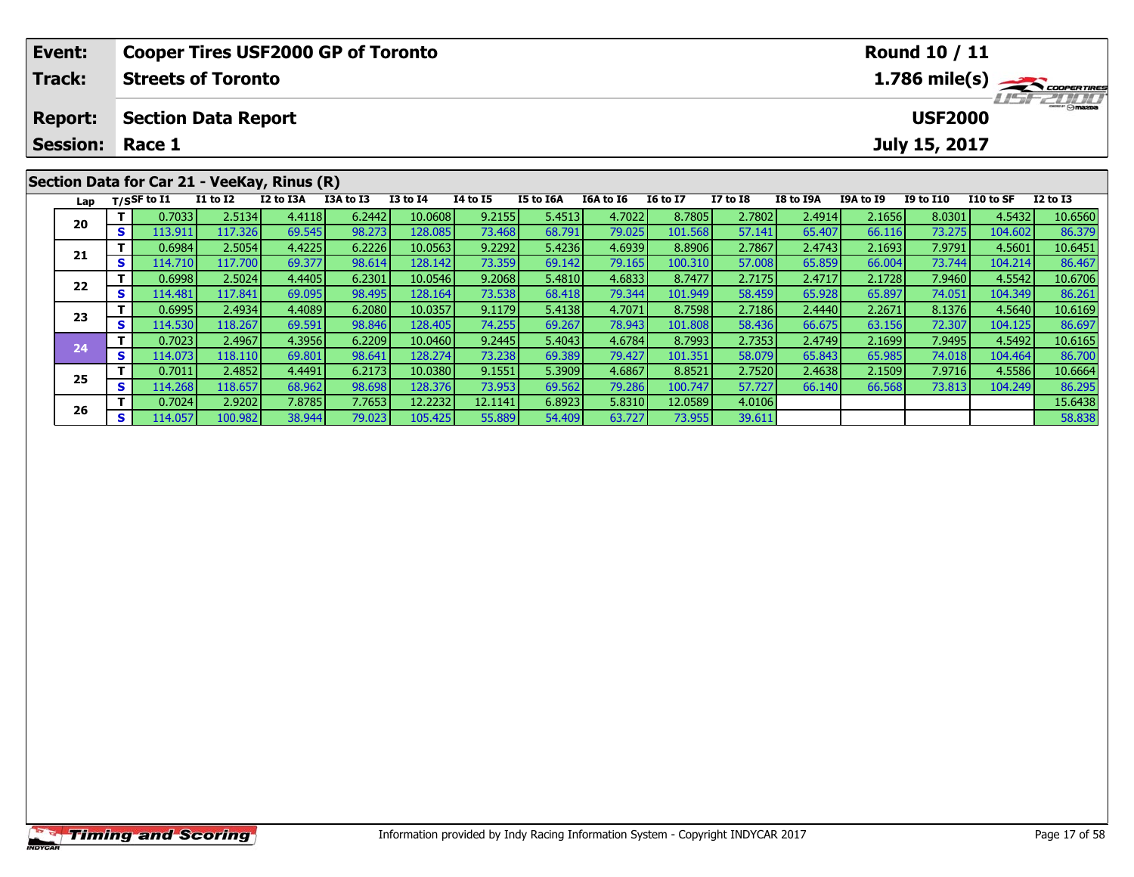| Event:         |                                                           |                                                      |                 | <b>Cooper Tires USF2000 GP of Toronto</b>   |           |                 |                 |           |                  |                 |                 |           |                  | <b>Round 10 / 11</b>            |           |                                            |
|----------------|-----------------------------------------------------------|------------------------------------------------------|-----------------|---------------------------------------------|-----------|-----------------|-----------------|-----------|------------------|-----------------|-----------------|-----------|------------------|---------------------------------|-----------|--------------------------------------------|
| Track:         |                                                           | <b>Streets of Toronto</b>                            |                 |                                             |           |                 |                 |           |                  |                 |                 |           |                  |                                 |           | $1.786$ mile(s) $\rightarrow$ COOPER TIRES |
| <b>Report:</b> |                                                           | <b>Section Data Report</b><br><b>Session: Race 1</b> |                 |                                             |           |                 |                 |           |                  |                 |                 |           |                  | <b>USF2000</b><br>July 15, 2017 |           | LIST 2000                                  |
|                |                                                           |                                                      |                 |                                             |           |                 |                 |           |                  |                 |                 |           |                  |                                 |           |                                            |
|                |                                                           |                                                      |                 | Section Data for Car 21 - VeeKay, Rinus (R) |           |                 |                 |           |                  |                 |                 |           |                  |                                 |           |                                            |
| Lap            |                                                           | T/SSF to I1                                          | <b>I1 to I2</b> | I2 to I3A                                   | I3A to I3 | <b>I3 to I4</b> | <b>I4 to I5</b> | I5 to I6A | I6A to I6        | <b>16 to 17</b> | <b>I7 to I8</b> | I8 to I9A | <b>I9A to I9</b> | <b>I9 to I10</b>                | I10 to SF | $I2$ to $I3$                               |
| 20             |                                                           | 0.7033                                               | 2.5134          | 4.4118                                      | 6.2442    | 10.0608         | 9.2155          | 5.4513    | 4.7022           | 8.7805          | 2.7802          | 2.4914    | 2.1656           | 8.0301                          | 4.5432    | 10.6560                                    |
|                | S I                                                       | 113.911                                              | 117.326         | 69.545                                      | 98.273    | 128.085         | 73.468          | 68.791    | 79.025           | 101.568         | 57.141          | 65.407    | 66.116           | 73.275                          | 104.602   | 86.379                                     |
| 21             | 4.4225<br>6.2226<br>10.0563<br>9.2292<br>2.5054<br>0.6984 |                                                      |                 |                                             |           |                 |                 |           | 5.4236<br>4.6939 | 8.8906          | 2.7867          | 2.4743    | 2.1693           | 7.9791                          | 4.5601    | 10.6451                                    |
|                |                                                           | 114.710                                              | 117.700         | 69.377                                      | 98.614    | 128.142         | 73.359          | 69.142    | 79.165           | 100.310         | 57.008          | 65.859    | 66.004           | 73.744                          | 104.214   | 86.467                                     |

2 T 0.6998 2.5024 4.4405 6.2301 10.0546 9.2068 5.4810 4.6833 8.7477 2.7175 2.4717 2.1728 7.9460 4.5542 10.6706<br>S 114.481 117.841 69.095 98.495 128.164 73.538 68.418 79.344 101.949 58.459 65.928 65.897 74.051 104.349 86.261

**<sup>T</sup>** 0.6995 2.4934 4.4089 6.2080 10.0357 9.1179 5.4138 4.7071 8.7598 2.7186 2.4440 2.2671 8.1376 4.5640 10.6169 **<sup>S</sup>** 114.530 118.267 69.591 98.846 128.405 74.255 69.267 78.943 101.808 58.436 66.675 63.156 72.307 104.125 86.697

**<sup>T</sup>** 0.7023 2.4967 4.3956 6.2209 10.0460 9.2445 5.4043 4.6784 8.7993 2.7353 2.4749 2.1699 7.9495 4.5492 10.6165 **<sup>S</sup>** 114.073 118.110 69.801 98.641 128.274 73.238 69.389 79.427 101.351 58.079 65.843 65.985 74.018 104.464 86.700

**<sup>T</sup>** 0.7011 2.4852 4.4491 6.2173 10.0380 9.1551 5.3909 4.6867 8.8521 2.7520 2.4638 2.1509 7.9716 4.5586 10.6664 **<sup>S</sup>** 114.268 118.657 68.962 98.698 128.376 73.953 69.562 79.286 100.747 57.727 66.140 66.568 73.813 104.249 86.295

**T** 0.7024 2.9202 7.8785 7.7653 12.2232 12.1141 6.8923 5.8310 12.0589 4.0106 15.6438<br>**S S** 114.057 100.982 38.944 79.023 105.425 55.889 54.409 63.727 73.955 39.611 58.838

**22**

**23**

**24**

**25**

**26**

86.467

86.697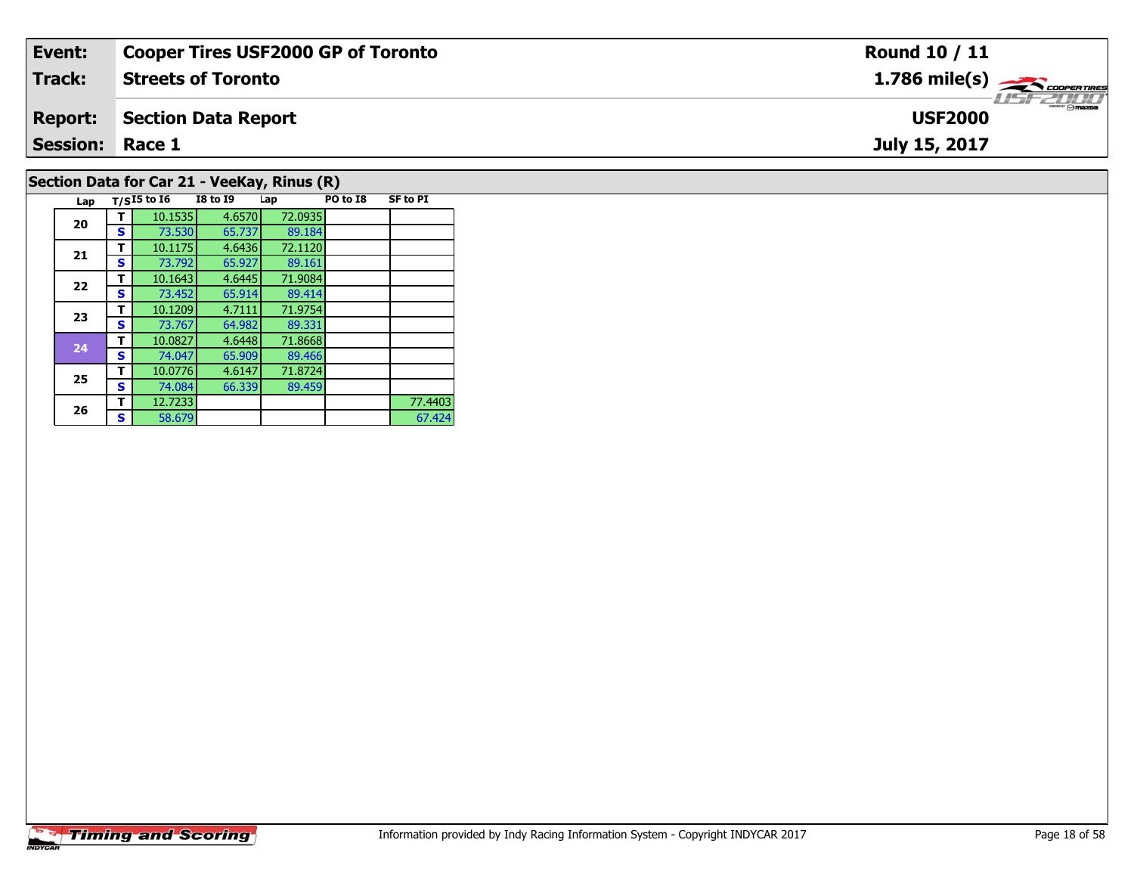| Event:                 | <b>Cooper Tires USF2000 GP of Toronto</b> | <b>Round 10 / 11</b>                                      |
|------------------------|-------------------------------------------|-----------------------------------------------------------|
| Track:                 | <b>Streets of Toronto</b>                 | $1.786$ mile(s) $\overbrace{\hspace{2.5cm}}$ coorer TIRES |
| <b>Report:</b>         | Section Data Report                       | <b>USF2000</b>                                            |
| <b>Session: Race 1</b> |                                           | July 15, 2017                                             |
|                        | $\sqrt{P}$                                |                                                           |

### **Section Data for Car 21 - VeeKay, Rinus (R)**

|    | Lap |   | $T/SI5$ to $I6$ | <b>I8 to 19</b> | Lap     | PO to I8 | <b>SF to PI</b> |
|----|-----|---|-----------------|-----------------|---------|----------|-----------------|
| 20 |     |   | 10.1535         | 4.6570          | 72.0935 |          |                 |
|    |     | S | 73.530          | 65.737          | 89.184  |          |                 |
| 21 |     | т | 10.1175         | 4.6436          | 72.1120 |          |                 |
|    |     | S | 73.792          | 65.927          | 89.161  |          |                 |
| 22 |     | т | 10.1643         | 4.6445          | 71.9084 |          |                 |
|    |     | S | 73.452          | 65.914          | 89.414  |          |                 |
| 23 |     | т | 10.1209         | 4.7111          | 71.9754 |          |                 |
|    |     | S | 73.767          | 64.982          | 89.331  |          |                 |
| 24 |     | т | 10.0827         | 4.6448          | 71.8668 |          |                 |
|    |     | S | 74.047          | 65.909          | 89.466  |          |                 |
| 25 |     | т | 10.0776         | 4.6147          | 71.8724 |          |                 |
|    |     | S | 74.084          | 66.339          | 89.459  |          |                 |
| 26 |     | т | 12.7233         |                 |         |          | 77.4403         |
|    |     | S | 58.679          |                 |         |          | 67.424          |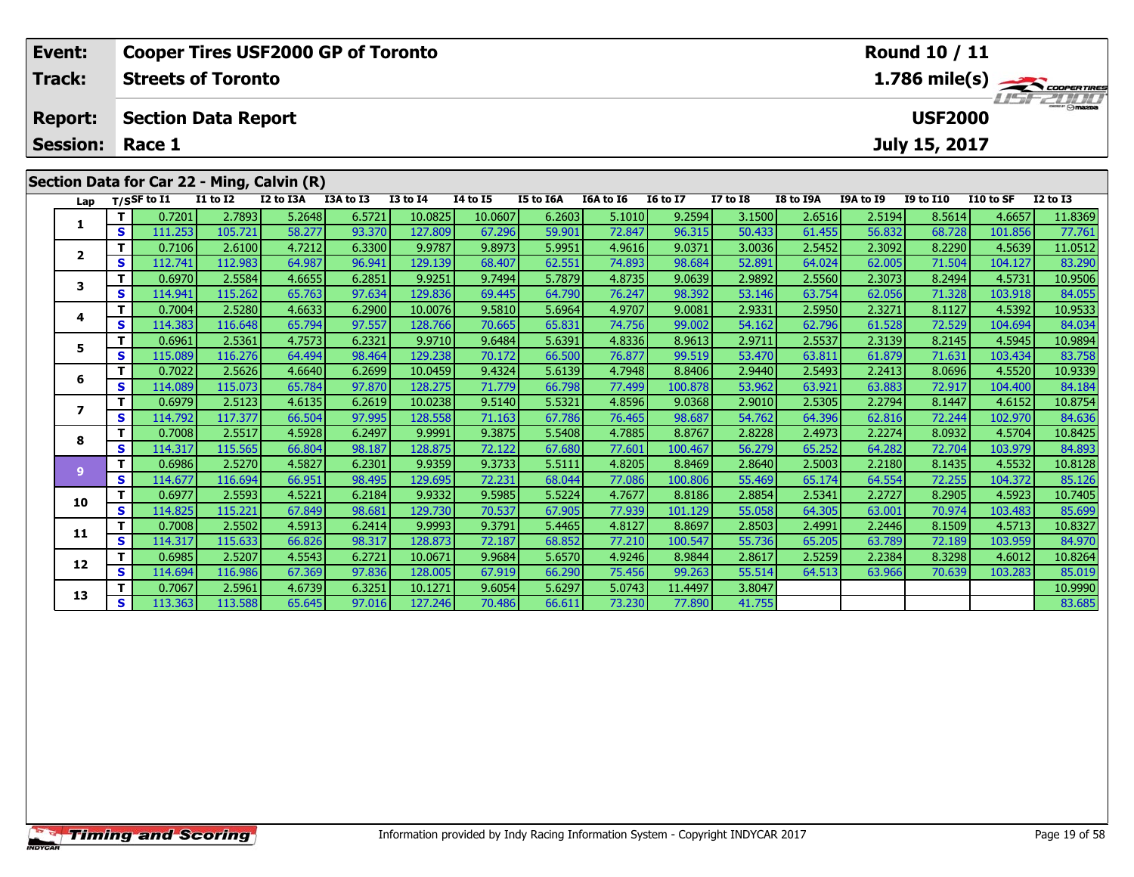| Event:         |                        |                            |                 |                                            | <b>Cooper Tires USF2000 GP of Toronto</b> |                  |          |           |           |                 |                 |           |           | <b>Round 10 / 11</b> |           |                                                            |
|----------------|------------------------|----------------------------|-----------------|--------------------------------------------|-------------------------------------------|------------------|----------|-----------|-----------|-----------------|-----------------|-----------|-----------|----------------------|-----------|------------------------------------------------------------|
| <b>Track:</b>  |                        | <b>Streets of Toronto</b>  |                 |                                            |                                           |                  |          |           |           |                 |                 |           |           |                      |           | $1.786$ mile(s) $\frac{1.786}{\sqrt{2.007677}}$<br>USFZULU |
| <b>Report:</b> |                        | <b>Section Data Report</b> |                 |                                            |                                           |                  |          |           |           |                 |                 |           |           | <b>USF2000</b>       |           |                                                            |
|                | <b>Session: Race 1</b> |                            |                 |                                            |                                           |                  |          |           |           |                 |                 |           |           | July 15, 2017        |           |                                                            |
|                |                        |                            |                 | Section Data for Car 22 - Ming, Calvin (R) |                                           |                  |          |           |           |                 |                 |           |           |                      |           |                                                            |
| Lap            |                        | T/SSF to I1                | <b>I1 to I2</b> | I2 to I3A                                  | I3A to I3                                 | <b>I3 to I4</b>  | 14 to 15 | I5 to I6A | I6A to I6 | <b>16 to 17</b> | <b>I7 to I8</b> | I8 to I9A | I9A to I9 | <b>I9 to I10</b>     | I10 to SF | <b>I2 to I3</b>                                            |
|                |                        | 0.7201                     | 2.7893          | 5.2648                                     | 6.5721                                    | 10.0825          | 10.0607  | 6.2603    | 5.1010    | 9.2594          | 3.1500          | 2.6516    | 2.5194    | 8.5614               | 4.6657    | 11.8369                                                    |
|                | <b>S</b>               | 111.253                    | 105.721         | 58.277                                     | 93.370                                    | 127.809          | 67.296   | 59.901    | 72.847    | 96.315          | 50.433          | 61.455    | 56.832    | 68.728               | 101.856   | 77.761                                                     |
|                |                        | 0.7106                     | 2.6100          | 4.7212                                     | 6.3300                                    | 9.9787           | 9.8973   | 5.9951    | 4.9616    | 9.0371          | 3.0036          | 2.5452    | 2.3092    | 8.2290               | 4.5639    | 11.0512                                                    |
|                | S                      | 112.741                    | 112.983         | 64.987                                     | 96.941                                    | 129.139          | 68.407   | 62.551    | 74.893    | 98.684          | 52.891          | 64.024    | 62.005    | 71.504               | 104.127   | 83.290                                                     |
|                |                        | 0.6970                     | 2.5584          | 4.6655                                     | 6.2851                                    | 9.9251           | 9.7494   | 5.7879    | 4.8735    | 9.0639          | 2.9892          | 2.5560    | 2.3073    | 8.2494               | 4.5731    | 10.9506                                                    |
|                | S                      | 114.941                    | 115.262         | 65.763                                     | 97.634                                    | 129.836          | 69.445   | 64.790    | 76.247    | 98.392          | 53.146          | 63.754    | 62.056    | 71.328               | 103.918   | 84.055                                                     |
|                |                        | 0.7004                     | 2.52801         | 4 66331                                    | 6.29001                                   | 10.0076 <b>L</b> | 95810    | 569641    | 4 9707    | 9.00811         | 293311          | 259501    | 23271     | 8 1127               | 4 53921   | 10 9533                                                    |

|                |    | <u>0.7201</u> | 2.7893  | 5.2648 | 6.5/21 | 10.0825 | 10.0607 | b.2b03 | 5.1010 | 9.2594  | 3.15001 | 2.6516 | 2.5194 | 8.5614 | 4.665/  | 11.8369 |
|----------------|----|---------------|---------|--------|--------|---------|---------|--------|--------|---------|---------|--------|--------|--------|---------|---------|
|                | S  | 111.253       | 105.721 | 58.277 | 93.370 | 127.809 | 67.296  | 59.901 | 72.847 | 96.315  | 50.433  | 61.455 | 56.832 | 68.728 | 101.856 | 77.761  |
| $\overline{2}$ |    | 0.7106        | 2.6100  | 4.7212 | 6.3300 | 9.9787  | 9.8973  | 5.9951 | 4.9616 | 9.0371  | 3.0036  | 2.5452 | 2.3092 | 8.2290 | 4.5639  | 11.0512 |
|                | s  | 112.741       | 112.983 | 64.987 | 96.941 | 129.139 | 68.407  | 62.551 | 74.893 | 98.684  | 52.891  | 64.024 | 62.005 | 71.504 | 104.127 | 83.290  |
| 3              |    | 0.6970        | 2.5584  | 4.6655 | 6.2851 | 9.9251  | 9.7494  | 5.7879 | 4.8735 | 9.0639  | 2.9892  | 2.5560 | 2.3073 | 8.2494 | 4.5731  | 10.9506 |
|                | s  | 114.941       | 115.262 | 65.763 | 97.634 | 129.836 | 69.445  | 64.790 | 76.247 | 98.392  | 53.146  | 63.754 | 62.056 | 71.328 | 103.918 | 84.055  |
| 4              |    | 0.7004        | 2.5280  | 4.6633 | 6.2900 | 10.0076 | 9.5810  | 5.6964 | 4.9707 | 9.0081  | 2.9331  | 2.5950 | 2.3271 | 8.1127 | 4.5392  | 10.9533 |
|                | S  | 114.383       | 116.648 | 65.794 | 97.557 | 128.766 | 70.665  | 65.831 | 74.756 | 99.002  | 54.162  | 62.796 | 61.528 | 72.529 | 104.694 | 84.034  |
| 5              |    | 0.6961        | 2.5361  | 4.7573 | 6.2321 | 9.9710  | 9.6484  | 5.6391 | 4.8336 | 8.9613  | 2.9711  | 2.5537 | 2.3139 | 8.2145 | 4.5945  | 10.9894 |
|                | S  | 115.089       | 116.276 | 64.494 | 98.464 | 129.238 | 70.172  | 66.500 | 76.877 | 99.519  | 53.470  | 63.811 | 61.879 | 71.631 | 103.434 | 83.758  |
| 6              | т  | 0.7022        | 2.5626  | 4.6640 | 6.2699 | 10.0459 | 9.4324  | 5.6139 | 4.7948 | 8.8406  | 2.9440  | 2.5493 | 2.2413 | 8.0696 | 4.5520  | 10.9339 |
|                | S  | 114.089       | 115.073 | 65.784 | 97.870 | 128.275 | 71.779  | 66.798 | 77.499 | 100.878 | 53.962  | 63.921 | 63.883 | 72.917 | 104.400 | 84.184  |
| 7              | т  | 0.6979        | 2.5123  | 4.6135 | 6.2619 | 10.0238 | 9.5140  | 5.5321 | 4.8596 | 9.0368  | 2.9010  | 2.5305 | 2.2794 | 8.1447 | 4.6152  | 10.8754 |
|                | S  | 114.792       | 117.377 | 66.504 | 97.995 | 128.558 | 71.163  | 67.786 | 76.465 | 98.687  | 54.762  | 64.396 | 62.816 | 72.244 | 102.970 | 84.636  |
| 8              | т  | 0.7008        | 2.5517  | 4.5928 | 6.2497 | 9.9991  | 9.3875  | 5.5408 | 4.7885 | 8.8767  | 2.8228  | 2.4973 | 2.2274 | 8.0932 | 4.5704  | 10.8425 |
|                | S  | 114.317       | 115.565 | 66.804 | 98.187 | 128.875 | 72.122  | 67.680 | 77.601 | 100.467 | 56.279  | 65.252 | 64.282 | 72.704 | 103.979 | 84.893  |
| 9              |    | 0.6986        | 2.5270  | 4.5827 | 6.2301 | 9.9359  | 9.3733  | 5.5111 | 4.8205 | 8.8469  | 2.8640  | 2.5003 | 2.2180 | 8.1435 | 4.5532  | 10.8128 |
|                | s  | 114.677       | 116.694 | 66.951 | 98.495 | 129.695 | 72.231  | 68.044 | 77.086 | 100.806 | 55.469  | 65.174 | 64.554 | 72.255 | 104.372 | 85.126  |
| 10             |    | 0.6977        | 2.5593  | 4.5221 | 6.2184 | 9.9332  | 9.5985  | 5.5224 | 4.7677 | 8.8186  | 2.8854  | 2.5341 | 2.2727 | 8.2905 | 4.5923  | 10.7405 |
|                | S  | 114.825       | 115.221 | 67.849 | 98.681 | 129.730 | 70.537  | 67.905 | 77.939 | 101.129 | 55.058  | 64.305 | 63.001 | 70.974 | 103.483 | 85.699  |
| 11             |    | 0.7008        | 2.5502  | 4.5913 | 6.2414 | 9.9993  | 9.3791  | 5.4465 | 4.8127 | 8.8697  | 2.8503  | 2.4991 | 2.2446 | 8.1509 | 4.5713  | 10.8327 |
|                | S  | 114.317       | 115.633 | 66.826 | 98.317 | 128.873 | 72.187  | 68.852 | 77.210 | 100.547 | 55.736  | 65.205 | 63.789 | 72.189 | 103.959 | 84.970  |
| 12             | T. | 0.6985        | 2.5207  | 4.5543 | 6.2721 | 10.0671 | 9.9684  | 5.6570 | 4.9246 | 8.9844  | 2.8617  | 2.5259 | 2.2384 | 8.3298 | 4.6012  | 10.8264 |
|                | S  | 114.694       | 116.986 | 67.369 | 97.836 | 128.005 | 67.919  | 66.290 | 75.456 | 99.263  | 55.514  | 64.513 | 63.966 | 70.639 | 103.283 | 85.019  |
| 13             |    | 0.7067        | 2.5961  | 4.6739 | 6.3251 | 10.1271 | 9.6054  | 5.6297 | 5.0743 | 11.4497 | 3.8047  |        |        |        |         | 10.9990 |
|                | S  | 113.363       | 113.588 | 65.645 | 97.016 | 127.246 | 70.486  | 66.611 | 73.230 | 77.890  | 41.755  |        |        |        |         | 83.685  |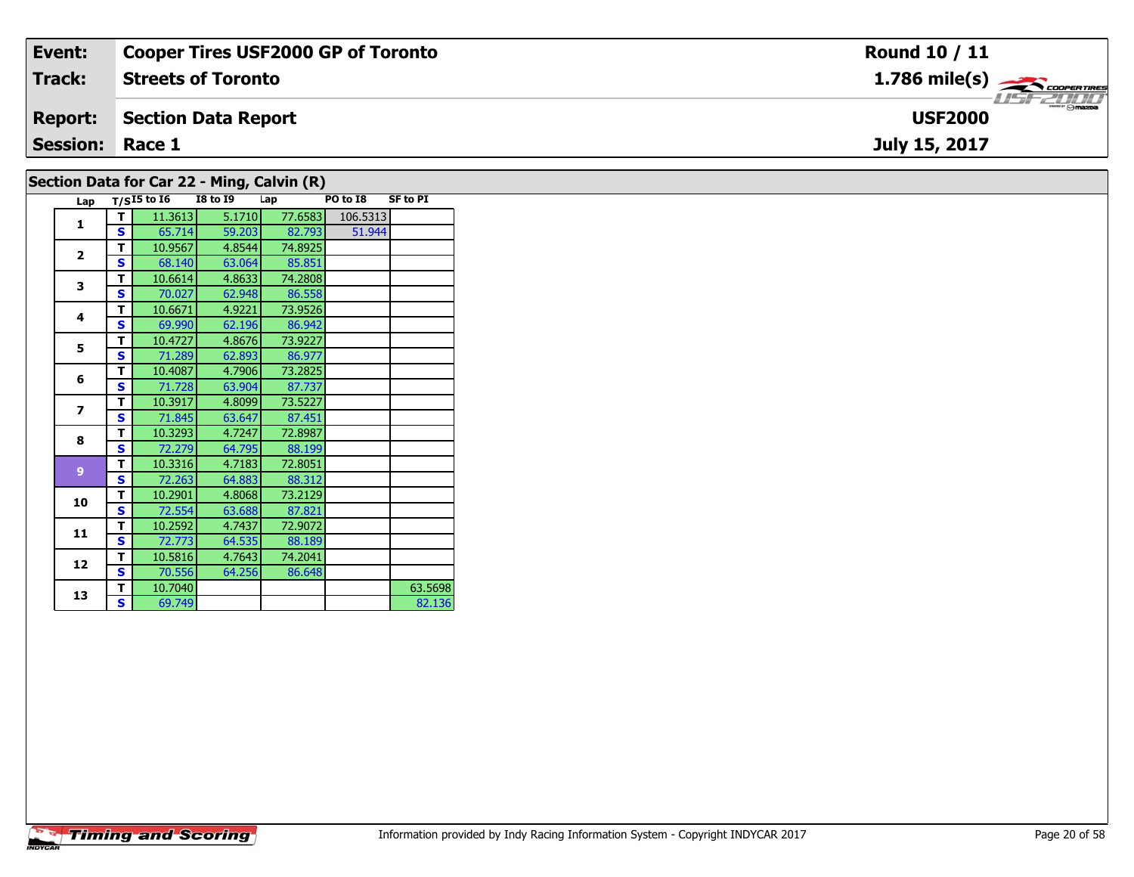| Event:                 | <b>Cooper Tires USF2000 GP of Toronto</b>                                                | Round 10 / 11                                                                                                                                                                                                                                                                                                                                                                                                                                                                                     |
|------------------------|------------------------------------------------------------------------------------------|---------------------------------------------------------------------------------------------------------------------------------------------------------------------------------------------------------------------------------------------------------------------------------------------------------------------------------------------------------------------------------------------------------------------------------------------------------------------------------------------------|
| Track:                 | <b>Streets of Toronto</b>                                                                | $1.786$ mile(s) $\rightarrow$ COOPER TIRES                                                                                                                                                                                                                                                                                                                                                                                                                                                        |
| <b>Report:</b>         | Section Data Report                                                                      | $\overline{\phantom{a}}$ $\overline{\phantom{a}}$ $\overline{\phantom{a}}$ $\overline{\phantom{a}}$ $\overline{\phantom{a}}$ $\overline{\phantom{a}}$ $\overline{\phantom{a}}$ $\overline{\phantom{a}}$ $\overline{\phantom{a}}$ $\overline{\phantom{a}}$ $\overline{\phantom{a}}$ $\overline{\phantom{a}}$ $\overline{\phantom{a}}$ $\overline{\phantom{a}}$ $\overline{\phantom{a}}$ $\overline{\phantom{a}}$ $\overline{\phantom{a}}$ $\overline{\phantom{a}}$ $\overline{\$<br><b>USF2000</b> |
| <b>Session: Race 1</b> |                                                                                          | July 15, 2017                                                                                                                                                                                                                                                                                                                                                                                                                                                                                     |
|                        | $\overline{a}$ . The state $\overline{a}$ and $\overline{a}$ is the state $\overline{a}$ |                                                                                                                                                                                                                                                                                                                                                                                                                                                                                                   |

### **Section Data for Car 22 - Ming, Calvin (R)**

| Lap                      |   | $T/SI5$ to $I6$ | <b>I8 to 19</b> | Lap     | PO to I8 | <b>SF to PI</b> |
|--------------------------|---|-----------------|-----------------|---------|----------|-----------------|
| $\mathbf{1}$             | т | 11.3613         | 5.1710          | 77.6583 | 106.5313 |                 |
|                          | S | 65.714          | 59.203          | 82.793  | 51.944   |                 |
| $\overline{2}$           | т | 10.9567         | 4.8544          | 74.8925 |          |                 |
|                          | S | 68.140          | 63.064          | 85.851  |          |                 |
| 3                        | т | 10.6614         | 4.8633          | 74.2808 |          |                 |
|                          | S | 70.027          | 62.948          | 86.558  |          |                 |
| 4                        | т | 10.6671         | 4.9221          | 73.9526 |          |                 |
|                          | S | 69.990          | 62.196          | 86.942  |          |                 |
| 5                        | т | 10.4727         | 4.8676          | 73.9227 |          |                 |
|                          | Ś | 71.289          | 62.893          | 86.977  |          |                 |
| 6                        | т | 10.4087         | 4.7906          | 73.2825 |          |                 |
|                          | S | 71.728          | 63.904          | 87.737  |          |                 |
| $\overline{\phantom{a}}$ | т | 10.3917         | 4.8099          | 73.5227 |          |                 |
|                          | S | 71.845          | 63.647          | 87.451  |          |                 |
| 8                        | т | 10.3293         | 4.7247          | 72.8987 |          |                 |
|                          | S | 72.279          | 64.795          | 88.199  |          |                 |
| 9                        | т | 10.3316         | 4.7183          | 72.8051 |          |                 |
|                          | S | 72.263          | 64.883          | 88.312  |          |                 |
| 10                       | т | 10.2901         | 4.8068          | 73.2129 |          |                 |
|                          | S | 72.554          | 63.688          | 87.821  |          |                 |
| 11                       | т | 10.2592         | 4.7437          | 72.9072 |          |                 |
|                          | S | 72.773          | 64.535          | 88.189  |          |                 |
| 12                       | т | 10.5816         | 4.7643          | 74.2041 |          |                 |
|                          | S | 70.556          | 64.256          | 86.648  |          |                 |
| 13                       | т | 10.7040         |                 |         |          | 63.5698         |
|                          | S | 69.749          |                 |         |          | 82.136          |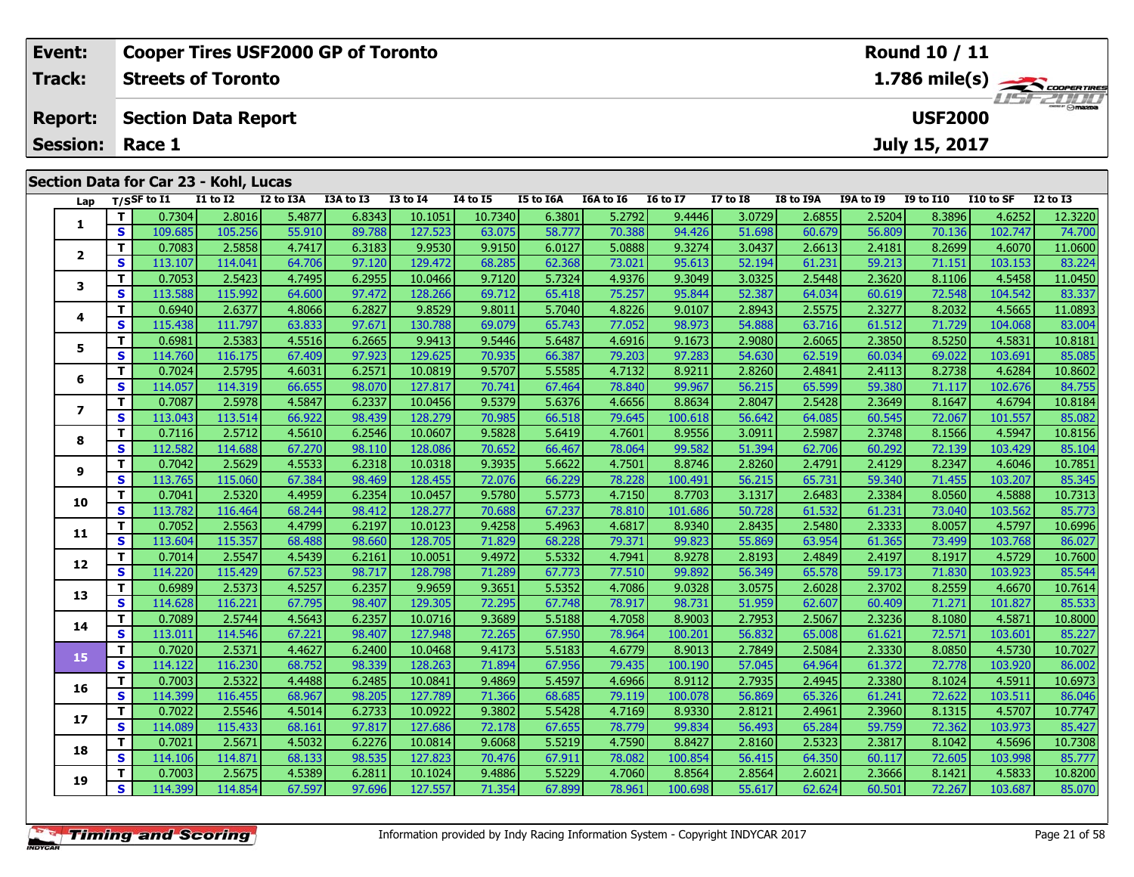|                                              | Event: |            |                |                                       | <b>Cooper Tires USF2000 GP of Toronto</b> |                       |                 |          |           |           |                 |                 |               |                  | Round 10 / 11  |            |                                                    |
|----------------------------------------------|--------|------------|----------------|---------------------------------------|-------------------------------------------|-----------------------|-----------------|----------|-----------|-----------|-----------------|-----------------|---------------|------------------|----------------|------------|----------------------------------------------------|
|                                              | Track: |            |                | <b>Streets of Toronto</b>             |                                           |                       |                 |          |           |           |                 |                 |               |                  |                |            | $1.786$ mile(s) $\rightarrow$ COOPER TIRES         |
| <b>Section Data Report</b><br><b>Report:</b> |        |            |                |                                       |                                           |                       |                 |          |           |           |                 |                 |               |                  | <b>USF2000</b> |            | <b>USFZULU</b>                                     |
| <b>Session:</b><br>Race 1                    |        |            |                |                                       |                                           |                       |                 |          |           |           |                 |                 | July 15, 2017 |                  |                |            |                                                    |
|                                              |        |            |                | Section Data for Car 23 - Kohl, Lucas |                                           |                       |                 |          |           |           |                 |                 |               |                  |                |            |                                                    |
|                                              | Lap    |            | $T/S$ SF to I1 | I1 to I2                              | I2 to I3A                                 | I3A to I3             | <b>I3 to I4</b> | 14 to 15 | I5 to I6A | I6A to I6 | <b>I6 to I7</b> | <b>I7 to I8</b> | I8 to I9A     | <b>I9A to I9</b> | I9 to I10      | I 10 to SF | <b>I2 to I3</b>                                    |
|                                              |        |            | 0.7304         | 2.8016                                | 5.4877                                    | 6.8343                | 10.1051         | 10.7340  | 6.3801    | 5.2792    | 9.4446          | 3.0729          | 2.6855        | 2.5204           | 8.3896         | 4.6252     | 12.3220                                            |
|                                              |        | S.         | 109.685        | 105.256                               | 55.910                                    | 89.788                | 127.523         | 63.075   | 58.777    | 70.388    | 94.426          | 51.698          | 60.679        | 56.809           | 70.136         | 102.747    | 74.700                                             |
|                                              |        | <u>т н</u> | n zoop L       | o rorol.                              | 17117                                     | $\epsilon$ 2102 $\pm$ | o orgal         | 0.0101   | 0.0127    | r oggal.  | التحدده         | 20022           | 2001          | 2.4101           | lo propi       | 10220      | $\left  \right $ $\left  \right $ $\left  \right $ |

| 1                       | Т                       | 0.7304  | 2.8016  | 5.4877 | 6.8343 | 10.1051 | 10.7340 | 6.3801 | 5.2792 | 9.4446  | 3.0729 | 2.6855 | 2.5204 | 8.3896 | 4.6252  | 12.3220 |
|-------------------------|-------------------------|---------|---------|--------|--------|---------|---------|--------|--------|---------|--------|--------|--------|--------|---------|---------|
|                         | $\mathbf{s}$            | 109.685 | 105.256 | 55.910 | 89.788 | 127.523 | 63.075  | 58.777 | 70.388 | 94.426  | 51.698 | 60.679 | 56.809 | 70.136 | 102.747 | 74.700  |
| $\overline{\mathbf{2}}$ | Т                       | 0.7083  | 2.5858  | 4.7417 | 6.3183 | 9.9530  | 9.9150  | 6.0127 | 5.0888 | 9.3274  | 3.0437 | 2.6613 | 2.4181 | 8.2699 | 4.6070  | 11.0600 |
|                         | S                       | 113.107 | 114.041 | 64.706 | 97.120 | 129.472 | 68.285  | 62.368 | 73.021 | 95.613  | 52.194 | 61.231 | 59.213 | 71.151 | 103.153 | 83.224  |
| 3                       | T.                      | 0.7053  | 2.5423  | 4.7495 | 6.2955 | 10.0466 | 9.7120  | 5.7324 | 4.9376 | 9.3049  | 3.0325 | 2.5448 | 2.3620 | 8.1106 | 4.5458  | 11.0450 |
|                         | S                       | 113.588 | 115.992 | 64.600 | 97.472 | 128.266 | 69.712  | 65.418 | 75.257 | 95.844  | 52.387 | 64.034 | 60.619 | 72.548 | 104.542 | 83.337  |
| 4                       | Т                       | 0.6940  | 2.6377  | 4.8066 | 6.2827 | 9.8529  | 9.8011  | 5.7040 | 4.8226 | 9.0107  | 2.8943 | 2.5575 | 2.3277 | 8.2032 | 4.5665  | 11.0893 |
|                         | S                       | 115.438 | 111.797 | 63.833 | 97.671 | 130.788 | 69.079  | 65.743 | 77.052 | 98.973  | 54.888 | 63.716 | 61.512 | 71.729 | 104.068 | 83.004  |
| 5                       | T.                      | 0.6981  | 2.5383  | 4.5516 | 6.2665 | 9.9413  | 9.5446  | 5.6487 | 4.6916 | 9.1673  | 2.9080 | 2.6065 | 2.3850 | 8.5250 | 4.5831  | 10.8181 |
|                         | S                       | 114.760 | 116.175 | 67.409 | 97.923 | 129.625 | 70.935  | 66.387 | 79.203 | 97.283  | 54.630 | 62.519 | 60.034 | 69.022 | 103.691 | 85.085  |
| 6                       | T.                      | 0.7024  | 2.5795  | 4.6031 | 6.2571 | 10.0819 | 9.5707  | 5.5585 | 4.7132 | 8.9211  | 2.8260 | 2.4841 | 2.4113 | 8.2738 | 4.6284  | 10.8602 |
|                         | $\overline{\mathbf{s}}$ | 114.057 | 114.319 | 66.655 | 98.070 | 127.817 | 70.741  | 67.464 | 78.840 | 99.967  | 56.215 | 65.599 | 59.380 | 71.117 | 102.676 | 84.755  |
| $\overline{\mathbf{z}}$ | т                       | 0.7087  | 2.5978  | 4.5847 | 6.2337 | 10.0456 | 9.5379  | 5.6376 | 4.6656 | 8.8634  | 2.8047 | 2.5428 | 2.3649 | 8.1647 | 4.6794  | 10.8184 |
|                         | S                       | 113.043 | 113.514 | 66.922 | 98.439 | 128,279 | 70.985  | 66.518 | 79.645 | 100.618 | 56.642 | 64.085 | 60.545 | 72.067 | 101.557 | 85.082  |
| 8                       | T.                      | 0.7116  | 2.5712  | 4.5610 | 6.2546 | 10.0607 | 9.5828  | 5.6419 | 4.7601 | 8.9556  | 3.0911 | 2.5987 | 2.3748 | 8.1566 | 4.5947  | 10.8156 |
|                         | $\mathbf{s}$            | 112.582 | 114.688 | 67.270 | 98.110 | 128.086 | 70.652  | 66.467 | 78.064 | 99.582  | 51.394 | 62.706 | 60.292 | 72.139 | 103.429 | 85.104  |
| 9                       | T                       | 0.7042  | 2.5629  | 4.5533 | 6.2318 | 10.0318 | 9.3935  | 5.6622 | 4.7501 | 8.8746  | 2.8260 | 2.4791 | 2.4129 | 8.2347 | 4.6046  | 10.7851 |
|                         | S                       | 113.765 | 115.060 | 67.384 | 98.469 | 128.455 | 72.076  | 66.229 | 78.228 | 100.491 | 56.215 | 65.731 | 59.340 | 71.455 | 103.207 | 85.345  |
| 10                      | T.                      | 0.7041  | 2.5320  | 4.4959 | 6.2354 | 10.0457 | 9.5780  | 5.5773 | 4.7150 | 8.7703  | 3.1317 | 2.6483 | 2.3384 | 8.0560 | 4.5888  | 10.7313 |
|                         | $\mathbf{s}$            | 113.782 | 116.464 | 68.244 | 98.412 | 128.277 | 70.688  | 67.237 | 78.810 | 101.686 | 50.728 | 61.532 | 61.231 | 73.040 | 103.562 | 85.773  |
| 11                      | T.                      | 0.7052  | 2.5563  | 4.4799 | 6.2197 | 10.0123 | 9.4258  | 5.4963 | 4.6817 | 8.9340  | 2.8435 | 2.5480 | 2.3333 | 8.0057 | 4.5797  | 10.6996 |
|                         | S                       | 113.604 | 115.357 | 68.488 | 98.660 | 128.705 | 71.829  | 68.228 | 79.371 | 99.823  | 55.869 | 63.954 | 61.365 | 73.499 | 103.768 | 86.027  |
| 12                      | T.                      | 0.7014  | 2.5547  | 4.5439 | 6.2161 | 10.0051 | 9.4972  | 5.5332 | 4.7941 | 8.9278  | 2.8193 | 2.4849 | 2.4197 | 8.1917 | 4.5729  | 10.7600 |
|                         | S                       | 114.220 | 115.429 | 67.523 | 98.717 | 128.798 | 71.289  | 67.773 | 77.510 | 99.892  | 56.349 | 65.578 | 59.173 | 71.830 | 103.923 | 85.544  |
| 13                      | T.                      | 0.6989  | 2.5373  | 4.5257 | 6.2357 | 9.9659  | 9.3651  | 5.5352 | 4.7086 | 9.0328  | 3.0575 | 2.6028 | 2.3702 | 8.2559 | 4.6670  | 10.7614 |
|                         | S                       | 114.628 | 116.221 | 67.795 | 98.407 | 129.305 | 72.295  | 67.748 | 78.917 | 98.731  | 51.959 | 62.607 | 60.409 | 71.271 | 101.827 | 85.533  |
| 14                      | T.                      | 0.7089  | 2.5744  | 4.5643 | 6.2357 | 10.0716 | 9.3689  | 5.5188 | 4.7058 | 8.9003  | 2.7953 | 2.5067 | 2.3236 | 8.1080 | 4.5871  | 10.8000 |
|                         | S                       | 113.011 | 114.546 | 67.221 | 98.407 | 127.948 | 72.265  | 67.950 | 78.964 | 100.201 | 56.832 | 65.008 | 61.621 | 72.571 | 103.601 | 85.227  |
| 15                      | T.                      | 0.7020  | 2.5371  | 4.4627 | 6.2400 | 10.0468 | 9.4173  | 5.5183 | 4.6779 | 8.9013  | 2.7849 | 2.5084 | 2.3330 | 8.0850 | 4.5730  | 10.7027 |
|                         | $\mathbf{s}$            | 114.122 | 116.230 | 68.752 | 98.339 | 128.263 | 71.894  | 67.956 | 79.435 | 100.190 | 57.045 | 64.964 | 61.372 | 72.778 | 103.920 | 86.002  |
| 16                      | T                       | 0.7003  | 2.5322  | 4.4488 | 6.2485 | 10.0841 | 9.4869  | 5.4597 | 4.6966 | 8.9112  | 2.7935 | 2.4945 | 2.3380 | 8.1024 | 4.5911  | 10.6973 |
|                         | S                       | 114.399 | 116.455 | 68.967 | 98.205 | 127.789 | 71.366  | 68.685 | 79.119 | 100.078 | 56.869 | 65.326 | 61.241 | 72.622 | 103.511 | 86.046  |
| 17                      | $\mathbf{T}$            | 0.7022  | 2.5546  | 4.5014 | 6.2733 | 10.0922 | 9.3802  | 5.5428 | 4.7169 | 8.9330  | 2.8121 | 2.4961 | 2.3960 | 8.1315 | 4.5707  | 10.7747 |
|                         | S                       | 114.089 | 115.433 | 68.161 | 97.817 | 127.686 | 72.178  | 67.655 | 78.779 | 99.834  | 56.493 | 65.284 | 59.759 | 72.362 | 103.973 | 85.427  |
| 18                      | T.                      | 0.7021  | 2.5671  | 4.5032 | 6.2276 | 10.0814 | 9.6068  | 5.5219 | 4.7590 | 8.8427  | 2.8160 | 2.5323 | 2.3817 | 8.1042 | 4.5696  | 10.7308 |
|                         | S                       | 114.106 | 114.871 | 68.133 | 98.535 | 127.823 | 70.476  | 67.911 | 78.082 | 100.854 | 56.415 | 64.350 | 60.117 | 72.605 | 103.998 | 85.777  |
| 19                      | T.                      | 0.7003  | 2.5675  | 4.5389 | 6.2811 | 10.1024 | 9.4886  | 5.5229 | 4.7060 | 8.8564  | 2.8564 | 2.6021 | 2.3666 | 8.1421 | 4.5833  | 10.8200 |
|                         | S                       | 114.399 | 114.854 | 67.597 | 97.696 | 127.557 | 71.354  | 67.899 | 78.961 | 100.698 | 55.617 | 62.624 | 60.501 | 72.267 | 103.687 | 85.070  |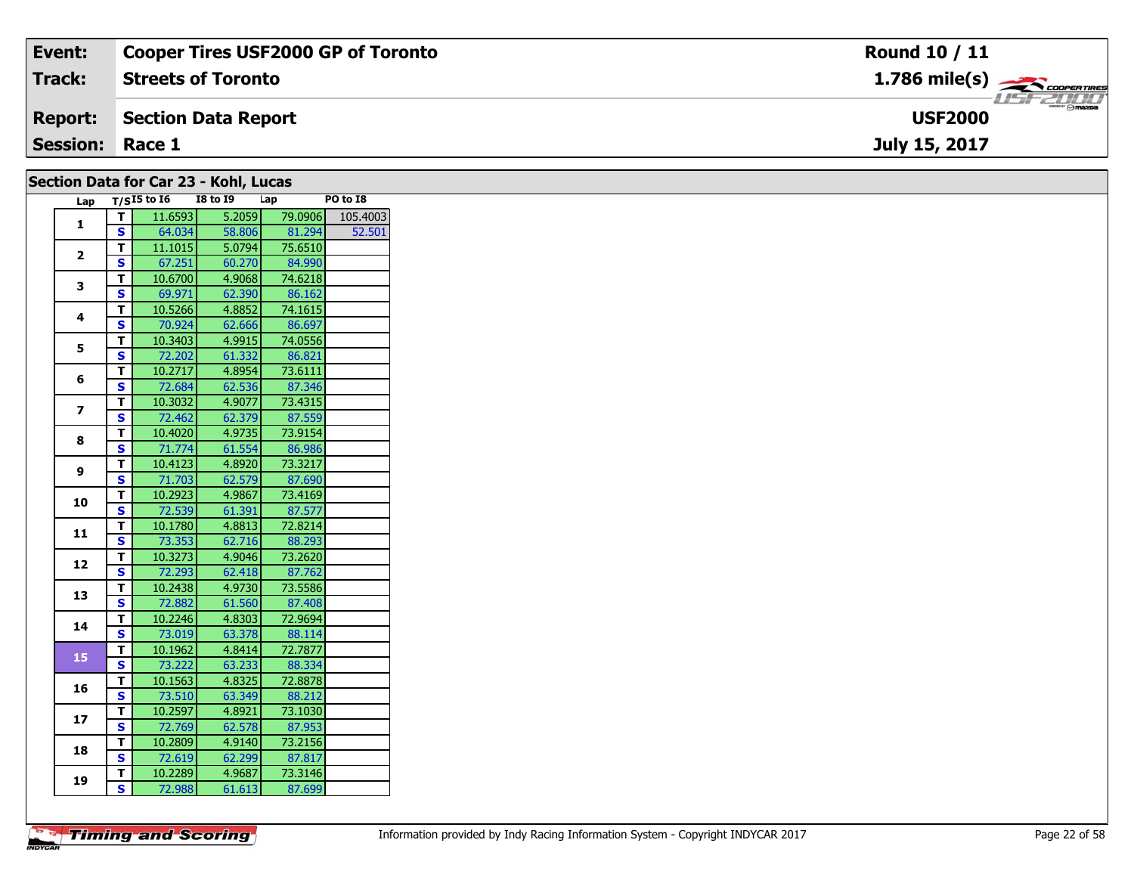| Event:                 | <b>Cooper Tires USF2000 GP of Toronto</b>             | <b>Round 10 / 11</b>                                                                                                                                                                                                                                                                                                                                                                                                                                                                              |
|------------------------|-------------------------------------------------------|---------------------------------------------------------------------------------------------------------------------------------------------------------------------------------------------------------------------------------------------------------------------------------------------------------------------------------------------------------------------------------------------------------------------------------------------------------------------------------------------------|
| <b>Track:</b>          | <b>Streets of Toronto</b>                             |                                                                                                                                                                                                                                                                                                                                                                                                                                                                                                   |
| <b>Report:</b>         | Section Data Report                                   | $\overline{\phantom{a}}$ $\overline{\phantom{a}}$ $\overline{\phantom{a}}$ $\overline{\phantom{a}}$ $\overline{\phantom{a}}$ $\overline{\phantom{a}}$ $\overline{\phantom{a}}$ $\overline{\phantom{a}}$ $\overline{\phantom{a}}$ $\overline{\phantom{a}}$ $\overline{\phantom{a}}$ $\overline{\phantom{a}}$ $\overline{\phantom{a}}$ $\overline{\phantom{a}}$ $\overline{\phantom{a}}$ $\overline{\phantom{a}}$ $\overline{\phantom{a}}$ $\overline{\phantom{a}}$ $\overline{\$<br><b>USF2000</b> |
| <b>Session: Race 1</b> |                                                       | July 15, 2017                                                                                                                                                                                                                                                                                                                                                                                                                                                                                     |
|                        | $0.11.1$ $0.11.1$ $0.11.1$ $0.11.1$ $0.11.1$ $0.11.1$ |                                                                                                                                                                                                                                                                                                                                                                                                                                                                                                   |

| Lap            |                         | $T/SI5$ to 16 | <b>I8 to 19</b> | Lap |         | PO to I8 |
|----------------|-------------------------|---------------|-----------------|-----|---------|----------|
| 1              | $\mathbf T$             | 11.6593       | 5.2059          |     | 79.0906 | 105.4003 |
|                | $\mathbf{s}$            | 64.034        | 58.806          |     | 81.294  | 52.501   |
|                | T                       | 11.1015       | 5.0794          |     | 75.6510 |          |
| $\mathbf{2}$   | S                       | 67.251        | 60.270          |     | 84.990  |          |
| 3              | $\mathbf T$             | 10.6700       | 4.9068          |     | 74.6218 |          |
|                | $\mathbf{s}$            | 69.971        | 62.390          |     | 86.162  |          |
| 4              | T                       | 10.5266       | 4.8852          |     | 74.1615 |          |
|                | $\mathbf{s}$            | 70.924        | 62.666          |     | 86.697  |          |
| 5              | T                       | 10.3403       | 4.9915          |     | 74.0556 |          |
|                | $\mathbf{s}$            | 72.202        | 61.332          |     | 86.821  |          |
| 6              | T                       | 10.2717       | 4.8954          |     | 73.6111 |          |
|                | S                       | 72.684        | 62.536          |     | 87.346  |          |
| $\overline{ }$ | T                       | 10.3032       | 4.9077          |     | 73.4315 |          |
|                | $\mathbf{s}$            | 72.462        | 62.379          |     | 87.559  |          |
| 8              | T                       | 10.4020       | 4.9735          |     | 73.9154 |          |
|                | S                       | 71.774        | 61.554          |     | 86.986  |          |
| 9              | т                       | 10.4123       | 4.8920          |     | 73.3217 |          |
|                | S                       | 71.703        | 62.579          |     | 87.690  |          |
| 10             | T.                      | 10.2923       | 4.9867          |     | 73.4169 |          |
|                | S                       | 72.539        | 61.391          |     | 87.577  |          |
| 11             | T                       | 10.1780       | 4.8813          |     | 72.8214 |          |
|                | $\overline{\mathbf{s}}$ | 73.353        | 62.716          |     | 88.293  |          |
| 12             | T                       | 10.3273       | 4.9046          |     | 73.2620 |          |
|                | $\overline{\mathbf{s}}$ | 72.293        | 62.418          |     | 87.762  |          |
| 13             | T                       | 10.2438       | 4.9730          |     | 73.5586 |          |
|                | S                       | 72.882        | 61.560          |     | 87.408  |          |
| 14             | T                       | 10.2246       | 4.8303          |     | 72.9694 |          |
|                | S                       | 73.019        | 63.378          |     | 88.114  |          |
| 15             | T.                      | 10.1962       | 4.8414          |     | 72.7877 |          |
|                | <b>S</b>                | 73.222        | 63.233          |     | 88.334  |          |
| 16             | T                       | 10.1563       | 4.8325          |     | 72.8878 |          |
|                | S                       | 73.510        | 63.349          |     | 88.212  |          |
| 17             | T                       | 10.2597       | 4.8921          |     | 73.1030 |          |
|                | S                       | 72.769        | 62.578          |     | 87.953  |          |
| 18             | T                       | 10.2809       | 4.9140          |     | 73.2156 |          |
|                | S                       | 72.619        | 62.299          |     | 87.817  |          |
| 19             | T.                      | 10.2289       | 4.9687          |     | 73.3146 |          |
|                | S                       | 72.988        | 61.613          |     | 87.699  |          |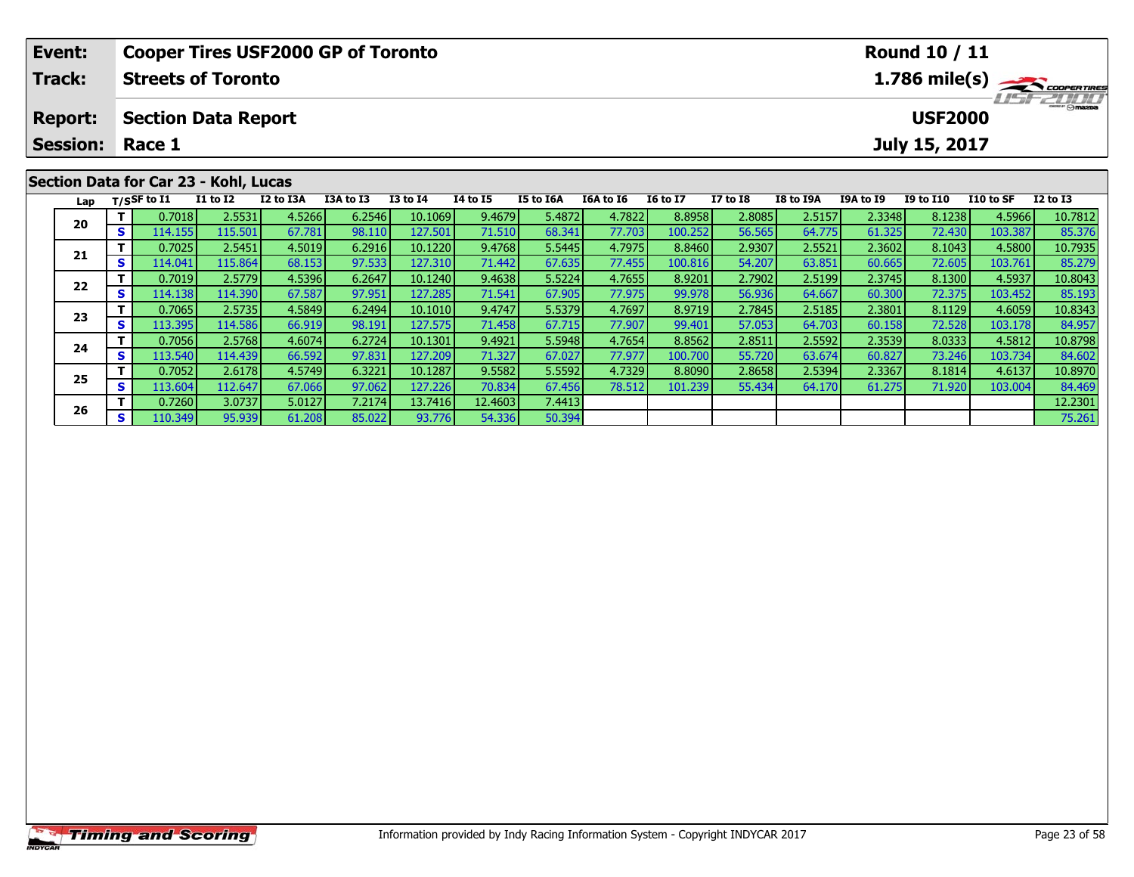| Event:          |    |                                      |                                       | <b>Cooper Tires USF2000 GP of Toronto</b> |           |                 |                 |                  |                  |                 |                 |           |           | Round 10 / 11    |           |                         |
|-----------------|----|--------------------------------------|---------------------------------------|-------------------------------------------|-----------|-----------------|-----------------|------------------|------------------|-----------------|-----------------|-----------|-----------|------------------|-----------|-------------------------|
| <b>Track:</b>   |    |                                      | <b>Streets of Toronto</b>             |                                           |           |                 |                 |                  |                  |                 |                 |           |           |                  |           | $1.786 \text{ mile(s)}$ |
| <b>Report:</b>  |    |                                      | <b>Section Data Report</b>            |                                           |           |                 |                 |                  |                  |                 |                 |           |           | <b>USF2000</b>   |           | <b>USFZULU</b>          |
| <b>Session:</b> |    | Race 1                               |                                       |                                           |           |                 |                 |                  |                  |                 |                 |           |           | July 15, 2017    |           |                         |
|                 |    |                                      | Section Data for Car 23 - Kohl, Lucas |                                           |           |                 |                 |                  |                  |                 |                 |           |           |                  |           |                         |
|                 |    | Lap $T/SSF$ to I1                    | <b>I1 to I2</b>                       | I2 to I3A                                 | I3A to I3 | <b>I3 to I4</b> | <b>I4 to I5</b> | <b>I5 to I6A</b> | <b>I6A to I6</b> | <b>16 to 17</b> | <b>I7 to I8</b> | I8 to I9A | I9A to I9 | <b>I9 to I10</b> | I10 to SF | $I2$ to $I3$            |
| 20              |    | 0.7018                               | 2.5531                                | 4.5266                                    | 6.2546    | 10.1069         | 9.4679          | 5.4872           | 4.7822           | 8.8958          | 2.8085          | 2.5157    | 2.3348    | 8.1238           | 4.5966    | 10.7812                 |
|                 | S. | 114.155                              | 115.501                               | 67.781                                    | 98.110    | 127.501         | 71.510          | 68.341           | 77.703           | 100.252         | 56.565          | 64.775    | 61.325    | 72.430           | 103.387   | 85.376                  |
|                 |    | 6.2916<br>2.5451<br>4.5019<br>0.7025 |                                       |                                           |           | 10.1220         | 9.4768          | 5.5445           | 4.7975           | 8.8460          | 2.9307          | 2.5521    | 2.3602    | 8.1043           | 4.5800    | 10.7935                 |
| 21              |    | 114.041                              | 115.864                               | 68.153                                    | 97.533    | 127.310         | 71.442          | 67.635           | 77.455           | 100.816         | 54.207          | 63.851    | 60.665    | 72.605           | 103.761   | 85.279                  |

2 T 0.7019 2.5779 4.5396 6.2647 10.1240 9.4638 5.5224 4.7655 8.9201 2.7902 2.5199 2.3745 8.1300 4.5937 10.8043<br>2 S 114.138 114.390 67.587 97.951 127.285 71.541 67.905 77.975 99.978 56.936 64.667 60.300 72.375 103.452 85.19

**<sup>T</sup>** 0.7065 2.5735 4.5849 6.2494 10.1010 9.4747 5.5379 4.7697 8.9719 2.7845 2.5185 2.3801 8.1129 4.6059 10.8343 **<sup>S</sup>** 113.395 114.586 66.919 98.191 127.575 71.458 67.715 77.907 99.401 57.053 64.703 60.158 72.528 103.178 84.957

**<sup>T</sup>** 0.7056 2.5768 4.6074 6.2724 10.1301 9.4921 5.5948 4.7654 8.8562 2.8511 2.5592 2.3539 8.0333 4.5812 10.8798 **<sup>S</sup>** 113.540 114.439 66.592 97.831 127.209 71.327 67.027 77.977 100.700 55.720 63.674 60.827 73.246 103.734 84.602

5 T 0.7052 2.6178 4.5749 6.3221 10.1287 9.5582 5.5592 4.7329 8.8090 2.8658 2.5394 2.3367 8.1814 4.6137 10.8970<br>5 S 113.604 112.647 67.066 97.062 127.226 70.834 67.456 78.512 101.239 55.434 64.170 61.275 71.920 103.004 84.4

**<sup>T</sup>** 0.7260 3.0737 5.0127 7.2174 13.7416 12.4603 7.4413 12.2301 **<sup>S</sup>** 110.349 95.939 61.208 85.022 93.776 54.336 50.394 75.261

**22**

**23**

**24**

**25**

**26**

84.957

84.469<br>12.2301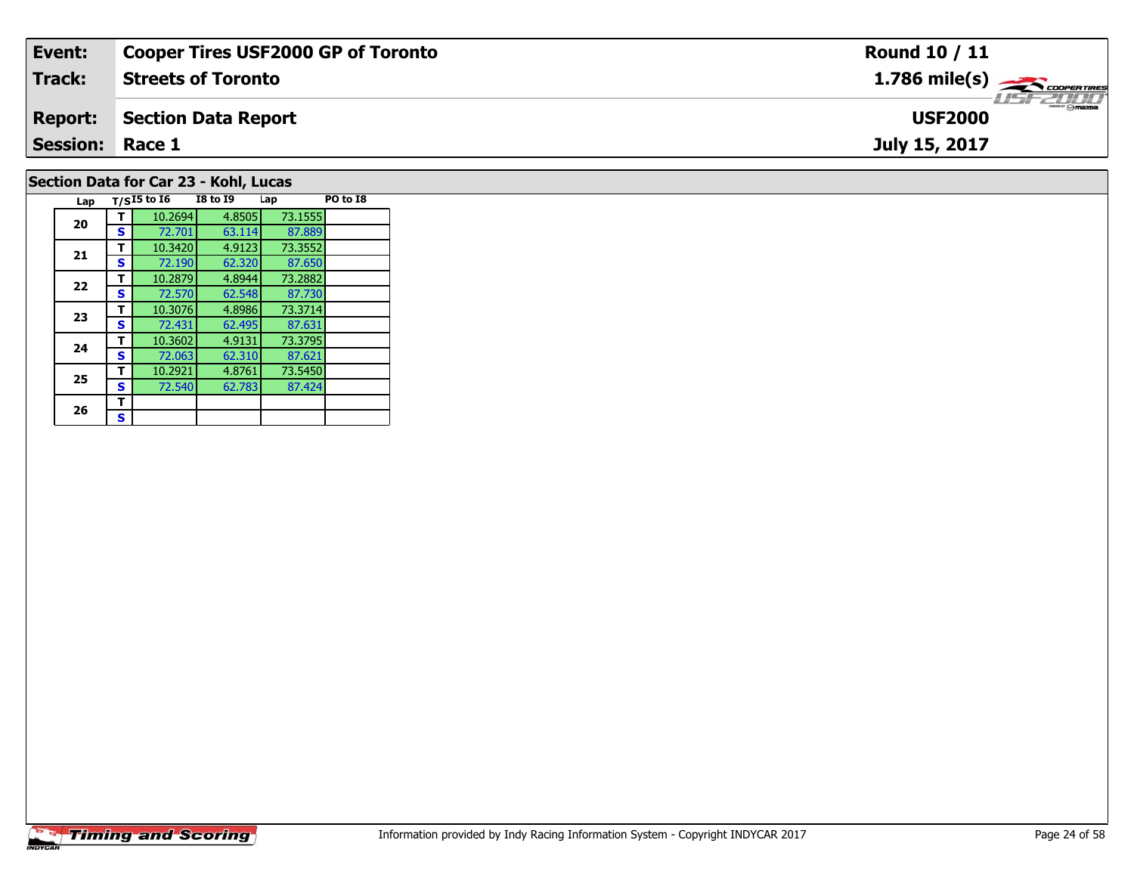| Event:                 | <b>Cooper Tires USF2000 GP of Toronto</b> | Round 10 / 11                             |
|------------------------|-------------------------------------------|-------------------------------------------|
| Track:                 | <b>Streets of Toronto</b>                 | $1.786$ mile(s) $\rightarrow$ Coorentment |
| <b>Report:</b>         | Section Data Report                       | <b>USF2000</b>                            |
| <b>Session: Race 1</b> |                                           | July 15, 2017                             |
|                        | Section Data for Car 23 - Kohl, Lucas     |                                           |

# **Timing and Scoring**

**Lap T/SI5 to I6 I8 to I9 Lap PO to I8** 

**<sup>T</sup>** 10.2694 4.8505 73.1555 **<sup>S</sup>** 72.701 63.114 87.889

87.650<br>73.2882

87.730<br>73.3714

87.631

87.621<br>73.5450

**<sup>T</sup>** 10.3420 4.9123 73.3552 **<sup>S</sup>** 72.190 62.320 87.650

**<sup>T</sup>** 10.2879 4.8944 73.2882 **<sup>S</sup>** 72.570 62.548 87.730

**<sup>T</sup>** 10.3076 4.8986 73.3714 **<sup>S</sup>** 72.431 62.495 87.631

**<sup>T</sup>** 10.3602 4.9131 73.3795 **<sup>S</sup>** 72.063 62.310 87.621

**<sup>T</sup>** 10.2921 4.8761 73.5450 **<sup>S</sup>** 72.540 62.783 87.424

**20**

**21**

**22**

**23**

**24**

**25**

26  $\frac{1}{s}$  $\mathbf{s}$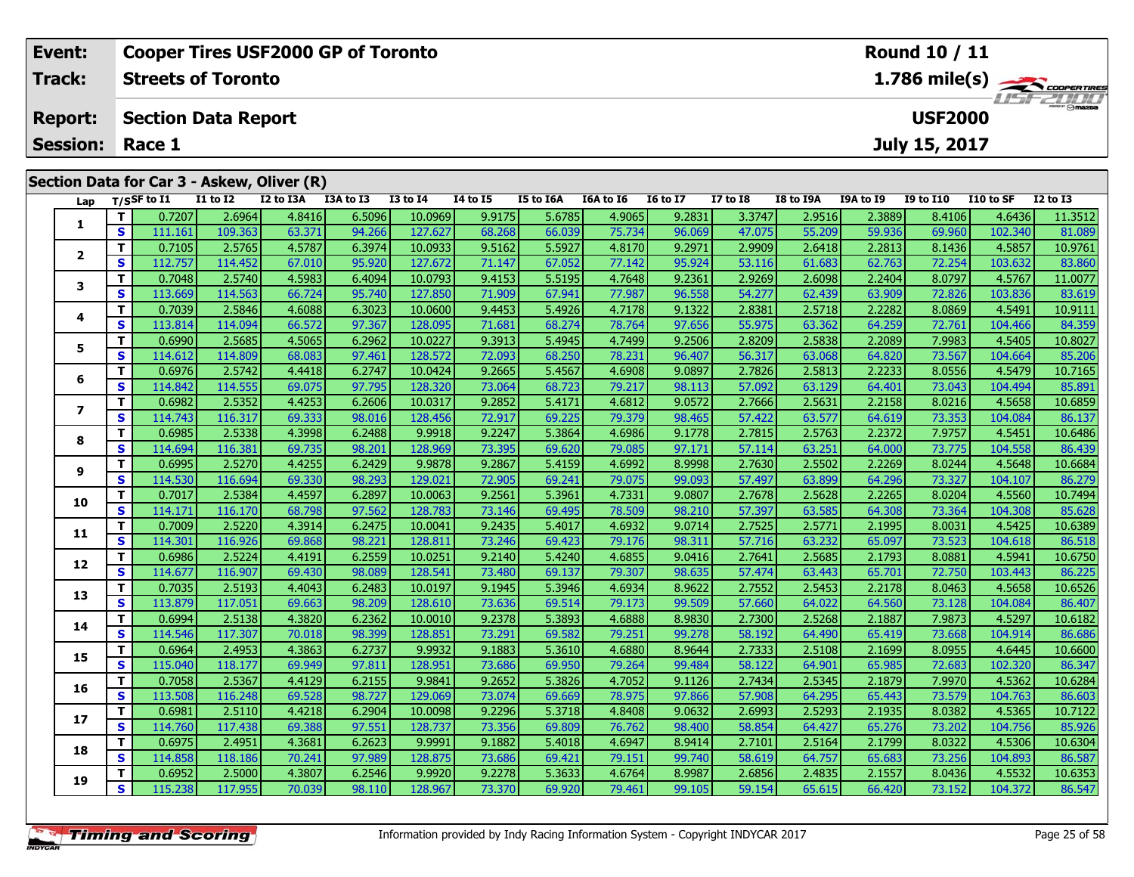|  | Event:          |          |                            |                 | <b>Cooper Tires USF2000 GP of Toronto</b>  |           |                         |                 | Round 10 / 11 |           |                 |              |                           |           |                      |           |              |  |  |  |
|--|-----------------|----------|----------------------------|-----------------|--------------------------------------------|-----------|-------------------------|-----------------|---------------|-----------|-----------------|--------------|---------------------------|-----------|----------------------|-----------|--------------|--|--|--|
|  | <b>Track:</b>   |          | <b>Streets of Toronto</b>  |                 |                                            |           | $1.786 \text{ mile(s)}$ |                 |               |           |                 |              |                           |           |                      |           |              |  |  |  |
|  | <b>Report:</b>  |          | <b>Section Data Report</b> |                 |                                            |           |                         |                 |               |           |                 |              | USFZULD<br><b>USF2000</b> |           |                      |           |              |  |  |  |
|  | <b>Session:</b> |          | Race 1                     |                 |                                            |           |                         |                 |               |           |                 |              |                           |           | <b>July 15, 2017</b> |           |              |  |  |  |
|  |                 |          |                            |                 | Section Data for Car 3 - Askew, Oliver (R) |           |                         |                 |               |           |                 |              |                           |           |                      |           |              |  |  |  |
|  | Lap             |          | T/SSF to I1                | <b>I1 to I2</b> | I2 to I3A                                  | I3A to I3 | <b>I3 to I4</b>         | <b>I4 to I5</b> | I5 to I6A     | I6A to I6 | <b>16 to 17</b> | $I7$ to $I8$ | I8 to I9A                 | I9A to I9 | <b>I9 to I10</b>     | I10 to SF | $I2$ to $I3$ |  |  |  |
|  |                 |          | 0.7207                     | 2.6964          | 4.8416                                     | 6.5096    | 10.0969                 | 9.9175          | 5.6785        | 4.9065    | 9.2831          | 3.3747       | 2.9516                    | 2.3889    | 8.4106               | 4.6436    | 11.3512      |  |  |  |
|  |                 | <b>S</b> | 111.161                    | 109.363         | 63.371                                     | 94.266    | 127.627                 | 68.268          | 66.039        | 75.734    | 96.069          | 47.075       | 55.209                    | 59.936    | 69.960               | 102.340   | 81.089       |  |  |  |
|  | 2               |          | 0.7105                     | 2.5765          | 4.5787                                     | 6.3974    | 10.0933                 | 9.5162          | 5.5927        | 4.8170    | 9.2971          | 2.9909       | 2.6418                    | 2.2813    | 8.1436               | 4.5857    | 10.9761      |  |  |  |
|  |                 | S        | 112.757                    | 114.452         | 67.010                                     | 95.920    | 127.672                 | 71.147          | 67.052        | 77.142    | 95.924          | 53.116       | 61.683                    | 62.763    | 72.254               | 103.632   | 83.860       |  |  |  |
|  | 3               |          | 0.7048                     | 2.5740          | 4.5983                                     | 6.4094    | 10.0793                 | 9.4153          | 5.5195        | 4.7648    | 9.2361          | 2.9269       | 2.6098                    | 2.2404    | 8.0797               | 4.5767    | 11.0077      |  |  |  |
|  |                 | <b>S</b> | 113.669                    | 114.563         | 66.724                                     | 95.740    | 127.850                 | 71.909          | 67.941        | 77.987    | 96.558          | 54.277       | 62.439                    | 63.909    | 72.826               | 103.836   | 83.619       |  |  |  |
|  | 4               |          | 0.7039                     | 2.5846          | 4.6088                                     | 6.3023    | 10.0600                 | 9.4453          | 5.4926        | 4.7178    | 9.1322          | 2.8381       | 2.5718                    | 2.2282    | 8.0869               | 4.5491    | 10.9111      |  |  |  |
|  |                 | S        | 113.814                    | 114.094         | 66.572                                     | 97.367    | 128.095                 | 71.681          | 68.274        | 78.764    | 97.656          | 55.975       | 63.362                    | 64.259    | 72.761               | 104.466   | 84.359       |  |  |  |

**<sup>T</sup>** 0.6990 2.5685 4.5065 6.2962 10.0227 9.3913 5.4945 4.7499 9.2506 2.8209 2.5838 2.2089 7.9983 4.5405 10.8027 **<sup>S</sup>** 114.612 114.809 68.083 97.461 128.572 72.093 68.250 78.231 96.407 56.317 63.068 64.820 73.567 104.664 85.206

6 | T | 0.6976| 2.5742| 4.4418| 6.2747| 10.0424| 9.2665| 5.4567| 4.6908| 9.0897| 2.7826| 2.5813| 2.2233| 8.0556| 4.5479| 10.7165<br>| S | 114.842| 114.555| 69.075| 97.795| 128.320| 73.064| 68.723| 79.217| 98.113| 57.092| 63.1

7 | T | 0.6982| 2.5352| 4.4253| 6.2606| 10.0317| 9.2852| 5.4171| 4.6812| 9.0572| 2.7666| 2.5631| 2.2158| 8.0216| 4.5658| 10.6859<br>7 | S | 114.743| 116.317| 69.333| 98.016| 128.456| 72.917| 69.225| 79.379| 98.465| 57.422| 63

**<sup>T</sup>** 0.6985 2.5338 4.3998 6.2488 9.9918 9.2247 5.3864 4.6986 9.1778 2.7815 2.5763 2.2372 7.9757 4.5451 10.6486 **<sup>S</sup>** 114.694 116.381 69.735 98.201 128.969 73.395 69.620 79.085 97.171 57.114 63.251 64.000 73.775 104.558 86.439

1 1 0.6995| 2.5270| 4.4255| 6.2429| 9.9878| 9.2867| 5.4159| 4.6992| 8.9998| 2.7630| 2.5502| 2.2269| 8.0244| 4.5648| 10.6684|<br>S | 114.530 116.694| 69.330| 98.293| 129.021| 72.905| 69.241| 79.075| 99.093| 57.497| 63.899| 64

0 T 0.7017 2.5384 4.4597 6.2897 10.0063 9.2561 5.3961 4.7331 9.0807 2.7678 2.5628 2.2265 8.0204 4.5560 10.7494<br>S 114.171 116.170 68.798 97.562 128.783 73.146 69.495 78.509 98.210 57.397 63.585 64.308 73.364 104.308 85.628

**<sup>T</sup>** 0.7009 2.5220 4.3914 6.2475 10.0041 9.2435 5.4017 4.6932 9.0714 2.7525 2.5771 2.1995 8.0031 4.5425 10.6389 **<sup>S</sup>** 114.301 116.926 69.868 98.221 128.811 73.246 69.423 79.176 98.311 57.716 63.232 65.097 73.523 104.618 86.518

**<sup>T</sup>** 0.6986 2.5224 4.4191 6.2559 10.0251 9.2140 5.4240 4.6855 9.0416 2.7641 2.5685 2.1793 8.0881 4.5941 10.6750 **<sup>S</sup>** 114.677 116.907 69.430 98.089 128.541 73.480 69.137 79.307 98.635 57.474 63.443 65.701 72.750 103.443 86.225

3 T 0.7035 2.5193 4.4043 6.2483 10.0197 9.1945 5.3946 4.6934 8.9622 2.7552 2.5453 2.2178 8.0463 4.5658 10.6526<br>S 113.879 117.051 69.663 98.209 128.610 73.636 69.514 79.173 99.509 57.660 64.022 64.560 73.128 104.084 86.407

4 T 0.6994 2.5138 4.3820 6.2362 10.0010 9.2378 5.3893 4.6888 8.9830 2.7300 2.5268 2.1887 7.9873 4.5297 10.6182<br>- S 114.546 117.307 70.018 98.399 128.851 73.291 69.582 79.251 99.278 58.192 64.490 65.419 73.668 104.914 86.68

5 T 0.6964 2.4953 4.3863 6.2737 9.9932 9.1883 5.3610 4.6880 8.9644 2.7333 2.5108 2.1699 8.0955 4.6445 10.6600<br>5 S 115.040 118.177 69.949 97.811 128.951 73.686 69.950 79.264 99.484 58.122 64.901 65.985 72.683 102.320 86.347

**<sup>T</sup>** 0.7058 2.5367 4.4129 6.2155 9.9841 9.2652 5.3826 4.7052 9.1126 2.7434 2.5345 2.1879 7.9970 4.5362 10.6284 **<sup>S</sup>** 113.508 116.248 69.528 98.727 129.069 73.074 69.669 78.975 97.866 57.908 64.295 65.443 73.579 104.763 86.603

7 T 0.6981 2.5110 4.4218 6.2904 10.0098 9.2296 5.3718 4.8408 9.0632 2.6993 2.5293 2.1935 8.0382 4.5365 10.7122<br>7 S 114.760 117.438 69.388 97.551 128.737 73.356 69.809 76.762 98.400 58.854 64.427 65.276 73.202 104.756 85.92

8 T 0.6975 2.4951 4.3681 6.2623 9.9991 9.1882 5.4018 4.6947 8.9414 2.7101 2.5164 2.1799 8.0322 4.5306 10.6304<br>S 114.858 118.186 70.241 97.989 128.875 73.686 69.421 79.151 99.740 58.619 64.757 65.683 73.256 104.893 86.587

10.6353 10.6353 10.6353 10.6353 1.6278| 9.2278| 5.3633| 4.6764| 8.9987| 2.6856| 2.4835| 2.1557| 8.0436| 4.5532<br>S 115.238| 117.955| 70.039| 98.110| 128.967| 73.370| 69.920| 79.461| 99.105| 59.154| 65.615| 66.420| 73.152| 1

| <b>Timing and Scoring</b> |  |
|---------------------------|--|
|                           |  |

**5**

**6**

**7**

**8**

**9**

**10**

**11**

**12**

**13**

**14**

**15**

**16**

**17**

**18**

**19**

86.137

86.279

86.225

86.407

86.686

85.926

86.587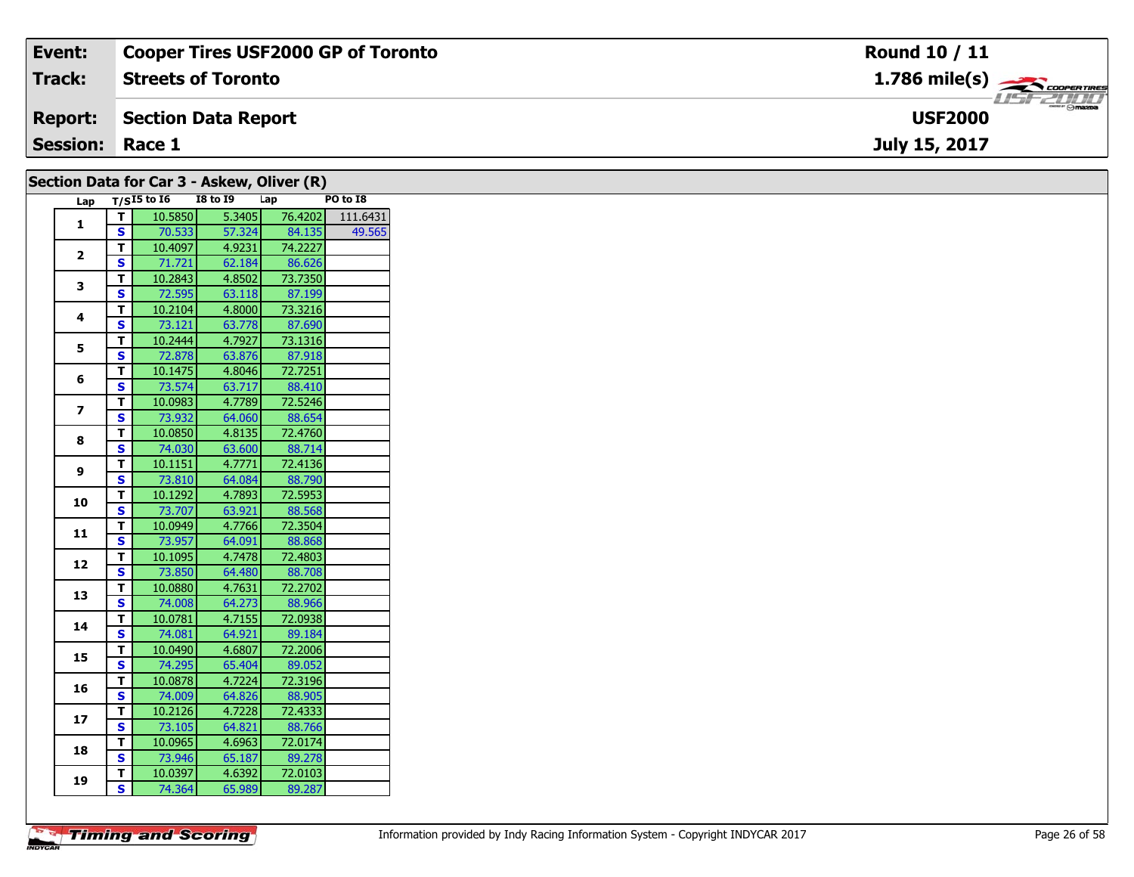| Event:                 | <b>Cooper Tires USF2000 GP of Toronto</b>  | <b>Round 10 / 11</b>                      |
|------------------------|--------------------------------------------|-------------------------------------------|
| Track:                 | <b>Streets of Toronto</b>                  | $1.786$ mile(s) $\rightarrow$ COOPERTIRES |
| <b>Report:</b>         | Section Data Report                        | <b>USF2000</b>                            |
| <b>Session: Race 1</b> |                                            | July 15, 2017                             |
|                        | Section Data for Car 3 - Askew, Oliver (R) |                                           |

|                |              | Lap $\overline{T/S15}$ to 16 | --------<br><b>I8 to I9</b> | $\cdots$ $\cdots$<br>Lap | PO to I8 |
|----------------|--------------|------------------------------|-----------------------------|--------------------------|----------|
|                |              |                              |                             |                          |          |
| 1              | Т            | 10.5850                      | 5.3405                      | 76.4202                  | 111.6431 |
|                | S            | 70.533                       | 57.324                      | 84.135                   | 49.565   |
| $\mathbf{2}$   | T            | 10.4097                      | 4.9231                      | 74.2227                  |          |
|                | S            | 71.721                       | 62.184                      | 86.626                   |          |
| 3              | Т            | 10.2843                      | 4.8502                      | 73.7350                  |          |
|                | $\mathbf{s}$ | 72.595                       | 63.118                      | 87.199                   |          |
| 4              | T            | 10.2104                      | 4.8000                      | 73.3216                  |          |
|                | S            | 73.121                       | 63.778                      | 87.690                   |          |
| 5              | T            | 10.2444                      | 4.7927                      | 73.1316                  |          |
|                | S            | 72.878                       | 63.876                      | 87.918                   |          |
| 6              | T            | 10.1475                      | 4.8046                      | 72.7251                  |          |
|                | S            | 73.574                       | 63.717                      | 88.410                   |          |
| $\overline{z}$ | Т            | 10.0983                      | 4.7789                      | 72.5246                  |          |
|                | S            | 73.932                       | 64.060                      | 88.654                   |          |
| 8              | Т            | 10.0850                      | 4.8135                      | 72.4760                  |          |
|                | S            | 74.030                       | 63.600                      | 88.714                   |          |
| 9              | T            | 10.1151                      | 4.7771                      | 72.4136                  |          |
|                | S            | 73.810                       | 64.084                      | 88.790                   |          |
| 10             | T            | 10.1292                      | 4.7893                      | 72.5953                  |          |
|                | S            | 73.707                       | 63.921                      | 88.568                   |          |
| 11             | T.           | 10.0949                      | 4.7766                      | 72.3504                  |          |
|                | S            | 73.957                       | 64.091                      | 88.868                   |          |
|                | T            | 10.1095                      | 4.7478                      | 72.4803                  |          |
| 12             | S            | 73.850                       | 64.480                      | 88.708                   |          |
|                | T            | 10.0880                      | 4.7631                      | 72.2702                  |          |
| 13             | S            | 74.008                       | 64.273                      | 88.966                   |          |
|                | T            | 10.0781                      | 4.7155                      | 72.0938                  |          |
| 14             | S            | 74.081                       | 64.921                      | 89.184                   |          |
|                | Т            | 10.0490                      | 4.6807                      | 72.2006                  |          |
| 15             | $\mathbf{s}$ | 74.295                       | 65.404                      | 89.052                   |          |
|                | T.           | 10.0878                      | 4.7224                      | 72.3196                  |          |
| 16             | S            | 74.009                       | 64.826                      | 88.905                   |          |
|                | $\mathbf{T}$ | 10.2126                      | 4.7228                      | 72.4333                  |          |
| 17             | S            | 73.105                       | 64.821                      | 88.766                   |          |
|                | T            | 10.0965                      | 4.6963                      | 72.0174                  |          |
| 18             | S            | 73.946                       | 65.187                      | 89.278                   |          |
|                | Т            | 10.0397                      | 4.6392                      | 72.0103                  |          |
| 19             | S            | 74.364                       | 65.989                      | 89.287                   |          |
|                |              |                              |                             |                          |          |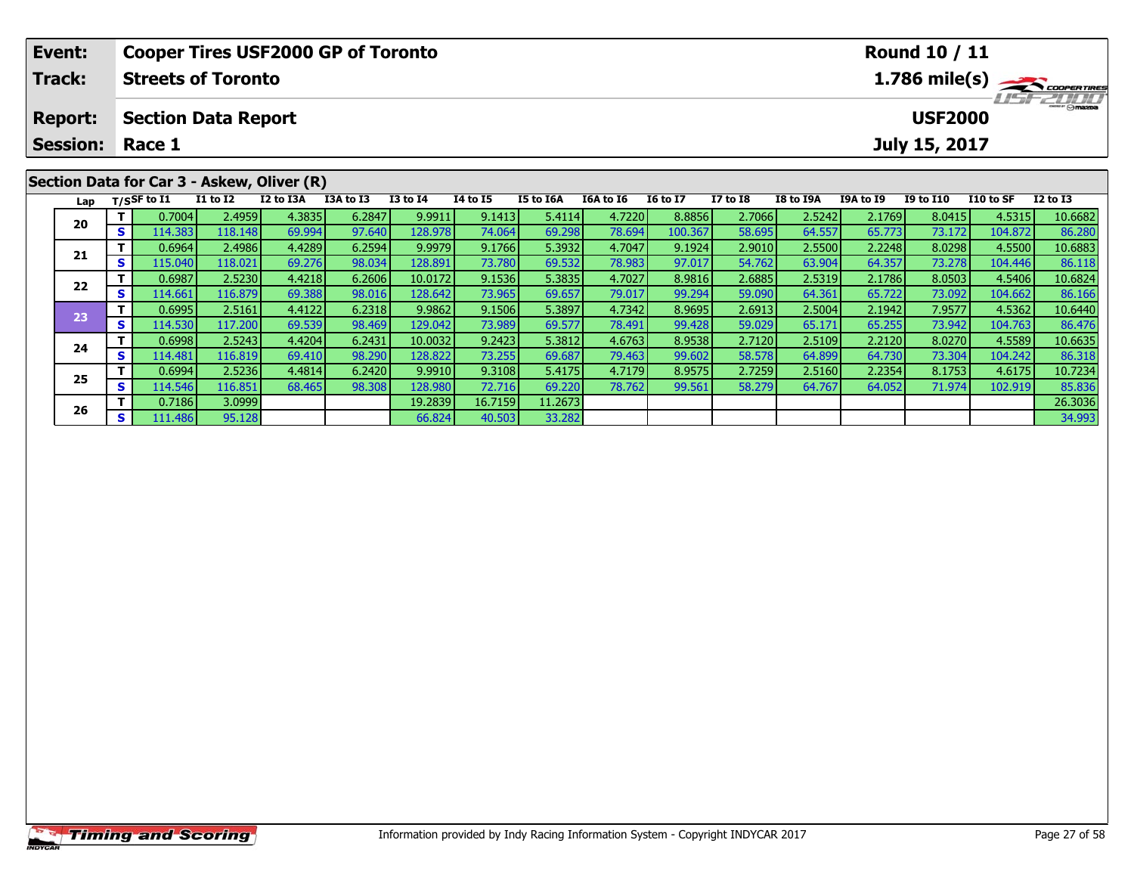| Event:          |    |                |                            | <b>Cooper Tires USF2000 GP of Toronto</b>  |                         |                 | <b>Round 10 / 11</b>                |           |           |                 |                 |           |           |                  |           |              |
|-----------------|----|----------------|----------------------------|--------------------------------------------|-------------------------|-----------------|-------------------------------------|-----------|-----------|-----------------|-----------------|-----------|-----------|------------------|-----------|--------------|
| <b>Track:</b>   |    |                | <b>Streets of Toronto</b>  |                                            | $1.786 \text{ mile(s)}$ |                 |                                     |           |           |                 |                 |           |           |                  |           |              |
| <b>Report:</b>  |    |                | <b>Section Data Report</b> |                                            |                         |                 | <b>LIST ZULLI</b><br><b>USF2000</b> |           |           |                 |                 |           |           |                  |           |              |
| <b>Session:</b> |    | Race 1         |                            |                                            |                         |                 |                                     |           |           |                 |                 |           |           | July 15, 2017    |           |              |
|                 |    |                |                            | Section Data for Car 3 - Askew, Oliver (R) |                         |                 |                                     |           |           |                 |                 |           |           |                  |           |              |
| Lap             |    | $T/S$ SF to I1 | <b>I1 to I2</b>            | I2 to I3A                                  | I3A to I3               | <b>I3 to I4</b> | 14 to 15                            | I5 to I6A | I6A to I6 | <b>16 to 17</b> | <b>I7 to I8</b> | I8 to I9A | I9A to I9 | <b>I9 to I10</b> | I10 to SF | $I2$ to $I3$ |
| 20              |    | 0.7004         | 2.4959                     | 4.3835                                     | 6.2847                  | 9.9911          | 9.1413                              | 5.4114    | 4.7220    | 8.8856          | 2.7066          | 2.5242    | 2.1769    | 8.0415           | 4.5315    | 10.6682      |
|                 | S. | 114.383        | 118.148                    | 69.994                                     | 97.640                  | 128.978         | 74.064                              | 69.298    | 78.694    | 100.367         | 58.695          | 64.557    | 65.773    | 73.172           | 104.872   | 86.280       |
|                 |    | 0.6964         | 2.4986                     | 4.4289                                     | 6.2594                  | 9.9979          | 9.1766                              | 5.3932    | 4.7047    | 9.1924          | 2.9010          | 2.5500    | 2.2248    | 8.0298           | 4.5500    | 10.6883      |
| 21              |    | 115.040        | 118.021                    | 69.276                                     | 98.034                  | 128.891         | 73.780L                             | 69.532    | 78.983    | 97.017          | 54.762          | 63.904    | 64.357    | <b>73.2781</b>   | 104.446   | 86.118       |

2 T 0.6987 2.5230 4.4218 6.2606 10.0172 9.1536 5.3835 4.7027 8.9816 2.6885 2.5319 2.1786 8.0503 4.5406 10.6824<br>S 114.661 116.879 69.388 98.016 128.642 73.965 69.657 79.017 99.294 59.090 64.361 65.722 73.092 104.662 86.166

**<sup>T</sup>** 0.6995 2.5161 4.4122 6.2318 9.9862 9.1506 5.3897 4.7342 8.9695 2.6913 2.5004 2.1942 7.9577 4.5362 10.6440 **<sup>S</sup>** 114.530 117.200 69.539 98.469 129.042 73.989 69.577 78.491 99.428 59.029 65.171 65.255 73.942 104.763 86.476

4 T 0.6998 2.5243 4.4204 6.2431 10.0032 9.2423 5.3812 4.6763 8.9538 2.7120 2.5109 2.2120 8.0270 4.5589 10.6635<br>- S 114.481 116.819 69.410 98.290 128.822 73.255 69.687 79.463 99.602 58.578 64.899 64.730 73.304 104.242 86.31

5 T 0.6994 2.5236 4.4814 6.2420 9.9910 9.3108 5.4175 4.7179 8.9575 2.7259 2.5160 2.2354 8.1753 4.6175 10.7234<br>5 S 114.546 116.851 68.465 98.308 128.980 72.716 69.220 78.762 99.561 58.279 64.767 64.052 71.974 102.919 85.836

**T** 0.7186 3.0999 19.2839 16.7159 11.2673 26.3036 26.3036 26.3036 26.3036 26.3036 26.3036 26.3036 26.3036 26.3036<br>26. S 111.486 95.128 34.993 36.824 40.503 33.282 33.282 35.282 35.282 35.282 35.282 35.282 34.993

**22**

**23**

**24**

**25**

**26**

86.476

85.836<br>26.3036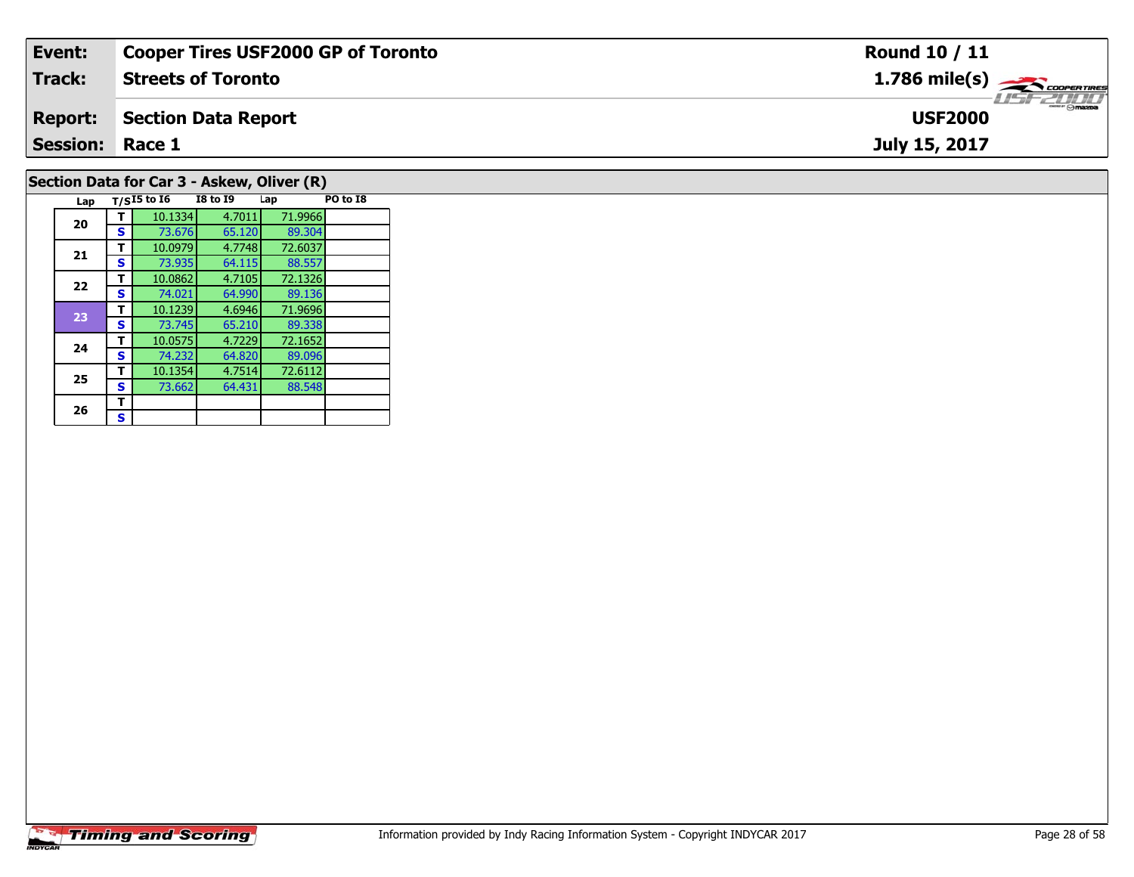| Event:                 | <b>Cooper Tires USF2000 GP of Toronto</b> | Round 10 / 11                 |
|------------------------|-------------------------------------------|-------------------------------|
| Track:                 | <b>Streets of Toronto</b>                 | $1.786$ mile(s) $\rightarrow$ |
| <b>Report:</b>         | Section Data Report                       | <b>USF2000</b>                |
| <b>Session: Race 1</b> |                                           | July 15, 2017                 |
|                        | Section Data for Car 3 - Askew Oliver (R) |                               |

### **Lap T/SI5 to I6 I8 to I9 Lap PO to I8 20 <sup>T</sup>** 10.1334 4.7011 71.9966 **<sup>S</sup>** 73.676 65.120 89.304**21 <sup>T</sup>** 10.0979 4.7748 72.6037 **<sup>S</sup>** 73.935 64.115 88.55788.557<br>72.1326 **22 <sup>T</sup>** 10.0862 4.7105 72.1326 **<sup>S</sup>** 74.021 64.990 89.13689.136<br>71.9696 **23 <sup>T</sup>** 10.1239 4.6946 71.9696 **<sup>S</sup>** 73.745 65.210 89.33889.338 **24 <sup>T</sup>** 10.0575 4.7229 72.1652 **<sup>S</sup>** 74.232 64.820 89.09689.096 **25 <sup>T</sup>** 10.1354 4.7514 72.6112 **<sup>S</sup>** 73.662 64.431 88.54826  $\frac{1}{s}$  $\mathbf{s}$ Section Data Form Car 3 - Askew, Oliver (R)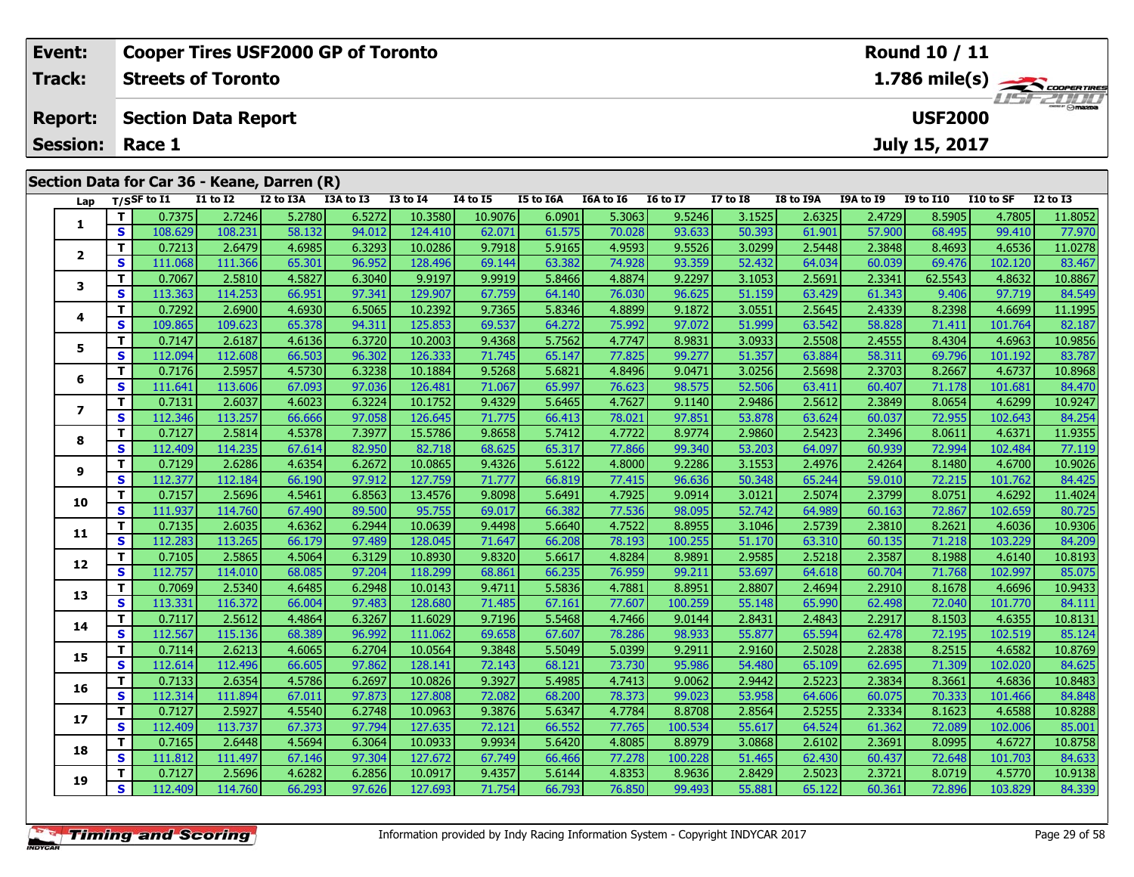| Event:                                                         |                         |                           |                 | <b>Cooper Tires USF2000 GP of Toronto</b>   |                                            |              | Round 10 / 11 |                  |           |                 |              |           |                  |           |                        |           |
|----------------------------------------------------------------|-------------------------|---------------------------|-----------------|---------------------------------------------|--------------------------------------------|--------------|---------------|------------------|-----------|-----------------|--------------|-----------|------------------|-----------|------------------------|-----------|
| <b>Track:</b>                                                  |                         | <b>Streets of Toronto</b> |                 |                                             | $1.786$ mile(s) $\rightarrow$ Coopen Tines |              |               |                  |           |                 |              |           |                  |           |                        |           |
| <b>USF2000</b><br><b>Section Data Report</b><br><b>Report:</b> |                         |                           |                 |                                             |                                            |              |               |                  |           |                 |              |           |                  |           |                        | LISF 2000 |
| <b>Session:</b>                                                | July 15, 2017<br>Race 1 |                           |                 |                                             |                                            |              |               |                  |           |                 |              |           |                  |           |                        |           |
|                                                                |                         |                           |                 | Section Data for Car 36 - Keane, Darren (R) |                                            |              |               |                  |           |                 |              |           |                  |           |                        |           |
|                                                                |                         | Lap $T/SSF$ to I1         | <b>I1 to I2</b> | I2 to I3A                                   | I3A to I3                                  | $I3$ to $I4$ | 14 to 15      | <b>I5 to I6A</b> | I6A to I6 | <b>16 to 17</b> | $I7$ to $I8$ | I8 to I9A | <b>I9A to I9</b> | I9 to I10 | I 10 to SF             | I2 to I3  |
|                                                                |                         | 0.7375                    | 2.7246          | 5.2780                                      | 6.5272                                     | 10.3580      | 10.9076       | 6.0901           | 5.3063    | 9.5246          | 3.1525       | 2.6325    | 2.4729           | 8.5905    | 4.7805                 | 11.8052   |
|                                                                | <b>S</b>                | 108.629                   | 108.231         | 58.132                                      | 94.012                                     | 124.410      | 62.071        | 61.575           | 70.028    | 93.633          | 50.393       | 61.901    | 57.900           | 68.495    | 99.410                 | 77.970    |
|                                                                |                         | 0.7213                    | 2.6479          | 4.6985                                      | 6.3293                                     | 10.0286      | 9.7918        | 5.9165           | 4.9593    | 9.5526          | 3.0299       | 2.5448    | 2.3848           | 8.4693    | 4.6536                 | 11.0278   |
|                                                                | $\epsilon$              | 111068                    | 111.366         | <b>653011</b>                               | QGQQ                                       | 128406       | 60144         | 63,382           | 74.928 L  | 03.350          | 52432        | 64.034    | <b>AN NATION</b> | 69476     | 102.120 $\blacksquare$ | 83467     |

| 1.             | T.           | 0.7375  | 2.7246  | 5.2780 | 6.5272 | 10.3580 | 10.9076 | 6.0901 | 5.3063 | 9.5246  | 3.1525 | 2.6325 | 2.4729 | 8.5905  | 4.7805  | 11.8052 |
|----------------|--------------|---------|---------|--------|--------|---------|---------|--------|--------|---------|--------|--------|--------|---------|---------|---------|
|                | $\mathbf{s}$ | 108.629 | 108.231 | 58.132 | 94.012 | 124.410 | 62.071  | 61.575 | 70.028 | 93.633  | 50.393 | 61.901 | 57.900 | 68.495  | 99.410  | 77.970  |
|                | T.           | 0.7213  | 2.6479  | 4.6985 | 6.3293 | 10.0286 | 9.7918  | 5.9165 | 4.9593 | 9.5526  | 3.0299 | 2.5448 | 2.3848 | 8.4693  | 4.6536  | 11.0278 |
| $\mathbf{2}$   | S            | 111.068 | 111.366 | 65.301 | 96.952 | 128.496 | 69.144  | 63.382 | 74.928 | 93.359  | 52.432 | 64.034 | 60.039 | 69.476  | 102.120 | 83.467  |
|                | T.           | 0.7067  | 2.5810  | 4.5827 | 6.3040 | 9.9197  | 9.9919  | 5.8466 | 4.8874 | 9.2297  | 3.1053 | 2.5691 | 2.3341 | 62.5543 | 4.8632  | 10.8867 |
| 3              | S            | 113.363 | 114.253 | 66.951 | 97.341 | 129.907 | 67.759  | 64.140 | 76.030 | 96.625  | 51.159 | 63.429 | 61.343 | 9.406   | 97.719  | 84.549  |
|                | T.           | 0.7292  | 2.6900  | 4.6930 | 6.5065 | 10.2392 | 9.7365  | 5.8346 | 4.8899 | 9.1872  | 3.0551 | 2.5645 | 2.4339 | 8.2398  | 4.6699  | 11.1995 |
| 4              | S            | 109.865 | 109.623 | 65.378 | 94.311 | 125.853 | 69.537  | 64.272 | 75.992 | 97.072  | 51.999 | 63.542 | 58.828 | 71.411  | 101.764 | 82.187  |
| 5              | T.           | 0.7147  | 2.6187  | 4.6136 | 6.3720 | 10.2003 | 9.4368  | 5.7562 | 4.7747 | 8.9831  | 3.0933 | 2.5508 | 2.4555 | 8.4304  | 4.6963  | 10.9856 |
|                | S            | 112.094 | 112.608 | 66.503 | 96.302 | 126.333 | 71.745  | 65.147 | 77.825 | 99.277  | 51.357 | 63.884 | 58.311 | 69.796  | 101.192 | 83.787  |
| 6              | T.           | 0.7176  | 2.5957  | 4.5730 | 6.3238 | 10.1884 | 9.5268  | 5.6821 | 4.8496 | 9.0471  | 3.0256 | 2.5698 | 2.3703 | 8.2667  | 4.6737  | 10.8968 |
|                | S            | 111.641 | 113.606 | 67.093 | 97.036 | 126.481 | 71.067  | 65.997 | 76.623 | 98.575  | 52.506 | 63.411 | 60.407 | 71.178  | 101.681 | 84.470  |
| $\overline{ }$ | T.           | 0.7131  | 2.6037  | 4.6023 | 6.3224 | 10.1752 | 9.4329  | 5.6465 | 4.7627 | 9.1140  | 2.9486 | 2.5612 | 2.3849 | 8.0654  | 4.6299  | 10.9247 |
|                | S            | 112.346 | 113.257 | 66.666 | 97.058 | 126.645 | 71.775  | 66.413 | 78.021 | 97.851  | 53.878 | 63.624 | 60.037 | 72.955  | 102.643 | 84.254  |
| 8              | T.           | 0.7127  | 2.5814  | 4.5378 | 7.3977 | 15.5786 | 9.8658  | 5.7412 | 4.7722 | 8.9774  | 2.9860 | 2.5423 | 2.3496 | 8.0611  | 4.6371  | 11.9355 |
|                | S            | 112.409 | 114.235 | 67.614 | 82.950 | 82.718  | 68.625  | 65.317 | 77.866 | 99.340  | 53.203 | 64.097 | 60.939 | 72.994  | 102.484 | 77.119  |
| 9              | T.           | 0.7129  | 2.6286  | 4.6354 | 6.2672 | 10.0865 | 9.4326  | 5.6122 | 4.8000 | 9.2286  | 3.1553 | 2.4976 | 2.4264 | 8.1480  | 4.6700  | 10.9026 |
|                | S            | 112.377 | 112.184 | 66.190 | 97.912 | 127.759 | 71.777  | 66.819 | 77.415 | 96.636  | 50.348 | 65.244 | 59.010 | 72.215  | 101.762 | 84.425  |
| 10             | T.           | 0.7157  | 2.5696  | 4.5461 | 6.8563 | 13.4576 | 9.8098  | 5.6491 | 4.7925 | 9.0914  | 3.0121 | 2.5074 | 2.3799 | 8.0751  | 4.6292  | 11.4024 |
|                | S            | 111.937 | 114.760 | 67.490 | 89.500 | 95.755  | 69.017  | 66.382 | 77.536 | 98.095  | 52.742 | 64.989 | 60.163 | 72.867  | 102.659 | 80.725  |
| 11             | $\mathbf{T}$ | 0.7135  | 2.6035  | 4.6362 | 6.2944 | 10.0639 | 9.4498  | 5.6640 | 4.7522 | 8.8955  | 3.1046 | 2.5739 | 2.3810 | 8.2621  | 4.6036  | 10.9306 |
|                | $\mathbf{s}$ | 112.283 | 113.265 | 66.179 | 97.489 | 128.045 | 71.647  | 66.208 | 78.193 | 100.255 | 51.170 | 63.310 | 60.135 | 71.218  | 103.229 | 84.209  |
| 12             | $\mathbf{T}$ | 0.7105  | 2.5865  | 4.5064 | 6.3129 | 10.8930 | 9.8320  | 5.6617 | 4.8284 | 8.9891  | 2.9585 | 2.5218 | 2.3587 | 8.1988  | 4.6140  | 10.8193 |
|                | S            | 112.757 | 114.010 | 68.085 | 97.204 | 118.299 | 68.861  | 66.235 | 76.959 | 99.211  | 53.697 | 64.618 | 60.704 | 71.768  | 102.997 | 85.075  |
| 13             | $\mathbf{T}$ | 0.7069  | 2.5340  | 4.6485 | 6.2948 | 10.0143 | 9.4711  | 5.5836 | 4.7881 | 8.8951  | 2.8807 | 2.4694 | 2.2910 | 8.1678  | 4.6696  | 10.9433 |
|                | S            | 113.331 | 116.372 | 66.004 | 97.483 | 128.680 | 71.485  | 67.161 | 77.607 | 100.259 | 55.148 | 65.990 | 62.498 | 72.040  | 101.770 | 84.111  |
| 14             | T.           | 0.7117  | 2.5612  | 4.4864 | 6.3267 | 11.6029 | 9.7196  | 5.5468 | 4.7466 | 9.0144  | 2.8431 | 2.4843 | 2.2917 | 8.1503  | 4.6355  | 10.8131 |
|                | $\mathbf{s}$ | 112.567 | 115.136 | 68.389 | 96.992 | 111.062 | 69.658  | 67.607 | 78.286 | 98.933  | 55.877 | 65.594 | 62.478 | 72.195  | 102.519 | 85.124  |
| 15             | $\mathbf{T}$ | 0.7114  | 2.6213  | 4.6065 | 6.2704 | 10.0564 | 9.3848  | 5.5049 | 5.0399 | 9.2911  | 2.9160 | 2.5028 | 2.2838 | 8.2515  | 4.6582  | 10.8769 |
|                | S            | 112.614 | 112.496 | 66.605 | 97.862 | 128.141 | 72.143  | 68.121 | 73.730 | 95.986  | 54.480 | 65.109 | 62.695 | 71.309  | 102.020 | 84.625  |
| 16             | T.           | 0.7133  | 2.6354  | 4.5786 | 6.2697 | 10.0826 | 9.3927  | 5.4985 | 4.7413 | 9.0062  | 2.9442 | 2.5223 | 2.3834 | 8.3661  | 4.6836  | 10.8483 |
|                | S            | 112.314 | 111.894 | 67.011 | 97.873 | 127.808 | 72.082  | 68.200 | 78.373 | 99.023  | 53.958 | 64.606 | 60.075 | 70.333  | 101.466 | 84.848  |
| 17             | T.           | 0.7127  | 2.5927  | 4.5540 | 6.2748 | 10.0963 | 9.3876  | 5.6347 | 4.7784 | 8.8708  | 2.8564 | 2.5255 | 2.3334 | 8.1623  | 4.6588  | 10.8288 |
|                | S            | 112.409 | 113.737 | 67.373 | 97.794 | 127.635 | 72.121  | 66.552 | 77.765 | 100.534 | 55.617 | 64.524 | 61.362 | 72.089  | 102.006 | 85.001  |
| 18             | T.           | 0.7165  | 2.6448  | 4.5694 | 6.3064 | 10.0933 | 9.9934  | 5.6420 | 4.8085 | 8.8979  | 3.0868 | 2.6102 | 2.3691 | 8.0995  | 4.6727  | 10.8758 |
|                | S            | 111.812 | 111.497 | 67.146 | 97.304 | 127.672 | 67.749  | 66.466 | 77.278 | 100.228 | 51.465 | 62.430 | 60.437 | 72.648  | 101.703 | 84.633  |
| 19             | T.           | 0.7127  | 2.5696  | 4.6282 | 6.2856 | 10.0917 | 9.4357  | 5.6144 | 4.8353 | 8.9636  | 2.8429 | 2.5023 | 2.3721 | 8.0719  | 4.5770  | 10.9138 |
|                | S            | 112.409 | 114.760 | 66.293 | 97.626 | 127.693 | 71.754  | 66.793 | 76.850 | 99.493  | 55.881 | 65.122 | 60.361 | 72.896  | 103.829 | 84.339  |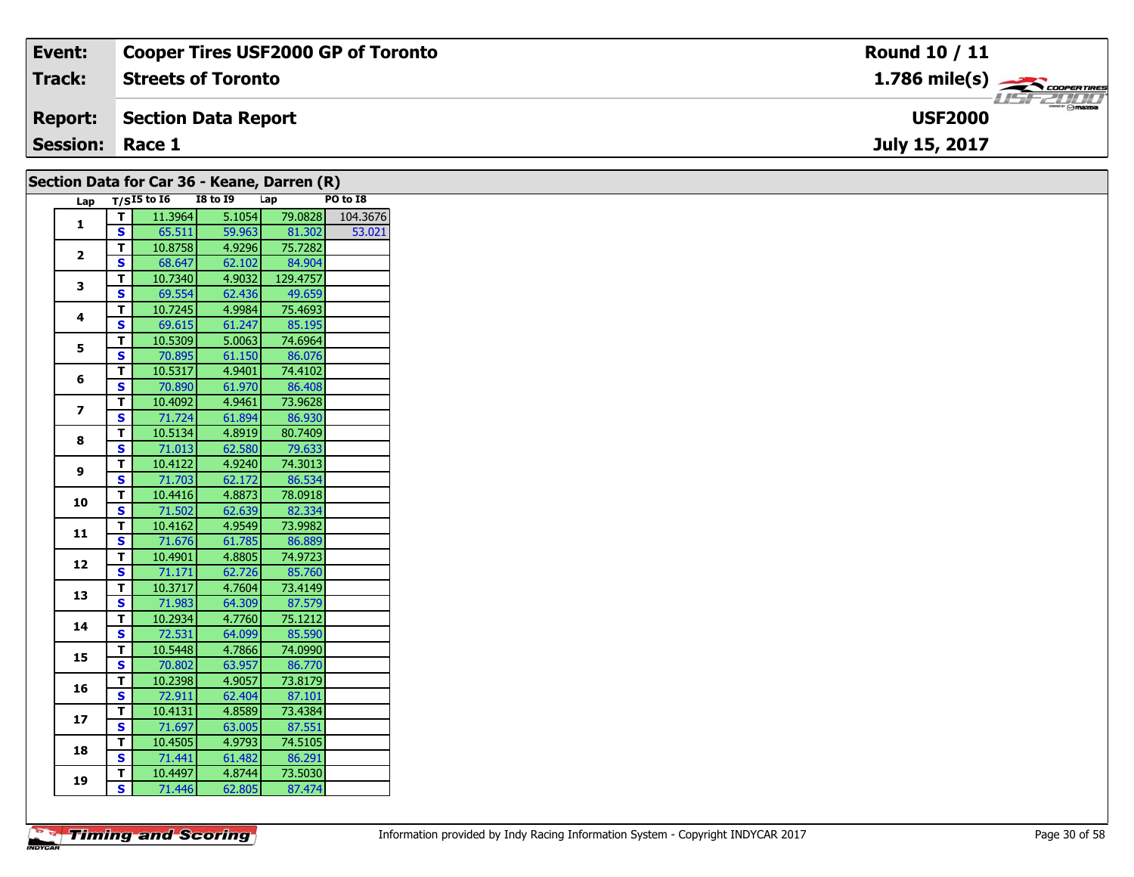| Event:                 | Cooper Tires USF2000 GP of Toronto                                | Round 10 / 11                    |
|------------------------|-------------------------------------------------------------------|----------------------------------|
| <b>Track:</b>          | <b>Streets of Toronto</b>                                         |                                  |
| <b>Report:</b>         | Section Data Report                                               | $\theta$ mazoa<br><b>USF2000</b> |
| <b>Session: Race 1</b> |                                                                   | July 15, 2017                    |
|                        | $\text{Section D}_{2}$ for Car $26 - \text{V}$ and $\text{D}_{2}$ |                                  |

| $\beta$ ecubii Data Ibi Cai 30 - Nealie, Daffeli (K) |                    |                   |                 |                   |                  |
|------------------------------------------------------|--------------------|-------------------|-----------------|-------------------|------------------|
|                                                      |                    | Lap $T/SI5$ to 16 | <b>I8 to 19</b> | Lap               | PO to I8         |
|                                                      | T                  | 11.3964           | 5.1054          |                   | 79.0828 104.3676 |
| $\mathbf{1}$                                         | S                  | 65.511            | 59.963          | 81.302            | 53.021           |
|                                                      | T                  | 10.8758           | 4.9296          | 75.7282           |                  |
| $\mathbf{2}$                                         | S                  | 68.647            | 62.102          | 84.904            |                  |
|                                                      | T                  | 10.7340           | 4.9032          | 129.4757          |                  |
| 3                                                    | S                  | 69.554            | 62.436          | 49.659            |                  |
|                                                      | T                  | 10.7245           | 4.9984          | 75.4693           |                  |
| 4                                                    | S                  | 69.615            | 61.247          | 85.195            |                  |
|                                                      | Т                  | 10.5309           | 5.0063          | 74.6964           |                  |
| 5                                                    | S                  | 70.895            | 61.150          | 86.076            |                  |
|                                                      | T                  | 10.5317           | 4.9401          | 74.4102           |                  |
| 6                                                    | S                  | 70.890            | 61.970          | 86.408            |                  |
|                                                      | T.                 | 10.4092           | 4.9461          | 73.9628           |                  |
| $\overline{\mathbf{z}}$                              | S                  | 71.724            | 61.894          | 86.930            |                  |
|                                                      | T                  | 10.5134           | 4.8919          | 80.7409           |                  |
| 8                                                    | $\mathbf{s}$       | 71.013            | 62.580          | 79.633            |                  |
|                                                      | T.                 | 10.4122           | 4.9240          | 74.3013           |                  |
| 9                                                    | S                  | 71.703            | 62.172          | 86.534            |                  |
|                                                      | T                  | 10.4416           | 4.8873          | 78.0918           |                  |
| 10                                                   | S                  | 71.502            | 62.639          | 82.334            |                  |
|                                                      | T                  | 10.4162           | 4.9549          | 73.9982           |                  |
| 11                                                   | S                  | 71.676            | 61.785          | 86.889            |                  |
|                                                      | T.                 | 10.4901           | 4.8805          | 74.9723           |                  |
| 12                                                   | S                  | 71.171            | 62.726          | 85.760            |                  |
|                                                      | T.                 | 10.3717           | 4.7604          | 73.4149           |                  |
| 13                                                   | S                  | 71.983            | 64.309          | 87.579            |                  |
|                                                      | Т                  | 10.2934           | 4.7760          | 75.1212           |                  |
| 14                                                   | S                  | 72.531            | 64.099          | 85.590            |                  |
|                                                      | T.                 | 10.5448           | 4.7866          | 74.0990           |                  |
| 15                                                   | S                  | 70.802            | 63.957          | 86.770            |                  |
|                                                      | T                  | 10.2398           | 4.9057          | 73.8179           |                  |
| 16                                                   | S                  | 72.911            | 62.404          | 87.101            |                  |
|                                                      |                    | 10.4131           | 4.8589          | 73.4384           |                  |
| 17                                                   | Т<br>S             | 71.697            | 63.005          | 87.551            |                  |
|                                                      |                    |                   |                 |                   |                  |
| 18                                                   | T.<br>$\mathbf{s}$ | 10.4505           | 4.9793          | 74.5105<br>86.291 |                  |
|                                                      |                    | 71.441            | 61.482          |                   |                  |
| 19                                                   | T.                 | 10.4497           | 4.8744          | 73.5030           |                  |
|                                                      | S                  | 71.446            | 62.805          | 87.474            |                  |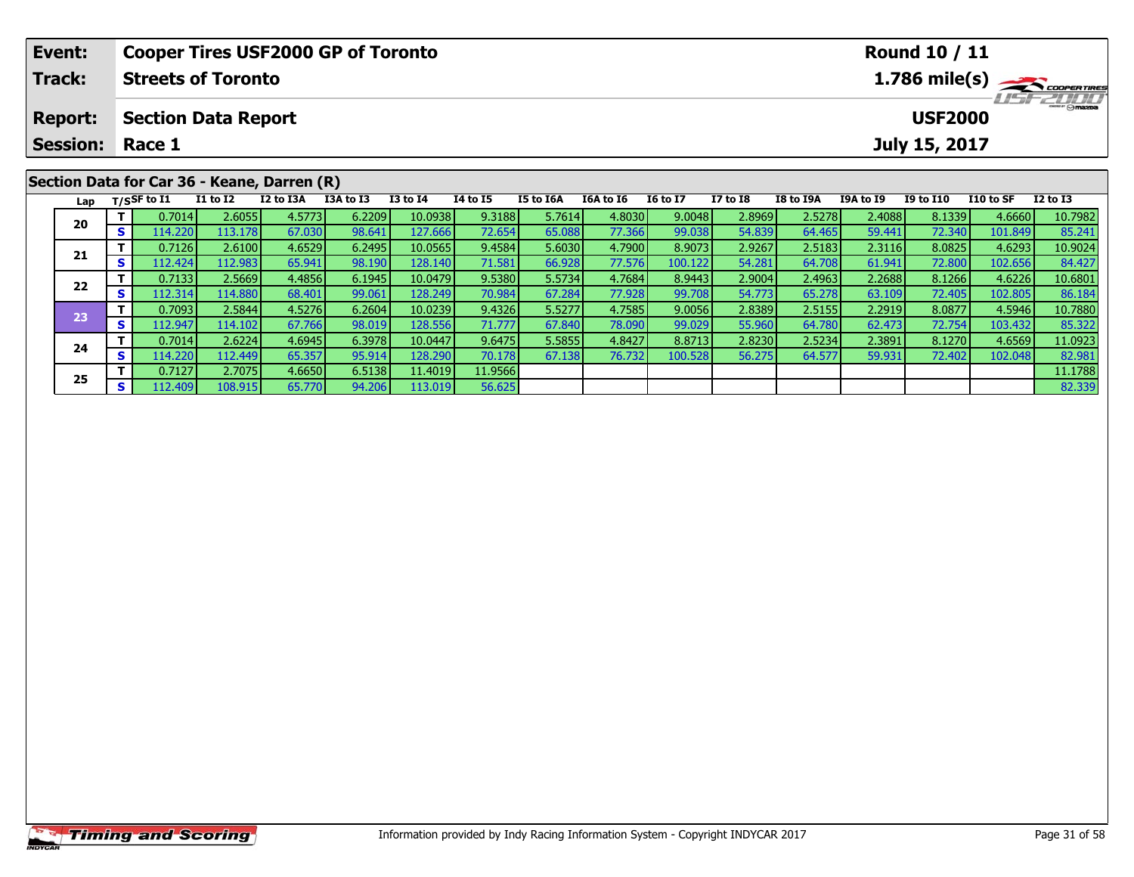|                                              | Event:          |    |                |                                             |           | <b>Cooper Tires USF2000 GP of Toronto</b> |                                                               | Round 10 / 11 |           |           |                 |                 |           |           |                  |           |                |
|----------------------------------------------|-----------------|----|----------------|---------------------------------------------|-----------|-------------------------------------------|---------------------------------------------------------------|---------------|-----------|-----------|-----------------|-----------------|-----------|-----------|------------------|-----------|----------------|
|                                              | <b>Track:</b>   |    |                | <b>Streets of Toronto</b>                   |           |                                           | $1.786$ mile(s) $\overbrace{\hspace{2.5cm}}^{3}$ coorer Times |               |           |           |                 |                 |           |           |                  |           |                |
| <b>Section Data Report</b><br><b>Report:</b> |                 |    |                |                                             |           |                                           |                                                               |               |           |           |                 |                 |           |           | <b>USF2000</b>   |           | <b>HSFZUIT</b> |
|                                              | <b>Session:</b> |    | Race 1         |                                             |           |                                           |                                                               |               |           |           |                 |                 |           |           | July 15, 2017    |           |                |
|                                              |                 |    |                |                                             |           |                                           |                                                               |               |           |           |                 |                 |           |           |                  |           |                |
|                                              |                 |    |                | Section Data for Car 36 - Keane, Darren (R) |           |                                           |                                                               |               |           |           |                 |                 |           |           |                  |           |                |
|                                              | Lap             |    | $T/S$ SF to I1 | <b>I1 to I2</b>                             | I2 to I3A | I3A to I3                                 | $I3$ to $I4$                                                  | 14 to 15      | I5 to I6A | I6A to I6 | <b>16 to 17</b> | <b>I7 to I8</b> | I8 to I9A | I9A to I9 | <b>I9 to I10</b> | I10 to SF | $I2$ to $I3$   |
|                                              | 20              |    | 0.7014         | 2.6055                                      | 4.5773    | 6.2209                                    | 10.0938                                                       | 9.3188        | 5.7614    | 4.8030    | 9.0048          | 2.8969          | 2.5278    | 2.4088    | 8.1339           | 4.6660    | 10.7982        |
|                                              |                 | S. | 114.220        | 113.178                                     | 67.030    | 98.641                                    | 127.666                                                       | 72.654        | 65.088    | 77.366    | 99.038          | 54.839          | 64.465    | 59.441    | 72.340           | 101.849   | 85.241         |
|                                              | 21              |    | 0.7126         | 2.6100                                      | 4.6529    | 6.2495                                    | 10.0565                                                       | 9.4584        | 5.6030    | 4.7900    | 8.9073          | 2.9267          | 2.5183    | 2.3116    | 8.0825           | 4.6293    | 10.9024        |
|                                              |                 | S. | 112.424        | 112.983                                     | 65.941    | 98.190                                    | 128.140                                                       | 71.581        | 66.928    | 77.576    | 100.122         | 54.281          | 64.708    | 61.941    | 72.800           | 102.656   | 84.427         |
|                                              | $- -$           |    | 0.7133         | 2.5669                                      | 4.4856    | 6.1945                                    | 10.0479                                                       | 9.5380        | 5.5734    | 4.7684    | 8.9443          | 2.9004          | 2.4963    | 2.2688    | 8.1266           | 4.6226    | 10.6801        |

2 T 0.7133 2.5669 4.4856 6.1945 10.0479 9.5380 5.5734 4.7684 8.9443 2.9004 2.4963 2.2688 8.1266 4.6226 10.6801<br>2 S 112.314 114.880 68.401 99.061 128.249 70.984 67.284 77.928 99.708 54.773 65.278 63.109 72.405 102.805 86.18

3 T 0.7093 2.5844 4.5276 6.2604 10.0239 9.4326 5.5277 4.7585 9.0056 2.8389 2.5155 2.2919 8.0877 4.5946 10.7880<br>3 S 112.947 114.102 67.766 98.019 128.556 71.777 67.840 78.090 99.029 55.960 64.780 62.473 72.754 103.432 85.32

**<sup>T</sup>** 0.7014 2.6224 4.6945 6.3978 10.0447 9.6475 5.5855 4.8427 8.8713 2.8230 2.5234 2.3891 8.1270 4.6569 11.0923 **<sup>S</sup>** 114.220 112.449 65.357 95.914 128.290 70.178 67.138 76.732 100.528 56.275 64.577 59.931 72.402 102.048 82.981

**<sup>T</sup>** 0.7127 2.7075 4.6650 6.5138 11.4019 11.9566 11.1788 **<sup>S</sup>** 112.409 108.915 65.770 94.206 113.019 56.625 82.339

**22**

**23**

**24**

**25**

10.7880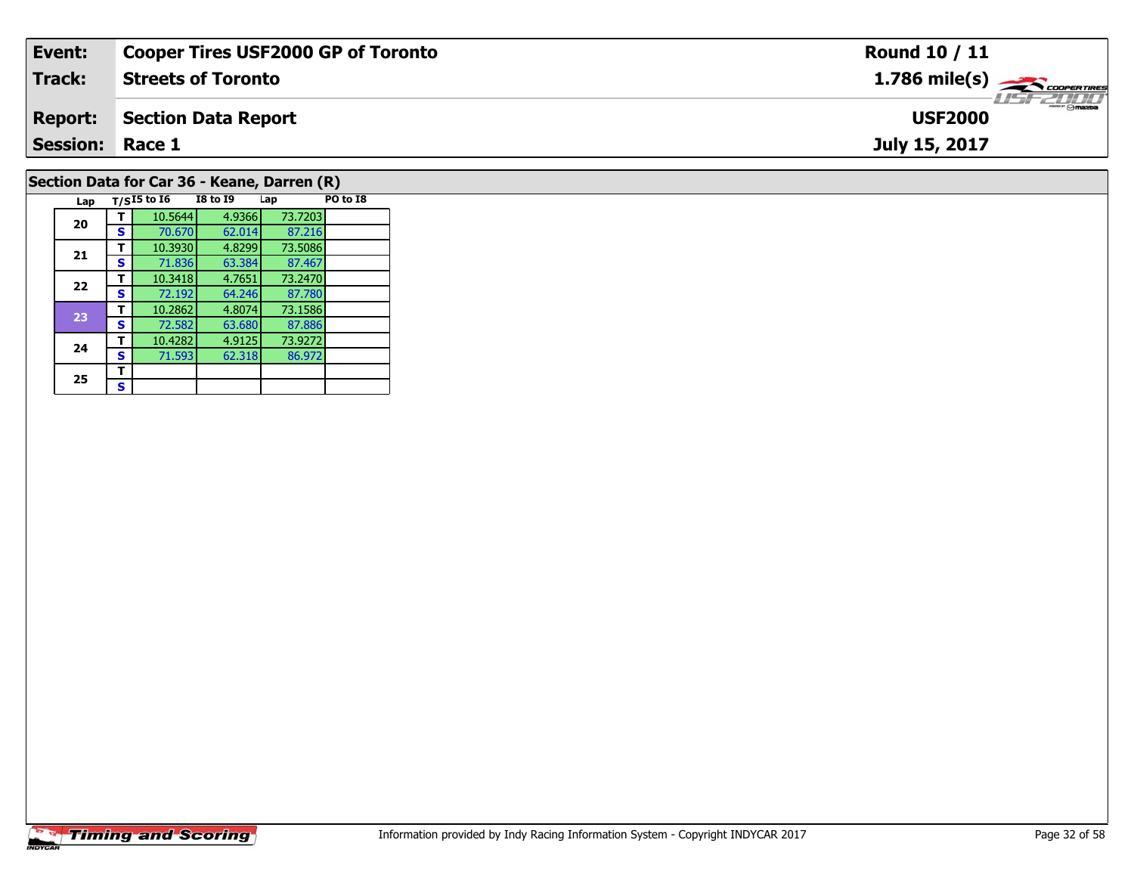| Event:                                                                       | <b>Cooper Tires USF2000 GP of Toronto</b> | <b>Round 10 / 11</b>          |  |  |  |  |  |  |  |
|------------------------------------------------------------------------------|-------------------------------------------|-------------------------------|--|--|--|--|--|--|--|
| <b>Track:</b>                                                                | <b>Streets of Toronto</b>                 | $1.786$ mile(s) $\rightarrow$ |  |  |  |  |  |  |  |
| <b>Report:</b>                                                               | Section Data Report                       | <b>USF2000</b>                |  |  |  |  |  |  |  |
| <b>Session: Race 1</b>                                                       |                                           | July 15, 2017                 |  |  |  |  |  |  |  |
| $\mathsf{C}$ oction Data for $\mathsf{C}$ ar 26 $\mathsf{V}$ oano Darron (D) |                                           |                               |  |  |  |  |  |  |  |

### **Section Data for Car 36 - Keane, Darren (R)**

| Lap |   | $T/SI5$ to $I6$ | <b>I8 to I9</b> | Lap     | PO to I8 |
|-----|---|-----------------|-----------------|---------|----------|
| 20  |   | 10.5644         | 4.9366          | 73.7203 |          |
|     | s | 70.670          | 62.014          | 87.216  |          |
| 21  | т | 10.3930         | 4.8299          | 73.5086 |          |
|     | S | 71.836          | 63.384          | 87.467  |          |
| 22  | т | 10.3418         | 4.7651          | 73.2470 |          |
|     | S | 72.192          | 64.246          | 87.780  |          |
| 23  | т | 10.2862         | 4.8074          | 73.1586 |          |
|     | s | 72.582          | 63.680          | 87.886  |          |
| 24  | т | 10.4282         | 4.9125          | 73.9272 |          |
|     | S | 71.593          | 62.318          | 86.972  |          |
| 25  | т |                 |                 |         |          |
|     | s |                 |                 |         |          |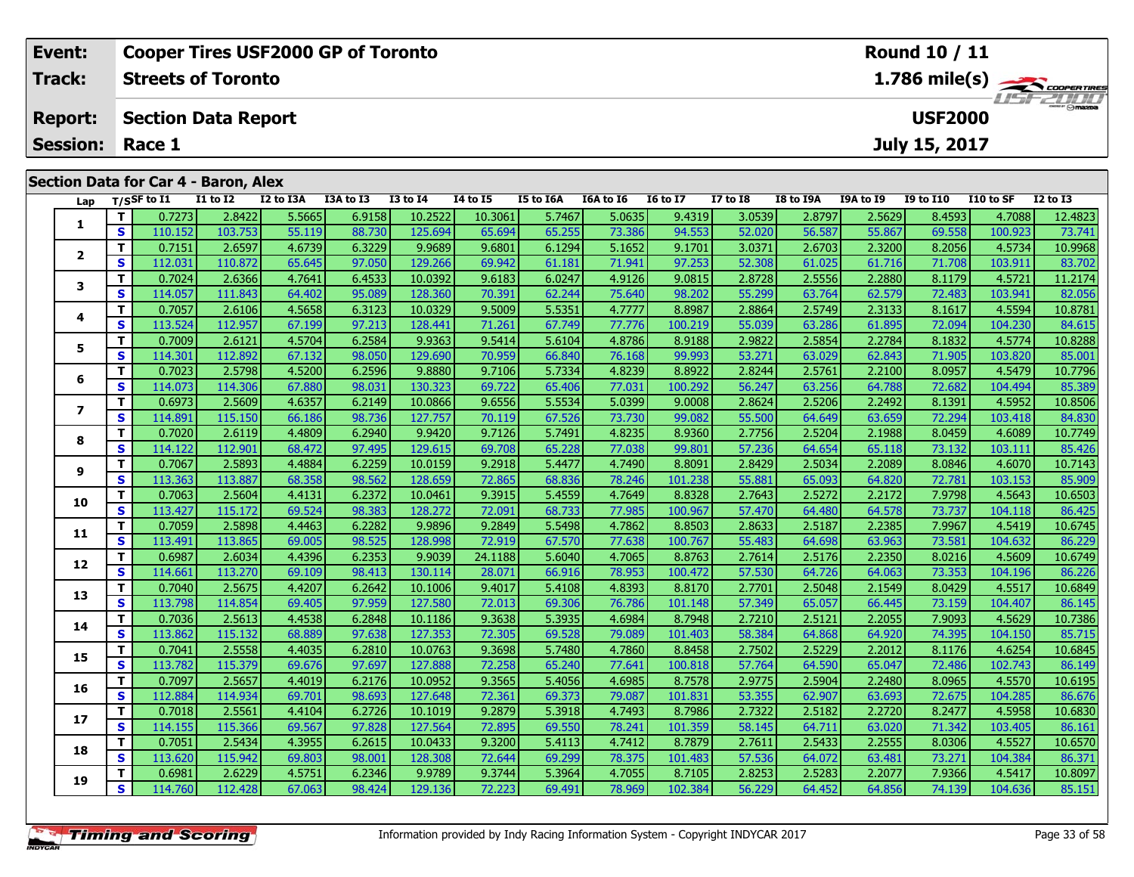| Event:          |             |           | <b>Cooper Tires USF2000 GP of Toronto</b> |               |               |                 | Round 10 / 11                                           |                  |                  |                 |                 |               |               |                |           |                 |
|-----------------|-------------|-----------|-------------------------------------------|---------------|---------------|-----------------|---------------------------------------------------------|------------------|------------------|-----------------|-----------------|---------------|---------------|----------------|-----------|-----------------|
| Track:          |             |           | <b>Streets of Toronto</b>                 |               |               |                 | $1.786$ mile(s) $\sum$ coorentines<br><b>LIST ZULLI</b> |                  |                  |                 |                 |               |               |                |           |                 |
| <b>Report:</b>  |             |           | <b>Section Data Report</b>                |               |               |                 |                                                         |                  |                  |                 |                 |               |               | <b>USF2000</b> |           |                 |
| <b>Session:</b> |             | Race 1    |                                           |               |               |                 |                                                         |                  |                  |                 |                 |               |               | July 15, 2017  |           |                 |
|                 |             |           | Section Data for Car 4 - Baron, Alex      |               |               |                 |                                                         |                  |                  |                 |                 |               |               |                |           |                 |
| Lap             | T/SSF to I1 |           | I1 to I2                                  | I2 to I3A     | I3A to I3     | <b>I3 to I4</b> | 14 to 15                                                | <b>I5 to I6A</b> | <b>I6A to I6</b> | <b>I6 to I7</b> | <b>I7 to I8</b> | I8 to I9A     | I9A to I9     | I9 to I10      | I10 to SF | <b>I2 to I3</b> |
|                 |             | 0.72731   | 2.8422                                    | 5.5665        | 6.9158        | 10.2522         | 10.3061                                                 | 5.7467           | 5.0635           | 9.4319          | 3.0539          | 2.8797        | 2.5629        | 8.4593         | 4.7088    | 12.4823         |
|                 | $\epsilon$  | 110 152 L | 103751                                    | <b>EE 110</b> | <b>22 720</b> | 125.601         | <b>GE GOAL</b>                                          | <b>AE JEEL</b>   | <b>72.396</b>    | 04552           | <b>ED 0201</b>  | <b>56 597</b> | <b>EE 967</b> | <b>GO EER</b>  | ובכם חחו  | $72.741$        |

|                          | .            |         |         |        |        |         |         |        |        |         |        |        |        |        |         |         |
|--------------------------|--------------|---------|---------|--------|--------|---------|---------|--------|--------|---------|--------|--------|--------|--------|---------|---------|
| 1                        | T.           | 0.7273  | 2.8422  | 5.5665 | 6.9158 | 10.2522 | 10.3061 | 5.7467 | 5.0635 | 9.4319  | 3.0539 | 2.8797 | 2.5629 | 8.4593 | 4.7088  | 12.4823 |
|                          | $\mathbf{s}$ | 110.152 | 103.753 | 55.119 | 88.730 | 125.694 | 65.694  | 65.255 | 73.386 | 94.553  | 52.020 | 56.587 | 55.867 | 69.558 | 100.923 | 73.741  |
| $\overline{\mathbf{2}}$  | т            | 0.7151  | 2.6597  | 4.6739 | 6.3229 | 9.9689  | 9.6801  | 6.1294 | 5.1652 | 9.1701  | 3.0371 | 2.6703 | 2.3200 | 8.2056 | 4.5734  | 10.9968 |
|                          | S            | 112.031 | 110.872 | 65.645 | 97.050 | 129.266 | 69.942  | 61.181 | 71.941 | 97.253  | 52,308 | 61.025 | 61.716 | 71.708 | 103.911 | 83.702  |
| 3                        | T            | 0.7024  | 2.6366  | 4.7641 | 6.4533 | 10.0392 | 9.6183  | 6.0247 | 4.9126 | 9.0815  | 2.8728 | 2.5556 | 2.2880 | 8.1179 | 4.5721  | 11.2174 |
|                          | S            | 114.057 | 111.843 | 64.402 | 95.089 | 128.360 | 70.391  | 62.244 | 75.640 | 98.202  | 55.299 | 63.764 | 62.579 | 72.483 | 103.941 | 82.056  |
| 4                        | т            | 0.7057  | 2.6106  | 4.5658 | 6.3123 | 10.0329 | 9.5009  | 5.5351 | 4.7777 | 8.8987  | 2.8864 | 2.5749 | 2.3133 | 8.1617 | 4.5594  | 10.8781 |
|                          | S            | 113.524 | 112.957 | 67.199 | 97.213 | 128.441 | 71.261  | 67.749 | 77.776 | 100.219 | 55.039 | 63.286 | 61.895 | 72.094 | 104.230 | 84.615  |
| 5                        | т            | 0.7009  | 2.6121  | 4.5704 | 6.2584 | 9.9363  | 9.5414  | 5.6104 | 4.8786 | 8.9188  | 2.9822 | 2.5854 | 2.2784 | 8.1832 | 4.5774  | 10.8288 |
|                          | S            | 114.301 | 112.892 | 67.132 | 98.050 | 129.690 | 70.959  | 66.840 | 76.168 | 99.993  | 53.271 | 63.029 | 62.843 | 71.905 | 103.820 | 85.001  |
| 6                        | т            | 0.7023  | 2.5798  | 4.5200 | 6.2596 | 9.8880  | 9.7106  | 5.7334 | 4.8239 | 8.8922  | 2.8244 | 2.5761 | 2.2100 | 8.0957 | 4.5479  | 10.7796 |
|                          | S            | 114.073 | 114.306 | 67.880 | 98.031 | 130.323 | 69.722  | 65.406 | 77.031 | 100.292 | 56.247 | 63.256 | 64.788 | 72.682 | 104.494 | 85.389  |
| $\overline{\phantom{a}}$ | T            | 0.6973  | 2.5609  | 4.6357 | 6.2149 | 10.0866 | 9.6556  | 5.5534 | 5.0399 | 9.0008  | 2.8624 | 2.5206 | 2.2492 | 8.1391 | 4.5952  | 10.8506 |
|                          | $\mathbf{s}$ | 114.891 | 115.150 | 66.186 | 98.736 | 127.757 | 70.119  | 67.526 | 73.730 | 99.082  | 55.500 | 64.649 | 63.659 | 72.294 | 103.418 | 84.830  |
| 8                        | Т            | 0.7020  | 2.6119  | 4.4809 | 6.2940 | 9.9420  | 9.7126  | 5.7491 | 4.8235 | 8.9360  | 2.7756 | 2.5204 | 2.1988 | 8.0459 | 4.6089  | 10.7749 |
|                          | S            | 114.122 | 112.901 | 68.472 | 97.495 | 129.615 | 69.708  | 65.228 | 77.038 | 99.801  | 57.236 | 64.654 | 65.118 | 73.132 | 103.111 | 85.426  |
| 9                        | т            | 0.7067  | 2.5893  | 4.4884 | 6.2259 | 10.0159 | 9.2918  | 5.4477 | 4.7490 | 8.8091  | 2.8429 | 2.5034 | 2.2089 | 8.0846 | 4.6070  | 10.7143 |
|                          | S            | 113.363 | 113.887 | 68.358 | 98.562 | 128.659 | 72.865  | 68.836 | 78.246 | 101.238 | 55.881 | 65.093 | 64.820 | 72.781 | 103.153 | 85.909  |
| 10                       | т            | 0.7063  | 2.5604  | 4.4131 | 6.2372 | 10.0461 | 9.3915  | 5.4559 | 4.7649 | 8.8328  | 2.7643 | 2.5272 | 2.2172 | 7.9798 | 4.5643  | 10.6503 |
|                          | $\mathbf{s}$ | 113.427 | 115.172 | 69.524 | 98.383 | 128.272 | 72.091  | 68.733 | 77.985 | 100.967 | 57.470 | 64.480 | 64.578 | 73.737 | 104.118 | 86.425  |
| 11                       | T            | 0.7059  | 2.5898  | 4.4463 | 6.2282 | 9.9896  | 9.2849  | 5.5498 | 4.7862 | 8.8503  | 2.8633 | 2.5187 | 2.2385 | 7.9967 | 4.5419  | 10.6745 |
|                          | S            | 113.491 | 113.865 | 69.005 | 98.525 | 128.998 | 72.919  | 67.570 | 77.638 | 100.767 | 55.483 | 64.698 | 63.963 | 73.581 | 104.632 | 86.229  |
| 12                       | т            | 0.6987  | 2.6034  | 4.4396 | 6.2353 | 9.9039  | 24.1188 | 5.6040 | 4.7065 | 8.8763  | 2.7614 | 2.5176 | 2.2350 | 8.0216 | 4.5609  | 10.6749 |
|                          | S            | 114.661 | 113.270 | 69.109 | 98.413 | 130.114 | 28.071  | 66.916 | 78.953 | 100.472 | 57.530 | 64.726 | 64.063 | 73.353 | 104.196 | 86.226  |
| 13                       | T            | 0.7040  | 2.5675  | 4.4207 | 6.2642 | 10.1006 | 9.4017  | 5.4108 | 4.8393 | 8.8170  | 2.7701 | 2.5048 | 2.1549 | 8.0429 | 4.5517  | 10.6849 |
|                          | $\mathbf{s}$ | 113.798 | 114.854 | 69.405 | 97.959 | 127.580 | 72.013  | 69.306 | 76.786 | 101.148 | 57.349 | 65.057 | 66.445 | 73.159 | 104.407 | 86.145  |
| 14                       | т            | 0.7036  | 2.5613  | 4.4538 | 6.2848 | 10.1186 | 9.3638  | 5.3935 | 4.6984 | 8.7948  | 2.7210 | 2.5121 | 2.2055 | 7.9093 | 4.5629  | 10.7386 |
|                          | $\mathbf{s}$ | 113.862 | 115.132 | 68.889 | 97.638 | 127.353 | 72.305  | 69.528 | 79.089 | 101.403 | 58.384 | 64.868 | 64.920 | 74.395 | 104.150 | 85.715  |
| 15                       | т            | 0.7041  | 2.5558  | 4.4035 | 6.2810 | 10.0763 | 9.3698  | 5.7480 | 4.7860 | 8.8458  | 2.7502 | 2.5229 | 2.2012 | 8.1176 | 4.6254  | 10.6845 |
|                          | S            | 113.782 | 115.379 | 69.676 | 97.697 | 127.888 | 72.258  | 65.240 | 77.641 | 100.818 | 57.764 | 64.590 | 65.047 | 72.486 | 102.743 | 86.149  |
| 16                       | т            | 0.7097  | 2.5657  | 4.4019 | 6.2176 | 10.0952 | 9.3565  | 5.4056 | 4.6985 | 8.7578  | 2.9775 | 2.5904 | 2.2480 | 8.0965 | 4.5570  | 10.6195 |
|                          | S            | 112.884 | 114.934 | 69.701 | 98.693 | 127.648 | 72.361  | 69.373 | 79.087 | 101.831 | 53.355 | 62.907 | 63.693 | 72.675 | 104.285 | 86.676  |
|                          | T            | 0.7018  | 2.5561  | 4.4104 | 6.2726 | 10.1019 | 9.2879  | 5.3918 | 4.7493 | 8.7986  | 2.7322 | 2.5182 | 2.2720 | 8.2477 | 4.5958  | 10.6830 |
| 17                       | S            | 114.155 | 115.366 | 69.567 | 97.828 | 127.564 | 72.895  | 69.550 | 78.241 | 101.359 | 58.145 | 64.711 | 63.020 | 71.342 | 103.405 | 86.161  |
| 18                       | т            | 0.7051  | 2.5434  | 4.3955 | 6.2615 | 10.0433 | 9.3200  | 5.4113 | 4.7412 | 8.7879  | 2.7611 | 2.5433 | 2.2555 | 8.0306 | 4.5527  | 10.6570 |
|                          | S            | 113.620 | 115.942 | 69.803 | 98.001 | 128.308 | 72.644  | 69.299 | 78.375 | 101.483 | 57.536 | 64.072 | 63.481 | 73.271 | 104.384 | 86.371  |
|                          | T            | 0.6981  | 2.6229  | 4.5751 | 6.2346 | 9.9789  | 9.3744  | 5.3964 | 4.7055 | 8.7105  | 2.8253 | 2.5283 | 2.2077 | 7.9366 | 4.5417  | 10.8097 |
| 19                       | $\mathbf{s}$ | 114.760 | 112.428 | 67.063 | 98.424 | 129.136 | 72.223  | 69.491 | 78.969 | 102.384 | 56.229 | 64.452 | 64.856 | 74.139 | 104.636 | 85.151  |
|                          |              |         |         |        |        |         |         |        |        |         |        |        |        |        |         |         |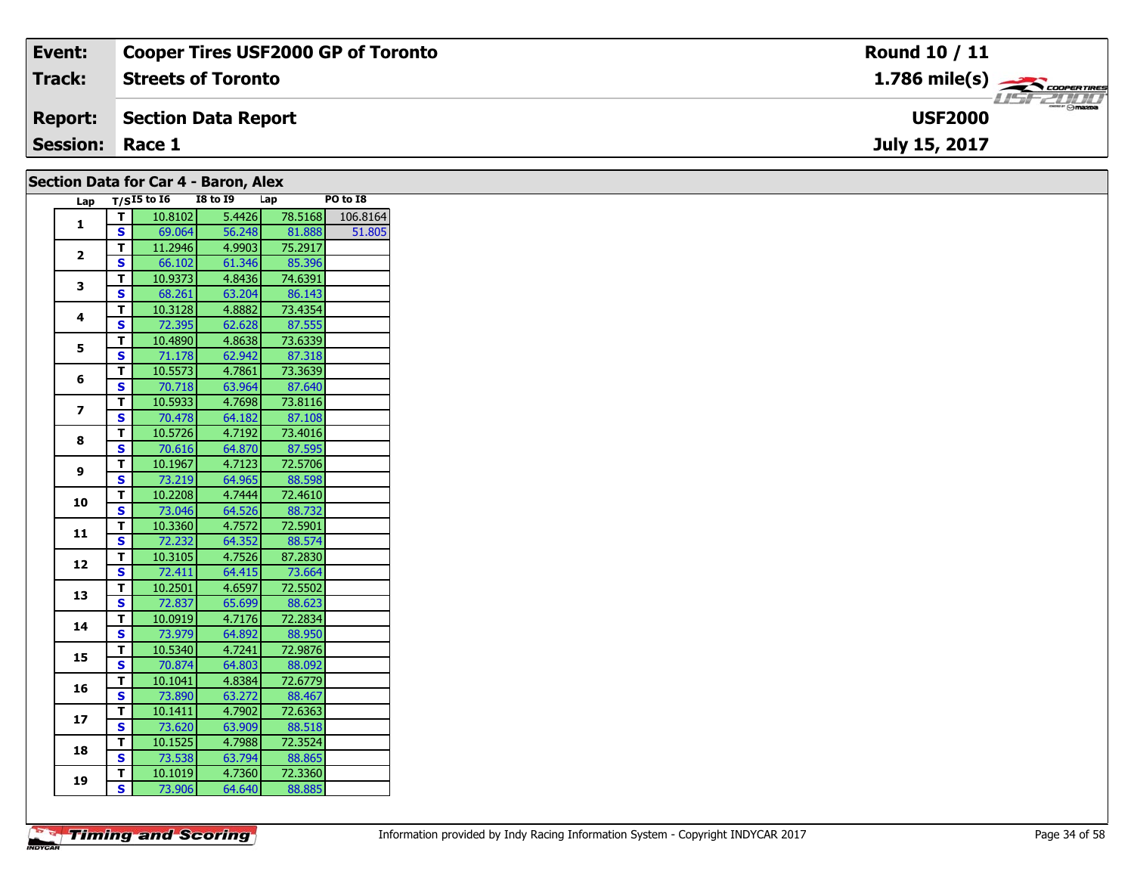| Event:                               | <b>Cooper Tires USF2000 GP of Toronto</b> | Round 10 / 11                             |  |  |  |  |  |  |  |
|--------------------------------------|-------------------------------------------|-------------------------------------------|--|--|--|--|--|--|--|
| <b>Track:</b>                        | <b>Streets of Toronto</b>                 | $1.786$ mile(s) $\rightarrow$ COOPERTIRES |  |  |  |  |  |  |  |
| <b>Report:</b>                       | Section Data Report                       | <b>USF 2000</b><br><b>USF2000</b>         |  |  |  |  |  |  |  |
| <b>Session:</b>                      | Race 1                                    | July 15, 2017                             |  |  |  |  |  |  |  |
| Section Data for Car A - Raron, Alex |                                           |                                           |  |  |  |  |  |  |  |

| Secuoli Data IVI Cal + - Daluli, Alex |              |                 |          |         |          |
|---------------------------------------|--------------|-----------------|----------|---------|----------|
| Lap                                   |              | $T/SI5$ to $I6$ | I8 to 19 | Lap     | PO to I8 |
| $\mathbf{1}$                          | Т.           | 10.8102         | 5.4426   | 78.5168 | 106.8164 |
|                                       | S            | 69.064          | 56.248   | 81.888  | 51.805   |
| $\mathbf{2}$                          | T.           | 11.2946         | 4.9903   | 75.2917 |          |
|                                       | S            | 66.102          | 61.346   | 85.396  |          |
| 3                                     | T.           | 10.9373         | 4.8436   | 74.6391 |          |
|                                       | S            | 68.261          | 63.204   | 86.143  |          |
| 4                                     | T.           | 10.3128         | 4.8882   | 73.4354 |          |
|                                       | S            | 72.395          | 62.628   | 87.555  |          |
| 5                                     | T.           | 10.4890         | 4.8638   | 73.6339 |          |
|                                       | <b>S</b>     | 71.178          | 62.942   | 87.318  |          |
| 6                                     | T.           | 10.5573         | 4.7861   | 73.3639 |          |
|                                       | S            | 70.718          | 63.964   | 87.640  |          |
| $\overline{\mathbf{z}}$               | T.           | 10.5933         | 4.7698   | 73.8116 |          |
|                                       | S            | 70.478          | 64.182   | 87.108  |          |
|                                       | T.           | 10.5726         | 4.7192   | 73.4016 |          |
| 8                                     | $\mathbf{s}$ | 70.616          | 64.870   | 87.595  |          |
|                                       | T.           | 10.1967         | 4.7123   | 72.5706 |          |
| 9                                     | S            | 73.219          | 64.965   | 88.598  |          |
|                                       | T.           | 10.2208         | 4.7444   | 72.4610 |          |
| 10                                    | S            | 73.046          | 64.526   | 88.732  |          |
|                                       | T.           | 10.3360         | 4.7572   | 72.5901 |          |
| 11                                    | S            | 72.232          | 64.352   | 88.574  |          |
|                                       | T.           | 10.3105         | 4.7526   | 87.2830 |          |
| 12                                    | S            | 72.411          | 64.415   | 73.664  |          |
|                                       | T.           | 10.2501         | 4.6597   | 72.5502 |          |
| 13                                    | S            | 72.837          | 65.699   | 88.623  |          |
|                                       | T.           | 10.0919         | 4.7176   | 72.2834 |          |
| 14                                    | S            | 73.979          | 64.892   | 88.950  |          |
|                                       | T.           | 10.5340         | 4.7241   | 72.9876 |          |
| 15                                    | S            | 70.874          | 64.803   | 88.092  |          |
|                                       | T.           | 10.1041         | 4.8384   | 72.6779 |          |
| 16                                    | S            | 73.890          | 63.272   | 88.467  |          |
|                                       | T.           | 10.1411         | 4.7902   | 72.6363 |          |
| 17                                    | S            | 73.620          | 63.909   | 88.518  |          |
|                                       | T.           | 10.1525         | 4.7988   | 72.3524 |          |
| 18                                    | S.           | 73.538          | 63.794   | 88.865  |          |
|                                       | T.           | 10.1019         | 4.7360   | 72.3360 |          |
| 19                                    | S.           | 73.906          | 64.640   | 88.885  |          |
|                                       |              |                 |          |         |          |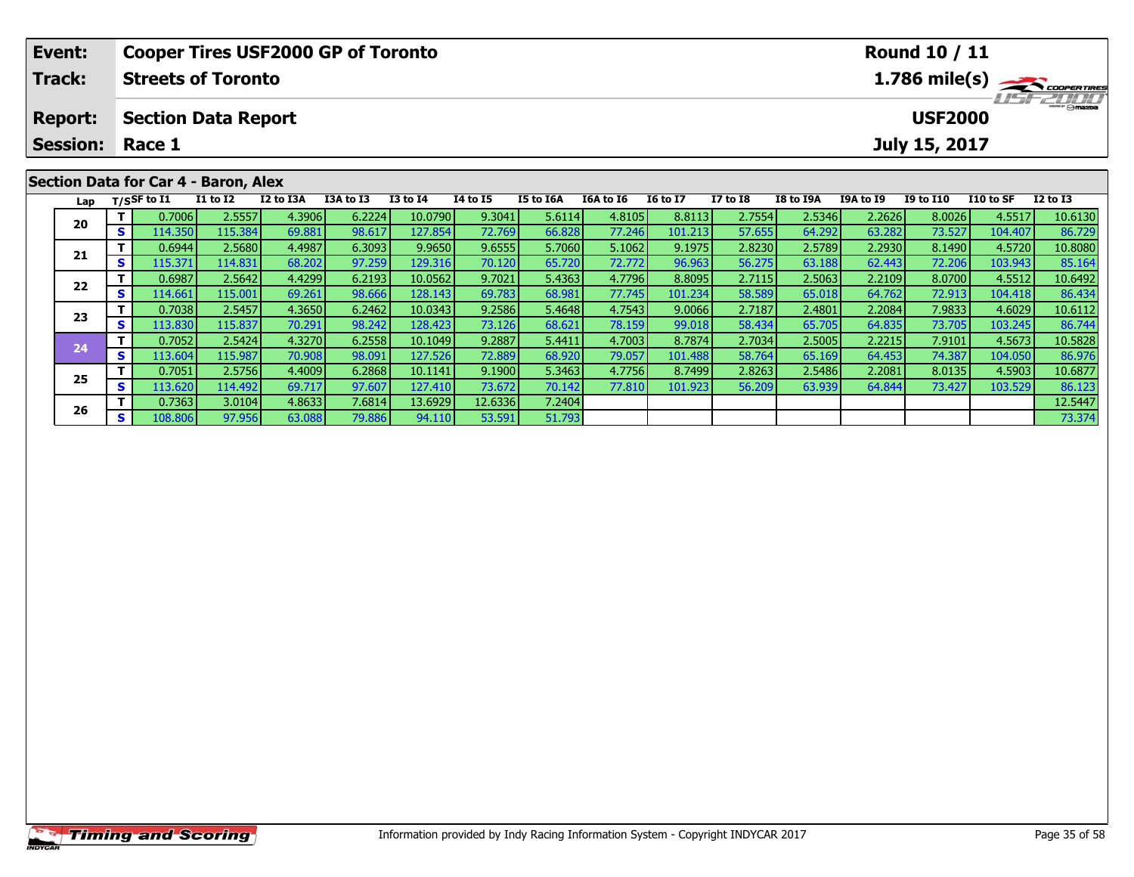| Event:         |     |                        |                                      | <b>Cooper Tires USF2000 GP of Toronto</b> |           |              |                                                              |           |           | Round 10 / 11   |                 |           |                  |                                 |           |              |
|----------------|-----|------------------------|--------------------------------------|-------------------------------------------|-----------|--------------|--------------------------------------------------------------|-----------|-----------|-----------------|-----------------|-----------|------------------|---------------------------------|-----------|--------------|
| Track:         |     |                        | <b>Streets of Toronto</b>            |                                           |           |              | $1.786$ mile(s) $\rightarrow$ COOPER TIRES<br><b>TEFZOLO</b> |           |           |                 |                 |           |                  |                                 |           |              |
| <b>Report:</b> |     | <b>Session: Race 1</b> | <b>Section Data Report</b>           |                                           |           |              |                                                              |           |           |                 |                 |           |                  | <b>USF2000</b><br>July 15, 2017 |           |              |
|                |     |                        |                                      |                                           |           |              |                                                              |           |           |                 |                 |           |                  |                                 |           |              |
|                |     |                        | Section Data for Car 4 - Baron, Alex |                                           |           |              |                                                              |           |           |                 |                 |           |                  |                                 |           |              |
| Lap            |     | T/SSF to I1            | <b>I1 to I2</b>                      | I2 to I3A                                 | I3A to I3 | $I3$ to $I4$ | <b>I4 to I5</b>                                              | I5 to I6A | I6A to I6 | <b>16 to 17</b> | <b>I7 to I8</b> | I8 to I9A | <b>I9A to I9</b> | <b>I9 to I10</b>                | I10 to SF | $I2$ to $I3$ |
| 20             |     | 0.7006                 | 2.5557                               | 4.3906                                    | 6.2224    | 10.0790      | 9.3041                                                       | 5.6114    | 4.8105    | 8.8113          | 2.7554          | 2.5346    | 2.2626           | 8.0026                          | 4.5517    | 10.6130      |
|                | s l | 114.350                | 115.384                              | 69.881                                    | 98.617    | 127.854      | 72.769                                                       | 66.828    | 77.246    | 101.213         | 57.655          | 64.292    | 63.282           | 73.527                          | 104.407   | 86.729       |
| 21             |     | 0.6944                 | 2.5680                               | 4.4987                                    | 6.3093    | 9.9650       | 9.6555                                                       | 5.7060    | 5.1062    | 9.1975          | 2.8230          | 2.5789    | 2.2930           | 8.1490                          | 4.5720    | 10.8080      |
|                |     | 115.371                | 114.831                              | 68.2021                                   | 97.259    | 129.316      | 70.120                                                       | 65.720    | 72.772    | 96.963          | 56.275          | 63.188    | 62.443           | <b>72.2061</b>                  | 103.943   | 85.164       |

2 T 0.6987 2.5642 4.4299 6.2193 10.0562 9.7021 5.4363 4.7796 8.8095 2.7115 2.5063 2.2109 8.0700 4.5512 10.6492<br>2 S 114.661 115.001 69.261 98.666 128.143 69.783 68.981 77.745 101.234 58.589 65.018 64.762 72.913 104.418 86.4

3 T 0.7038 2.5457 4.3650 6.2462 10.0343 9.2586 5.4648 4.7543 9.0066 2.7187 2.4801 2.2084 7.9833 4.6029 10.6112<br>S 113.830 115.837 70.291 98.242 128.423 73.126 68.621 78.159 99.018 58.434 65.705 64.835 73.705 103.245 86.744

**<sup>T</sup>** 0.7052 2.5424 4.3270 6.2558 10.1049 9.2887 5.4411 4.7003 8.7874 2.7034 2.5005 2.2215 7.9101 4.5673 10.5828 **<sup>S</sup>** 113.604 115.987 70.908 98.091 127.526 72.889 68.920 79.057 101.488 58.764 65.169 64.453 74.387 104.050 86.976

5 T 0.7051 2.5756 4.4009 6.2868 10.1141 9.1900 5.3463 4.7756 8.7499 2.8263 2.5486 2.2081 8.0135 4.5903 10.6877<br>5 S 113.620 114.492 69.717 97.607 127.410 73.672 70.142 77.810 101.923 56.209 63.939 64.844 73.427 103.529 86.1

**<sup>T</sup>** 0.7363 3.0104 4.8633 7.6814 13.6929 12.6336 7.2404 12.5447 **<sup>S</sup>** 108.806 97.956 63.088 79.886 94.110 53.591 51.793 73.374

**22**

**23**

**24**

**25**

**26**

85.164

86.744

86.123<br>12.5447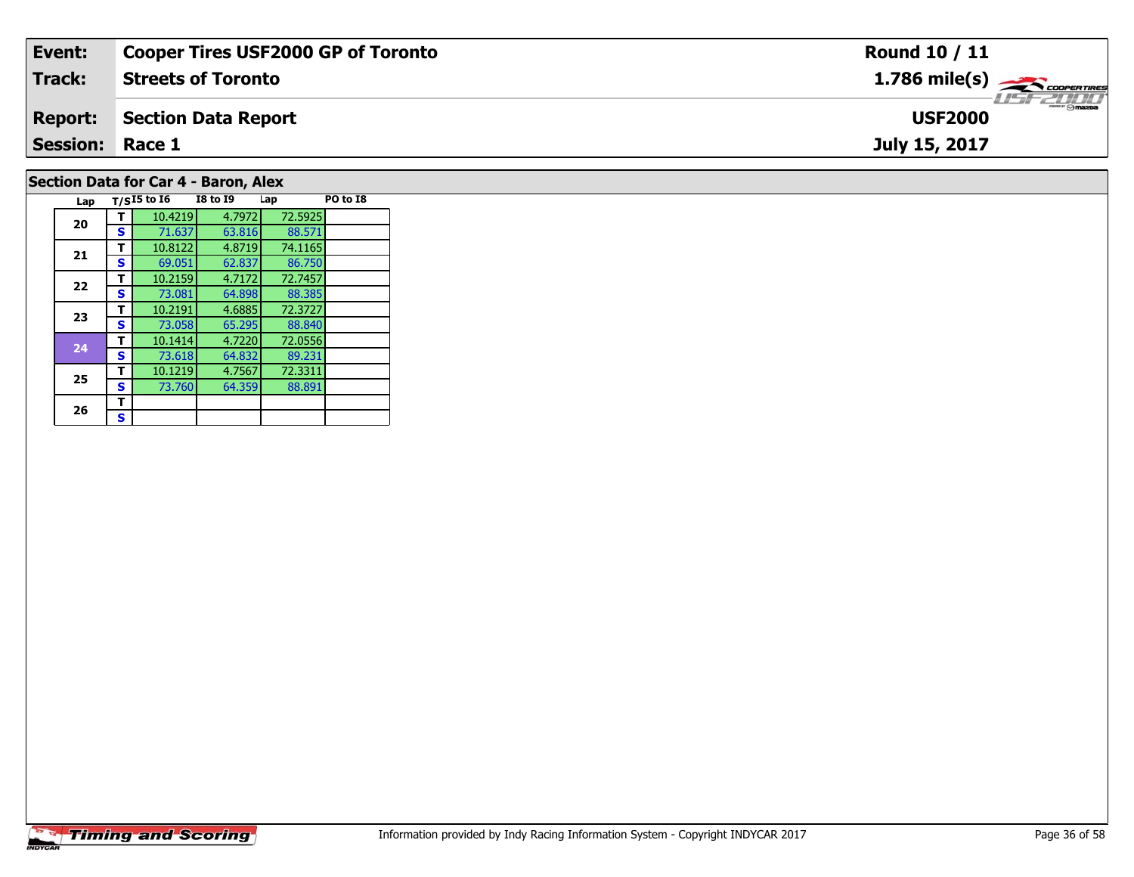| Event:                               | <b>Cooper Tires USF2000 GP of Toronto</b> | Round 10 / 11                                             |  |  |  |  |  |  |  |
|--------------------------------------|-------------------------------------------|-----------------------------------------------------------|--|--|--|--|--|--|--|
| Track:                               | <b>Streets of Toronto</b>                 | $1.786$ mile(s) $\overbrace{\hspace{2.5cm}}$ coorer TIRES |  |  |  |  |  |  |  |
| <b>Report:</b>                       | Section Data Report                       | <b>USF2000</b>                                            |  |  |  |  |  |  |  |
| <b>Session: Race 1</b>               |                                           | July 15, 2017                                             |  |  |  |  |  |  |  |
| Section Data for Car 4 - Baron, Alex |                                           |                                                           |  |  |  |  |  |  |  |

| 20 | т | 10.4219 | 4.7972 | 72.5925 |  |
|----|---|---------|--------|---------|--|
|    | S | 71.637  | 63.816 | 88.571  |  |
| 21 | т | 10.8122 | 4.8719 | 74.1165 |  |
|    | S | 69.051  | 62.837 | 86.750  |  |
| 22 | т | 10.2159 | 4.7172 | 72.7457 |  |
|    | S | 73.081  | 64.898 | 88.385  |  |
| 23 | т | 10.2191 | 4.6885 | 72.3727 |  |
|    | S | 73.058  | 65.295 | 88.840  |  |
| 24 | т | 10.1414 | 4.7220 | 72.0556 |  |
|    | S | 73.618  | 64.832 | 89.231  |  |
| 25 | т | 10.1219 | 4.7567 | 72.3311 |  |
|    | s | 73.760  | 64.359 | 88.891  |  |
| 26 | т |         |        |         |  |
|    | S |         |        |         |  |

**Lap T/SI5 to I6 I8 to I9 Lap PO to I8**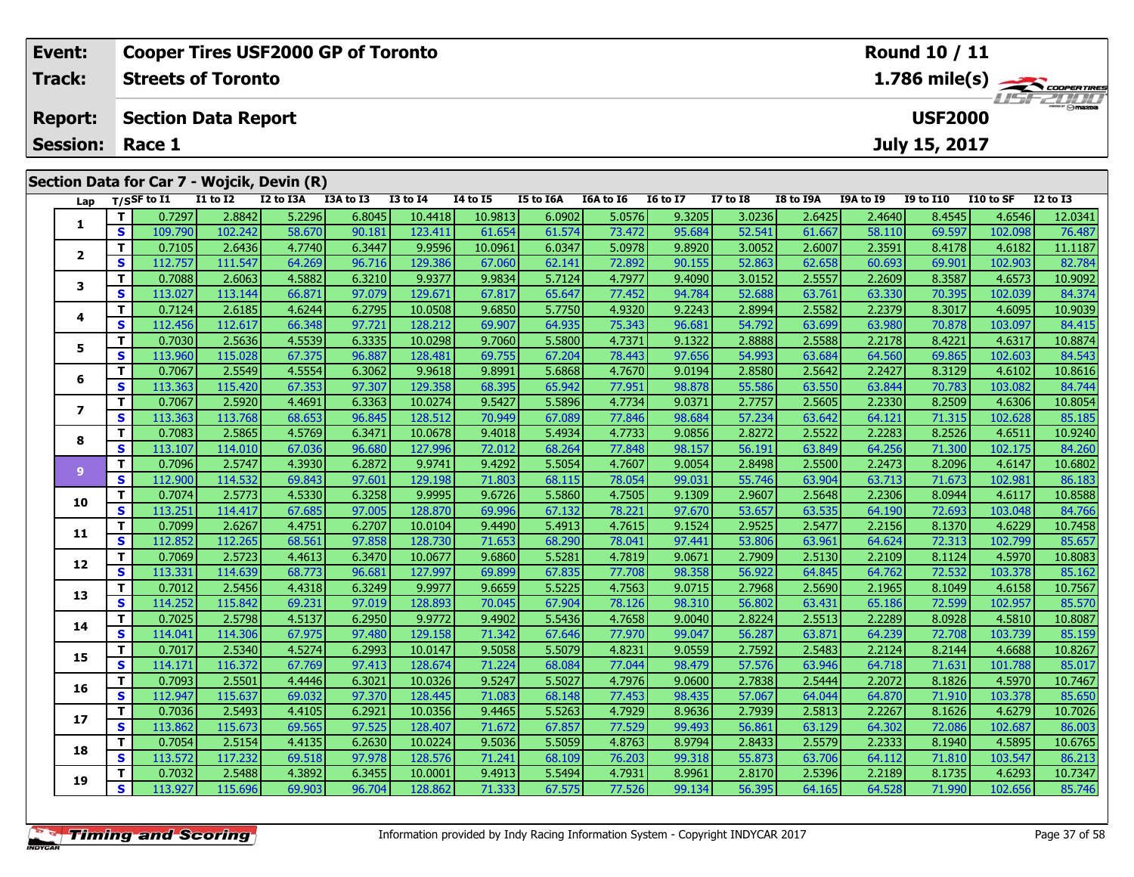|                   |                                            |                  | <b>Cooper Tires USF2000 GP of Toronto</b><br>Round 10 / 11 |              |                 |           |           |                 |                 |           |           |                 |                                            |                 |        |  |
|-------------------|--------------------------------------------|------------------|------------------------------------------------------------|--------------|-----------------|-----------|-----------|-----------------|-----------------|-----------|-----------|-----------------|--------------------------------------------|-----------------|--------|--|
|                   | 1.786 mile(s)<br><b>Streets of Toronto</b> |                  |                                                            |              |                 |           |           |                 |                 |           |           |                 |                                            |                 | Track: |  |
| $H = -H H$        | <b>USF2000</b>                             |                  |                                                            |              |                 |           |           |                 |                 |           |           |                 | <b>Section Data Report</b>                 | <b>Report:</b>  |        |  |
|                   | July 15, 2017                              |                  |                                                            |              |                 |           |           |                 |                 |           |           |                 | Race 1                                     | <b>Session:</b> |        |  |
|                   |                                            |                  |                                                            |              |                 |           |           |                 |                 |           |           |                 | Section Data for Car 7 - Wojcik, Devin (R) |                 |        |  |
| $I2$ to $I3$      | I9 to I10<br>I10 to SF                     | <b>I9A to I9</b> | I8 to I9A                                                  | $I7$ to $I8$ | <b>16 to 17</b> | I6A to I6 | I5 to I6A | <b>I4 to I5</b> | <b>I3 to I4</b> | I3A to I3 | I2 to I3A | <b>I1 to I2</b> | T/SSF to $I1$                              | Lap             |        |  |
| 12.0341<br>4.6546 | 8.4545                                     | 2.4640           | 2.6425                                                     | 3.0236       | 9.3205          | 5.0576    | 6.0902    | 10.9813         | 10.4418         | 6.8045    | 5.2296    | 2.8842          | 0.7297                                     |                 |        |  |
| 76.487<br>102.098 | 69.597                                     | 58.110           | 61.667                                                     | 52.541       | 95.684          | 73.472    | 61.574    | 61.654          | 123.411         | 90.181    | 58.670    | 102.242         | 109.790                                    | S               |        |  |
| 4.6182<br>11.1187 | 8.4178                                     | 2.3591           | 2.6007                                                     | 3.0052       | 9.8920          | 5.0978    | 6.0347    | 10.0961         | 9.9596          | 6.3447    | 4.7740    | 2.6436          | 0.7105                                     |                 |        |  |
| 82.784<br>102.903 | 69.901                                     | 60.693           | 62.658                                                     | 52.863       | 90.155          | 72.892    | 62.141    | 67.060          | 129.386         | 96.716    | 64.269    | 111.547         | 112.757                                    | S               |        |  |
| 10.9092<br>4.6573 | 8.3587                                     | 2.2609           | 2.5557                                                     | 3.0152       | 9.4090          | 4.7977    | 5.7124    | 9.9834          | 9.9377          | 6.3210    | 4.5882    | 2.6063          | 0.7088                                     |                 |        |  |
|                   |                                            |                  |                                                            |              |                 |           |           |                 |                 |           |           |                 |                                            |                 |        |  |

| 1              |                         | 0.7297  | 2.8842  | 5.2296 | 6.8045 | 10.4418 | 10.9813 | 6.0902 | 5.0576 | 9.3205 | 3.0236 | 2.6425 | 2.4640 | 8.4545 | 4.6546  | 12.0341 |
|----------------|-------------------------|---------|---------|--------|--------|---------|---------|--------|--------|--------|--------|--------|--------|--------|---------|---------|
|                | $\mathbf{s}$            | 109.790 | 102.242 | 58.670 | 90.181 | 123.411 | 61.654  | 61.574 | 73.472 | 95.684 | 52.541 | 61.667 | 58.110 | 69.597 | 102.098 | 76.487  |
|                | T.                      | 0.7105  | 2.6436  | 4.7740 | 6.3447 | 9.9596  | 10.0961 | 6.0347 | 5.0978 | 9.8920 | 3.0052 | 2.6007 | 2.3591 | 8.4178 | 4.6182  | 11.1187 |
| $\mathbf{2}$   | S                       | 112.757 | 111.547 | 64.269 | 96.716 | 129.386 | 67.060  | 62.141 | 72.892 | 90.155 | 52.863 | 62.658 | 60.693 | 69.901 | 102.903 | 82.784  |
|                | T.                      | 0.7088  | 2.6063  | 4.5882 | 6.3210 | 9.9377  | 9.9834  | 5.7124 | 4.7977 | 9.4090 | 3.0152 | 2.5557 | 2.2609 | 8.3587 | 4.6573  | 10.9092 |
| 3              | S                       | 113.027 | 113.144 | 66.871 | 97.079 | 129.671 | 67.817  | 65.647 | 77.452 | 94.784 | 52.688 | 63.761 | 63.330 | 70.395 | 102.039 | 84.374  |
|                | T                       | 0.7124  | 2.6185  | 4.6244 | 6.2795 | 10.0508 | 9.6850  | 5.7750 | 4.9320 | 9.2243 | 2.8994 | 2.5582 | 2.2379 | 8.3017 | 4.6095  | 10.9039 |
| 4              | $\mathbf{s}$            | 112.456 | 112.617 | 66.348 | 97.721 | 128.212 | 69.907  | 64.935 | 75.343 | 96.681 | 54.792 | 63.699 | 63.980 | 70.878 | 103.097 | 84.415  |
| 5              | T.                      | 0.7030  | 2.5636  | 4.5539 | 6.3335 | 10.0298 | 9.7060  | 5.5800 | 4.7371 | 9.1322 | 2.8888 | 2.5588 | 2.2178 | 8.4221 | 4.6317  | 10.8874 |
|                | S                       | 113.960 | 115.028 | 67.375 | 96.887 | 128.481 | 69.755  | 67.204 | 78.443 | 97.656 | 54.993 | 63.684 | 64.560 | 69.865 | 102.603 | 84.543  |
| 6              | T.                      | 0.7067  | 2.5549  | 4.5554 | 6.3062 | 9.9618  | 9.8991  | 5.6868 | 4.7670 | 9.0194 | 2.8580 | 2.5642 | 2.2427 | 8.3129 | 4.6102  | 10.8616 |
|                | S                       | 113.363 | 115.420 | 67.353 | 97.307 | 129.358 | 68.395  | 65.942 | 77.951 | 98.878 | 55.586 | 63.550 | 63.844 | 70.783 | 103.082 | 84.744  |
| $\overline{ }$ | T                       | 0.7067  | 2.5920  | 4.4691 | 6.3363 | 10.0274 | 9.5427  | 5.5896 | 4.7734 | 9.0371 | 2.7757 | 2.5605 | 2.2330 | 8.2509 | 4.6306  | 10.8054 |
|                | S                       | 113.363 | 113.768 | 68.653 | 96.845 | 128.512 | 70.949  | 67.089 | 77.846 | 98.684 | 57.234 | 63.642 | 64.121 | 71.315 | 102.628 | 85.185  |
| 8              | T.                      | 0.7083  | 2.5865  | 4.5769 | 6.3471 | 10.0678 | 9.4018  | 5.4934 | 4.7733 | 9.0856 | 2.8272 | 2.5522 | 2.2283 | 8.2526 | 4.6511  | 10.9240 |
|                | S                       | 113.107 | 114.010 | 67.036 | 96.680 | 127.996 | 72.012  | 68.264 | 77.848 | 98.157 | 56.191 | 63.849 | 64.256 | 71.300 | 102.175 | 84.260  |
| 9 <sup>°</sup> | T.                      | 0.7096  | 2.5747  | 4.3930 | 6.2872 | 9.9741  | 9.4292  | 5.5054 | 4.7607 | 9.0054 | 2.8498 | 2.5500 | 2.2473 | 8.2096 | 4.6147  | 10.6802 |
|                | S                       | 112.900 | 114.532 | 69.843 | 97.601 | 129.198 | 71.803  | 68.115 | 78.054 | 99.031 | 55.746 | 63.904 | 63.713 | 71.673 | 102.981 | 86.183  |
| 10             | T.                      | 0.7074  | 2.5773  | 4.5330 | 6.3258 | 9.9995  | 9.6726  | 5.5860 | 4.7505 | 9.1309 | 2.9607 | 2.5648 | 2.2306 | 8.0944 | 4.6117  | 10.8588 |
|                | S                       | 113.251 | 114.417 | 67.685 | 97.005 | 128.870 | 69.996  | 67.132 | 78.221 | 97.670 | 53.657 | 63.535 | 64.190 | 72.693 | 103.048 | 84.766  |
| 11             | T                       | 0.7099  | 2.6267  | 4.4751 | 6.2707 | 10.0104 | 9.4490  | 5.4913 | 4.7615 | 9.1524 | 2.9525 | 2.5477 | 2.2156 | 8.1370 | 4.6229  | 10.7458 |
|                | $\mathbf{s}$            | 112.852 | 112.265 | 68.561 | 97.858 | 128.730 | 71.653  | 68.290 | 78.041 | 97.441 | 53.806 | 63.961 | 64.624 | 72.313 | 102.799 | 85.657  |
| 12             | T.                      | 0.7069  | 2.5723  | 4.4613 | 6.3470 | 10.0677 | 9.6860  | 5.5281 | 4.7819 | 9.0671 | 2.7909 | 2.5130 | 2.2109 | 8.1124 | 4.5970  | 10.8083 |
|                | $\mathbf{s}$            | 113.331 | 114.639 | 68.773 | 96.681 | 127.997 | 69.899  | 67.835 | 77.708 | 98.358 | 56.922 | 64.845 | 64.762 | 72.532 | 103.378 | 85.162  |
| 13             | T.                      | 0.7012  | 2.5456  | 4.4318 | 6.3249 | 9.9977  | 9.6659  | 5.5225 | 4.7563 | 9.0715 | 2.7968 | 2.5690 | 2.1965 | 8.1049 | 4.6158  | 10.7567 |
|                | $\overline{\mathbf{s}}$ | 114.252 | 115.842 | 69.231 | 97.019 | 128.893 | 70.045  | 67.904 | 78.126 | 98.310 | 56.802 | 63.431 | 65.186 | 72.599 | 102.957 | 85.570  |
| 14             | T                       | 0.7025  | 2.5798  | 4.5137 | 6.2950 | 9.9772  | 9.4902  | 5.5436 | 4.7658 | 9.0040 | 2.8224 | 2.5513 | 2.2289 | 8.0928 | 4.5810  | 10.8087 |
|                | $\mathbf{s}$            | 114.041 | 114.306 | 67.975 | 97.480 | 129.158 | 71.342  | 67.646 | 77.970 | 99.047 | 56.287 | 63.871 | 64.239 | 72.708 | 103.739 | 85.159  |
| 15             | T.                      | 0.7017  | 2.5340  | 4.5274 | 6.2993 | 10.0147 | 9.5058  | 5.5079 | 4.8231 | 9.0559 | 2.7592 | 2.5483 | 2.2124 | 8.2144 | 4.6688  | 10.8267 |
|                | S.                      | 114.171 | 116.372 | 67.769 | 97.413 | 128.674 | 71.224  | 68.084 | 77.044 | 98.479 | 57.576 | 63.946 | 64.718 | 71.631 | 101.788 | 85.017  |
| 16             | T.                      | 0.7093  | 2.5501  | 4.4446 | 6.3021 | 10.0326 | 9.5247  | 5.5027 | 4.7976 | 9.0600 | 2.7838 | 2.5444 | 2.2072 | 8.1826 | 4.5970  | 10.7467 |
|                | S                       | 112.947 | 115.637 | 69.032 | 97.370 | 128.445 | 71.083  | 68.148 | 77.453 | 98.435 | 57.067 | 64.044 | 64.870 | 71.910 | 103.378 | 85.650  |
| 17             | T                       | 0.7036  | 2.5493  | 4.4105 | 6.2921 | 10.0356 | 9.4465  | 5.5263 | 4.7929 | 8.9636 | 2.7939 | 2.5813 | 2.2267 | 8.1626 | 4.6279  | 10.7026 |
|                | S                       | 113.862 | 115.673 | 69.565 | 97.525 | 128.407 | 71.672  | 67.857 | 77.529 | 99.493 | 56.861 | 63.129 | 64.302 | 72.086 | 102.687 | 86.003  |
| 18             | T.                      | 0.7054  | 2.5154  | 4.4135 | 6.2630 | 10.0224 | 9.5036  | 5.5059 | 4.8763 | 8.9794 | 2.8433 | 2.5579 | 2.2333 | 8.1940 | 4.5895  | 10.6765 |
|                | $\mathbf{s}$            | 113.572 | 117.232 | 69.518 | 97.978 | 128.576 | 71.241  | 68.109 | 76.203 | 99.318 | 55.873 | 63.706 | 64.112 | 71.810 | 103.547 | 86.213  |
| 19             | т                       | 0.7032  | 2.5488  | 4.3892 | 6.3455 | 10.0001 | 9.4913  | 5.5494 | 4.7931 | 8.9961 | 2.8170 | 2.5396 | 2.2189 | 8.1735 | 4.6293  | 10.7347 |
|                | S.                      | 113.927 | 115.696 | 69.903 | 96.704 | 128.862 | 71.333  | 67.575 | 77.526 | 99.134 | 56.395 | 64.165 | 64.528 | 71.990 | 102.656 | 85.746  |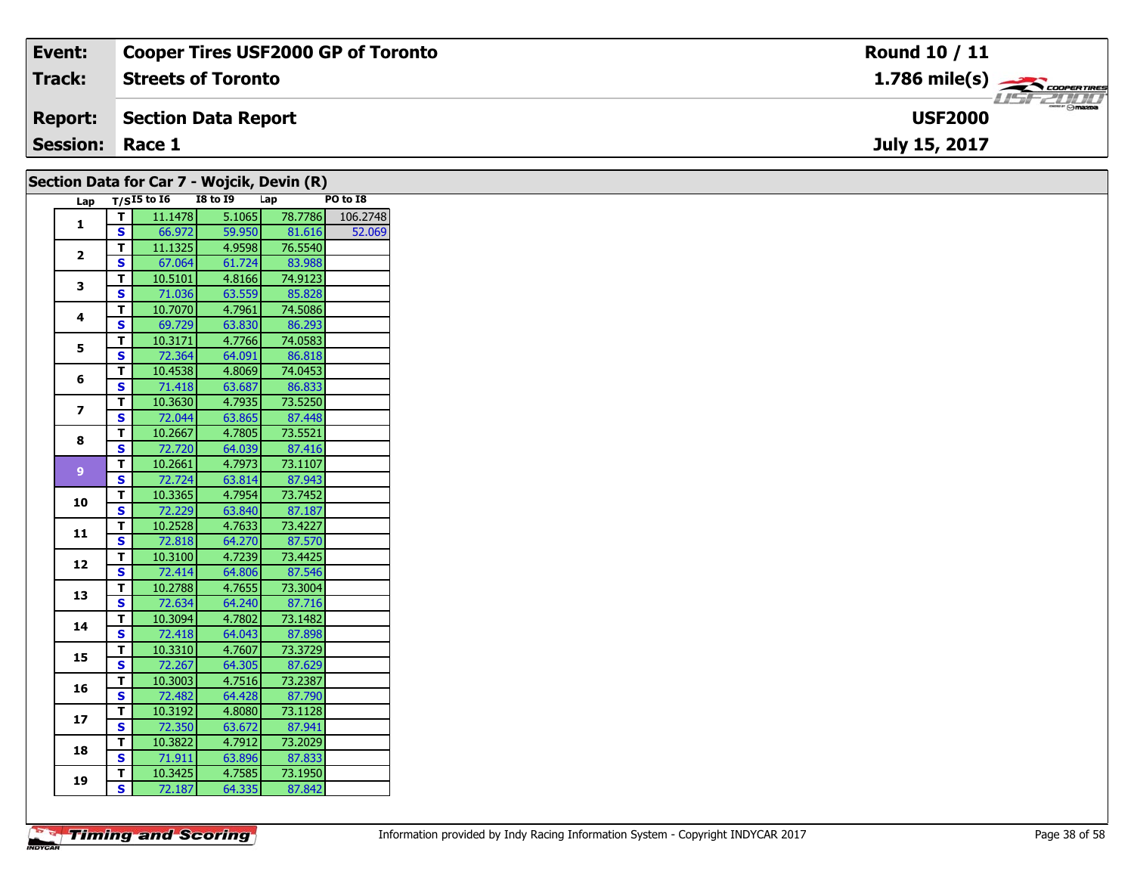| Event:                                     | <b>Cooper Tires USF2000 GP of Toronto</b> | <b>Round 10 / 11</b>                      |  |  |  |  |  |  |  |  |  |
|--------------------------------------------|-------------------------------------------|-------------------------------------------|--|--|--|--|--|--|--|--|--|
| <b>Track:</b>                              | <b>Streets of Toronto</b>                 | $1.786$ mile(s) $\rightarrow$ COOPERTIRES |  |  |  |  |  |  |  |  |  |
| <b>Report:</b>                             | Section Data Report                       | <b>LISF 2000</b><br><b>USF2000</b>        |  |  |  |  |  |  |  |  |  |
|                                            | <b>Session: Race 1</b><br>July 15, 2017   |                                           |  |  |  |  |  |  |  |  |  |
| Section Data for Car 7 - Wojcik, Devin (R) |                                           |                                           |  |  |  |  |  |  |  |  |  |

|                |              | $T/SI5$ to $I6$ | -- <i>-</i> ------<br><b>I8 to 19</b> | ----- 1.7<br>Lap | PO to I8 |
|----------------|--------------|-----------------|---------------------------------------|------------------|----------|
| Lap            |              |                 |                                       |                  |          |
| 1              | $\mathbf T$  | 11.1478         | 5.1065                                | 78.7786          | 106.2748 |
|                | $\mathbf{s}$ | 66.972          | 59.950                                | 81.616           | 52.069   |
| $\mathbf{2}$   | T            | 11.1325         | 4.9598                                | 76.5540          |          |
|                | <b>S</b>     | 67.064          | 61.724                                | 83.988           |          |
| $\mathbf{3}$   | Т            | 10.5101         | 4.8166                                | 74.9123          |          |
|                | $\mathbf{s}$ | 71.036          | 63.559                                | 85.828           |          |
| 4              | Т            | 10.7070         | 4.7961                                | 74.5086          |          |
|                | $\mathbf{s}$ | 69.729          | 63.830                                | 86.293           |          |
| 5              | $\mathbf T$  | 10.3171         | 4.7766                                | 74.0583          |          |
|                | $\mathbf{s}$ | 72.364          | 64.091                                | 86.818           |          |
| 6              | Т            | 10.4538         | 4.8069                                | 74.0453          |          |
|                | <b>S</b>     | 71.418          | 63.687                                | 86.833           |          |
| $\overline{z}$ | $\mathbf T$  | 10.3630         | 4.7935                                | 73.5250          |          |
|                | $\mathbf{s}$ | 72.044          | 63.865                                | 87.448           |          |
|                | $\mathbf T$  | 10.2667         | 4.7805                                | 73.5521          |          |
| 8              | <b>S</b>     | 72.720          | 64.039                                | 87.416           |          |
|                | $\mathbf{T}$ | 10.2661         | 4.7973                                | 73.1107          |          |
| 9              | <b>S</b>     | 72.724          | 63.814                                | 87.943           |          |
|                | T.           | 10.3365         | 4.7954                                | 73.7452          |          |
| 10             | <b>S</b>     | 72.229          | 63.840                                | 87.187           |          |
|                | $\mathbf T$  | 10.2528         | 4.7633                                | 73.4227          |          |
| 11             | $\mathbf{s}$ | 72.818          | 64.270                                | 87.570           |          |
|                | T            | 10.3100         | 4.7239                                | 73.4425          |          |
| 12             | <b>S</b>     | 72.414          | 64.806                                | 87.546           |          |
|                | $\mathbf T$  | 10.2788         | 4.7655                                | 73.3004          |          |
| 13             | <b>S</b>     | 72.634          | 64.240                                | 87.716           |          |
|                | T            | 10.3094         | 4.7802                                | 73.1482          |          |
| 14             | <b>S</b>     | 72.418          | 64.043                                | 87.898           |          |
|                | Т            | 10.3310         | 4.7607                                | 73.3729          |          |
| 15             | S            | 72.267          | 64.305                                | 87.629           |          |
|                | т            | 10.3003         | 4.7516                                | 73.2387          |          |
| 16             | <b>S</b>     | 72.482          | 64.428                                | 87.790           |          |
|                | $\mathbf{T}$ | 10.3192         | 4.8080                                | 73.1128          |          |
| 17             | S            | 72.350          | 63.672                                | 87.941           |          |
|                |              |                 |                                       |                  |          |
| 18             | T.           | 10.3822         | 4.7912                                | 73.2029          |          |
|                | $\mathbf{s}$ | 71.911          | 63.896                                | 87.833           |          |
| 19             | T            | 10.3425         | 4.7585                                | 73.1950          |          |
|                | S.           | 72.187          | 64.335                                | 87.842           |          |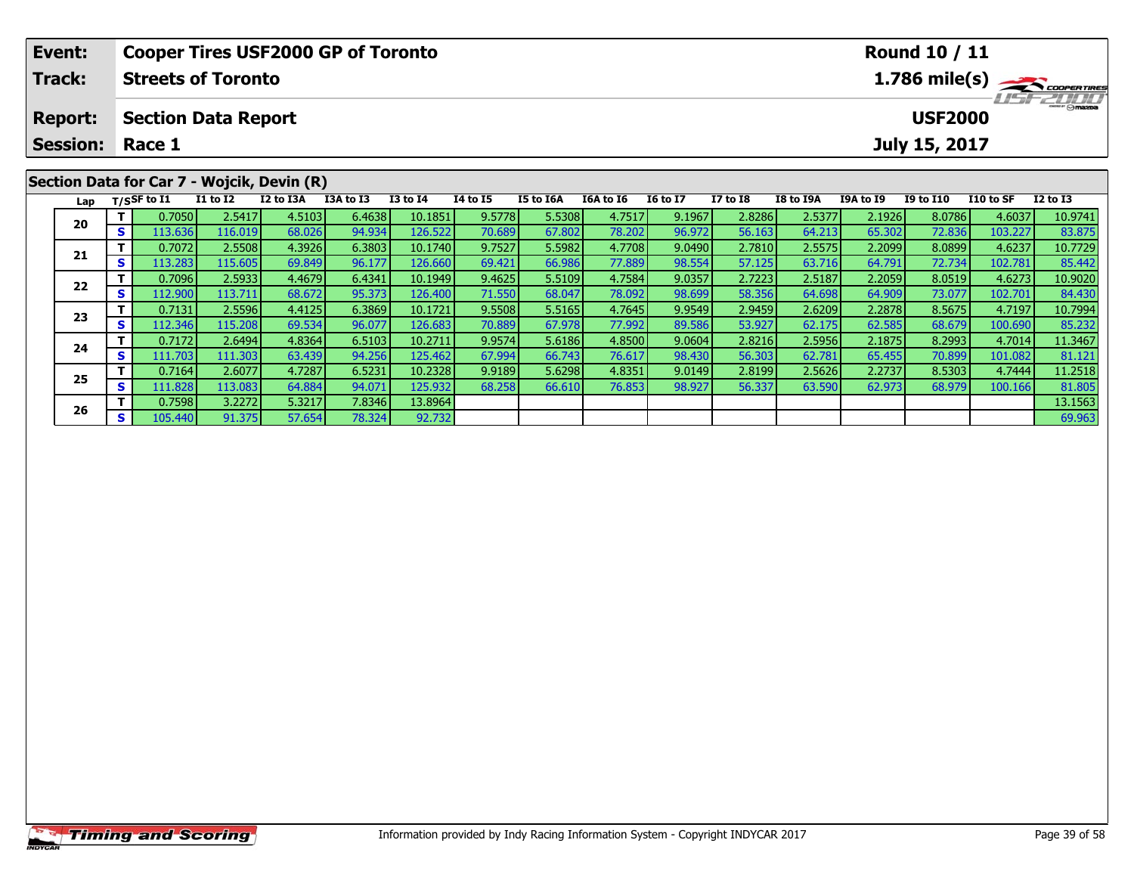| Event:                                  |    |                            |                 | <b>Cooper Tires USF2000 GP of Toronto</b>  |           |                 | <b>Round 10 / 11</b> |                  |           |                 |                 |                  |                  |                  |           |                                         |
|-----------------------------------------|----|----------------------------|-----------------|--------------------------------------------|-----------|-----------------|----------------------|------------------|-----------|-----------------|-----------------|------------------|------------------|------------------|-----------|-----------------------------------------|
| Track:                                  |    | <b>Streets of Toronto</b>  |                 |                                            |           |                 |                      |                  |           |                 |                 |                  |                  |                  |           | $1.786$ mile(s) $\rightarrow$ Coorgange |
| <b>Report:</b>                          |    | <b>Section Data Report</b> |                 |                                            |           |                 |                      |                  |           |                 |                 |                  |                  | <b>USF2000</b>   |           | <b>HSFZUID</b>                          |
| <b>Session: Race 1</b><br>July 15, 2017 |    |                            |                 |                                            |           |                 |                      |                  |           |                 |                 |                  |                  |                  |           |                                         |
|                                         |    |                            |                 | Section Data for Car 7 - Wojcik, Devin (R) |           |                 |                      |                  |           |                 |                 |                  |                  |                  |           |                                         |
| Lap                                     |    | T/SSF to I1                | <b>I1 to I2</b> | I2 to I3A                                  | I3A to I3 | <b>I3 to I4</b> | <b>I4 to I5</b>      | <b>I5 to I6A</b> | I6A to I6 | <b>I6 to I7</b> | <b>I7 to I8</b> | <b>I8 to I9A</b> | <b>I9A to I9</b> | <b>I9 to I10</b> | I10 to SF | $I2$ to $I3$                            |
| 20                                      |    | 0.7050                     | 2.5417          | 4.5103                                     | 6.4638    | 10.1851         | 9.5778               | 5.5308           | 4.7517    | 9.1967          | 2.8286          | 2.5377           | 2.1926           | 8.0786           | 4.6037    | 10.9741                                 |
|                                         | S. | 113.636                    | 116.019         | 68.026                                     | 94.934    | 126.522         | 70.689               | 67.802           | 78.202    | 96.972          | 56.163          | 64.213           | 65.302           | 72.836           | 103.227   | 83.875                                  |
|                                         |    | 0.7072                     | 2.5508          | 4.3926                                     | 6.3803    | 10.1740         | 9.7527               | 5.5982           | 4.7708    | 9.0490          | 2.7810          | 2.5575           | 2.2099           | 8.0899           | 4.6237    | 10.7729                                 |
| 21                                      |    | 113.283                    | 115.605         | 69.849                                     | 96.177    | 126.660         | 69.421               | 66.986           | 77.889    | 98.554          | 57.125          | 63.716           | 64.791           | 72.734           | 102.781   | 85.442                                  |

2 T 0.7096 2.5933 4.4679 6.4341 10.1949 9.4625 5.5109 4.7584 9.0357 2.7223 2.5187 2.2059 8.0519 4.6273 10.9020<br>2 S 112.900 113.711 68.672 95.373 126.400 71.550 68.047 78.092 98.699 58.356 64.698 64.909 73.077 102.701 84.43

**<sup>T</sup>** 0.7131 2.5596 4.4125 6.3869 10.1721 9.5508 5.5165 4.7645 9.9549 2.9459 2.6209 2.2878 8.5675 4.7197 10.7994 **<sup>S</sup>** 112.346 115.208 69.534 96.077 126.683 70.889 67.978 77.992 89.586 53.927 62.175 62.585 68.679 100.690 85.232

4 T 0.7172 2.6494 4.8364 6.5103 10.2711 9.9574 5.6186 4.8500 9.0604 2.8216 2.5956 2.1875 8.2993 4.7014 11.3467<br>S 111.703 111.303 63.439 94.256 125.462 67.994 66.743 76.617 98.430 56.303 62.781 65.455 70.899 101.082 81.121

5 T 0.7164 2.6077 4.7287 6.5231 10.2328 9.9189 5.6298 4.8351 9.0149 2.8199 2.5626 2.2737 8.5303 4.7444 11.2518<br>5 S 111.828 113.083 64.884 94.071 125.932 68.258 66.610 76.853 98.927 56.337 63.590 62.973 68.979 100.166 81.80

**<sup>T</sup>** 0.7598 3.2272 5.3217 7.8346 13.8964 13.1563 **<sup>S</sup>** 105.440 91.375 57.654 78.324 92.732 69.963

**22**

**23**

**24**

**25**

**26**

85.232

 $\frac{81.805}{13.1563}$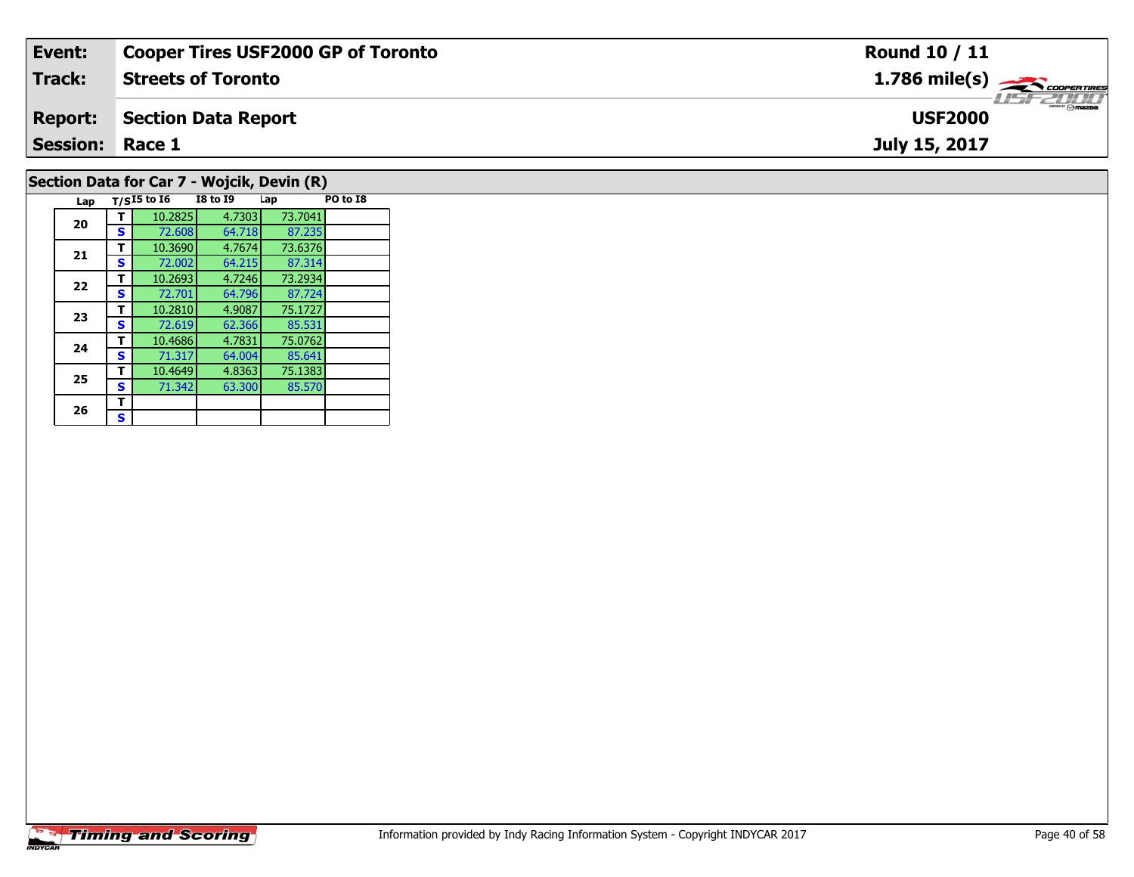| Event:                                     | <b>Cooper Tires USF2000 GP of Toronto</b> | Round 10 / 11                                           |  |  |  |  |  |  |  |
|--------------------------------------------|-------------------------------------------|---------------------------------------------------------|--|--|--|--|--|--|--|
| Track:                                     | <b>Streets of Toronto</b>                 | $1.786$ mile(s) $\overbrace{\hspace{2cm}}$ coorer TIRES |  |  |  |  |  |  |  |
| <b>Report:</b>                             | Section Data Report                       | LISFELINI<br><b>USF2000</b>                             |  |  |  |  |  |  |  |
| <b>Session: Race 1</b>                     |                                           | July 15, 2017                                           |  |  |  |  |  |  |  |
| Section Data for Car 7 - Wojcik, Devin (R) |                                           |                                                         |  |  |  |  |  |  |  |

| Lap |   | $T/SI5$ to $I6$ | <b>I8 to 19</b> | Lap     | PO to I8 |
|-----|---|-----------------|-----------------|---------|----------|
| 20  | т | 10.2825         | 4.7303          | 73.7041 |          |
|     | S | 72.608          | 64.718          | 87.235  |          |
| 21  | т | 10.3690         | 4.7674          | 73.6376 |          |
|     | s | 72.002          | 64.215          | 87.314  |          |
| 22  | т | 10.2693         | 4.7246          | 73.2934 |          |
|     | S | 72.701          | 64.796          | 87.724  |          |
| 23  | т | 10.2810         | 4.9087          | 75.1727 |          |
|     | s | 72.619          | 62.366          | 85.531  |          |
| 24  | т | 10.4686         | 4.7831          | 75.0762 |          |
|     | S | 71.317          | 64.004          | 85.641  |          |
| 25  | т | 10.4649         | 4.8363          | 75.1383 |          |
|     | S | 71.342          | 63.300          | 85.570  |          |
| 26  | т |                 |                 |         |          |
|     | S |                 |                 |         |          |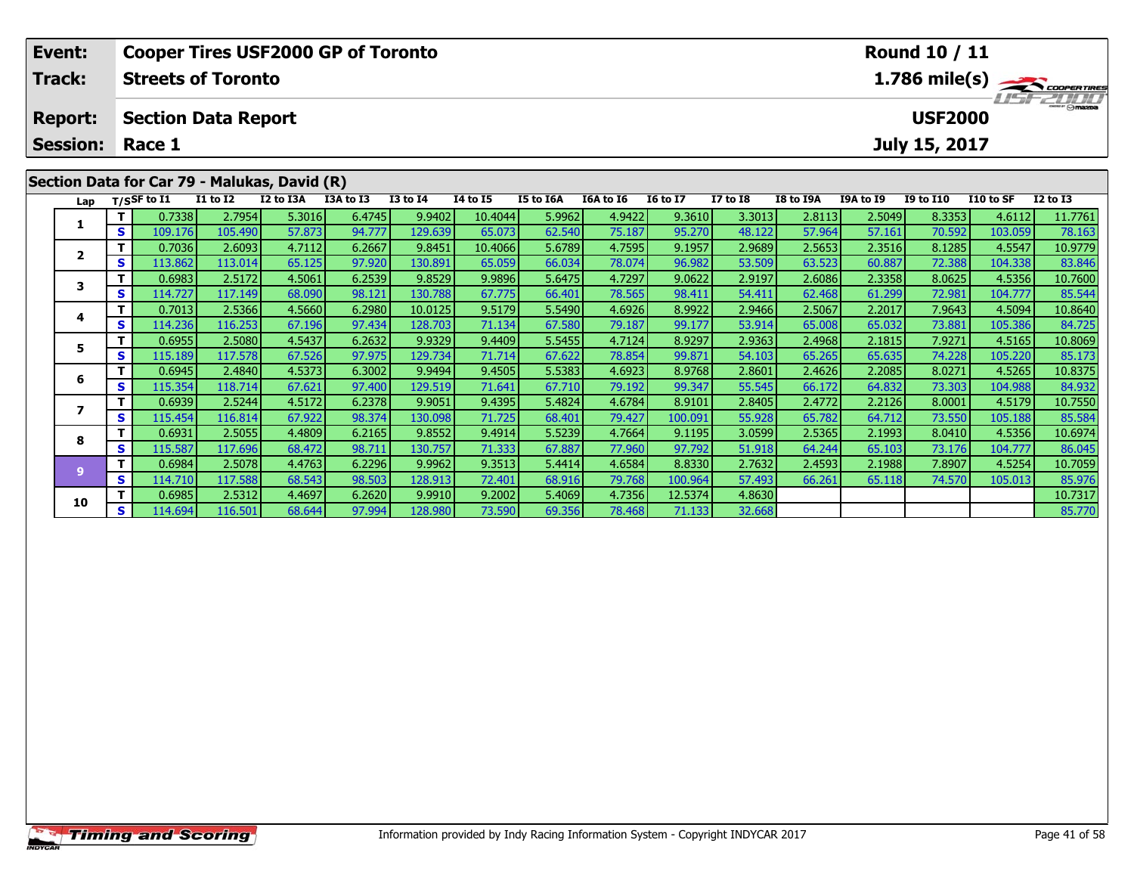| Event:          |                            | <b>Cooper Tires USF2000 GP of Toronto</b>    |          |           |           |              |                 |           | Round 10 / 11 |                 |                 |                                            |           |                  |           |                                         |  |  |
|-----------------|----------------------------|----------------------------------------------|----------|-----------|-----------|--------------|-----------------|-----------|---------------|-----------------|-----------------|--------------------------------------------|-----------|------------------|-----------|-----------------------------------------|--|--|
| <b>Track:</b>   |                            | <b>Streets of Toronto</b>                    |          |           |           |              |                 |           |               |                 |                 | $1.786$ mile(s) $\rightarrow$ COOPER TIRES |           |                  |           |                                         |  |  |
| <b>Report:</b>  | <b>Section Data Report</b> |                                              |          |           |           |              |                 |           |               |                 |                 |                                            |           |                  |           | <i><b>ISFZDDD</b></i><br><b>USF2000</b> |  |  |
| <b>Session:</b> |                            | Race 1<br>July 15, 2017                      |          |           |           |              |                 |           |               |                 |                 |                                            |           |                  |           |                                         |  |  |
|                 |                            | Section Data for Car 79 - Malukas, David (R) |          |           |           |              |                 |           |               |                 |                 |                                            |           |                  |           |                                         |  |  |
| Lap             |                            | T/SSF to $\overline{11}$                     | I1 to I2 | I2 to I3A | I3A to I3 | $I3$ to $I4$ | <b>I4 to I5</b> | I5 to I6A | I6A to I6     | <b>16 to 17</b> | <b>I7 to I8</b> | I8 to I9A                                  | I9A to I9 | <b>I9 to I10</b> | I10 to SF | $I2$ to $I3$                            |  |  |
|                 |                            | 0.7338                                       | 2.7954   | 5.3016    | 6.4745    | 9.9402       | 10.4044         | 5.9962    | 4.9422        | 9.3610          | 3.3013          | 2.8113                                     | 2.5049    | 8.3353           | 4.6112    | 11.7761                                 |  |  |
|                 | S.                         | 109.176                                      | 105.490  | 57.873    | 94.777    | 129.639      | 65.073          | 62.540    | 75.187        | 95.270          | 48.122          | 57.964                                     | 57.161    | 70.592           | 103.059   | 78.163                                  |  |  |
|                 |                            | 0.7036                                       | 2.6093   | 4.7112    | 6.2667    | 9.8451       | 10.4066         | 5.6789    | 4.7595        | 9.1957          | 2.9689          | 2.5653                                     | 2.3516    | 8.1285           | 4.5547    | 10.9779                                 |  |  |
|                 | S.                         | 113.862                                      | 113.014  | 65.125    | 97.920    | 130.891      | 65.059          | 66.034    | 78.074        | 96.982          | 53.509          | 63.523                                     | 60.887    | 72.388           | 104.338   | 83.846                                  |  |  |
|                 |                            | 0.6983                                       | 2.5172   | 4.5061    | 6.2539    | 9.8529       | 9.9896          | 5.6475    | 4.7297        | 9.0622          | 2.9197          | 2.6086                                     | 2.3358    | 8.0625           | 4.5356    | 10.7600                                 |  |  |
| 3               | S.                         | 114.727                                      | 117.149  | 68.090    | 98.121    | 130.788      | 67.775          | 66.401    | 78.565        | 98.411          | 54.411          | 62.468                                     | 61.299    | 72.981           | 104.777   | 85.544                                  |  |  |
|                 |                            | 0.7013                                       | 2.5366   | 4.5660    | 6.2980    | 10.0125      | 9.5179          | 5.5490    | 4.6926        | 8.9922          | 2.9466          | 2.5067                                     | 2.2017    | 7.9643           | 4.5094    | 10.8640                                 |  |  |

|   |    | 0.6983  | 2.5172  | 4.5061 | 6.2539 | 9.8529  | 9.9896 | 5.6475 | 4.7297 | 9.0622  | 2.9197 | 2.6086 | 2.3358 | 8.0625 | 4.5356  | 10.7600 |
|---|----|---------|---------|--------|--------|---------|--------|--------|--------|---------|--------|--------|--------|--------|---------|---------|
|   | S. | 114.727 | 117.149 | 68.090 | 98.121 | 130.788 | 67.775 | 66.401 | 78.565 | 98.411  | 54.411 | 62.468 | 61.299 | 72.981 | 104.777 | 85.544  |
|   |    | 0.7013  | 2.5366  | 4.5660 | 6.2980 | 10.0125 | 9.5179 | 5.5490 | 4.6926 | 8.9922  | 2.9466 | 2.5067 | 2.2017 | 7.9643 | 4.5094  | 10.8640 |
|   | S. | 114.236 | 116.253 | 67.196 | 97.434 | 128.703 | 71.134 | 67.580 | 79.187 | 99.177  | 53.914 | 65.008 | 65.032 | 73.881 | 105.386 | 84.725  |
| 5 |    | 0.6955  | 2.5080  | 4.5437 | 6.2632 | 9.9329  | 9.4409 | 5.5455 | 4.7124 | 8.9297  | 2.9363 | 2.4968 | 2.1815 | 7.9271 | 4.5165  | 10.8069 |
|   | S. | 115.189 | 117.578 | 67.526 | 97.975 | 129.734 | 71.714 | 67.622 | 78.854 | 99.871  | 54.103 | 65.265 | 65.635 | 74.228 | 105.220 | 85.173  |
| 6 |    | 0.6945  | 2.4840  | 4.5373 | 6.3002 | 9.9494  | 9.4505 | 5.5383 | 4.6923 | 8.9768  | 2.8601 | 2.4626 | 2.2085 | 8.0271 | 4.5265  | 10.8375 |
|   | S  | 115.354 | 118.714 | 67.621 | 97.400 | 129.519 | 71.641 | 67.710 | 79.192 | 99.347  | 55.545 | 66.172 | 64.832 | 73.303 | 104.988 | 84.932  |
|   |    | 0.6939  | 2.5244  | 4.5172 | 6.2378 | 9.9051  | 9.4395 | 5.4824 | 4.6784 | 8.9101  | 2.8405 | 2.4772 | 2.2126 | 8.0001 | 4.5179  | 10.7550 |
|   | S. | 115.454 | 116.814 | 67.922 | 98.374 | 130.098 | 71.725 | 68.401 | 79.427 | 100.091 | 55.928 | 65.782 | 64.712 | 73.550 | 105.188 | 85.584  |
| 8 |    | 0.6931  | 2.5055  | 4.4809 | 6.2165 | 9.8552  | 9.4914 | 5.5239 | 4.7664 | 9.1195  | 3.0599 | 2.5365 | 2.1993 | 8.0410 | 4.5356  | 10.6974 |
|   | S. | 115.587 | 117.696 | 68.472 | 98.711 | 130.757 | 71.333 | 67.887 | 77.960 | 97.792  | 51.918 | 64.244 | 65.103 | 73.176 | 104.777 | 86.045  |
|   |    | 0.6984  | 2.5078  | 4.4763 | 6.2296 | 9.9962  | 9.3513 | 5.4414 | 4.6584 | 8.8330  | 2.7632 | 2.4593 | 2.1988 | 7.8907 | 4.5254  | 10.7059 |
|   | s  | 114.710 | 117.588 | 68.543 | 98.503 | 128.913 | 72.401 | 68.916 | 79.768 | 100.964 | 57.493 | 66.261 | 65.118 | 74.570 | 105.013 | 85.976  |
| 0 |    | 0.6985  | 2.5312  | 4.4697 | 6.2620 | 9.9910  | 9.2002 | 5.4069 | 4.7356 | 12.5374 | 4.8630 |        |        |        |         | 10.7317 |
|   | S. | 114.694 | 116.501 | 68.644 | 97.994 | 128.980 | 73.590 | 69.356 | 78.468 | 71.133  | 32.668 |        |        |        |         | 85.770  |
|   |    |         |         |        |        |         |        |        |        |         |        |        |        |        |         |         |

**4**

**5**

**6**

**7**

**8**

**9**

**10**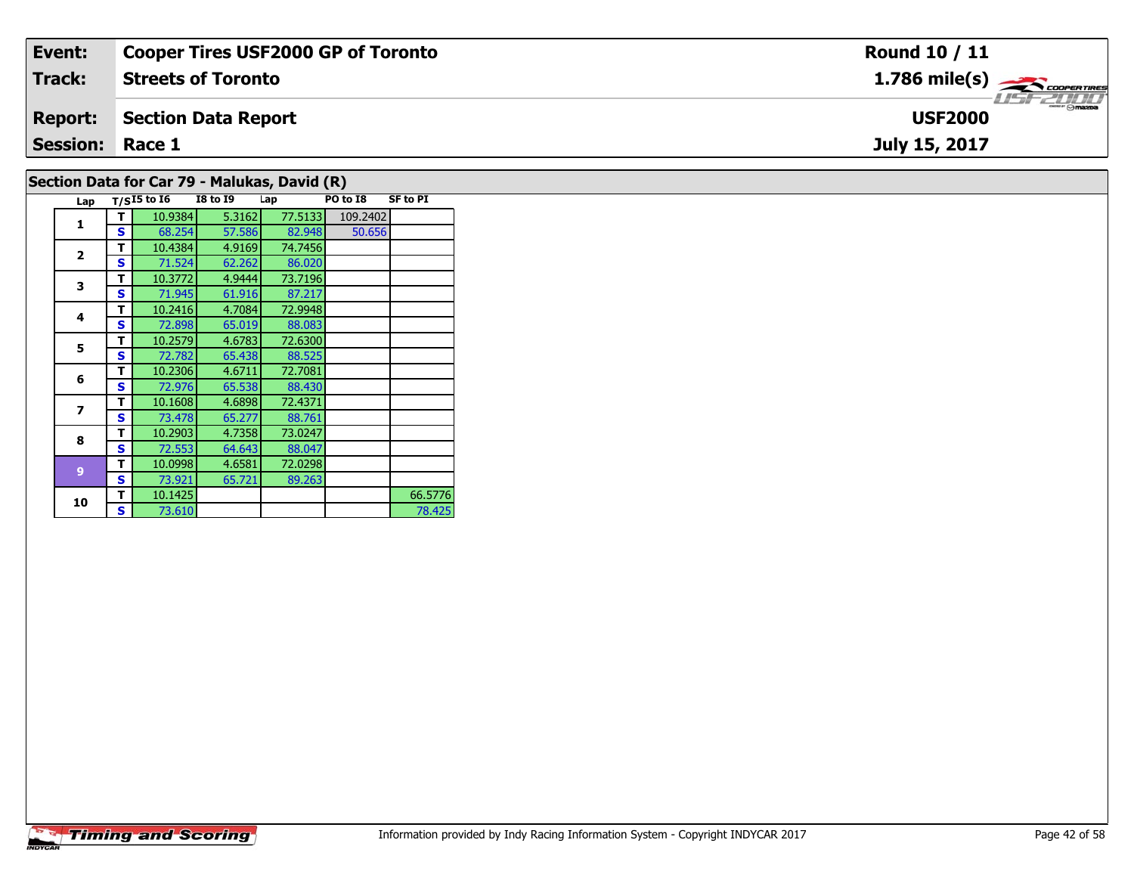| Event:                 | <b>Cooper Tires USF2000 GP of Toronto</b> | Round 10 / 11                |
|------------------------|-------------------------------------------|------------------------------|
| Track:                 | <b>Streets of Toronto</b>                 | $1.786$ mile(s) $\leftarrow$ |
| <b>Report:</b>         | Section Data Report                       | LISF 2000<br><b>USF2000</b>  |
| <b>Session: Race 1</b> |                                           | July 15, 2017                |
|                        |                                           |                              |

### **Section Data for Car 79 - Malukas, David (R)**

|  | Lap                     |   | $T/SI5$ to $I6$ | <b>I8 to 19</b> | Lap     | PO to I8 | <b>SF to PI</b> |
|--|-------------------------|---|-----------------|-----------------|---------|----------|-----------------|
|  | 1                       | т | 10.9384         | 5.3162          | 77.5133 | 109.2402 |                 |
|  |                         | S | 68.254          | 57.586          | 82.948  | 50.656   |                 |
|  | $\overline{\mathbf{2}}$ | т | 10.4384         | 4.9169          | 74.7456 |          |                 |
|  |                         | S | 71.524          | 62.262          | 86.020  |          |                 |
|  | 3                       | т | 10.3772         | 4.9444          | 73.7196 |          |                 |
|  |                         | S | 71.945          | 61.916          | 87.217  |          |                 |
|  | 4                       | т | 10.2416         | 4.7084          | 72.9948 |          |                 |
|  |                         | S | 72.898          | 65.019          | 88.083  |          |                 |
|  |                         | т | 10.2579         | 4.6783          | 72.6300 |          |                 |
|  | 5                       | S | 72.782          | 65.438          | 88.525  |          |                 |
|  | 6                       | т | 10.2306         | 4.6711          | 72.7081 |          |                 |
|  |                         | S | 72.976          | 65.538          | 88.430  |          |                 |
|  | 7                       | т | 10.1608         | 4.6898          | 72.4371 |          |                 |
|  |                         | S | 73.478          | 65.277          | 88.761  |          |                 |
|  | 8                       | т | 10.2903         | 4.7358          | 73.0247 |          |                 |
|  |                         | S | 72.553          | 64.643          | 88.047  |          |                 |
|  | $\overline{9}$<br>10    | т | 10.0998         | 4.6581          | 72.0298 |          |                 |
|  |                         | S | 73.921          | 65.721          | 89.263  |          |                 |
|  |                         | т | 10.1425         |                 |         |          | 66.5776         |
|  |                         | S | 73.610          |                 |         |          | 78.425          |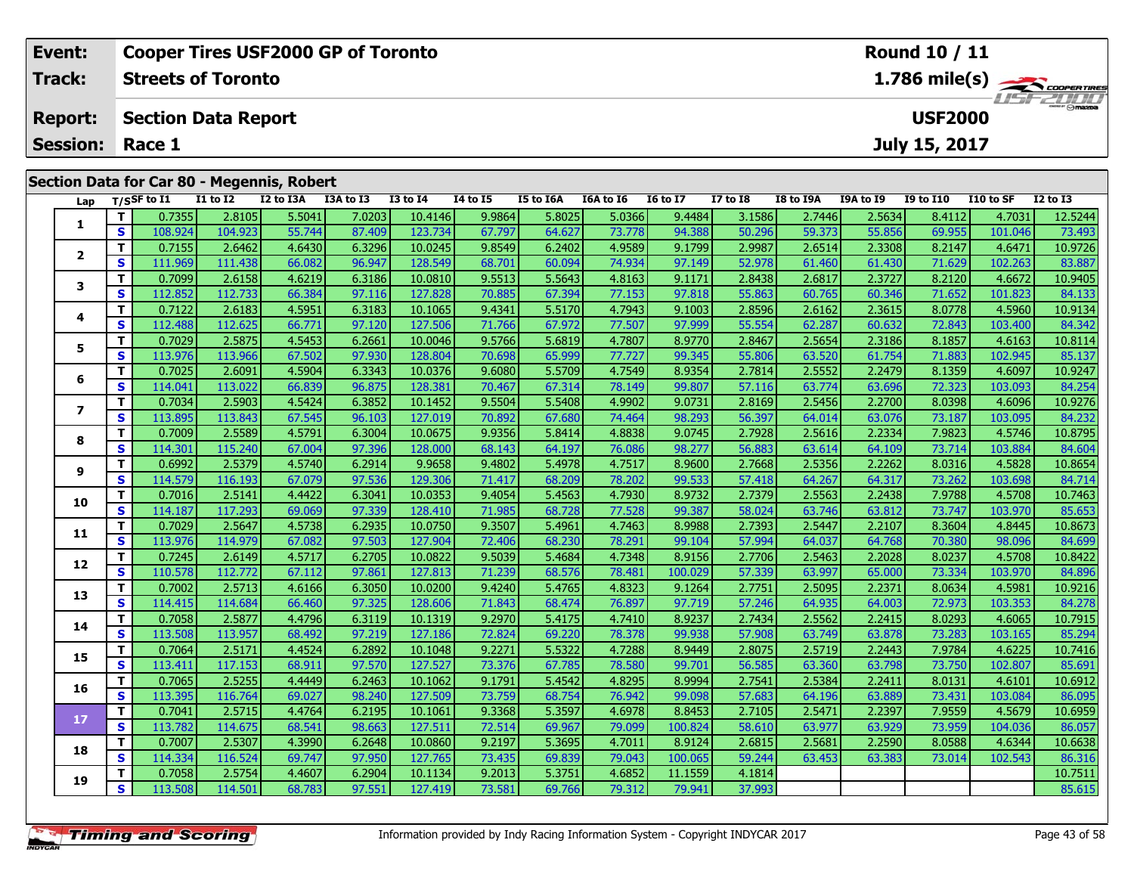|                                                                | Event:          |                                                                                            |                    | <b>Cooper Tires USF2000 GP of Toronto</b>  |                 |                                       |                 |                     | Round 10 / 11 |                         |                                                     |                    |                      |                       |               |                                                                                            |                  |
|----------------------------------------------------------------|-----------------|--------------------------------------------------------------------------------------------|--------------------|--------------------------------------------|-----------------|---------------------------------------|-----------------|---------------------|---------------|-------------------------|-----------------------------------------------------|--------------------|----------------------|-----------------------|---------------|--------------------------------------------------------------------------------------------|------------------|
|                                                                | <b>Track:</b>   | $1.786$ mile(s) $\rightarrow$ Coorentines<br><b>Streets of Toronto</b><br><b>LIST 2000</b> |                    |                                            |                 |                                       |                 |                     |               |                         |                                                     |                    |                      |                       |               |                                                                                            |                  |
| <b>USF2000</b><br><b>Section Data Report</b><br><b>Report:</b> |                 |                                                                                            |                    |                                            |                 |                                       |                 |                     |               |                         |                                                     |                    |                      |                       |               |                                                                                            |                  |
|                                                                | <b>Session:</b> |                                                                                            | Race 1             |                                            |                 |                                       |                 |                     |               |                         |                                                     |                    |                      |                       | July 15, 2017 |                                                                                            |                  |
|                                                                |                 |                                                                                            |                    | Section Data for Car 80 - Megennis, Robert |                 |                                       |                 |                     |               |                         |                                                     |                    |                      |                       |               |                                                                                            |                  |
|                                                                |                 |                                                                                            | Lap $T/S$ SF to I1 | <b>I1 to I2</b>                            | I2 to I3A       | I3A to I3                             | <b>I3 to I4</b> | <b>I4 to I5</b>     | I5 to I6A     | I6A to I6               | <b>16 to 17</b>                                     | <b>I7 to I8</b>    | I8 to I9A            | <b>I9A to I9</b>      | I9 to I10     | I10 to SF                                                                                  | <b>I2 to I3</b>  |
|                                                                |                 |                                                                                            | 0.73551            | 2.8105                                     | 5.5041<br>----- | 7.0203<br>$\sim$ $\sim$ $\sim$ $\sim$ | 10.4146         | 9.9864<br>$- - - -$ | 5.8025        | 5.0366<br>$\sim$ $\sim$ | 9.4484<br>$\sim$ $\sim$ $\sim$ $\sim$ $\sim$ $\sim$ | 3.1586<br>$-0.001$ | 2.7446<br>$-2 - - -$ | 2.5634<br>$- - - - -$ | 8.4112        | 4.7031<br>$\begin{array}{c} \n\bullet \bullet \bullet \bullet \bullet \bullet \end{array}$ | 12.5244<br>$-22$ |

|                | T. | 0.7355  | 2.8105  | 5.5041 | 7.0203 | 10.4146 | 9.9864 | 5.8025 | 5.0366 | 9.4484  | 3.1586 | 2.7446 | 2.5634 | 8.4112 | 4.7031  | 12.5244 |
|----------------|----|---------|---------|--------|--------|---------|--------|--------|--------|---------|--------|--------|--------|--------|---------|---------|
| 1              | S  | 108.924 | 104.923 | 55.744 | 87.409 | 123.734 | 67.797 | 64.627 | 73.778 | 94.388  | 50.296 | 59.373 | 55.856 | 69.955 | 101.046 | 73.493  |
| $\overline{2}$ | T. | 0.7155  | 2.6462  | 4.6430 | 6.3296 | 10.0245 | 9.8549 | 6.2402 | 4.9589 | 9.1799  | 2.9987 | 2.6514 | 2.3308 | 8.2147 | 4.6471  | 10.9726 |
|                | S  | 111.969 | 111.438 | 66.082 | 96.947 | 128.549 | 68.701 | 60.094 | 74.934 | 97.149  | 52,978 | 61.460 | 61.430 | 71.629 | 102.263 | 83.887  |
| 3              | T. | 0.7099  | 2.6158  | 4.6219 | 6.3186 | 10.0810 | 9.5513 | 5.5643 | 4.8163 | 9.1171  | 2.8438 | 2.6817 | 2.3727 | 8.2120 | 4.6672  | 10.9405 |
|                | S  | 112.852 | 112.733 | 66.384 | 97.116 | 127.828 | 70.885 | 67.394 | 77.153 | 97.818  | 55.863 | 60.765 | 60.346 | 71.652 | 101.823 | 84.133  |
| 4              | T. | 0.7122  | 2.6183  | 4.5951 | 6.3183 | 10.1065 | 9.4341 | 5.5170 | 4.7943 | 9.1003  | 2.8596 | 2.6162 | 2.3615 | 8.0778 | 4.5960  | 10.9134 |
|                | S  | 112.488 | 112.625 | 66.771 | 97.120 | 127.506 | 71.766 | 67.972 | 77.507 | 97.999  | 55.554 | 62.287 | 60.632 | 72.843 | 103.400 | 84.342  |
| 5              | T. | 0.7029  | 2.5875  | 4.5453 | 6.2661 | 10.0046 | 9.5766 | 5.6819 | 4.7807 | 8.9770  | 2.8467 | 2.5654 | 2.3186 | 8.1857 | 4.6163  | 10.8114 |
|                | S  | 113.976 | 113.966 | 67.502 | 97.930 | 128.804 | 70.698 | 65.999 | 77.727 | 99.345  | 55.806 | 63.520 | 61.754 | 71.883 | 102.945 | 85.137  |
| 6              | T. | 0.7025  | 2.6091  | 4.5904 | 6.3343 | 10.0376 | 9.6080 | 5.5709 | 4.7549 | 8.9354  | 2.7814 | 2.5552 | 2.2479 | 8.1359 | 4.6097  | 10.9247 |
|                | S  | 114.041 | 113.022 | 66.839 | 96.875 | 128.381 | 70.467 | 67.314 | 78.149 | 99.807  | 57.116 | 63.774 | 63.696 | 72.323 | 103.093 | 84.254  |
| $\overline{ }$ | T. | 0.7034  | 2.5903  | 4.5424 | 6.3852 | 10.1452 | 9.5504 | 5.5408 | 4.9902 | 9.0731  | 2.8169 | 2.5456 | 2.2700 | 8.0398 | 4.6096  | 10.9276 |
|                | S  | 113.895 | 113.843 | 67.545 | 96.103 | 127.019 | 70.892 | 67.680 | 74.464 | 98.293  | 56.397 | 64.014 | 63.076 | 73.187 | 103.095 | 84.232  |
| 8              | T. | 0.7009  | 2.5589  | 4.5791 | 6.3004 | 10.0675 | 9.9356 | 5.8414 | 4.8838 | 9.0745  | 2.7928 | 2.5616 | 2.2334 | 7.9823 | 4.5746  | 10.8795 |
|                | S  | 114.301 | 115.240 | 67.004 | 97.396 | 128.000 | 68.143 | 64.197 | 76.086 | 98.277  | 56.883 | 63.614 | 64.109 | 73.714 | 103.884 | 84.604  |
| 9              | T. | 0.6992  | 2.5379  | 4.5740 | 6.2914 | 9.9658  | 9.4802 | 5.4978 | 4.7517 | 8.9600  | 2.7668 | 2.5356 | 2.2262 | 8.0316 | 4.5828  | 10.8654 |
|                | S  | 114.579 | 116.193 | 67.079 | 97.536 | 129.306 | 71.417 | 68.209 | 78.202 | 99.533  | 57.418 | 64.267 | 64.317 | 73.262 | 103.698 | 84.714  |
| 10             | T. | 0.7016  | 2.5141  | 4.4422 | 6.3041 | 10.0353 | 9.4054 | 5.4563 | 4.7930 | 8.9732  | 2.7379 | 2.5563 | 2.2438 | 7.9788 | 4.5708  | 10.7463 |
|                | S  | 114.187 | 117.293 | 69.069 | 97.339 | 128.410 | 71.985 | 68.728 | 77.528 | 99.387  | 58.024 | 63.746 | 63.812 | 73.747 | 103.970 | 85.653  |
| 11             | T. | 0.7029  | 2.5647  | 4.5738 | 6.2935 | 10.0750 | 9.3507 | 5.4961 | 4.7463 | 8.9988  | 2.7393 | 2.5447 | 2.2107 | 8.3604 | 4.8445  | 10.8673 |
|                | S  | 113.976 | 114.979 | 67.082 | 97.503 | 127.904 | 72.406 | 68.230 | 78.291 | 99.104  | 57.994 | 64.037 | 64.768 | 70.380 | 98.096  | 84.699  |
| 12             | T. | 0.7245  | 2.6149  | 4.5717 | 6.2705 | 10.0822 | 9.5039 | 5.4684 | 4.7348 | 8.9156  | 2.7706 | 2.5463 | 2.2028 | 8.0237 | 4.5708  | 10.8422 |
|                | S  | 110.578 | 112.772 | 67.112 | 97.861 | 127.813 | 71.239 | 68.576 | 78.481 | 100.029 | 57.339 | 63.997 | 65.000 | 73.334 | 103.970 | 84.896  |
| 13             | T. | 0.7002  | 2.5713  | 4.6166 | 6.3050 | 10.0200 | 9.4240 | 5.4765 | 4.8323 | 9.1264  | 2.7751 | 2.5095 | 2.2371 | 8.0634 | 4.5981  | 10.9216 |
|                | S  | 114.415 | 114.684 | 66.460 | 97.325 | 128.606 | 71.843 | 68.474 | 76.897 | 97.719  | 57.246 | 64.935 | 64.003 | 72.973 | 103.353 | 84.278  |
| 14             | T. | 0.7058  | 2.5877  | 4.4796 | 6.3119 | 10.1319 | 9.2970 | 5.4175 | 4.7410 | 8.9237  | 2.7434 | 2.5562 | 2.2415 | 8.0293 | 4.6065  | 10.7915 |
|                | S  | 113.508 | 113.957 | 68.492 | 97.219 | 127.186 | 72.824 | 69.220 | 78.378 | 99.938  | 57.908 | 63.749 | 63.878 | 73.283 | 103.165 | 85.294  |
| 15             | T. | 0.7064  | 2.5171  | 4.4524 | 6.2892 | 10.1048 | 9.2271 | 5.5322 | 4.7288 | 8.9449  | 2.8075 | 2.5719 | 2.2443 | 7.9784 | 4.6225  | 10.7416 |
|                | S  | 113.411 | 117.153 | 68.911 | 97.570 | 127.527 | 73.376 | 67.785 | 78.580 | 99.701  | 56.585 | 63.360 | 63.798 | 73.750 | 102.807 | 85.691  |
| 16             | T. | 0.7065  | 2.5255  | 4.4449 | 6.2463 | 10.1062 | 9.1791 | 5.4542 | 4.8295 | 8.9994  | 2.7541 | 2.5384 | 2.2411 | 8.0131 | 4.6101  | 10.6912 |
|                | S  | 113.395 | 116.764 | 69.027 | 98.240 | 127.509 | 73.759 | 68.754 | 76.942 | 99.098  | 57.683 | 64.196 | 63.889 | 73.431 | 103.084 | 86.095  |
| 17             | T. | 0.7041  | 2.5715  | 4.4764 | 6.2195 | 10.1061 | 9.3368 | 5.3597 | 4.6978 | 8.8453  | 2.7105 | 2.5471 | 2.2397 | 7.9559 | 4.5679  | 10.6959 |
|                | S  | 113.782 | 114.675 | 68.541 | 98.663 | 127.511 | 72.514 | 69.967 | 79.099 | 100.824 | 58.610 | 63.977 | 63.929 | 73.959 | 104.036 | 86.057  |
| 18             | T. | 0.7007  | 2.5307  | 4.3990 | 6.2648 | 10.0860 | 9.2197 | 5.3695 | 4.7011 | 8.9124  | 2.6815 | 2.5681 | 2.2590 | 8.0588 | 4.6344  | 10.6638 |
|                | S  | 114.334 | 116.524 | 69.747 | 97.950 | 127.765 | 73.435 | 69.839 | 79.043 | 100.065 | 59.244 | 63.453 | 63.383 | 73.014 | 102.543 | 86.316  |
| 19             | T. | 0.7058  | 2.5754  | 4.4607 | 6.2904 | 10.1134 | 9.2013 | 5.3751 | 4.6852 | 11.1559 | 4.1814 |        |        |        |         | 10.7511 |
|                | S. | 113.508 | 114.501 | 68.783 | 97.551 | 127.419 | 73.581 | 69.766 | 79.312 | 79.941  | 37.993 |        |        |        |         | 85.615  |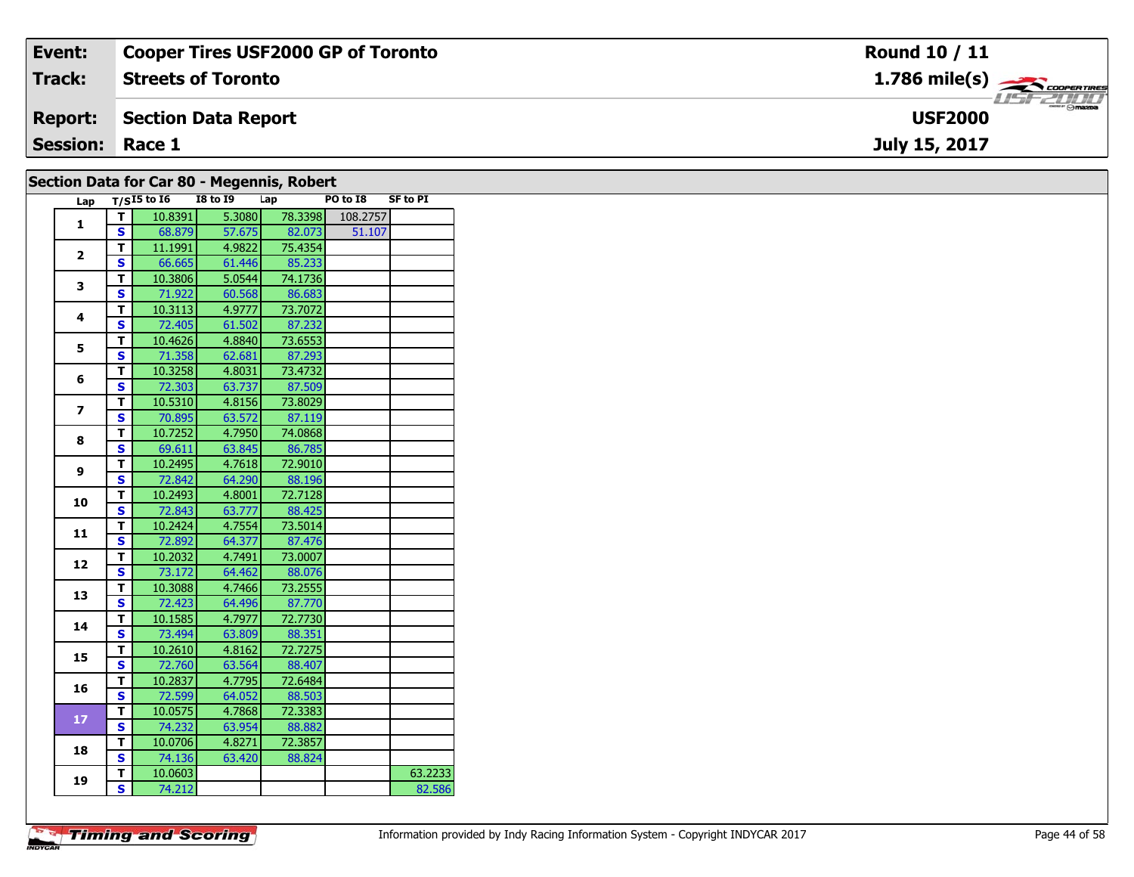| Event:          | <b>Cooper Tires USF2000 GP of Toronto</b> | <b>Round 10 / 11</b>                                                                                                                                                                                                                                                                                                                                                                                                                                                                              |
|-----------------|-------------------------------------------|---------------------------------------------------------------------------------------------------------------------------------------------------------------------------------------------------------------------------------------------------------------------------------------------------------------------------------------------------------------------------------------------------------------------------------------------------------------------------------------------------|
| Track:          | <b>Streets of Toronto</b>                 | $1.786$ mile(s) $\rightarrow$ COOPERTIRES                                                                                                                                                                                                                                                                                                                                                                                                                                                         |
| <b>Report:</b>  | Section Data Report                       | $\overline{\phantom{a}}$ $\overline{\phantom{a}}$ $\overline{\phantom{a}}$ $\overline{\phantom{a}}$ $\overline{\phantom{a}}$ $\overline{\phantom{a}}$ $\overline{\phantom{a}}$ $\overline{\phantom{a}}$ $\overline{\phantom{a}}$ $\overline{\phantom{a}}$ $\overline{\phantom{a}}$ $\overline{\phantom{a}}$ $\overline{\phantom{a}}$ $\overline{\phantom{a}}$ $\overline{\phantom{a}}$ $\overline{\phantom{a}}$ $\overline{\phantom{a}}$ $\overline{\phantom{a}}$ $\overline{\$<br><b>USF2000</b> |
| <b>Session:</b> | Race 1                                    | July 15, 2017                                                                                                                                                                                                                                                                                                                                                                                                                                                                                     |
|                 |                                           |                                                                                                                                                                                                                                                                                                                                                                                                                                                                                                   |

| Section Data for Car 80 - Megennis, Robert |  |  |  |  |
|--------------------------------------------|--|--|--|--|
|--------------------------------------------|--|--|--|--|

| Lap                     |                         | $T/SI5$ to $I6$ | - - <del>-</del> - - - -<br>I8 to 19 | Lap     | PO to I8 | <b>SF to PI</b> |
|-------------------------|-------------------------|-----------------|--------------------------------------|---------|----------|-----------------|
|                         | Т                       | 10.8391         | 5.3080                               | 78.3398 | 108.2757 |                 |
| $\mathbf{1}$            | S                       | 68.879          | 57.675                               | 82.073  | 51.107   |                 |
|                         | т                       | 11.1991         | 4.9822                               | 75.4354 |          |                 |
| $\mathbf{2}$            | S                       | 66.665          | 61.446                               | 85.233  |          |                 |
|                         | T                       | 10.3806         | 5.0544                               | 74.1736 |          |                 |
| 3                       | S                       | 71.922          | 60.568                               | 86.683  |          |                 |
| $\overline{\mathbf{4}}$ | T                       | 10.3113         | 4.9777                               | 73.7072 |          |                 |
|                         | S                       | 72.405          | 61.502                               | 87.232  |          |                 |
| 5                       | T                       | 10.4626         | 4.8840                               | 73.6553 |          |                 |
|                         | $\overline{\mathbf{s}}$ | 71.358          | 62.681                               | 87.293  |          |                 |
| 6                       | T                       | 10.3258         | 4.8031                               | 73.4732 |          |                 |
|                         | S                       | 72.303          | 63.737                               | 87.509  |          |                 |
| $\overline{ }$          | Т                       | 10.5310         | 4.8156                               | 73.8029 |          |                 |
|                         | S                       | 70.895          | 63.572                               | 87.119  |          |                 |
| 8                       | T                       | 10.7252         | 4.7950                               | 74.0868 |          |                 |
|                         | S                       | 69.611          | 63.845                               | 86.785  |          |                 |
| 9                       | T                       | 10.2495         | 4.7618                               | 72.9010 |          |                 |
|                         | S                       | 72.842          | 64.290                               | 88.196  |          |                 |
| 10                      | T                       | 10.2493         | 4.8001                               | 72.7128 |          |                 |
|                         | $\overline{\mathbf{s}}$ | 72.843          | 63.777                               | 88.425  |          |                 |
| 11                      | T                       | 10.2424         | 4.7554                               | 73.5014 |          |                 |
|                         | S                       | 72.892          | 64.377                               | 87.476  |          |                 |
| 12                      | T                       | 10.2032         | 4.7491                               | 73.0007 |          |                 |
|                         | S                       | 73.172          | 64.462                               | 88.076  |          |                 |
| 13                      | т                       | 10.3088         | 4.7466                               | 73.2555 |          |                 |
|                         | S                       | 72.423          | 64.496                               | 87.770  |          |                 |
| 14                      | T                       | 10.1585         | 4.7977                               | 72.7730 |          |                 |
|                         | S                       | 73.494          | 63.809                               | 88.351  |          |                 |
| 15                      | T                       | 10.2610         | 4.8162                               | 72.7275 |          |                 |
|                         | $\overline{\mathbf{s}}$ | 72.760          | 63.564                               | 88.407  |          |                 |
| 16                      | T                       | 10.2837         | 4.7795                               | 72.6484 |          |                 |
|                         | S                       | 72.599          | 64.052                               | 88.503  |          |                 |
| 17                      | T                       | 10.0575         | 4.7868                               | 72.3383 |          |                 |
|                         | S                       | 74.232          | 63.954                               | 88.882  |          |                 |
|                         | T                       | 10.0706         | 4.8271                               | 72.3857 |          |                 |
| 18                      | S                       | 74.136          | 63.420                               | 88.824  |          |                 |
| 19                      | T                       | 10.0603         |                                      |         |          | 63.2233         |
|                         | $\overline{\mathbf{s}}$ | 74.212          |                                      |         |          | 82.586          |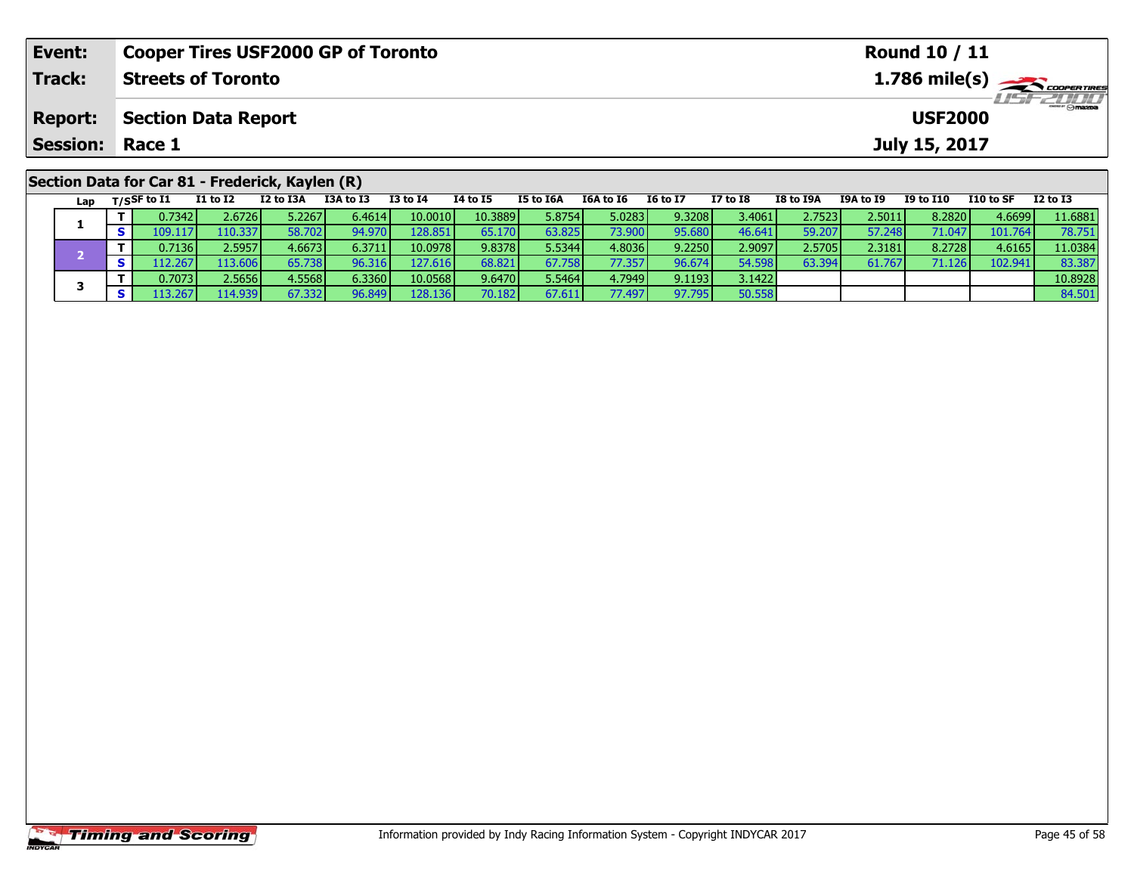| Event:                 | <b>Cooper Tires USF2000 GP of Toronto</b>       |           |           |          |          |           |           |                 |                 |           |                  | <b>Round 10 / 11</b> |            |                                                       |
|------------------------|-------------------------------------------------|-----------|-----------|----------|----------|-----------|-----------|-----------------|-----------------|-----------|------------------|----------------------|------------|-------------------------------------------------------|
| Track:                 | <b>Streets of Toronto</b>                       |           |           |          |          |           |           |                 |                 |           |                  |                      |            | $1.786$ mile(s) $\overbrace{\hspace{2cm}}$ coorgained |
| <b>Report:</b>         | <b>Section Data Report</b>                      |           |           |          |          |           |           | <b>USF2000</b>  |                 |           |                  |                      |            |                                                       |
| <b>Session: Race 1</b> |                                                 |           |           |          |          |           |           |                 |                 |           |                  | July 15, 2017        |            |                                                       |
|                        | Section Data for Car 81 - Frederick, Kaylen (R) |           |           |          |          |           |           |                 |                 |           |                  |                      |            |                                                       |
| Lap                    | I1 to I2<br>$_{\rm T/SSF}$ to I1                | I2 to I3A | I3A to I3 | I3 to I4 | 14 to 15 | I5 to I6A | I6A to I6 | <b>I6 to I7</b> | <b>I7 to I8</b> | I8 to I9A | <b>I9A to I9</b> | I9 to I10            | I 10 to SF | I2 to I3                                              |

| --- | . |         |         |        |          |          |                  |         |                 |        |        |         |        |               |         |         |
|-----|---|---------|---------|--------|----------|----------|------------------|---------|-----------------|--------|--------|---------|--------|---------------|---------|---------|
|     |   | 0.73421 | 2.67261 | 5.2267 | 6.46141  | 10.0010  | 10.3889 <b> </b> | 5.8754V | 5.0283          | 9.3208 | 3.4061 | 2.7523V | .5011  | 8.2820        | 4.6699  | 11.6881 |
|     |   | 109.11  | 110.337 | 58.702 | 94.97(   | 128.851  | 65.170           | 63.825  | 73.900 <b>I</b> | 95.680 | 46.641 | 59.207  | 57.248 | 71.047        | 101.764 | 78.751  |
|     |   | 0.7136  | 2.5957  | 4.6673 | 6.3711   | 10.0978  | 9.8378           | 5.5344  | 4.8036          | 9.2250 | 2.9097 | 2.5705  | 2.3181 | 8.2728        | 4.6165  | 11.0384 |
|     |   |         | .13.606 |        | 96.316 I | 127.616  | 68.821           | 67.758  | 77.357 <b>I</b> | 96.674 | 54.598 | 63.394  | 61.767 | <b>71.126</b> | 102.941 | 83.387  |
|     |   | 0.7073  | 2.5656  | 4.5568 | 6.3360   | 10.0568  | 9.6470           | 5.5464  | 4.7949          | 9.1193 | 3.1422 |         |        |               |         | 10.8928 |
|     |   |         | 14.9391 | 67.332 | 96.849   | 128.1361 | 70.182           | 67.611  | 77.497 <b>I</b> | 97.795 | 50.558 |         |        |               |         | 84.501  |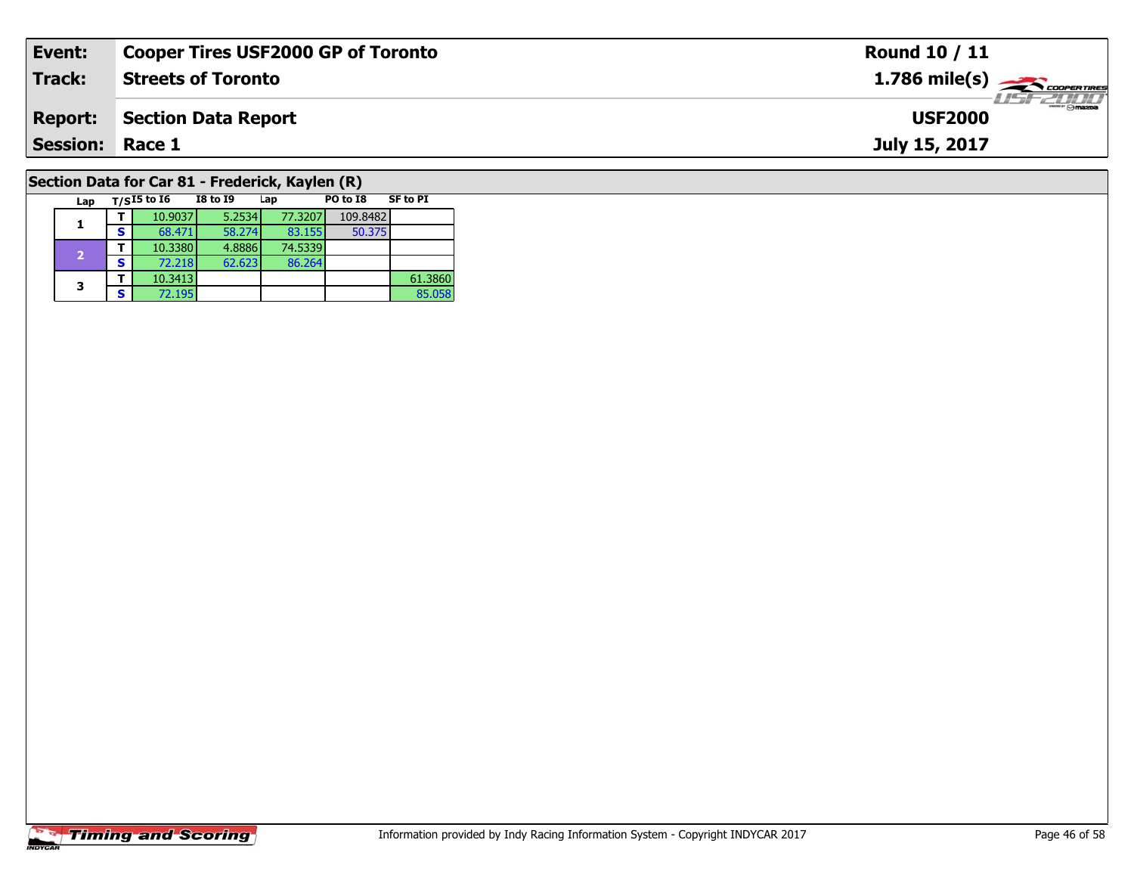| Event:                 | <b>Cooper Tires USF2000 GP of Toronto</b>       | <b>Round 10 / 11</b>                                   |
|------------------------|-------------------------------------------------|--------------------------------------------------------|
| <b>Track:</b>          | <b>Streets of Toronto</b>                       | $1.786$ mile(s) $\overbrace{\hspace{2cm}}$ COOPERTIRES |
| <b>Report:</b>         | Section Data Report                             | <b>USF2000</b>                                         |
| <b>Session: Race 1</b> |                                                 | July 15, 2017                                          |
|                        | Section Data for Car 81 - Frederick, Kavlen (R) |                                                        |

### **Section Data for Car 81 - Frederick, Kaylen (R)**

| Lap |   | $T/SI5$ to $I6$ | <b>I8 to I9</b> | Lap     | PO to I8 | <b>SF to PI</b> |
|-----|---|-----------------|-----------------|---------|----------|-----------------|
|     |   | 10.9037         | 5.2534          | 77.3207 | 109.8482 |                 |
|     | s | 68.471          | 58.274          | 83.155  | 50.375   |                 |
| 2   |   | 10.3380         | 4.8886          | 74.5339 |          |                 |
|     | S | 72.218          | 62.623          | 86.264  |          |                 |
| 3   |   | 10.3413         |                 |         |          | 61.3860         |
|     | S | 72.195          |                 |         |          | 85.058          |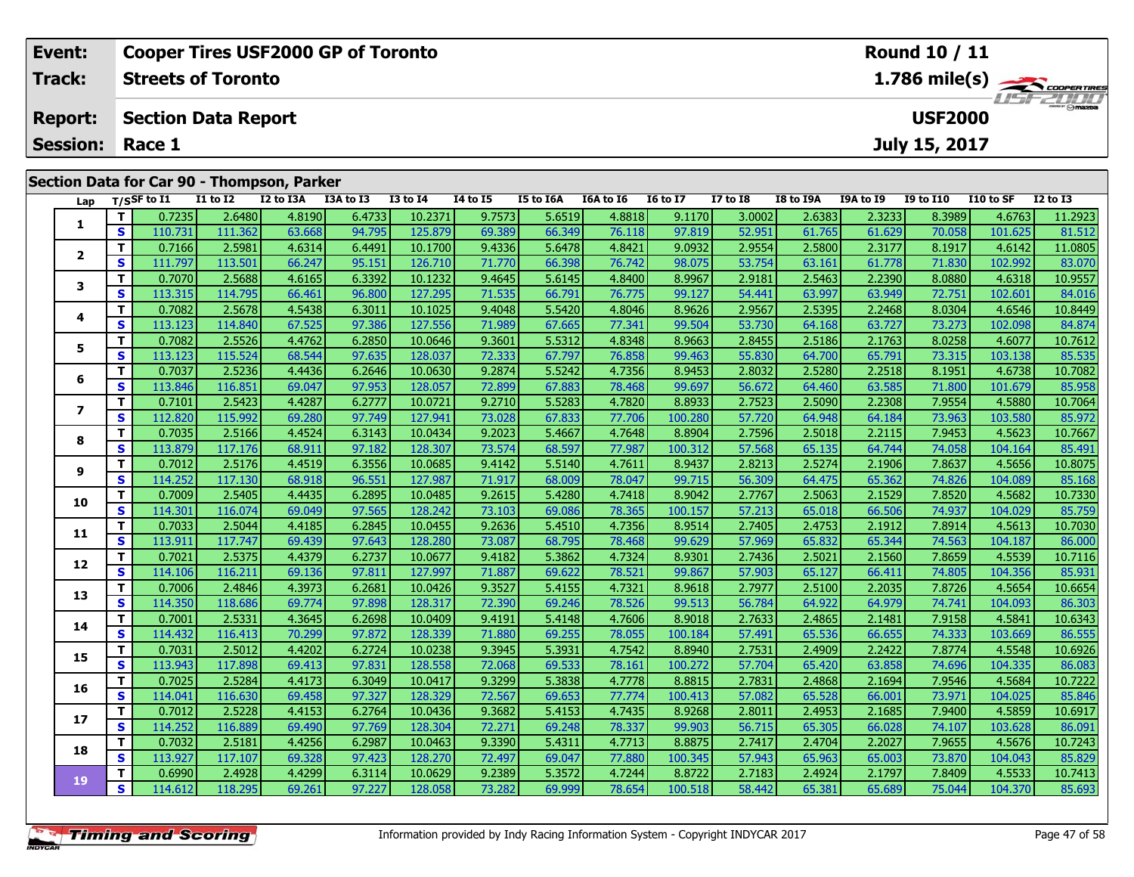| Event:          |                                            | <b>Cooper Tires USF2000 GP of Toronto</b> |                                    |           |              |          |           |                  |                 |                 |           |                  | <b>Round 10 / 11</b> |                   |                                                         |
|-----------------|--------------------------------------------|-------------------------------------------|------------------------------------|-----------|--------------|----------|-----------|------------------|-----------------|-----------------|-----------|------------------|----------------------|-------------------|---------------------------------------------------------|
| <b>Track:</b>   |                                            | <b>Streets of Toronto</b>                 |                                    |           |              |          |           |                  |                 |                 |           |                  |                      |                   | $1.786$ mile(s) $\rightarrow$ Coorenames<br>$H = -2010$ |
| <b>Report:</b>  |                                            | <b>Section Data Report</b>                |                                    |           |              |          |           |                  |                 |                 |           |                  | <b>USF2000</b>       |                   |                                                         |
| <b>Session:</b> | Race 1                                     |                                           |                                    |           |              |          |           |                  |                 |                 |           |                  | July 15, 2017        |                   |                                                         |
|                 | Section Data for Car 90 - Thompson, Parker |                                           |                                    |           |              |          |           |                  |                 |                 |           |                  |                      |                   |                                                         |
|                 |                                            |                                           |                                    |           |              |          |           |                  |                 |                 |           |                  |                      |                   |                                                         |
|                 | Lap $T/S$ SF to I1                         | I1 to I2                                  | I2 to I3A                          | I3A to I3 | $I3$ to $I4$ | 14 to 15 | I5 to I6A | <b>I6A to I6</b> | <b>16 to 17</b> | <b>I7 to I8</b> | I8 to I9A | <b>I9A to I9</b> | I9 to I10            | I10 to SF         | I2 to I3                                                |
|                 | тL<br>ו בככל ח                             | 25.50                                     | $\overline{A}$ 2100 $\overline{A}$ | 6.4732    | 10.2271      | 0.7572   | 56510     | <b>A 2212L</b>   | 0.1170          | ാ റററി          | ່າ ເລຊາ I | ່າ 2022 L        | logos a              | $\triangle$ 67621 | 11.2022                                                 |

| Lap          |              | 1/5 <sup>3</sup> wii | 17 M TT | 12 W 13A | <b>TOW TO TO</b> | +ו טו כז | 14 M 13 | <b>13 M TOW</b> | TOW TO TO | 10 M T  | <b>TV 10 TO</b> | 10 IU 19A | 19A W 19 | <b>12 TO TTO</b> | 110 to 3F | TY 10 T2 |
|--------------|--------------|----------------------|---------|----------|------------------|----------|---------|-----------------|-----------|---------|-----------------|-----------|----------|------------------|-----------|----------|
|              | T            | 0.7235               | 2.6480  | 4.8190   | 6.4733           | 10.2371  | 9.7573  | 5.6519          | 4.8818    | 9.1170  | 3.0002          | 2.6383    | 2.3233   | 8.3989           | 4.6763    | 11.2923  |
| 1            | S            | 110.731              | 111.362 | 63.668   | 94.795           | 125.879  | 69.389  | 66.349          | 76.118    | 97.819  | 52.951          | 61.765    | 61.629   | 70.058           | 101.625   | 81.512   |
|              | T            | 0.7166               | 2.5981  | 4.6314   | 6.4491           | 10.1700  | 9.4336  | 5.6478          | 4.8421    | 9.0932  | 2.9554          | 2.5800    | 2.3177   | 8.1917           | 4.6142    | 11.0805  |
| $\mathbf{2}$ | $\mathbf{s}$ | 111.797              | 113.501 | 66.247   | 95.151           | 126.710  | 71.770  | 66.398          | 76.742    | 98.075  | 53.754          | 63.161    | 61.778   | 71.830           | 102.992   | 83.070   |
| 3            | T            | 0.7070               | 2.5688  | 4.6165   | 6.3392           | 10.1232  | 9.4645  | 5.6145          | 4.8400    | 8.9967  | 2.9181          | 2.5463    | 2.2390   | 8.0880           | 4.6318    | 10.9557  |
|              | S            | 113.315              | 114.795 | 66.461   | 96.800           | 127.295  | 71.535  | 66.791          | 76.775    | 99.127  | 54.441          | 63.997    | 63.949   | 72.751           | 102.601   | 84.016   |
|              | T            | 0.7082               | 2.5678  | 4.5438   | 6.3011           | 10.1025  | 9.4048  | 5.5420          | 4.8046    | 8.9626  | 2.9567          | 2.5395    | 2.2468   | 8.0304           | 4.6546    | 10.8449  |
| 4            | S            | 113.123              | 114.840 | 67.525   | 97.386           | 127.556  | 71.989  | 67.665          | 77.341    | 99.504  | 53.730          | 64.168    | 63.727   | 73.273           | 102.098   | 84.874   |
| 5            | T            | 0.7082               | 2.5526  | 4.4762   | 6.2850           | 10.0646  | 9.3601  | 5.5312          | 4.8348    | 8.9663  | 2.8455          | 2.5186    | 2.1763   | 8.0258           | 4.6077    | 10.7612  |
|              | S            | 113.123              | 115.524 | 68.544   | 97.635           | 128.037  | 72.333  | 67.797          | 76.858    | 99.463  | 55.830          | 64.700    | 65.791   | 73.315           | 103.138   | 85.535   |
| 6            | T            | 0.7037               | 2.5236  | 4.4436   | 6.2646           | 10.0630  | 9.2874  | 5.5242          | 4.7356    | 8.9453  | 2.8032          | 2.5280    | 2.2518   | 8.1951           | 4.6738    | 10.7082  |
|              | $\mathbf{s}$ | 113.846              | 116.851 | 69.047   | 97.953           | 128.057  | 72.899  | 67.883          | 78.468    | 99.697  | 56.672          | 64.460    | 63.585   | 71.800           | 101.679   | 85.958   |
| 7            | T            | 0.7101               | 2.5423  | 4.4287   | 6.2777           | 10.0721  | 9.2710  | 5.5283          | 4.7820    | 8.8933  | 2.7523          | 2.5090    | 2.2308   | 7.9554           | 4.5880    | 10.7064  |
|              | $\mathbf{s}$ | 112.820              | 115.992 | 69.280   | 97.749           | 127.941  | 73.028  | 67.833          | 77.706    | 100.280 | 57.720          | 64.948    | 64.184   | 73.963           | 103.580   | 85.972   |
| 8            | T            | 0.7035               | 2.5166  | 4.4524   | 6.3143           | 10.0434  | 9.2023  | 5.4667          | 4.7648    | 8.8904  | 2.7596          | 2.5018    | 2.2115   | 7.9453           | 4.5623    | 10.7667  |
|              | S            | 113.879              | 117.176 | 68.911   | 97.182           | 128.307  | 73.574  | 68.597          | 77.987    | 100.312 | 57.568          | 65.135    | 64.744   | 74.058           | 104.164   | 85.491   |
| 9            | T            | 0.7012               | 2.5176  | 4.4519   | 6.3556           | 10.0685  | 9.4142  | 5.5140          | 4.7611    | 8.9437  | 2.8213          | 2.5274    | 2.1906   | 7.8637           | 4.5656    | 10.8075  |
|              | S            | 114.252              | 117.130 | 68.918   | 96.551           | 127.987  | 71.917  | 68.009          | 78.047    | 99.715  | 56.309          | 64.475    | 65.362   | 74.826           | 104.089   | 85.168   |
| 10           | T            | 0.7009               | 2.5405  | 4.4435   | 6.2895           | 10.0485  | 9.2615  | 5.4280          | 4.7418    | 8.9042  | 2.7767          | 2.5063    | 2.1529   | 7.8520           | 4.5682    | 10.7330  |
|              | S            | 114.301              | 116.074 | 69.049   | 97.565           | 128.242  | 73.103  | 69.086          | 78.365    | 100.157 | 57.213          | 65.018    | 66.506   | 74.937           | 104.029   | 85.759   |
| 11           | T            | 0.7033               | 2.5044  | 4.4185   | 6.2845           | 10.0455  | 9.2636  | 5.4510          | 4.7356    | 8.9514  | 2.7405          | 2.4753    | 2.1912   | 7.8914           | 4.5613    | 10.7030  |
|              | S            | 113.911              | 117.747 | 69.439   | 97.643           | 128.280  | 73.087  | 68.795          | 78.468    | 99.629  | 57.969          | 65.832    | 65.344   | 74.563           | 104.187   | 86.000   |
| 12           | T            | 0.7021               | 2.5375  | 4.4379   | 6.2737           | 10.0677  | 9.4182  | 5.3862          | 4.7324    | 8.9301  | 2.7436          | 2.5021    | 2.1560   | 7.8659           | 4.5539    | 10.7116  |
|              | S            | 114.106              | 116.211 | 69.136   | 97.811           | 127.997  | 71.887  | 69.622          | 78.521    | 99.867  | 57.903          | 65.127    | 66.411   | 74.805           | 104.356   | 85.931   |
| 13           | T            | 0.7006               | 2.4846  | 4.3973   | 6.2681           | 10.0426  | 9.3527  | 5.4155          | 4.7321    | 8.9618  | 2.7977          | 2.5100    | 2.2035   | 7.8726           | 4.5654    | 10.6654  |
|              | S            | 114.350              | 118.686 | 69.774   | 97.898           | 128.317  | 72.390  | 69.246          | 78.526    | 99.513  | 56.784          | 64.922    | 64.979   | 74.741           | 104.093   | 86.303   |
| 14           | T            | 0.7001               | 2.5331  | 4.3645   | 6.2698           | 10.0409  | 9.4191  | 5.4148          | 4.7606    | 8.9018  | 2.7633          | 2.4865    | 2.1481   | 7.9158           | 4.5841    | 10.6343  |
|              | S            | 114.432              | 116.413 | 70.299   | 97.872           | 128.339  | 71.880  | 69.255          | 78.055    | 100.184 | 57.491          | 65.536    | 66.655   | 74.333           | 103.669   | 86.555   |
| 15           | т            | 0.7031               | 2.5012  | 4.4202   | 6.2724           | 10.0238  | 9.3945  | 5.3931          | 4.7542    | 8.8940  | 2.7531          | 2.4909    | 2.2422   | 7.8774           | 4.5548    | 10.6926  |
|              | $\mathbf{s}$ | 113.943              | 117.898 | 69.413   | 97.831           | 128.558  | 72.068  | 69.533          | 78.161    | 100.272 | 57.704          | 65.420    | 63.858   | 74.696           | 104.335   | 86.083   |
| 16           | T            | 0.7025               | 2.5284  | 4.4173   | 6.3049           | 10.0417  | 9.3299  | 5.3838          | 4.7778    | 8.8815  | 2.7831          | 2.4868    | 2.1694   | 7.9546           | 4.5684    | 10.7222  |
|              | S            | 114.041              | 116.630 | 69.458   | 97.327           | 128.329  | 72.567  | 69.653          | 77.774    | 100.413 | 57.082          | 65.528    | 66.001   | 73.971           | 104.025   | 85.846   |
| 17           | т            | 0.7012               | 2.5228  | 4.4153   | 6.2764           | 10.0436  | 9.3682  | 5.4153          | 4.7435    | 8.9268  | 2.8011          | 2.4953    | 2.1685   | 7.9400           | 4.5859    | 10.6917  |
|              | S            | 114.252              | 116.889 | 69.490   | 97.769           | 128.304  | 72.271  | 69.248          | 78.337    | 99.903  | 56.715          | 65.305    | 66.028   | 74.107           | 103.628   | 86.091   |
| 18           | T            | 0.7032               | 2.5181  | 4.4256   | 6.2987           | 10.0463  | 9.3390  | 5.4311          | 4.7713    | 8.8875  | 2.7417          | 2.4704    | 2.2027   | 7.9655           | 4.5676    | 10.7243  |
|              | $\mathbf{s}$ | 113.927              | 117.107 | 69.328   | 97.423           | 128.270  | 72.497  | 69.047          | 77.880    | 100.345 | 57.943          | 65.963    | 65.003   | 73.870           | 104.043   | 85.829   |
| 19           | т            | 0.6990               | 2.4928  | 4.4299   | 6.3114           | 10.0629  | 9.2389  | 5.3572          | 4.7244    | 8.8722  | 2.7183          | 2.4924    | 2.1797   | 7.8409           | 4.5533    | 10.7413  |
|              | S            | 114.612              | 118.295 | 69.261   | 97.227           | 128.058  | 73.282  | 69.999          | 78.654    | 100.518 | 58.442          | 65.381    | 65.689   | 75.044           | 104.370   | 85.693   |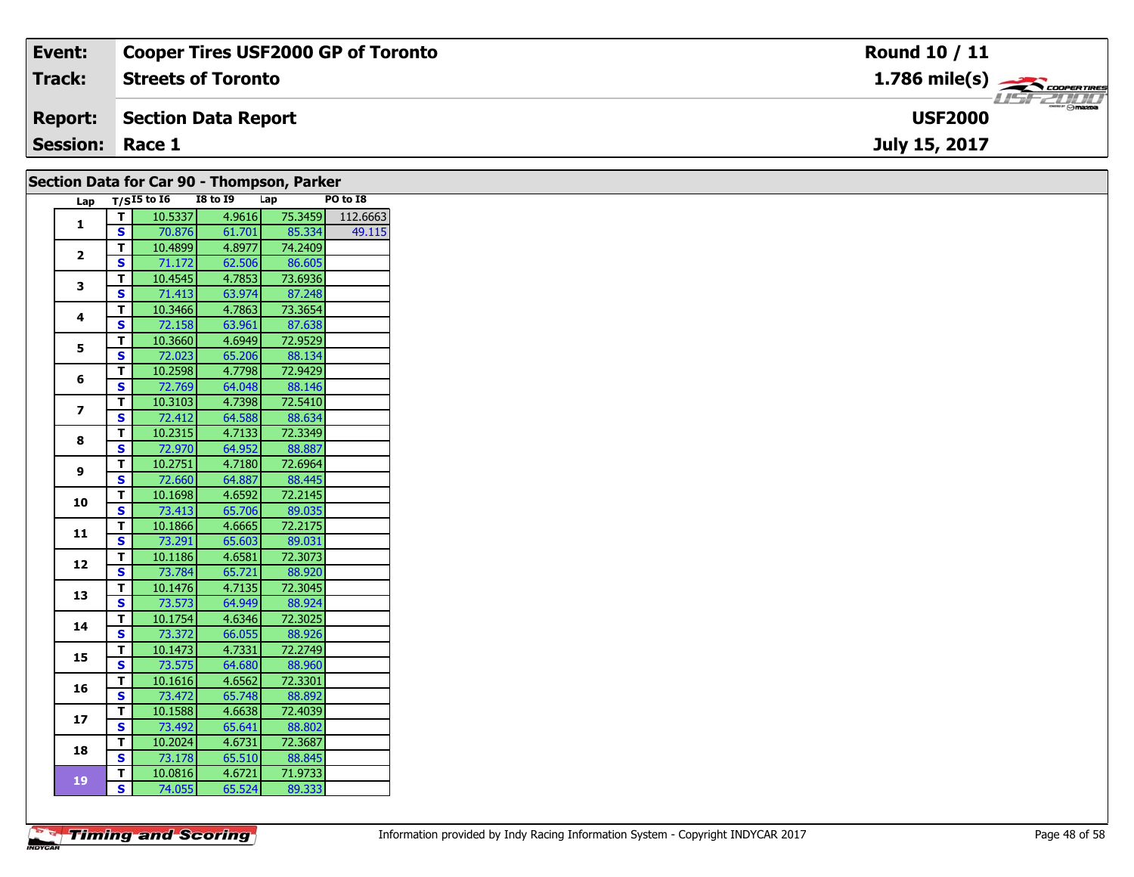| Event:                 | <b>Cooper Tires USF2000 GP of Toronto</b> | <b>Round 10 / 11</b>                                   |
|------------------------|-------------------------------------------|--------------------------------------------------------|
| <b>Track:</b>          | <b>Streets of Toronto</b>                 | $1.786$ mile(s) $\overbrace{\hspace{2cm}}$ COOPERTIRES |
| <b>Report:</b>         | Section Data Report                       | $ \odot$ mazpa<br><b>USF2000</b>                       |
| <b>Session: Race 1</b> |                                           | July 15, 2017                                          |
|                        |                                           |                                                        |

|                         |                         |                   | Section Data for Car 90 - Thompson, Parker |         |          |
|-------------------------|-------------------------|-------------------|--------------------------------------------|---------|----------|
|                         |                         | Lap $T/SI5$ to 16 | <b>I8 to 19</b>                            | Lap     | PO to I8 |
| 1                       | T                       | 10.5337           | 4.9616                                     | 75.3459 | 112.6663 |
|                         | S                       | 70.876            | 61.701                                     | 85.334  | 49.115   |
| $\overline{2}$          | T                       | 10.4899           | 4.8977                                     | 74.2409 |          |
|                         | S                       | 71.172            | 62.506                                     | 86.605  |          |
| 3                       | T.                      | 10.4545           | 4.7853                                     | 73.6936 |          |
|                         | S                       | 71.413            | 63.974                                     | 87.248  |          |
| 4                       | T.                      | 10.3466           | 4.7863                                     | 73.3654 |          |
|                         | S                       | 72.158            | 63.961                                     | 87.638  |          |
| 5                       | T.                      | 10.3660           | 4.6949                                     | 72.9529 |          |
|                         | S                       | 72.023            | 65.206                                     | 88.134  |          |
| 6                       | T.                      | 10.2598           | 4.7798                                     | 72.9429 |          |
|                         | S                       | 72.769            | 64.048                                     | 88.146  |          |
| $\overline{\mathbf{z}}$ | T.                      | 10.3103           | 4.7398                                     | 72.5410 |          |
|                         | S                       | 72.412            | 64.588                                     | 88.634  |          |
| 8                       | T                       | 10.2315           | 4.7133                                     | 72.3349 |          |
|                         | S                       | 72.970            | 64.952                                     | 88.887  |          |
| 9                       | T.                      | 10.2751           | 4.7180                                     | 72.6964 |          |
|                         | <b>S</b>                | 72.660            | 64.887                                     | 88.445  |          |
| 10                      | T.                      | 10.1698           | 4.6592                                     | 72.2145 |          |
|                         | $\overline{\mathbf{s}}$ | 73.413            | 65.706                                     | 89.035  |          |
| 11                      | T.                      | 10.1866           | 4.6665                                     | 72.2175 |          |
|                         | $\mathbf{s}$            | 73.291            | 65.603                                     | 89.031  |          |
| 12                      | T                       | 10.1186           | 4.6581                                     | 72.3073 |          |
|                         | S                       | 73.784            | 65.721                                     | 88.920  |          |
| 13                      | $\mathbf{T}$            | 10.1476           | 4.7135                                     | 72.3045 |          |
|                         | S                       | 73.573            | 64.949                                     | 88.924  |          |
| 14                      | T.                      | 10.1754           | 4.6346                                     | 72.3025 |          |
|                         | S                       | 73.372            | 66.055                                     | 88.926  |          |
| 15                      | $\mathbf{T}$            | 10.1473           | 4.7331                                     | 72.2749 |          |
|                         | $\overline{\mathbf{s}}$ | 73.575            | 64.680                                     | 88.960  |          |
| 16                      | T.                      | 10.1616           | 4.6562                                     | 72.3301 |          |
|                         | S                       | 73.472            | 65.748                                     | 88.892  |          |
| 17                      | T.                      | 10.1588           | 4.6638                                     | 72.4039 |          |
|                         | <b>S</b>                | 73.492            | 65.641                                     | 88.802  |          |
| 18                      | T.                      | 10.2024           | 4.6731                                     | 72.3687 |          |
|                         | $\mathbf{s}$            | 73.178            | 65.510                                     | 88.845  |          |
| 19                      | $\mathbf{T}$            | 10.0816           | 4.6721                                     | 71.9733 |          |
|                         | S                       | 74.055            | 65.524                                     | 89.333  |          |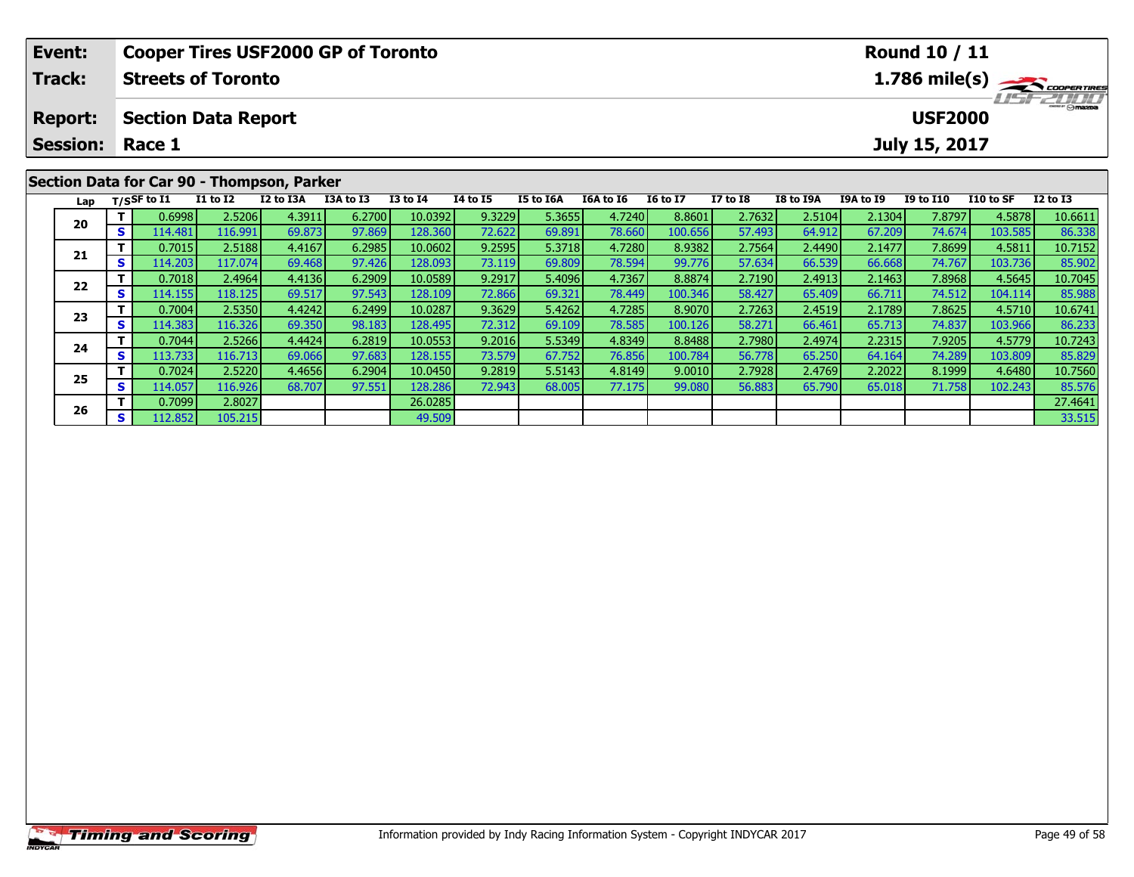| Event:                            |                          |                                      |                 | <b>Cooper Tires USF2000 GP of Toronto</b>  |           |                 |                 |                  |           |                 |                 |                  |                  | <b>Round 10 / 11</b>            |           |                                         |
|-----------------------------------|--------------------------|--------------------------------------|-----------------|--------------------------------------------|-----------|-----------------|-----------------|------------------|-----------|-----------------|-----------------|------------------|------------------|---------------------------------|-----------|-----------------------------------------|
| Track:                            |                          | <b>Streets of Toronto</b>            |                 |                                            |           |                 |                 |                  |           |                 |                 |                  |                  |                                 |           | $1.786$ mile(s) $\rightarrow$ Coorgange |
| <b>Report:</b><br><b>Session:</b> |                          | <b>Section Data Report</b><br>Race 1 |                 |                                            |           |                 |                 |                  |           |                 |                 |                  |                  | <b>USF2000</b><br>July 15, 2017 |           | <b>HSFZUID</b>                          |
|                                   |                          |                                      |                 | Section Data for Car 90 - Thompson, Parker |           |                 |                 |                  |           |                 |                 |                  |                  |                                 |           |                                         |
| Lap                               |                          | $T/S$ SF to I1                       | <b>I1 to I2</b> | I2 to I3A                                  | I3A to I3 | <b>I3 to I4</b> | <b>I4 to I5</b> | <b>I5 to I6A</b> | I6A to I6 | <b>I6 to I7</b> | <b>I7 to I8</b> | <b>I8 to I9A</b> | <b>I9A to I9</b> | <b>I9 to I10</b>                | I10 to SF | $I2$ to $I3$                            |
| 20                                |                          | 0.6998                               | 2.5206          | 4.3911                                     | 6.2700    | 10.0392         | 9.3229          | 5.3655           | 4.7240    | 8.8601          | 2.7632          | 2.5104           | 2.1304           | 7.8797                          | 4.5878    | 10.6611                                 |
|                                   | S.<br>114.481<br>116.991 |                                      | 69.873          | 97.869                                     | 128.360   | 72.622          | 69.891          | 78.660           | 100.656   | 57.493          | 64.912          | 67.209           | 74.674           | 103.585                         | 86.338    |                                         |
| 0.7015<br>21                      |                          |                                      | 2.5188          | 4.4167                                     | 6.2985    | 10.0602         | 9.2595          | 5.3718           | 4.7280    | 8.9382          | 2.7564          | 2.4490           | 2.1477           | 7.8699                          | 4.5811    | 10.7152                                 |
|                                   |                          | 114.203                              | 117.074         | 69.468                                     | 97.426    | 128.093         | <b>73.1191</b>  | 69.809           | 78.594    | 99.776          | 57.634          | 66.539           | 66.668           | 74.767                          | 103.736   | 85.902                                  |

2 T 0.7018 2.4964 4.4136 6.2909 10.0589 9.2917 5.4096 4.7367 8.8874 2.7190 2.4913 2.1463 7.8968 4.5645 10.7045<br>2 S 114.155 118.125 69.517 97.543 128.109 72.866 69.321 78.449 100.346 58.427 65.409 66.711 74.512 104.114 85.9

3 T 0.7004 2.5350 4.4242 6.2499 10.0287 9.3629 5.4262 4.7285 8.9070 2.7263 2.4519 2.1789 7.8625 4.5710 10.6741<br>S 114.383 116.326 69.350 98.183 128.495 72.312 69.109 78.585 100.126 58.271 66.461 65.713 74.837 103.966 86.233

4 T 0.7044 2.5266 4.4424 6.2819 10.0553 9.2016 5.5349 4.8349 8.8488 2.7980 2.4974 2.2315 7.9205 4.5779 10.7243<br>- S 113.733 116.713 69.066 97.683 128.155 73.579 67.752 76.856 100.784 56.778 65.250 64.164 74.289 103.809 85.8

**<sup>T</sup>** 0.7024 2.5220 4.4656 6.2904 10.0450 9.2819 5.5143 4.8149 9.0010 2.7928 2.4769 2.2022 8.1999 4.6480 10.7560 **<sup>S</sup>** 114.057 116.926 68.707 97.551 128.286 72.943 68.005 77.175 99.080 56.883 65.790 65.018 71.758 102.243 85.576

**6 T** 0.7099 2.8027 2.8027 26.0285 26.0285 26.0285 27.4641 27.4641 33.515<br>**S** 112.852 105.215 33.515 49.509 33.515 33.515

**22**

**23**

**24**

**25**

**26**

85.902

86.233

85.576<br>27.4641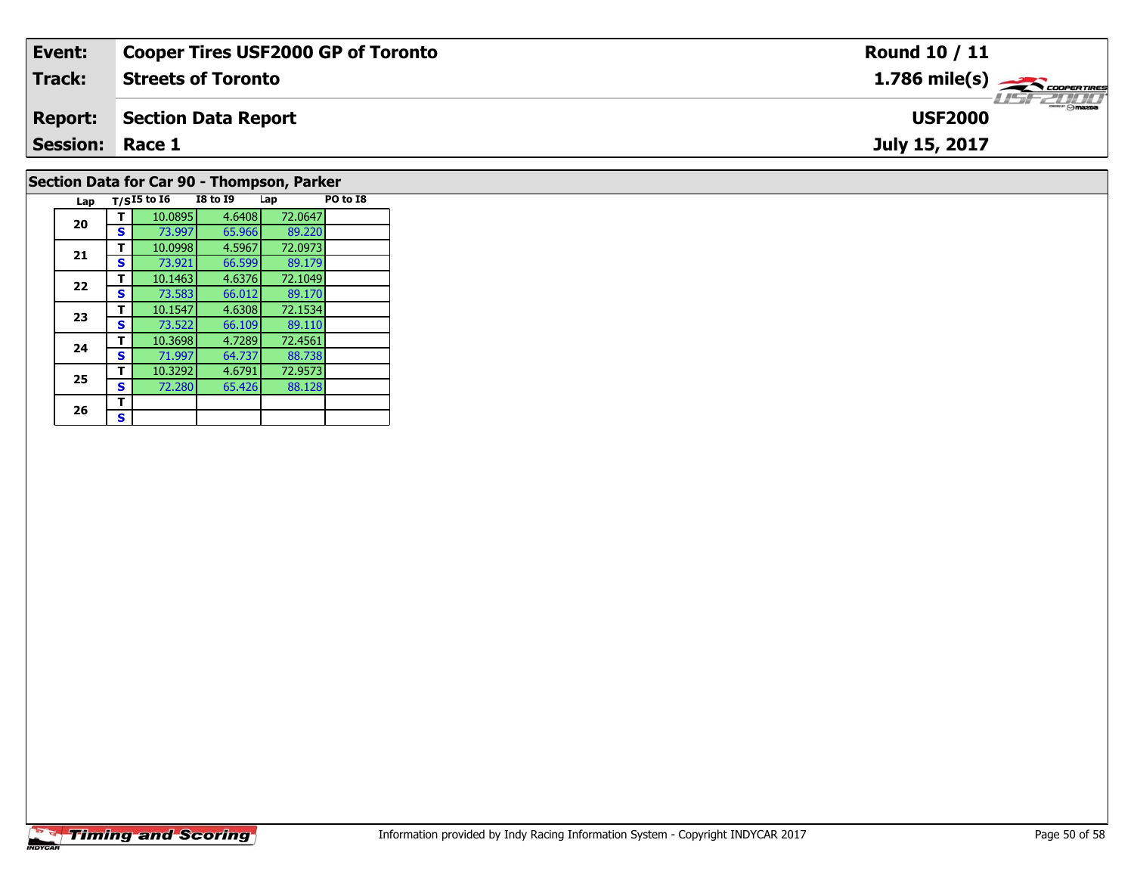| Event:                 | <b>Cooper Tires USF2000 GP of Toronto</b>  | <b>Round 10 / 11</b>                                  |
|------------------------|--------------------------------------------|-------------------------------------------------------|
| Track:                 | <b>Streets of Toronto</b>                  | $1.786$ mile(s) $\overbrace{\hspace{2cm}}$ coorerings |
| <b>Report:</b>         | Section Data Report                        | <b>USF2000</b>                                        |
| <b>Session: Race 1</b> |                                            | July 15, 2017                                         |
|                        | Section Data for Car 90 - Thompson, Parker |                                                       |

## **Timing and Scoring**

**Lap T/SI5 to I6 I8 to I9 Lap PO to I8** 

89.179

89.170<br>72.1534

89.110

88.738

**<sup>T</sup>** 10.0895 4.6408 72.0647 **<sup>S</sup>** 73.997 65.966 89.220

**<sup>T</sup>** 10.0998 4.5967 72.0973 **<sup>S</sup>** 73.921 66.599 89.179

**T** 10.1463 4.6376 72.1049<br>**S** 73.583 66.012 89.170

**<sup>T</sup>** 10.1547 4.6308 72.1534 **<sup>S</sup>** 73.522 66.109 89.110

**<sup>T</sup>** 10.3698 4.7289 72.4561 **<sup>S</sup>** 71.997 64.737 88.738

**<sup>T</sup>** 10.3292 4.6791 72.9573 **<sup>S</sup>** 72.280 65.426 88.128

**20**

**21**

**22**

**23**

**24**

**25**

26  $\frac{1}{s}$  $\mathbf{s}$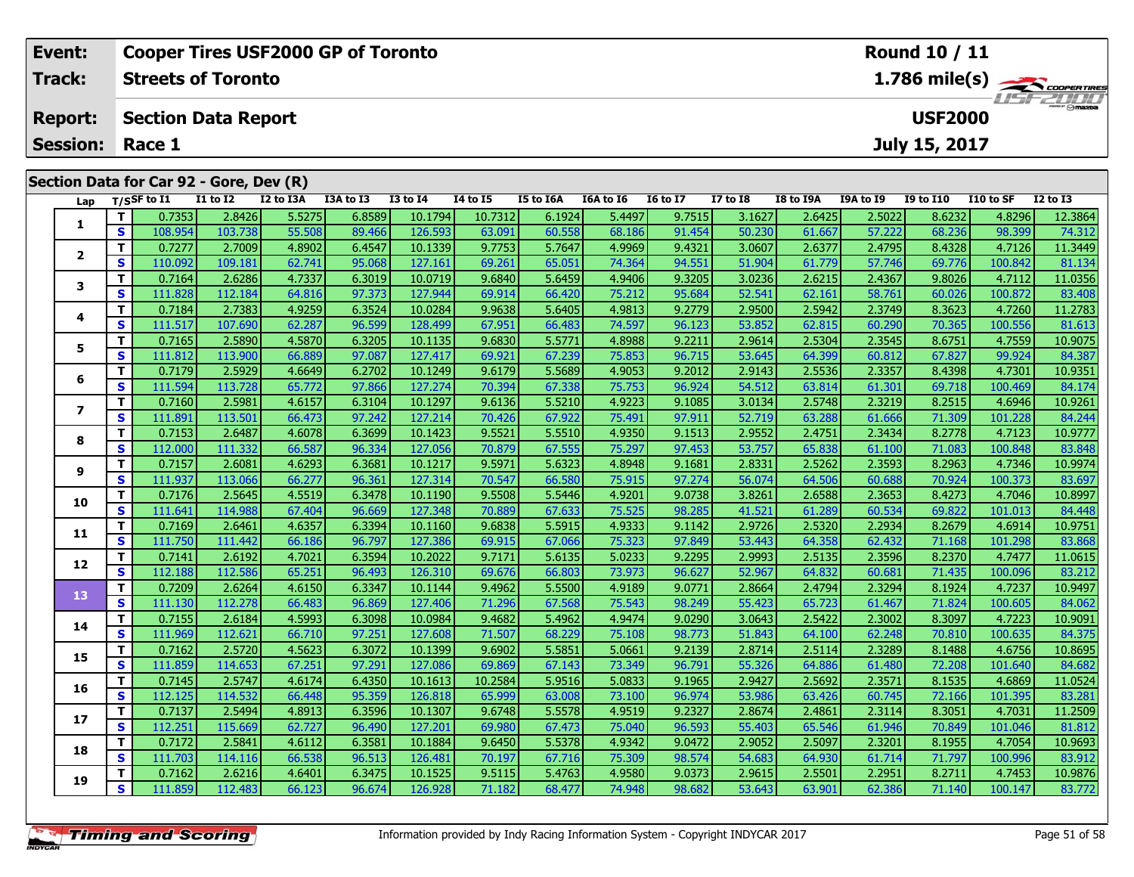| Event:<br>Track:                  |    |                             | <b>Streets of Toronto</b>               | <b>Cooper Tires USF2000 GP of Toronto</b> |                  |                    |                   |                  |                  |                  |                  |                  |                  | Round 10 / 11    |                  | 1.786 mile(s)     |
|-----------------------------------|----|-----------------------------|-----------------------------------------|-------------------------------------------|------------------|--------------------|-------------------|------------------|------------------|------------------|------------------|------------------|------------------|------------------|------------------|-------------------|
| <b>Report:</b><br><b>Session:</b> |    |                             | <b>Section Data Report</b>              |                                           |                  |                    |                   |                  |                  |                  |                  |                  |                  | <b>USF2000</b>   |                  |                   |
|                                   |    | Race 1                      | Section Data for Car 92 - Gore, Dev (R) |                                           |                  |                    |                   |                  |                  |                  |                  |                  |                  | July 15, 2017    |                  |                   |
| Lap                               |    | $T/S$ SF to $\overline{11}$ | $I1$ to $I2$                            | I2 to I3A                                 | I3A to I3        | <b>I3 to I4</b>    | <b>I4 to I5</b>   | I5 to I6A        | I6A to I6        | <b>16 to 17</b>  | I7 to I8         | I8 to I9A        | I9A to I9        | <b>I9 to I10</b> | I10 to SF        | <b>I2 to I3</b>   |
|                                   | S  | 0.7353<br>108.954           | 2.8426<br>103.738                       | 5.5275<br>55.508                          | 6.8589<br>89.466 | 10.1794<br>126.593 | 10.7312<br>63.091 | 6.1924<br>60.558 | 5.4497<br>68.186 | 9.7515<br>91.454 | 3.1627<br>50.230 | 2.6425<br>61.667 | 2.5022<br>57.222 | 8.6232<br>68.236 | 4.8296<br>98.399 | 12.3864<br>74.312 |
|                                   |    | 0.7277                      | 2.7009                                  | 4.8902                                    | 6.4547           | 10.1339            | 9.7753            | 5.7647           | 4.9969           | 9.4321           | 3.0607           | 2.6377           | 2.4795           | 8.4328           | 4.7126           | 11.3449           |
| $\overline{\mathbf{2}}$           | S  | 110.092                     | 109.181                                 | 62.741                                    | 95.068           | 127.161            | 69.261            | 65.051           | 74.364           | 94.551           | 51.904           | 61.779           | 57.746           | 69.776           | 100.842          | 81.134            |
|                                   |    | 0.7164                      | 2.6286                                  | 4.7337                                    | 6.3019           | 10.0719            | 9.6840            | 5.6459           | 4.9406           | 9.3205           | 3.0236           | 2.6215           | 2.4367           | 9.8026           | 4.7112           | 11.0356           |
| 3                                 | S  | 111.828                     | 112.184                                 | 64.816                                    | 97.373           | 127.944            | 69.914            | 66.420           | 75.212           | 95.684           | 52.541           | 62.161           | 58.761           | 60.026           | 100.872          | 83.408            |
| 4                                 |    | 0.7184                      | 2.7383                                  | 4.9259                                    | 6.3524           | 10.0284            | 9.9638            | 5.6405           | 4.9813           | 9.2779           | 2.9500           | 2.5942           | 2.3749           | 8.3623           | 4.7260           | 11.2783           |
|                                   | S  | 111.517                     | 107.690                                 | 62.287                                    | 96.599           | 128.499            | 67.951            | 66.483           | 74.597           | 96.123           | 53.852           | 62.815           | 60.290           | 70.365           | 100.556          | 81.613            |
| 5                                 |    | 0.7165                      | 2.5890                                  | 4.5870                                    | 6.3205           | 10.1135            | 9.6830            | 5.5771           | 4.8988           | 9.2211           | 2.9614           | 2.5304           | 2.3545           | 8.6751           | 4.7559           | 10.9075           |
|                                   | S  | 111.812                     | 113.900                                 | 66.889                                    | 97.087           | 127.417            | 69.921            | 67.239           | 75.853           | 96.715           | 53.645           | 64.399           | 60.812           | 67.827           | 99.924           | 84.387            |
| 6                                 | т  | 0.7179                      | 2.5929                                  | 4.6649                                    | 6.2702           | 10.1249            | 9.6179            | 5.5689           | 4.9053           | 9.2012           | 2.9143           | 2.5536           | 2.3357           | 8.4398           | 4.7301           | 10.9351           |
|                                   | S. | 111.594                     | 113.728                                 | 65.772                                    | 97.866           | 127.274            | 70.394            | 67.338           | 75.753           | 96.924           | 54.512           | 63.814           | 61.301           | 69.718           | 100.469          | 84.174            |

7 | T | 0.7160| 2.5981| 4.6157| 6.3104| 10.1297| 9.6136| 5.5210| 4.9223| 9.1085| 3.0134| 2.5748| 2.3219| 8.2515| 4.6946| 10.9261<br>7 | S | 111.891 113.501 | 66.473 | 97.242 127.214 | 70.426 | 67.922 | 75.491 | 97.911 | 52.71

**<sup>T</sup>** 0.7153 2.6487 4.6078 6.3699 10.1423 9.5521 5.5510 4.9350 9.1513 2.9552 2.4751 2.3434 8.2778 4.7123 10.9777 **<sup>S</sup>** 112.000 111.332 66.587 96.334 127.056 70.879 67.555 75.297 97.453 53.757 65.838 61.100 71.083 100.848 83.848

10.9974 | 11 | 111,937 | 2.6081 | 12.3081 | 16.1217 | 16.5971 | 16.6323 | 16.81 | 16.948 | 16.81 | 2.53331 | 2<br>[111,937 | 113,066 | 66.277 | 96.361 | 127.314 | 70.547 | 66.580 | 75.915 | 97.274 | 56.074 | 64.506 | 60.688

0 T 0.7176| 2.5645| 4.5519| 6.3478| 10.1190| 9.5508| 5.5446| 4.9201| 9.0738| 3.8261| 2.6588| 2.3653| 8.4273| 4.7046| 10.8997<br>| S 111.641| 114.988| 67.404| 96.669| 127.348| 70.889| 67.633| 75.525| 98.285| 41.521| 61.289| 60

**<sup>T</sup>** 0.7169 2.6461 4.6357 6.3394 10.1160 9.6838 5.5915 4.9333 9.1142 2.9726 2.5320 2.2934 8.2679 4.6914 10.9751 **<sup>S</sup>** 111.750 111.442 66.186 96.797 127.386 69.915 67.066 75.323 97.849 53.443 64.358 62.432 71.168 101.298 83.868

2 T 0.7141 2.6192 4.7021 6.3594 10.2022 9.7171 5.6135 5.0233 9.2295 2.9993 2.5135 2.3596 8.2370 4.7477 11.0615<br>2 S 112.188 112.586 65.251 96.493 126.310 69.676 66.803 73.973 96.627 52.967 64.832 60.681 71.435 100.096 83.21

3 T 0.7209 2.6264 4.6150 6.3347 10.1144 9.4962 5.5500 4.9189 9.0771 2.8664 2.4794 2.3294 8.1924 4.7237 10.9497<br>S 111.130 112.278 66.483 96.869 127.406 71.296 67.568 75.543 98.249 55.423 65.723 61.467 71.824 100.605 84.062

**<sup>T</sup>** 0.7155 2.6184 4.5993 6.3098 10.0984 9.4682 5.4962 4.9474 9.0290 3.0643 2.5422 2.3002 8.3097 4.7223 10.9091 **<sup>S</sup>** 111.969 112.621 66.710 97.251 127.608 71.507 68.229 75.108 98.773 51.843 64.100 62.248 70.810 100.635 84.375

5 T 0.7162 2.5720 4.5623 6.3072 10.1399 9.6902 5.5851 5.0661 9.2139 2.8714 2.5114 2.3289 8.1488 4.6756 10.8695<br>5 S 111.859 114.653 67.251 97.291 127.086 69.869 67.143 73.349 96.791 55.326 64.886 61.480 72.208 101.640 84.68

**<sup>T</sup>** 0.7145 2.5747 4.6174 6.4350 10.1613 10.2584 5.9516 5.0833 9.1965 2.9427 2.5692 2.3571 8.1535 4.6869 11.0524 **<sup>S</sup>** 112.125 114.532 66.448 95.359 126.818 65.999 63.008 73.100 96.974 53.986 63.426 60.745 72.166 101.395 83.281

7 T 0.7137 2.5494 4.8913 6.3596 10.1307 9.6748 5.5578 4.9519 9.2327 2.8674 2.4861 2.3114 8.3051 4.7031 11.2509<br>7 S 112.251 115.669 62.727 96.490 127.201 69.980 67.473 75.040 96.593 55.403 65.546 61.946 70.849 101.046 81.81

**<sup>T</sup>** 0.7172 2.5841 4.6112 6.3581 10.1884 9.6450 5.5378 4.9342 9.0472 2.9052 2.5097 2.3201 8.1955 4.7054 10.9693 **<sup>S</sup>** 111.703 114.116 66.538 96.513 126.481 70.197 67.716 75.309 98.574 54.683 64.930 61.714 71.797 100.996 83.912

**<sup>T</sup>** 0.7162 2.6216 4.6401 6.3475 10.1525 9.5115 5.4763 4.9580 9.0373 2.9615 2.5501 2.2951 8.2711 4.7453 10.9876 **<sup>S</sup>** 111.859 112.483 66.123 96.674 126.928 71.182 68.477 74.948 98.682 53.643 63.901 62.386 71.140 100.147 83.772

**7**

**8**

**9**

**10**

**11**

**12**

**13**

**14**

**15**

**16**

**17**

**18**

**19**

84.244

83.697

84.062

84.375

81.812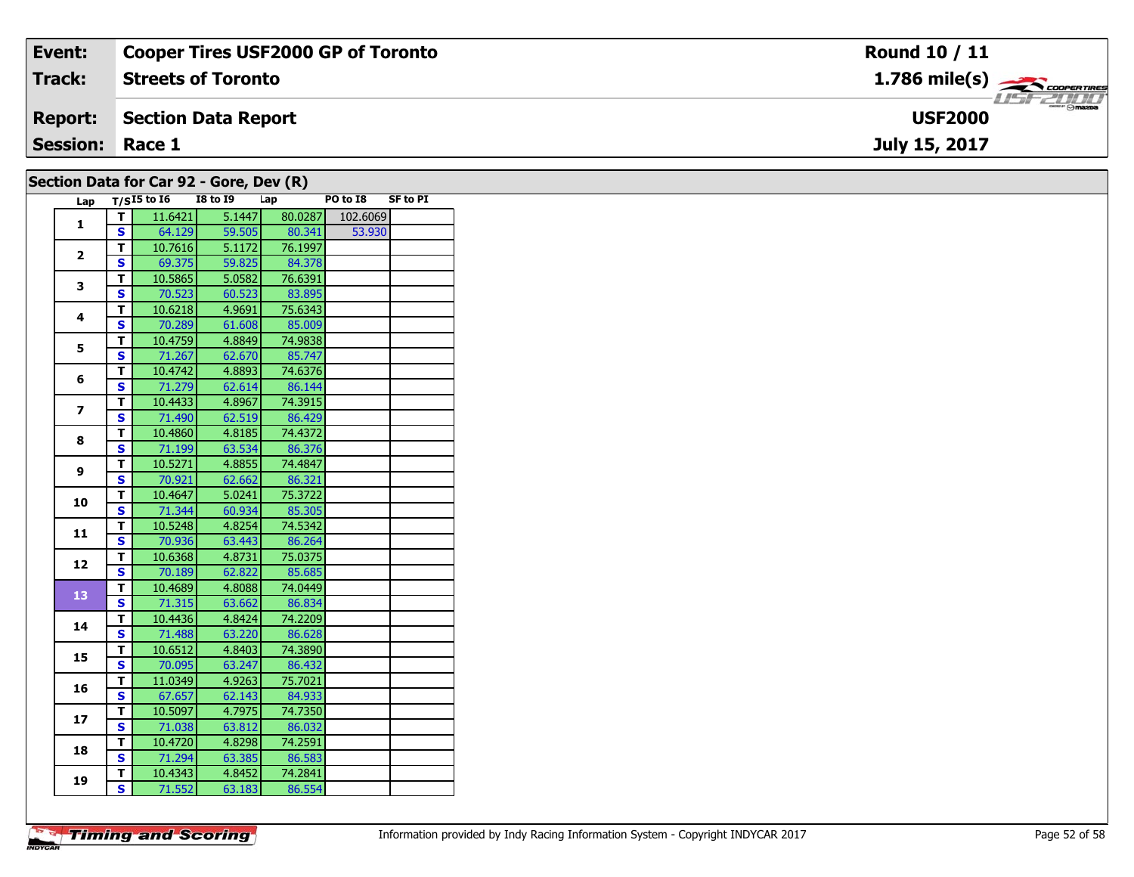| Event:                                  | Cooper Tires USF2000 GP of Toronto | <b>Round 10 / 11</b>                      |  |  |  |  |  |  |
|-----------------------------------------|------------------------------------|-------------------------------------------|--|--|--|--|--|--|
| <b>Track:</b>                           | <b>Streets of Toronto</b>          | $1.786$ mile(s) $\rightarrow$ COOPERTIRES |  |  |  |  |  |  |
| <b>Report:</b>                          | Section Data Report                | <b>LISF 2000</b><br><b>USF2000</b>        |  |  |  |  |  |  |
| <b>Session: Race 1</b>                  |                                    | July 15, 2017                             |  |  |  |  |  |  |
| Section Data for Car 92 - Gore, Dev (R) |                                    |                                           |  |  |  |  |  |  |

| Lap                     |                         | CCCON DUCU IVI CUI JE<br>$T/SI5$ to $I6$ | $\overline{u}$<br><b>I8 to 19</b> | Lap     | PO to I8 | <b>SF to PI</b> |
|-------------------------|-------------------------|------------------------------------------|-----------------------------------|---------|----------|-----------------|
|                         | т                       | 11.6421                                  | 5.1447                            | 80.0287 | 102.6069 |                 |
| $\mathbf{1}$            | S                       | 64.129                                   | 59.505                            | 80.341  | 53.930   |                 |
|                         | т                       | 10.7616                                  | 5.1172                            | 76.1997 |          |                 |
| $\overline{2}$          | S                       | 69.375                                   | 59.825                            | 84.378  |          |                 |
|                         | T                       | 10.5865                                  | 5.0582                            | 76.6391 |          |                 |
| 3                       | $\overline{\mathbf{s}}$ | 70.523                                   | 60.523                            | 83.895  |          |                 |
|                         | T                       | 10.6218                                  | 4.9691                            | 75.6343 |          |                 |
| $\overline{\mathbf{4}}$ | $\overline{\mathbf{s}}$ | 70.289                                   | 61.608                            | 85.009  |          |                 |
|                         | T                       | 10.4759                                  | 4.8849                            | 74.9838 |          |                 |
| 5                       | S                       | 71.267                                   | 62.670                            | 85.747  |          |                 |
|                         | T                       | 10.4742                                  | 4.8893                            | 74.6376 |          |                 |
| 6                       | S                       | 71.279                                   | 62.614                            | 86.144  |          |                 |
|                         | T                       | 10.4433                                  | 4.8967                            | 74.3915 |          |                 |
| $\overline{ }$          | $\overline{\mathbf{s}}$ | 71.490                                   | 62.519                            | 86.429  |          |                 |
|                         | T                       | 10.4860                                  | 4.8185                            | 74.4372 |          |                 |
| 8                       | $\overline{\mathbf{s}}$ | 71.199                                   | 63.534                            | 86.376  |          |                 |
|                         | T                       | 10.5271                                  | 4.8855                            | 74.4847 |          |                 |
| $\mathbf{9}$            | S                       | 70.921                                   | 62.662                            | 86.321  |          |                 |
|                         | T                       | 10.4647                                  | 5.0241                            | 75.3722 |          |                 |
| 10                      | $\overline{\mathbf{s}}$ | 71.344                                   | 60.934                            | 85.305  |          |                 |
|                         | T                       | 10.5248                                  | 4.8254                            | 74.5342 |          |                 |
| 11                      | S                       | 70.936                                   | 63.443                            | 86.264  |          |                 |
|                         | T                       | 10.6368                                  | 4.8731                            | 75.0375 |          |                 |
| 12                      | $\overline{\mathbf{s}}$ | 70.189                                   | 62.822                            | 85.685  |          |                 |
|                         | T                       | 10.4689                                  | 4.8088                            | 74.0449 |          |                 |
| 13                      | $\overline{\mathbf{s}}$ | 71.315                                   | 63.662                            | 86.834  |          |                 |
|                         | T                       | 10.4436                                  | 4.8424                            | 74.2209 |          |                 |
| 14                      | S                       | 71.488                                   | 63.220                            | 86.628  |          |                 |
|                         | T                       | 10.6512                                  | 4.8403                            | 74.3890 |          |                 |
| 15                      | $\overline{\mathbf{s}}$ | 70.095                                   | 63.247                            | 86.432  |          |                 |
|                         | T                       | 11.0349                                  | 4.9263                            | 75.7021 |          |                 |
| 16                      | S                       | 67.657                                   | 62.143                            | 84.933  |          |                 |
|                         | T                       | 10.5097                                  | 4.7975                            | 74.7350 |          |                 |
| 17                      | S                       | 71.038                                   | 63.812                            | 86.032  |          |                 |
|                         | T                       | 10.4720                                  | 4.8298                            | 74.2591 |          |                 |
| 18                      | S                       | 71.294                                   | 63.385                            | 86.583  |          |                 |
|                         | T                       | 10.4343                                  | 4.8452                            | 74.2841 |          |                 |
| 19                      | $\overline{\mathbf{s}}$ | 71.552                                   | 63.183                            | 86.554  |          |                 |
|                         |                         |                                          |                                   |         |          |                 |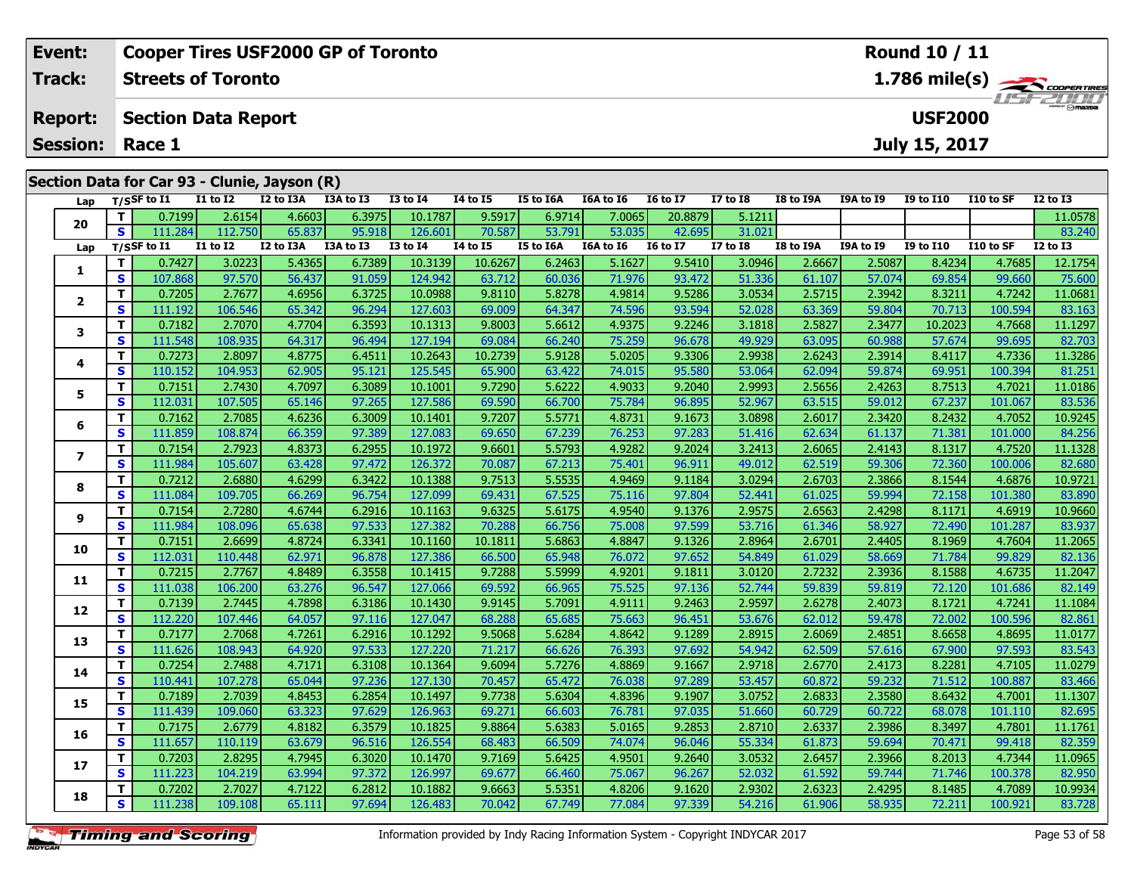| Event:        |                                              |                           |                                              | <b>Cooper Tires USF2000 GP of Toronto</b> |           |                 |                 |                  |           |                 |                 |           |           | <b>Round 10 / 11</b> |           |                                                  |
|---------------|----------------------------------------------|---------------------------|----------------------------------------------|-------------------------------------------|-----------|-----------------|-----------------|------------------|-----------|-----------------|-----------------|-----------|-----------|----------------------|-----------|--------------------------------------------------|
| <b>Track:</b> |                                              | <b>Streets of Toronto</b> |                                              |                                           |           |                 |                 |                  |           |                 |                 |           |           |                      |           | $1.786$ mile(s) $\leftarrow$<br><b>LISF 2000</b> |
|               | <b>Report:</b>                               |                           | <b>USF2000</b><br><b>Section Data Report</b> |                                           |           |                 |                 |                  |           |                 |                 |           |           |                      |           |                                                  |
|               | <b>Session:</b>                              | Race 1                    |                                              |                                           |           |                 |                 |                  |           |                 |                 |           |           | July 15, 2017        |           |                                                  |
|               | Section Data for Car 93 - Clunie, Jayson (R) |                           |                                              |                                           |           |                 |                 |                  |           |                 |                 |           |           |                      |           |                                                  |
|               |                                              | Lap $T/S$ SF to I1        | I1 to I2                                     | I2 to I3A                                 | I3A to I3 | <b>I3 to I4</b> | <b>I4 to I5</b> | <b>I5 to I6A</b> | I6A to I6 | <b>I6 to I7</b> | <b>I7 to I8</b> | I8 to I9A | I9A to I9 | <b>I9 to I10</b>     | I10 to SF | <b>I2 to I3</b>                                  |

| Lap                      |              | T/SSF to $I1$ | I1 to I2        | I2 to I3A | I3A to I3 | <b>I3 to I4</b> | 14 to 15 | I5 to I6A        | <b>I6A to I6</b> | <b>I6 to I7</b> | I7 to I8        | I8 to I9A | <b>I9A to I9</b> | <b>I9 to I10</b> | <b>I10 to SF</b> | <b>I2 to I3</b> |
|--------------------------|--------------|---------------|-----------------|-----------|-----------|-----------------|----------|------------------|------------------|-----------------|-----------------|-----------|------------------|------------------|------------------|-----------------|
| 20                       | T.           | 0.7199        | 2.6154          | 4.6603    | 6.3975    | 10.1787         | 9.5917   | 6.9714           | 7.0065           | 20.8879         | 5.1211          |           |                  |                  |                  | 11.0578         |
|                          | S            | 111.284       | 112.750         | 65.837    | 95.918    | 126.601         | 70.587   | 53.791           | 53.035           | 42.695          | 31.021          |           |                  |                  |                  | 83.240          |
| Lap                      |              | T/SSF to I1   | <b>I1 to I2</b> | I2 to I3A | I3A to I3 | <b>I3 to I4</b> | 14 to 15 | <b>I5 to I6A</b> | I6A to I6        | <b>16 to 17</b> | <b>I7 to I8</b> | I8 to I9A | I9A to I9        | <b>I9 to I10</b> | I10 to SF        | <b>I2 to I3</b> |
| 1                        | T.           | 0.7427        | 3.0223          | 5.4365    | 6.7389    | 10.3139         | 10.6267  | 6.2463           | 5.1627           | 9.5410          | 3.0946          | 2.6667    | 2.5087           | 8.4234           | 4.7685           | 12.1754         |
|                          | S            | 107.868       | 97.570          | 56.437    | 91.059    | 124.942         | 63.712   | 60.036           | 71.976           | 93.472          | 51.336          | 61.107    | 57.074           | 69.854           | 99.660           | 75.600          |
| $\mathbf{2}$             | T.           | 0.7205        | 2.7677          | 4.6956    | 6.3725    | 10.0988         | 9.8110   | 5.8278           | 4.9814           | 9.5286          | 3.0534          | 2.5715    | 2.3942           | 8.3211           | 4.7242           | 11.0681         |
|                          | S            | 111.192       | 106.546         | 65.342    | 96.294    | 127.603         | 69.009   | 64.347           | 74.596           | 93.594          | 52.028          | 63.369    | 59.804           | 70.713           | 100.594          | 83.163          |
| 3                        | T.           | 0.7182        | 2.7070          | 4.7704    | 6.3593    | 10.1313         | 9.8003   | 5.6612           | 4.9375           | 9.2246          | 3.1818          | 2.5827    | 2.3477           | 10.2023          | 4.7668           | 11.1297         |
|                          | $\mathbf{s}$ | 111.548       | 108.935         | 64.317    | 96.494    | 127.194         | 69.084   | 66.240           | 75.259           | 96.678          | 49.929          | 63.095    | 60.988           | 57.674           | 99.695           | 82.703          |
| 4                        | T.           | 0.7273        | 2.8097          | 4.8775    | 6.4511    | 10.2643         | 10.2739  | 5.9128           | 5.0205           | 9.3306          | 2.9938          | 2.6243    | 2.3914           | 8.4117           | 4.7336           | 11.3286         |
|                          | <b>S</b>     | 110.152       | 104.953         | 62.905    | 95.121    | 125.545         | 65.900   | 63.422           | 74.015           | 95.580          | 53.064          | 62.094    | 59.874           | 69.951           | 100.394          | 81.251          |
| 5                        | T.           | 0.7151        | 2.7430          | 4.7097    | 6.3089    | 10.1001         | 9.7290   | 5.6222           | 4.9033           | 9.2040          | 2.9993          | 2.5656    | 2.4263           | 8.7513           | 4.7021           | 11.0186         |
|                          | S            | 112.031       | 107.505         | 65.146    | 97.265    | 127.586         | 69.590   | 66.700           | 75.784           | 96.895          | 52.967          | 63.515    | 59.012           | 67.237           | 101.067          | 83.536          |
| 6                        | T.           | 0.7162        | 2.7085          | 4.6236    | 6.3009    | 10.1401         | 9.7207   | 5.5771           | 4.8731           | 9.1673          | 3.0898          | 2.6017    | 2.3420           | 8.2432           | 4.7052           | 10.9245         |
|                          | S            | 111.859       | 108.874         | 66.359    | 97.389    | 127.083         | 69.650   | 67.239           | 76.253           | 97.283          | 51.416          | 62.634    | 61.137           | 71.381           | 101.000          | 84.256          |
| $\overline{\phantom{a}}$ | T.           | 0.7154        | 2.7923          | 4.8373    | 6.2955    | 10.1972         | 9.6601   | 5.5793           | 4.9282           | 9.2024          | 3.2413          | 2.6065    | 2.4143           | 8.1317           | 4.7520           | 11.1328         |
|                          | $\mathbf{s}$ | 111.984       | 105.607         | 63.428    | 97.472    | 126.372         | 70.087   | 67.213           | 75.401           | 96.911          | 49.012          | 62.519    | 59.306           | 72.360           | 100.006          | 82.680          |
| 8                        | т            | 0.7212        | 2.6880          | 4.6299    | 6.3422    | 10.1388         | 9.7513   | 5.5535           | 4.9469           | 9.1184          | 3.0294          | 2.6703    | 2.3866           | 8.1544           | 4.6876           | 10.9721         |
|                          | S            | 111.084       | 109.705         | 66.269    | 96.754    | 127.099         | 69.431   | 67.525           | 75.116           | 97.804          | 52.441          | 61.025    | 59.994           | 72.158           | 101.380          | 83.890          |
| 9                        | T.           | 0.7154        | 2.7280          | 4.6744    | 6.2916    | 10.1163         | 9.6325   | 5.6175           | 4.9540           | 9.1376          | 2.9575          | 2.6563    | 2.4298           | 8.1171           | 4.6919           | 10.9660         |
|                          | S            | 111.984       | 108.096         | 65.638    | 97.533    | 127.382         | 70.288   | 66.756           | 75.008           | 97.599          | 53.716          | 61.346    | 58.927           | 72.490           | 101.287          | 83.937          |
| 10                       | T.           | 0.7151        | 2.6699          | 4.8724    | 6.3341    | 10.1160         | 10.1811  | 5.6863           | 4.8847           | 9.1326          | 2.8964          | 2.6701    | 2.4405           | 8.1969           | 4.7604           | 11.2065         |
|                          | S            | 112.031       | 110.448         | 62.971    | 96.878    | 127.386         | 66.500   | 65.948           | 76.072           | 97.652          | 54.849          | 61.029    | 58.669           | 71.784           | 99.829           | 82.136          |
| 11                       | T.           | 0.7215        | 2.7767          | 4.8489    | 6.3558    | 10.1415         | 9.7288   | 5.5999           | 4.9201           | 9.1811          | 3.0120          | 2.7232    | 2.3936           | 8.1588           | 4.6735           | 11.2047         |
|                          | S            | 111.038       | 106.200         | 63.276    | 96.547    | 127.066         | 69.592   | 66.965           | 75.525           | 97.136          | 52.744          | 59.839    | 59.819           | 72.120           | 101.686          | 82.149          |
| 12                       | т            | 0.7139        | 2.7445          | 4.7898    | 6.3186    | 10.1430         | 9.9145   | 5.7091           | 4.9111           | 9.2463          | 2.9597          | 2.6278    | 2.4073           | 8.1721           | 4.7241           | 11.1084         |
|                          | S            | 112.220       | 107.446         | 64.057    | 97.116    | 127.047         | 68.288   | 65.685           | 75.663           | 96.451          | 53.676          | 62.012    | 59.478           | 72.002           | 100.596          | 82.861          |
| 13                       | T.           | 0.7177        | 2.7068          | 4.7261    | 6.2916    | 10.1292         | 9.5068   | 5.6284           | 4.8642           | 9.1289          | 2.8915          | 2.6069    | 2.4851           | 8.6658           | 4.8695           | 11.0177         |
|                          | S            | 111.626       | 108.943         | 64.920    | 97.533    | 127.220         | 71.217   | 66.626           | 76.393           | 97.692          | 54.942          | 62.509    | 57.616           | 67.900           | 97.593           | 83.543          |
| 14                       | T.           | 0.7254        | 2.7488          | 4.7171    | 6.3108    | 10.1364         | 9.6094   | 5.7276           | 4.8869           | 9.1667          | 2.9718          | 2.6770    | 2.4173           | 8.2281           | 4.7105           | 11.0279         |
|                          | $\mathbf{s}$ | 110.441       | 107.278         | 65.044    | 97.236    | 127.130         | 70.457   | 65.472           | 76.038           | 97.289          | 53.457          | 60.872    | 59.232           | 71.512           | 100.887          | 83.466          |
| 15                       | T.           | 0.7189        | 2.7039          | 4.8453    | 6.2854    | 10.1497         | 9.7738   | 5.6304           | 4.8396           | 9.1907          | 3.0752          | 2.6833    | 2.3580           | 8.6432           | 4.7001           | 11.1307         |
|                          | S            | 111.439       | 109.060         | 63.323    | 97.629    | 126.963         | 69.271   | 66.603           | 76.781           | 97.035          | 51.660          | 60.729    | 60.722           | 68.078           | 101.110          | 82.695          |
| 16                       | T.           | 0.7175        | 2.6779          | 4.8182    | 6.3579    | 10.1825         | 9.8864   | 5.6383           | 5.0165           | 9.2853          | 2.8710          | 2.6337    | 2.3986           | 8.3497           | 4.7801           | 11.1761         |
|                          | S            | 111.657       | 110.119         | 63.679    | 96.516    | 126.554         | 68.483   | 66.509           | 74.074           | 96.046          | 55.334          | 61.873    | 59.694           | 70.471           | 99.418           | 82.359          |
| 17                       | T.           | 0.7203        | 2.8295          | 4.7945    | 6.3020    | 10.1470         | 9.7169   | 5.6425           | 4.9501           | 9.2640          | 3.0532          | 2.6457    | 2.3966           | 8.2013           | 4.7344           | 11.0965         |
|                          | S            | 111.223       | 104.219         | 63.994    | 97.372    | 126.997         | 69.677   | 66.460           | 75.067           | 96.267          | 52.032          | 61.592    | 59.744           | 71.746           | 100.378          | 82.950          |
| 18                       | T.           | 0.7202        | 2.7027          | 4.7122    | 6.2812    | 10.1882         | 9.6663   | 5.5351           | 4.8206           | 9.1620          | 2.9302          | 2.6323    | 2.4295           | 8.1485           | 4.7089           | 10.9934         |
|                          | S.           | 111.238       | 109.108         | 65.111    | 97.694    | 126.483         | 70.042   | 67.749           | 77.084           | 97.339          | 54.216          | 61.906    | 58.935           | 72.211           | 100.921          | 83.728          |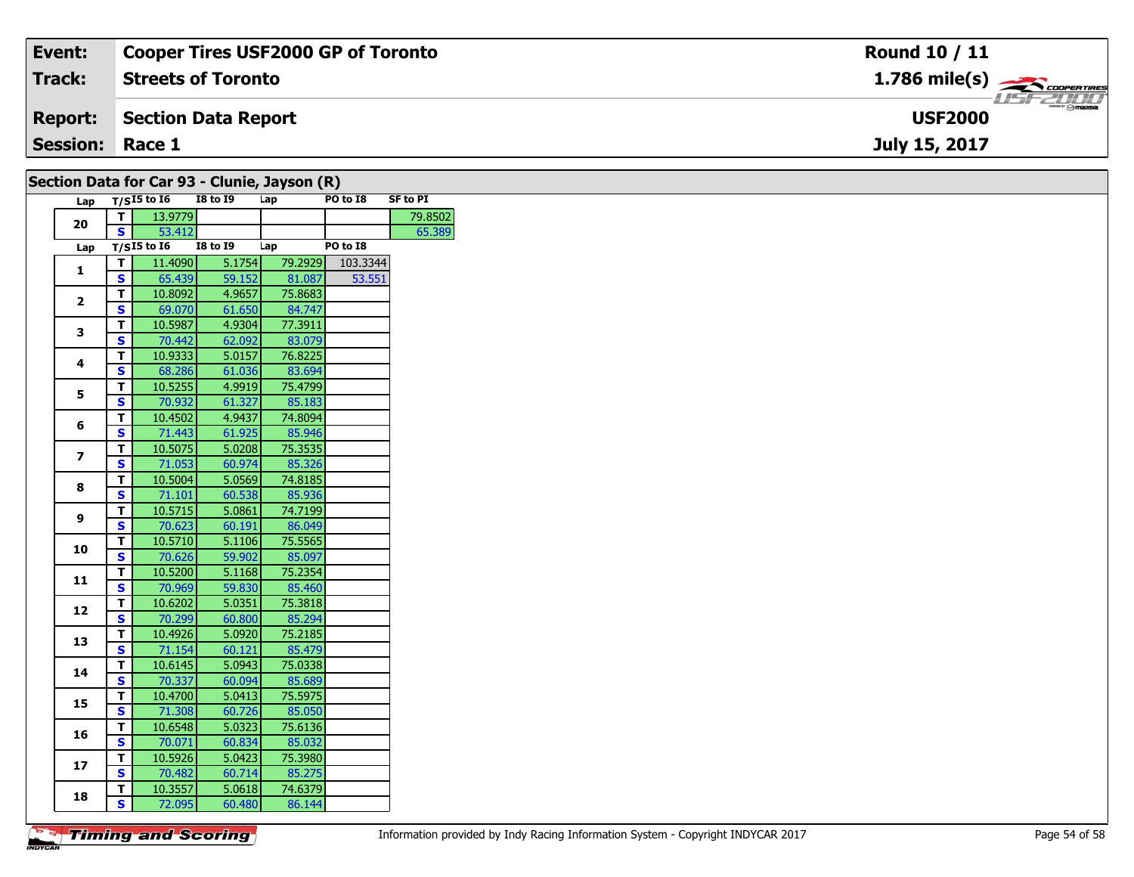| Event:                                       | <b>Cooper Tires USF2000 GP of Toronto</b> | Round 10 / 11                             |  |  |  |  |  |  |  |
|----------------------------------------------|-------------------------------------------|-------------------------------------------|--|--|--|--|--|--|--|
| Track:                                       | <b>Streets of Toronto</b>                 | $1.786$ mile(s) $\rightarrow$ Coorentines |  |  |  |  |  |  |  |
| <b>Report:</b>                               | Section Data Report                       | <b>USF2000</b>                            |  |  |  |  |  |  |  |
| <b>Session: Race 1</b>                       |                                           | July 15, 2017                             |  |  |  |  |  |  |  |
| Section Data for Car 93 - Clunie, Jayson (R) |                                           |                                           |  |  |  |  |  |  |  |

| Lap<br>13.9779<br>79.8502<br>T.<br>20<br>S.<br>53.412<br>65.389<br>$T/S$ I5 to I6<br><b>I8 to 19</b><br>PO to I8<br>Lap<br>Lap<br>5.1754<br>T.<br>11.4090<br>79.2929<br>103.3344<br>1<br>S<br>65.439<br>59.152<br>81.087<br>53.551<br>$\overline{\mathsf{r}}$<br>10.8092<br>4.9657<br>75.8683<br>$\overline{\mathbf{2}}$<br>$\overline{\mathbf{s}}$<br>84.747<br>69.070<br>61.650<br>T<br>10.5987<br>4.9304<br>77.3911<br>3<br>S<br>70.442<br>83.079<br>62.092<br>т<br>10.9333<br>5.0157<br>76.8225<br>4<br>$\overline{\mathbf{s}}$<br>68.286<br>61.036<br>83.694<br>T<br>10.5255<br>4.9919<br>75.4799<br>5<br>$\mathbf{s}$<br>70.932<br>61.327<br>85.183<br>T<br>10.4502<br>4.9437<br>74.8094<br>6<br>$\mathbf s$<br>71.443<br>61.925<br>85.946<br>T<br>10.5075<br>5.0208<br>75.3535<br>7<br>S<br>71.053<br>60.974<br>85.326<br>T<br>10.5004<br>5.0569<br>74.8185<br>8<br>S<br>71.101<br>60.538<br>85.936<br>$\overline{\mathsf{r}}$<br>10.5715<br>5.0861<br>74.7199<br>9<br>$\overline{\mathbf{s}}$<br>70.623<br>60.191<br>86.049<br>T<br>10.5710<br>5.1106<br>75.5565<br>10<br>$\overline{\mathbf{s}}$<br>70.626<br>59.902<br>85.097<br>T<br>10.5200<br>5.1168<br>75.2354<br>11<br>$\overline{\mathbf{s}}$<br>70.969<br>59.830<br>85.460<br>$\overline{\mathsf{r}}$<br>10.6202<br>5.0351<br>75.3818<br>12<br>$\overline{\mathbf{s}}$<br>70.299<br>60.800<br>85.294<br>T<br>10.4926<br>5.0920<br>75.2185<br>13<br>$\overline{\mathbf{s}}$<br>71.154<br>60.121<br>85.479<br>т<br>10.6145<br>5.0943<br>75.0338<br>14<br>$\overline{\mathbf{s}}$<br>70.337<br>60.094<br>85.689<br>T<br>10.4700<br>75.5975<br>5.0413<br>15<br>$\mathbf{s}$<br>71.308<br>60.726<br>85.050<br>Ŧ<br>10.6548<br>5.0323<br>75.6136<br>16<br>$\overline{\mathbf{s}}$<br>70.071<br>60.834<br>85.032<br>T<br>10.5926<br>5.0423<br>75.3980<br>17<br>S<br>70.482<br>60.714<br>85.275<br>T<br>10.3557<br>5.0618<br>74.6379<br>18<br>72.095<br>86.144 |                         | יט וטו ש<br>. .<br>$T/SI5$ to $I6$ | <b>I8 to I9</b> | $\cdots$ , outpoints,<br>Lap | PO to I8 | <b>SF to PI</b> |
|-------------------------------------------------------------------------------------------------------------------------------------------------------------------------------------------------------------------------------------------------------------------------------------------------------------------------------------------------------------------------------------------------------------------------------------------------------------------------------------------------------------------------------------------------------------------------------------------------------------------------------------------------------------------------------------------------------------------------------------------------------------------------------------------------------------------------------------------------------------------------------------------------------------------------------------------------------------------------------------------------------------------------------------------------------------------------------------------------------------------------------------------------------------------------------------------------------------------------------------------------------------------------------------------------------------------------------------------------------------------------------------------------------------------------------------------------------------------------------------------------------------------------------------------------------------------------------------------------------------------------------------------------------------------------------------------------------------------------------------------------------------------------------------------------------------------------------------------------------------------------------------------------------------------------|-------------------------|------------------------------------|-----------------|------------------------------|----------|-----------------|
|                                                                                                                                                                                                                                                                                                                                                                                                                                                                                                                                                                                                                                                                                                                                                                                                                                                                                                                                                                                                                                                                                                                                                                                                                                                                                                                                                                                                                                                                                                                                                                                                                                                                                                                                                                                                                                                                                                                         |                         |                                    |                 |                              |          |                 |
|                                                                                                                                                                                                                                                                                                                                                                                                                                                                                                                                                                                                                                                                                                                                                                                                                                                                                                                                                                                                                                                                                                                                                                                                                                                                                                                                                                                                                                                                                                                                                                                                                                                                                                                                                                                                                                                                                                                         |                         |                                    |                 |                              |          |                 |
|                                                                                                                                                                                                                                                                                                                                                                                                                                                                                                                                                                                                                                                                                                                                                                                                                                                                                                                                                                                                                                                                                                                                                                                                                                                                                                                                                                                                                                                                                                                                                                                                                                                                                                                                                                                                                                                                                                                         |                         |                                    |                 |                              |          |                 |
|                                                                                                                                                                                                                                                                                                                                                                                                                                                                                                                                                                                                                                                                                                                                                                                                                                                                                                                                                                                                                                                                                                                                                                                                                                                                                                                                                                                                                                                                                                                                                                                                                                                                                                                                                                                                                                                                                                                         |                         |                                    |                 |                              |          |                 |
|                                                                                                                                                                                                                                                                                                                                                                                                                                                                                                                                                                                                                                                                                                                                                                                                                                                                                                                                                                                                                                                                                                                                                                                                                                                                                                                                                                                                                                                                                                                                                                                                                                                                                                                                                                                                                                                                                                                         |                         |                                    |                 |                              |          |                 |
|                                                                                                                                                                                                                                                                                                                                                                                                                                                                                                                                                                                                                                                                                                                                                                                                                                                                                                                                                                                                                                                                                                                                                                                                                                                                                                                                                                                                                                                                                                                                                                                                                                                                                                                                                                                                                                                                                                                         |                         |                                    |                 |                              |          |                 |
|                                                                                                                                                                                                                                                                                                                                                                                                                                                                                                                                                                                                                                                                                                                                                                                                                                                                                                                                                                                                                                                                                                                                                                                                                                                                                                                                                                                                                                                                                                                                                                                                                                                                                                                                                                                                                                                                                                                         |                         |                                    |                 |                              |          |                 |
|                                                                                                                                                                                                                                                                                                                                                                                                                                                                                                                                                                                                                                                                                                                                                                                                                                                                                                                                                                                                                                                                                                                                                                                                                                                                                                                                                                                                                                                                                                                                                                                                                                                                                                                                                                                                                                                                                                                         |                         |                                    |                 |                              |          |                 |
|                                                                                                                                                                                                                                                                                                                                                                                                                                                                                                                                                                                                                                                                                                                                                                                                                                                                                                                                                                                                                                                                                                                                                                                                                                                                                                                                                                                                                                                                                                                                                                                                                                                                                                                                                                                                                                                                                                                         |                         |                                    |                 |                              |          |                 |
|                                                                                                                                                                                                                                                                                                                                                                                                                                                                                                                                                                                                                                                                                                                                                                                                                                                                                                                                                                                                                                                                                                                                                                                                                                                                                                                                                                                                                                                                                                                                                                                                                                                                                                                                                                                                                                                                                                                         |                         |                                    |                 |                              |          |                 |
|                                                                                                                                                                                                                                                                                                                                                                                                                                                                                                                                                                                                                                                                                                                                                                                                                                                                                                                                                                                                                                                                                                                                                                                                                                                                                                                                                                                                                                                                                                                                                                                                                                                                                                                                                                                                                                                                                                                         |                         |                                    |                 |                              |          |                 |
|                                                                                                                                                                                                                                                                                                                                                                                                                                                                                                                                                                                                                                                                                                                                                                                                                                                                                                                                                                                                                                                                                                                                                                                                                                                                                                                                                                                                                                                                                                                                                                                                                                                                                                                                                                                                                                                                                                                         |                         |                                    |                 |                              |          |                 |
|                                                                                                                                                                                                                                                                                                                                                                                                                                                                                                                                                                                                                                                                                                                                                                                                                                                                                                                                                                                                                                                                                                                                                                                                                                                                                                                                                                                                                                                                                                                                                                                                                                                                                                                                                                                                                                                                                                                         |                         |                                    |                 |                              |          |                 |
|                                                                                                                                                                                                                                                                                                                                                                                                                                                                                                                                                                                                                                                                                                                                                                                                                                                                                                                                                                                                                                                                                                                                                                                                                                                                                                                                                                                                                                                                                                                                                                                                                                                                                                                                                                                                                                                                                                                         |                         |                                    |                 |                              |          |                 |
|                                                                                                                                                                                                                                                                                                                                                                                                                                                                                                                                                                                                                                                                                                                                                                                                                                                                                                                                                                                                                                                                                                                                                                                                                                                                                                                                                                                                                                                                                                                                                                                                                                                                                                                                                                                                                                                                                                                         |                         |                                    |                 |                              |          |                 |
|                                                                                                                                                                                                                                                                                                                                                                                                                                                                                                                                                                                                                                                                                                                                                                                                                                                                                                                                                                                                                                                                                                                                                                                                                                                                                                                                                                                                                                                                                                                                                                                                                                                                                                                                                                                                                                                                                                                         |                         |                                    |                 |                              |          |                 |
|                                                                                                                                                                                                                                                                                                                                                                                                                                                                                                                                                                                                                                                                                                                                                                                                                                                                                                                                                                                                                                                                                                                                                                                                                                                                                                                                                                                                                                                                                                                                                                                                                                                                                                                                                                                                                                                                                                                         |                         |                                    |                 |                              |          |                 |
|                                                                                                                                                                                                                                                                                                                                                                                                                                                                                                                                                                                                                                                                                                                                                                                                                                                                                                                                                                                                                                                                                                                                                                                                                                                                                                                                                                                                                                                                                                                                                                                                                                                                                                                                                                                                                                                                                                                         |                         |                                    |                 |                              |          |                 |
|                                                                                                                                                                                                                                                                                                                                                                                                                                                                                                                                                                                                                                                                                                                                                                                                                                                                                                                                                                                                                                                                                                                                                                                                                                                                                                                                                                                                                                                                                                                                                                                                                                                                                                                                                                                                                                                                                                                         |                         |                                    |                 |                              |          |                 |
|                                                                                                                                                                                                                                                                                                                                                                                                                                                                                                                                                                                                                                                                                                                                                                                                                                                                                                                                                                                                                                                                                                                                                                                                                                                                                                                                                                                                                                                                                                                                                                                                                                                                                                                                                                                                                                                                                                                         |                         |                                    |                 |                              |          |                 |
|                                                                                                                                                                                                                                                                                                                                                                                                                                                                                                                                                                                                                                                                                                                                                                                                                                                                                                                                                                                                                                                                                                                                                                                                                                                                                                                                                                                                                                                                                                                                                                                                                                                                                                                                                                                                                                                                                                                         |                         |                                    |                 |                              |          |                 |
|                                                                                                                                                                                                                                                                                                                                                                                                                                                                                                                                                                                                                                                                                                                                                                                                                                                                                                                                                                                                                                                                                                                                                                                                                                                                                                                                                                                                                                                                                                                                                                                                                                                                                                                                                                                                                                                                                                                         |                         |                                    |                 |                              |          |                 |
|                                                                                                                                                                                                                                                                                                                                                                                                                                                                                                                                                                                                                                                                                                                                                                                                                                                                                                                                                                                                                                                                                                                                                                                                                                                                                                                                                                                                                                                                                                                                                                                                                                                                                                                                                                                                                                                                                                                         |                         |                                    |                 |                              |          |                 |
|                                                                                                                                                                                                                                                                                                                                                                                                                                                                                                                                                                                                                                                                                                                                                                                                                                                                                                                                                                                                                                                                                                                                                                                                                                                                                                                                                                                                                                                                                                                                                                                                                                                                                                                                                                                                                                                                                                                         |                         |                                    |                 |                              |          |                 |
|                                                                                                                                                                                                                                                                                                                                                                                                                                                                                                                                                                                                                                                                                                                                                                                                                                                                                                                                                                                                                                                                                                                                                                                                                                                                                                                                                                                                                                                                                                                                                                                                                                                                                                                                                                                                                                                                                                                         |                         |                                    |                 |                              |          |                 |
|                                                                                                                                                                                                                                                                                                                                                                                                                                                                                                                                                                                                                                                                                                                                                                                                                                                                                                                                                                                                                                                                                                                                                                                                                                                                                                                                                                                                                                                                                                                                                                                                                                                                                                                                                                                                                                                                                                                         |                         |                                    |                 |                              |          |                 |
|                                                                                                                                                                                                                                                                                                                                                                                                                                                                                                                                                                                                                                                                                                                                                                                                                                                                                                                                                                                                                                                                                                                                                                                                                                                                                                                                                                                                                                                                                                                                                                                                                                                                                                                                                                                                                                                                                                                         |                         |                                    |                 |                              |          |                 |
|                                                                                                                                                                                                                                                                                                                                                                                                                                                                                                                                                                                                                                                                                                                                                                                                                                                                                                                                                                                                                                                                                                                                                                                                                                                                                                                                                                                                                                                                                                                                                                                                                                                                                                                                                                                                                                                                                                                         |                         |                                    |                 |                              |          |                 |
|                                                                                                                                                                                                                                                                                                                                                                                                                                                                                                                                                                                                                                                                                                                                                                                                                                                                                                                                                                                                                                                                                                                                                                                                                                                                                                                                                                                                                                                                                                                                                                                                                                                                                                                                                                                                                                                                                                                         |                         |                                    |                 |                              |          |                 |
|                                                                                                                                                                                                                                                                                                                                                                                                                                                                                                                                                                                                                                                                                                                                                                                                                                                                                                                                                                                                                                                                                                                                                                                                                                                                                                                                                                                                                                                                                                                                                                                                                                                                                                                                                                                                                                                                                                                         |                         |                                    |                 |                              |          |                 |
|                                                                                                                                                                                                                                                                                                                                                                                                                                                                                                                                                                                                                                                                                                                                                                                                                                                                                                                                                                                                                                                                                                                                                                                                                                                                                                                                                                                                                                                                                                                                                                                                                                                                                                                                                                                                                                                                                                                         |                         |                                    |                 |                              |          |                 |
|                                                                                                                                                                                                                                                                                                                                                                                                                                                                                                                                                                                                                                                                                                                                                                                                                                                                                                                                                                                                                                                                                                                                                                                                                                                                                                                                                                                                                                                                                                                                                                                                                                                                                                                                                                                                                                                                                                                         |                         |                                    |                 |                              |          |                 |
|                                                                                                                                                                                                                                                                                                                                                                                                                                                                                                                                                                                                                                                                                                                                                                                                                                                                                                                                                                                                                                                                                                                                                                                                                                                                                                                                                                                                                                                                                                                                                                                                                                                                                                                                                                                                                                                                                                                         |                         |                                    |                 |                              |          |                 |
|                                                                                                                                                                                                                                                                                                                                                                                                                                                                                                                                                                                                                                                                                                                                                                                                                                                                                                                                                                                                                                                                                                                                                                                                                                                                                                                                                                                                                                                                                                                                                                                                                                                                                                                                                                                                                                                                                                                         |                         |                                    |                 |                              |          |                 |
|                                                                                                                                                                                                                                                                                                                                                                                                                                                                                                                                                                                                                                                                                                                                                                                                                                                                                                                                                                                                                                                                                                                                                                                                                                                                                                                                                                                                                                                                                                                                                                                                                                                                                                                                                                                                                                                                                                                         |                         |                                    |                 |                              |          |                 |
|                                                                                                                                                                                                                                                                                                                                                                                                                                                                                                                                                                                                                                                                                                                                                                                                                                                                                                                                                                                                                                                                                                                                                                                                                                                                                                                                                                                                                                                                                                                                                                                                                                                                                                                                                                                                                                                                                                                         |                         |                                    |                 |                              |          |                 |
|                                                                                                                                                                                                                                                                                                                                                                                                                                                                                                                                                                                                                                                                                                                                                                                                                                                                                                                                                                                                                                                                                                                                                                                                                                                                                                                                                                                                                                                                                                                                                                                                                                                                                                                                                                                                                                                                                                                         |                         |                                    |                 |                              |          |                 |
|                                                                                                                                                                                                                                                                                                                                                                                                                                                                                                                                                                                                                                                                                                                                                                                                                                                                                                                                                                                                                                                                                                                                                                                                                                                                                                                                                                                                                                                                                                                                                                                                                                                                                                                                                                                                                                                                                                                         | $\overline{\mathbf{s}}$ |                                    | 60.480          |                              |          |                 |

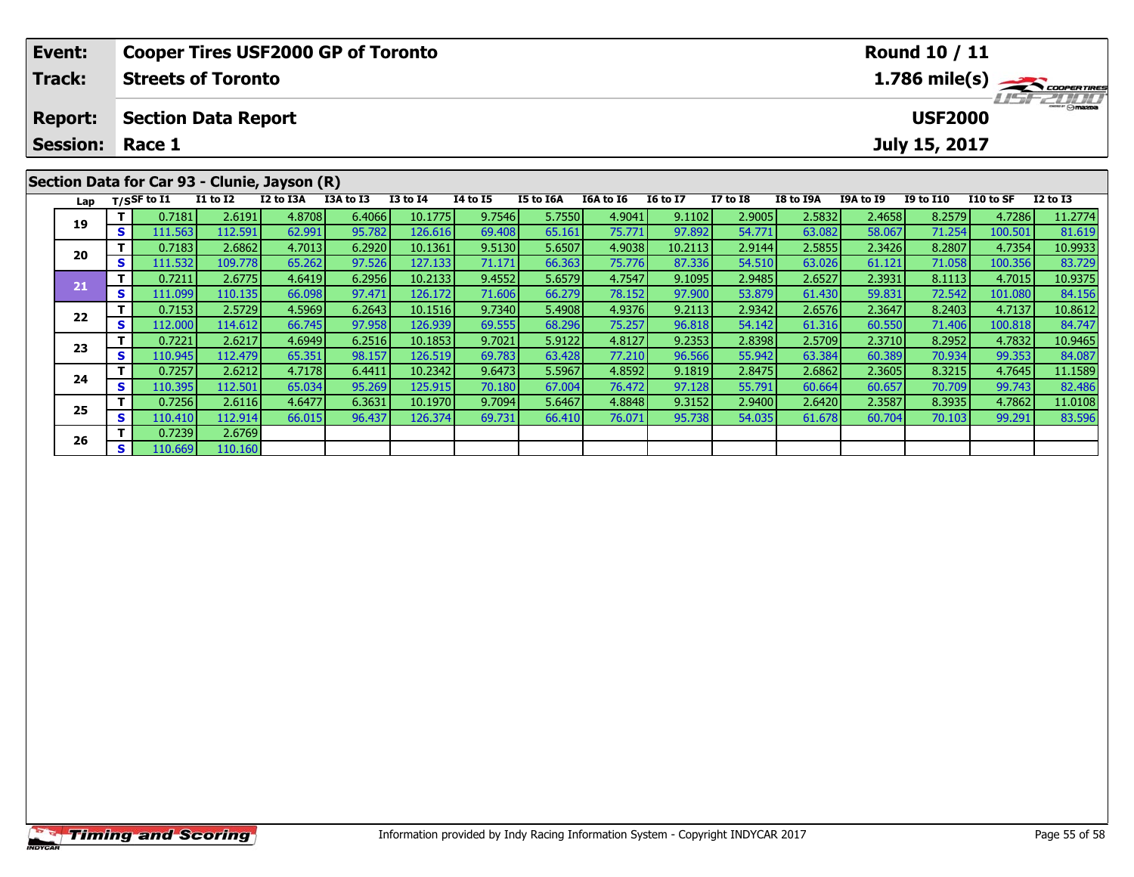| Event:                                       |                                                                                      | <b>Cooper Tires USF2000 GP of Toronto</b><br>Round 10 / 11       |                 |           |           |                 |                 |           |           |                 |                 |           |                  |                  |           |                 |
|----------------------------------------------|--------------------------------------------------------------------------------------|------------------------------------------------------------------|-----------------|-----------|-----------|-----------------|-----------------|-----------|-----------|-----------------|-----------------|-----------|------------------|------------------|-----------|-----------------|
| <b>Track:</b>                                | $1.786$ mile(s) $\overbrace{\hspace{2.5cm}}$ coorgaines<br><b>Streets of Toronto</b> |                                                                  |                 |           |           |                 |                 |           |           |                 |                 |           |                  |                  |           |                 |
| <b>Report:</b>                               |                                                                                      | <b>LISTZDI D</b><br><b>USF2000</b><br><b>Section Data Report</b> |                 |           |           |                 |                 |           |           |                 |                 |           |                  |                  |           |                 |
| <b>Session:</b>                              | Race 1<br>July 15, 2017                                                              |                                                                  |                 |           |           |                 |                 |           |           |                 |                 |           |                  |                  |           |                 |
| Section Data for Car 93 - Clunie, Jayson (R) |                                                                                      |                                                                  |                 |           |           |                 |                 |           |           |                 |                 |           |                  |                  |           |                 |
| Lap                                          |                                                                                      | T/SSF to $\mathbf{I1}$                                           | <b>I1 to I2</b> | I2 to I3A | I3A to I3 | <b>I3 to I4</b> | <b>I4 to I5</b> | I5 to I6A | I6A to I6 | <b>16 to 17</b> | <b>I7 to I8</b> | I8 to I9A | <b>I9A to I9</b> | <b>I9 to I10</b> | I10 to SF | <b>I2 to I3</b> |
| 19                                           |                                                                                      | 0.7181                                                           | 2.6191          | 4.8708    | 6.4066    | 10.1775         | 9.7546          | 5.7550    | 4.9041    | 9.1102          | 2.9005          | 2.5832    | 2.4658           | 8.2579           | 4.7286    | 11.2774         |
|                                              | S.                                                                                   | 111.563                                                          | 112.591         | 62.991    | 95.782    | 126.616         | 69.408          | 65.161    | 75.771    | 97.892          | 54.771          | 63.082    | 58.067           | 71.254           | 100.501   | 81.619          |

0 | **T** | 0.7183| 2.6862| 4.7013| 6.2920| 10.1361| 9.5130| 5.6507| 4.9038| 10.2113| 2.9144| 2.5855| 2.3426| 8.2807| 4.7354| 10.9933<br>| S | 111.532| 109.778| 65.262| 97.526| 127.133| 71.171| 66.363| 75.776| 87.336| 54.510| 6

**<sup>T</sup>** 0.7211 2.6775 4.6419 6.2956 10.2133 9.4552 5.6579 4.7547 9.1095 2.9485 2.6527 2.3931 8.1113 4.7015 10.9375 **<sup>S</sup>** 111.099 110.135 66.098 97.471 126.172 71.606 66.279 78.152 97.900 53.879 61.430 59.831 72.542 101.080 84.156

**<sup>T</sup>** 0.7153 2.5729 4.5969 6.2643 10.1516 9.7340 5.4908 4.9376 9.2113 2.9342 2.6576 2.3647 8.2403 4.7137 10.8612 **<sup>S</sup>** 112.000 114.612 66.745 97.958 126.939 69.555 68.296 75.257 96.818 54.142 61.316 60.550 71.406 100.818 84.747

3 T 0.7221 2.6217 4.6949 6.2516 10.1853 9.7021 5.9122 4.8127 9.2353 2.8398 2.5709 2.3710 8.2952 4.7832 10.9465<br>S 110.945 112.479 65.351 98.157 126.519 69.783 63.428 77.210 96.566 55.942 63.384 60.389 70.934 99.353 84.087

**<sup>T</sup>** 0.7257 2.6212 4.7178 6.4411 10.2342 9.6473 5.5967 4.8592 9.1819 2.8475 2.6862 2.3605 8.3215 4.7645 11.1589 **<sup>S</sup>** 110.395 112.501 65.034 95.269 125.915 70.180 67.004 76.472 97.128 55.791 60.664 60.657 70.709 99.743 82.486

**<sup>T</sup>** 0.7256 2.6116 4.6477 6.3631 10.1970 9.7094 5.6467 4.8848 9.3152 2.9400 2.6420 2.3587 8.3935 4.7862 11.0108 **<sup>S</sup>** 110.410 112.914 66.015 96.437 126.374 69.731 66.410 76.071 95.738 54.035 61.678 60.704 70.103 99.291 83.596

**20**

**21**

**22**

**23**

**24**

**25**

**26**

**<sup>T</sup>** 0.7239 2.6769 **<sup>S</sup>** 110.669 110.160

83.729

84.156

84.747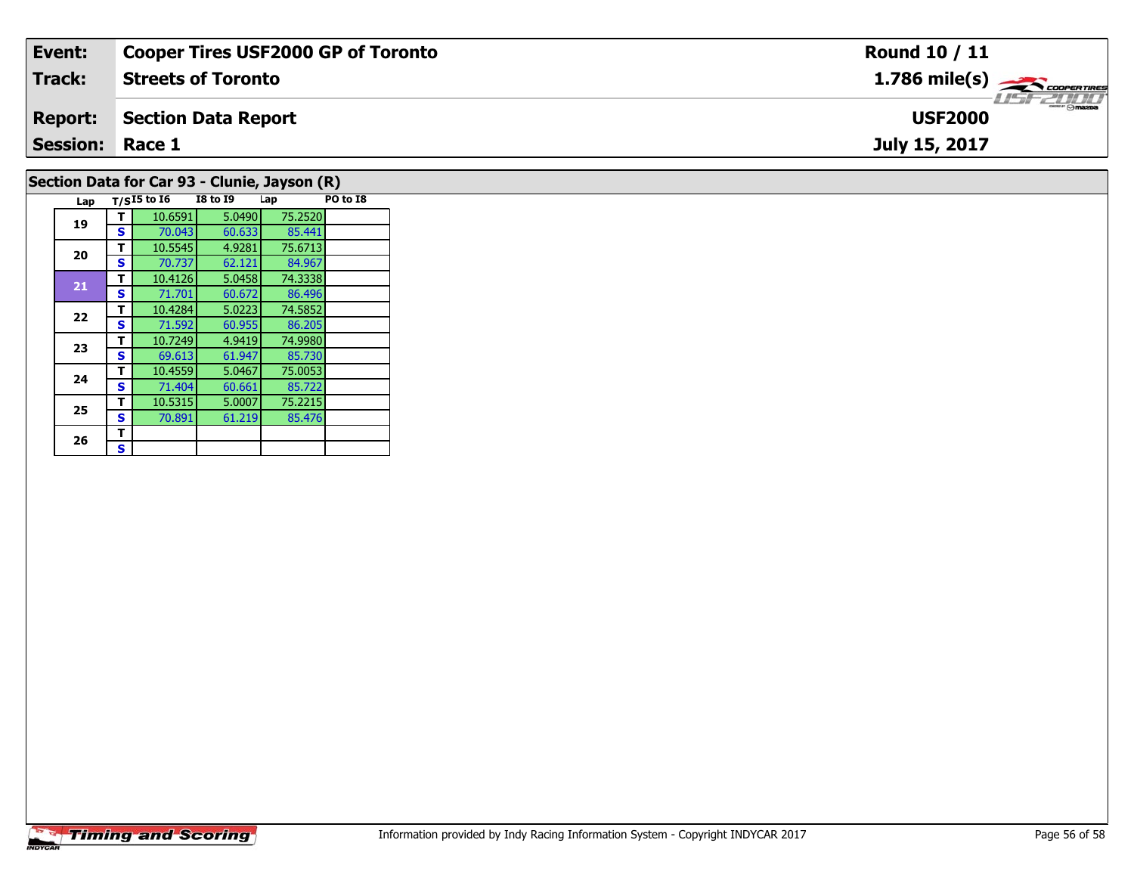| Event:                 | <b>Cooper Tires USF2000 GP of Toronto</b> | <b>Round 10 / 11</b>                    |
|------------------------|-------------------------------------------|-----------------------------------------|
| <b>Track:</b>          | <b>Streets of Toronto</b>                 | $1.786$ mile(s) $\leftarrow$ coorgaring |
| <b>Report:</b>         | Section Data Report                       | <b>USF2000</b>                          |
| <b>Session: Race 1</b> |                                           | July 15, 2017                           |
|                        | _ _ _ _ _ _ _ _ _ _ _<br>$\sqrt{2}$       |                                         |

## **Section Data for Car 93 - Clunie, Jayson (R)**

| Lap |   | $T/SI5$ to $I6$ | <b>I8 to 19</b> | Lap     | PO to I8 |
|-----|---|-----------------|-----------------|---------|----------|
| 19  | т | 10.6591         | 5.0490          | 75.2520 |          |
|     | S | 70.043          | 60.633          | 85.441  |          |
| 20  | т | 10.5545         | 4.9281          | 75.6713 |          |
|     | S | 70.737          | 62.121          | 84.967  |          |
| 21  | т | 10.4126         | 5.0458          | 74.3338 |          |
|     | S | 71.701          | 60.672          | 86.496  |          |
| 22  | т | 10.4284         | 5.0223          | 74.5852 |          |
|     | S | 71.592          | 60.955          | 86.205  |          |
| 23  | т | 10.7249         | 4.9419          | 74.9980 |          |
|     | S | 69.613          | 61.947          | 85.730  |          |
| 24  | т | 10.4559         | 5.0467          | 75.0053 |          |
|     | S | 71.404          | 60.661          | 85.722  |          |
| 25  | т | 10.5315         | 5.0007          | 75.2215 |          |
|     | S | 70.891          | 61.219          | 85.476  |          |
| 26  | т |                 |                 |         |          |
|     | S |                 |                 |         |          |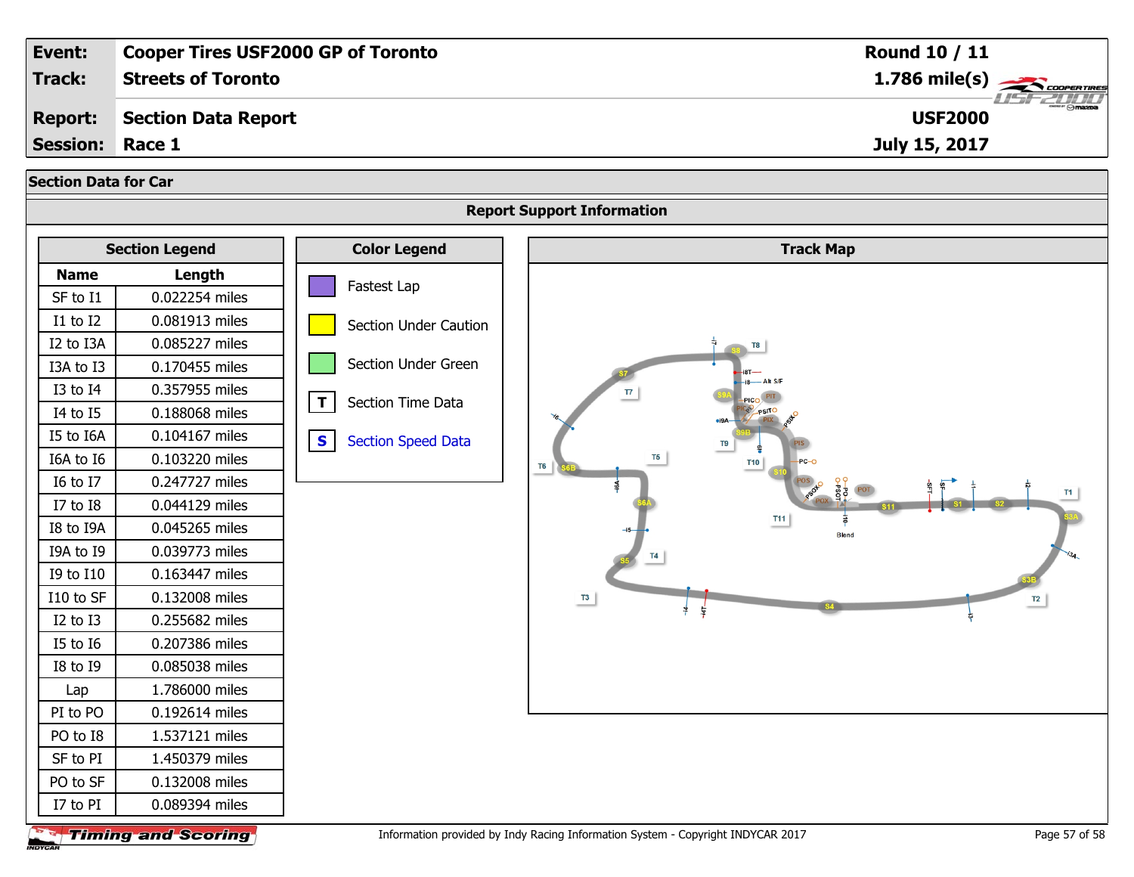| Event:                                                           |                            | <b>Cooper Tires USF2000 GP of Toronto</b> | Round 10 / 11                                  |  |  |  |  |  |  |  |  |
|------------------------------------------------------------------|----------------------------|-------------------------------------------|------------------------------------------------|--|--|--|--|--|--|--|--|
| <b>Track:</b>                                                    | <b>Streets of Toronto</b>  |                                           | $1.786$ mile(s)                                |  |  |  |  |  |  |  |  |
| <b>Report:</b>                                                   | <b>Section Data Report</b> |                                           | <b>USF2000</b>                                 |  |  |  |  |  |  |  |  |
| <b>Session:</b>                                                  | Race 1                     |                                           | July 15, 2017                                  |  |  |  |  |  |  |  |  |
|                                                                  |                            |                                           |                                                |  |  |  |  |  |  |  |  |
| <b>Section Data for Car</b><br><b>Report Support Information</b> |                            |                                           |                                                |  |  |  |  |  |  |  |  |
|                                                                  |                            |                                           |                                                |  |  |  |  |  |  |  |  |
|                                                                  | <b>Section Legend</b>      | <b>Color Legend</b>                       | <b>Track Map</b>                               |  |  |  |  |  |  |  |  |
| <b>Name</b>                                                      | Length                     | Fastest Lap                               |                                                |  |  |  |  |  |  |  |  |
| SF to I1                                                         | 0.022254 miles             |                                           |                                                |  |  |  |  |  |  |  |  |
| I1 to I2                                                         | 0.081913 miles             | <b>Section Under Caution</b>              |                                                |  |  |  |  |  |  |  |  |
| I2 to I3A                                                        | 0.085227 miles             |                                           |                                                |  |  |  |  |  |  |  |  |
| I3A to I3                                                        | 0.170455 miles             | Section Under Green                       |                                                |  |  |  |  |  |  |  |  |
| I3 to I4                                                         | 0.357955 miles             |                                           | $\overline{17}$                                |  |  |  |  |  |  |  |  |
| I4 to I5                                                         | 0.188068 miles             | $\mathbf{T}$<br>Section Time Data         |                                                |  |  |  |  |  |  |  |  |
| I5 to I6A                                                        | 0.104167 miles             | $\mathbf{s}$<br><b>Section Speed Data</b> | T <sub>9</sub>                                 |  |  |  |  |  |  |  |  |
| I6A to I6                                                        | 0.103220 miles             |                                           | T <sub>5</sub><br><b>T10</b><br>T <sub>6</sub> |  |  |  |  |  |  |  |  |
| I6 to I7                                                         | 0.247727 miles             |                                           |                                                |  |  |  |  |  |  |  |  |
| I7 to I8                                                         | 0.044129 miles             |                                           |                                                |  |  |  |  |  |  |  |  |
| I8 to I9A                                                        | 0.045265 miles             |                                           | <b>T11</b><br><b>Blend</b>                     |  |  |  |  |  |  |  |  |
| I9A to I9                                                        | 0.039773 miles             |                                           |                                                |  |  |  |  |  |  |  |  |
| I9 to I10                                                        | 0.163447 miles             |                                           |                                                |  |  |  |  |  |  |  |  |
| I10 to SF                                                        | 0.132008 miles             |                                           | T3<br>T2                                       |  |  |  |  |  |  |  |  |
| I2 to I3                                                         | 0.255682 miles             |                                           |                                                |  |  |  |  |  |  |  |  |
| I5 to I6                                                         | 0.207386 miles             |                                           |                                                |  |  |  |  |  |  |  |  |
| I8 to I9                                                         | 0.085038 miles             |                                           |                                                |  |  |  |  |  |  |  |  |
| Lap                                                              | 1.786000 miles             |                                           |                                                |  |  |  |  |  |  |  |  |
| PI to PO                                                         | 0.192614 miles             |                                           |                                                |  |  |  |  |  |  |  |  |
| PO to I8                                                         | 1.537121 miles             |                                           |                                                |  |  |  |  |  |  |  |  |
| SF to PI                                                         | 1.450379 miles             |                                           |                                                |  |  |  |  |  |  |  |  |
| PO to SF                                                         | 0.132008 miles             |                                           |                                                |  |  |  |  |  |  |  |  |
| I7 to PI                                                         | 0.089394 miles             |                                           |                                                |  |  |  |  |  |  |  |  |